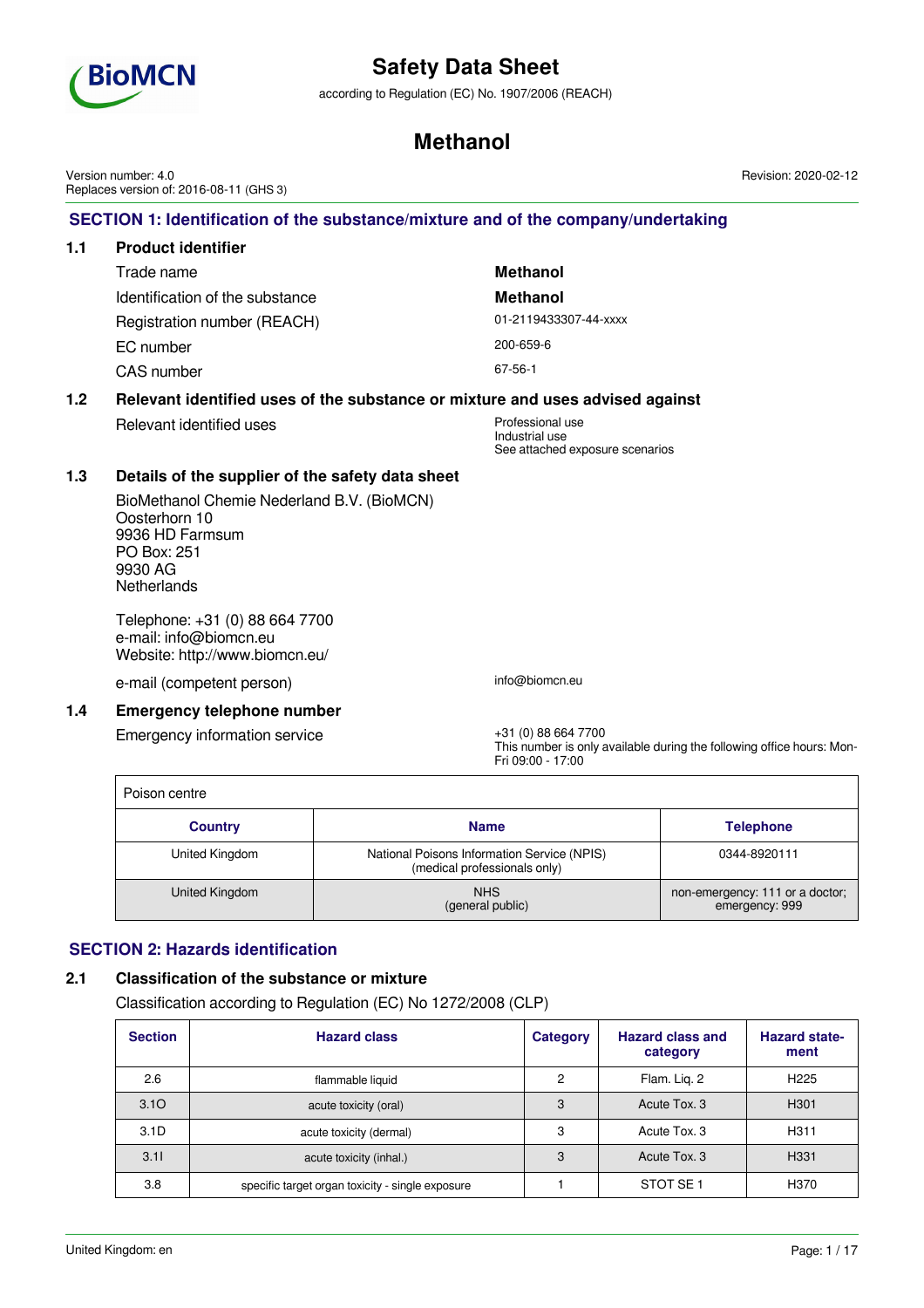

according to Regulation (EC) No. 1907/2006 (REACH)

## **Methanol**

**SECTION 1: Identification of the substance/mixture and of the company/undertaking 1.1 Product identifier** Trade name **Methanol** Identification of the substance **Methanol** Registration number (REACH) 01-2119433307-44-xxxx EC number 200-659-6 CAS number 67-56-1 **1.2 Relevant identified uses of the substance or mixture and uses advised against** Relevant identified uses Professional use Industrial use See attached exposure scenarios **1.3 Details of the supplier of the safety data sheet** BioMethanol Chemie Nederland B.V. (BioMCN) Oosterhorn 10 9936 HD Farmsum PO Box: 251 9930 AG **Netherlands** Telephone: +31 (0) 88 664 7700 e-mail: info@biomcn.eu Website: http://www.biomcn.eu/ e-mail (competent person) info@biomcn.eu **1.4 Emergency telephone number** Emergency information service  $+31 (0) 88 664 7700$ This number is only available during the following office hours: Mon-Fri 09:00 - 17:00 Poison centre **Country Name Name Name Name Name Telephone** United Kingdom | National Poisons Information Service (NPIS) (medical professionals only) 0344-8920111 United Kingdom **NHS** (general public) non-emergency: 111 or a doctor; emergency: 999 Version number: 4.0 Replaces version of: 2016-08-11 (GHS 3)

## **SECTION 2: Hazards identification**

## **2.1 Classification of the substance or mixture**

Classification according to Regulation (EC) No 1272/2008 (CLP)

| <b>Section</b>   | <b>Hazard class</b>                              | <b>Category</b> | <b>Hazard class and</b><br>category | <b>Hazard state-</b><br>ment |
|------------------|--------------------------------------------------|-----------------|-------------------------------------|------------------------------|
| 2.6              | flammable liquid                                 | 2               | Flam. Lig. 2                        | H <sub>225</sub>             |
| 3.10             | acute toxicity (oral)                            | 3               | Acute Tox, 3                        | H <sub>301</sub>             |
| 3.1 <sub>D</sub> | acute toxicity (dermal)                          | 3               | Acute Tox, 3                        | H <sub>311</sub>             |
| 3.11             | acute toxicity (inhal.)                          | 3               | Acute Tox, 3                        | H331                         |
| 3.8              | specific target organ toxicity - single exposure |                 | STOT SE <sub>1</sub>                | H370                         |

Revision: 2020-02-12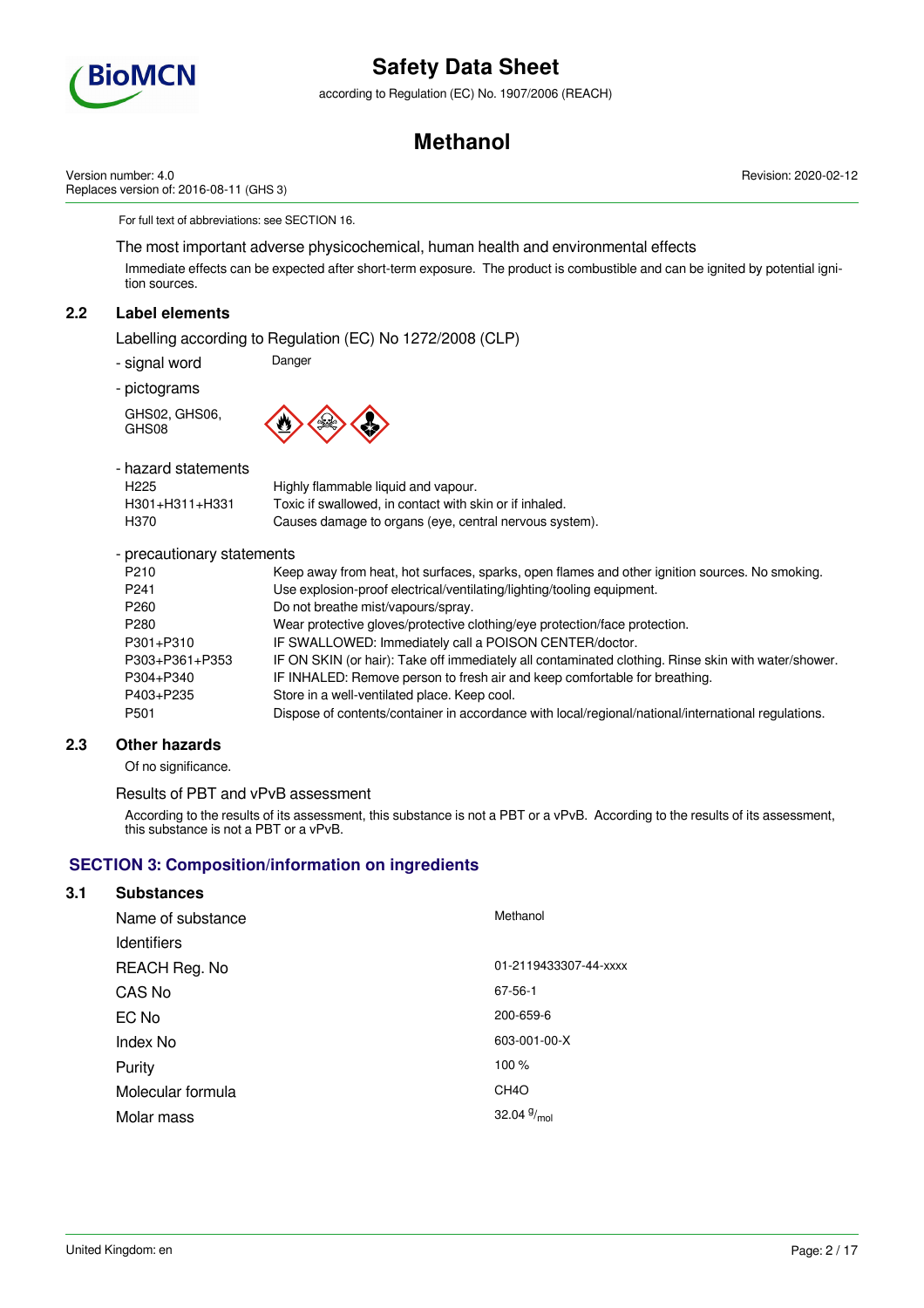

according to Regulation (EC) No. 1907/2006 (REACH)

## **Methanol**

Revision: 2020-02-12

Version number: 4.0 Replaces version of: 2016-08-11 (GHS 3)

For full text of abbreviations: see SECTION 16.

The most important adverse physicochemical, human health and environmental effects

Immediate effects can be expected after short-term exposure. The product is combustible and can be ignited by potential ignition sources.

## **2.2 Label elements**

Labelling according to Regulation (EC) No 1272/2008 (CLP)

- signal word Danger

- pictograms

GHS02, GHS06, GHS08



| - hazard statements |                                                         |
|---------------------|---------------------------------------------------------|
| H <sub>225</sub>    | Highly flammable liquid and vapour.                     |
| H301+H311+H331      | Toxic if swallowed, in contact with skin or if inhaled. |
| H370                | Causes damage to organs (eye, central nervous system).  |

- precautionary statements

| P <sub>210</sub> | Keep away from heat, hot surfaces, sparks, open flames and other ignition sources. No smoking.      |
|------------------|-----------------------------------------------------------------------------------------------------|
| P <sub>241</sub> | Use explosion-proof electrical/ventilating/lighting/tooling equipment.                              |
| P <sub>260</sub> | Do not breathe mist/vapours/spray.                                                                  |
| P <sub>280</sub> | Wear protective gloves/protective clothing/eye protection/face protection.                          |
| P301+P310        | IF SWALLOWED: Immediately call a POISON CENTER/doctor.                                              |
| P303+P361+P353   | IF ON SKIN (or hair): Take off immediately all contaminated clothing. Rinse skin with water/shower. |
| P304+P340        | IF INHALED: Remove person to fresh air and keep comfortable for breathing.                          |
| P403+P235        | Store in a well-ventilated place. Keep cool.                                                        |
| P <sub>501</sub> | Dispose of contents/container in accordance with local/regional/national/international regulations. |
|                  |                                                                                                     |

### **2.3 Other hazards**

Of no significance.

### Results of PBT and vPvB assessment

According to the results of its assessment, this substance is not a PBT or a vPvB. According to the results of its assessment, this substance is not a PBT or a vPvB.

### **SECTION 3: Composition/information on ingredients**

### **3.1 Substances**

| Name of substance  | Methanol                |
|--------------------|-------------------------|
| <b>Identifiers</b> |                         |
| REACH Reg. No      | 01-2119433307-44-xxxx   |
| CAS No             | 67-56-1                 |
| EC No              | 200-659-6               |
| Index No           | 603-001-00-X            |
| Purity             | 100 %                   |
| Molecular formula  | CH <sub>4</sub> O       |
| Molar mass         | 32.04 $9/_{\text{mol}}$ |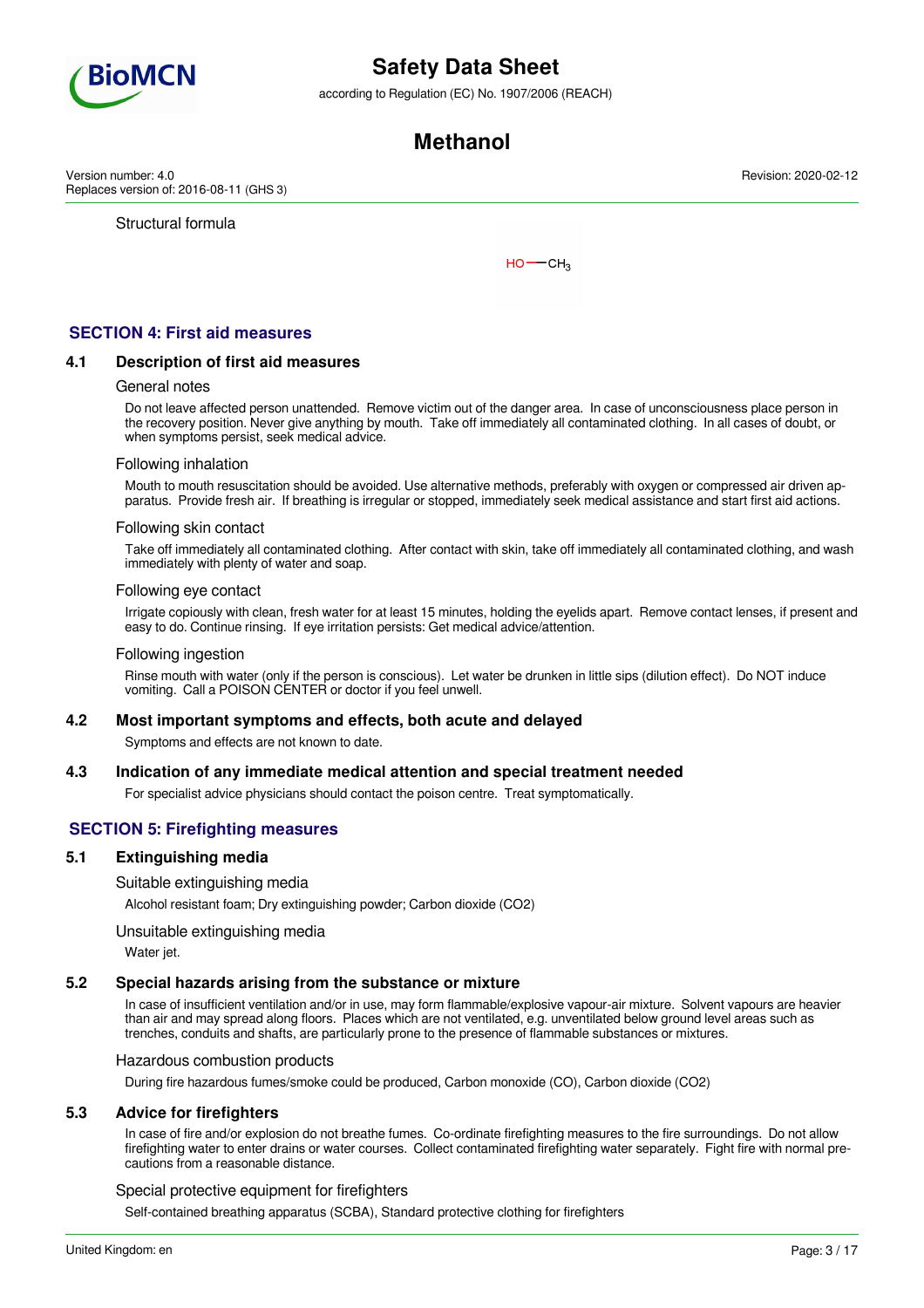

according to Regulation (EC) No. 1907/2006 (REACH)

## **Methanol**

Version number: 4.0 Replaces version of: 2016-08-11 (GHS 3)

Structural formula

 $HO$  ––  $CH<sub>3</sub>$ 

## **SECTION 4: First aid measures**

#### **4.1 Description of first aid measures**

#### General notes

Do not leave affected person unattended. Remove victim out of the danger area. In case of unconsciousness place person in the recovery position. Never give anything by mouth. Take off immediately all contaminated clothing. In all cases of doubt, or when symptoms persist, seek medical advice.

#### Following inhalation

Mouth to mouth resuscitation should be avoided. Use alternative methods, preferably with oxygen or compressed air driven apparatus. Provide fresh air. If breathing is irregular or stopped, immediately seek medical assistance and start first aid actions.

#### Following skin contact

Take off immediately all contaminated clothing. After contact with skin, take off immediately all contaminated clothing, and wash immediately with plenty of water and soap.

#### Following eye contact

Irrigate copiously with clean, fresh water for at least 15 minutes, holding the eyelids apart. Remove contact lenses, if present and easy to do. Continue rinsing. If eye irritation persists: Get medical advice/attention.

#### Following ingestion

Rinse mouth with water (only if the person is conscious). Let water be drunken in little sips (dilution effect). Do NOT induce vomiting. Call a POISON CENTER or doctor if you feel unwell.

#### **4.2 Most important symptoms and effects, both acute and delayed**

Symptoms and effects are not known to date.

#### **4.3 Indication of any immediate medical attention and special treatment needed**

For specialist advice physicians should contact the poison centre. Treat symptomatically.

### **SECTION 5: Firefighting measures**

#### **5.1 Extinguishing media**

#### Suitable extinguishing media

Alcohol resistant foam; Dry extinguishing powder; Carbon dioxide (CO2)

#### Unsuitable extinguishing media

Water jet.

### **5.2 Special hazards arising from the substance or mixture**

In case of insufficient ventilation and/or in use, may form flammable/explosive vapour-air mixture. Solvent vapours are heavier than air and may spread along floors. Places which are not ventilated, e.g. unventilated below ground level areas such as trenches, conduits and shafts, are particularly prone to the presence of flammable substances or mixtures.

#### Hazardous combustion products

During fire hazardous fumes/smoke could be produced, Carbon monoxide (CO), Carbon dioxide (CO2)

### **5.3 Advice for firefighters**

In case of fire and/or explosion do not breathe fumes. Co-ordinate firefighting measures to the fire surroundings. Do not allow firefighting water to enter drains or water courses. Collect contaminated firefighting water separately. Fight fire with normal precautions from a reasonable distance.

#### Special protective equipment for firefighters

Self-contained breathing apparatus (SCBA), Standard protective clothing for firefighters

Revision: 2020-02-12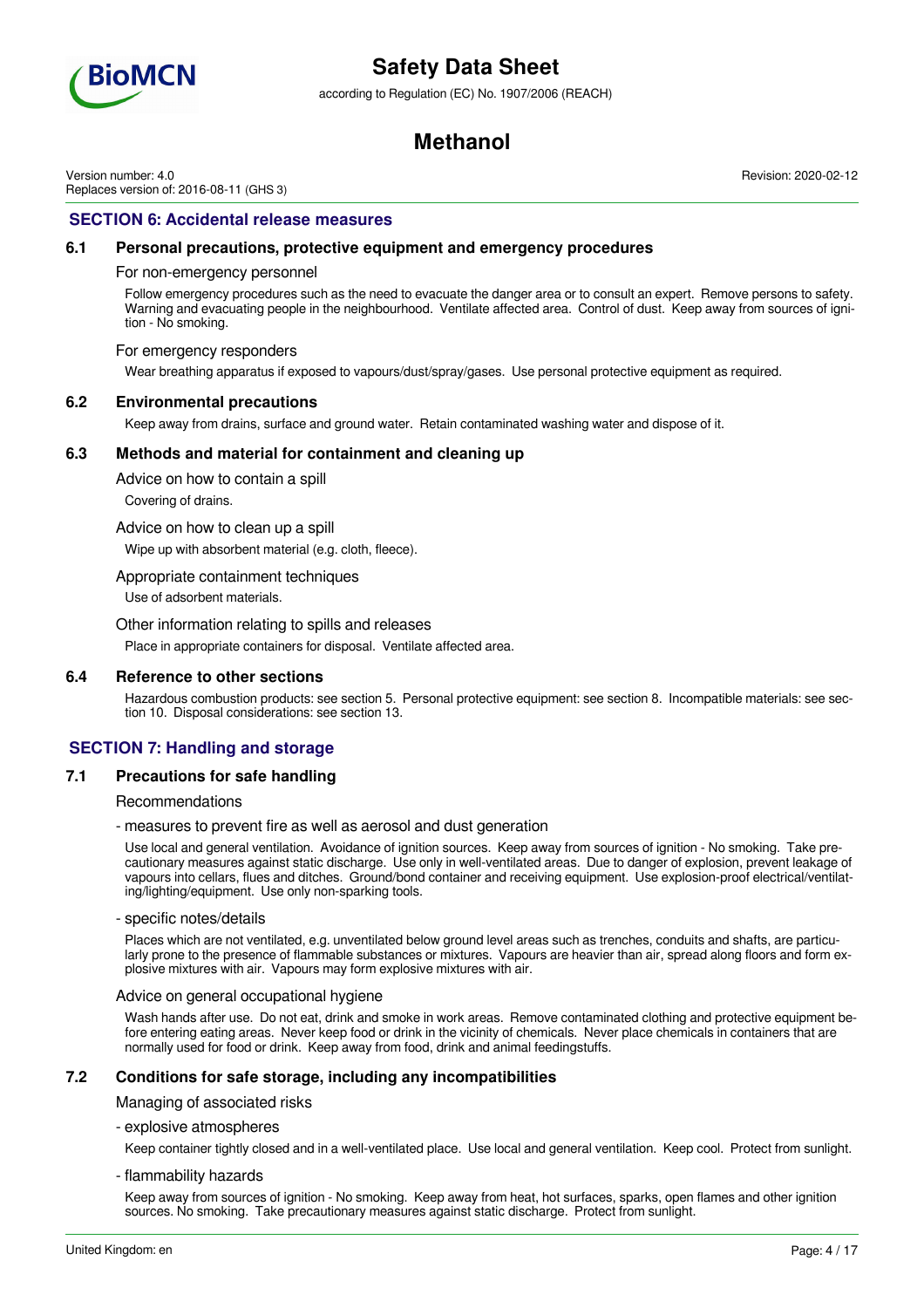

according to Regulation (EC) No. 1907/2006 (REACH)

## **Methanol**

Version number: 4.0 Replaces version of: 2016-08-11 (GHS 3) Revision: 2020-02-12

### **SECTION 6: Accidental release measures**

#### **6.1 Personal precautions, protective equipment and emergency procedures**

For non-emergency personnel

Follow emergency procedures such as the need to evacuate the danger area or to consult an expert. Remove persons to safety. Warning and evacuating people in the neighbourhood. Ventilate affected area. Control of dust. Keep away from sources of ignition - No smoking.

#### For emergency responders

Wear breathing apparatus if exposed to vapours/dust/spray/gases. Use personal protective equipment as required.

#### **6.2 Environmental precautions**

Keep away from drains, surface and ground water. Retain contaminated washing water and dispose of it.

#### **6.3 Methods and material for containment and cleaning up**

Advice on how to contain a spill

Covering of drains.

Advice on how to clean up a spill

Wipe up with absorbent material (e.g. cloth, fleece).

#### Appropriate containment techniques

Use of adsorbent materials.

#### Other information relating to spills and releases

Place in appropriate containers for disposal. Ventilate affected area.

#### **6.4 Reference to other sections**

Hazardous combustion products: see section 5. Personal protective equipment: see section 8. Incompatible materials: see section 10. Disposal considerations: see section 13.

### **SECTION 7: Handling and storage**

### **7.1 Precautions for safe handling**

#### Recommendations

- measures to prevent fire as well as aerosol and dust generation

Use local and general ventilation. Avoidance of ignition sources. Keep away from sources of ignition - No smoking. Take precautionary measures against static discharge. Use only in well-ventilated areas. Due to danger of explosion, prevent leakage of vapours into cellars, flues and ditches. Ground/bond container and receiving equipment. Use explosion-proof electrical/ventilating/lighting/equipment. Use only non-sparking tools.

#### - specific notes/details

Places which are not ventilated, e.g. unventilated below ground level areas such as trenches, conduits and shafts, are particularly prone to the presence of flammable substances or mixtures. Vapours are heavier than air, spread along floors and form explosive mixtures with air. Vapours may form explosive mixtures with air.

#### Advice on general occupational hygiene

Wash hands after use. Do not eat, drink and smoke in work areas. Remove contaminated clothing and protective equipment before entering eating areas. Never keep food or drink in the vicinity of chemicals. Never place chemicals in containers that are normally used for food or drink. Keep away from food, drink and animal feedingstuffs.

### **7.2 Conditions for safe storage, including any incompatibilities**

Managing of associated risks

- explosive atmospheres

Keep container tightly closed and in a well-ventilated place. Use local and general ventilation. Keep cool. Protect from sunlight.

- flammability hazards

Keep away from sources of ignition - No smoking. Keep away from heat, hot surfaces, sparks, open flames and other ignition sources. No smoking. Take precautionary measures against static discharge. Protect from sunlight.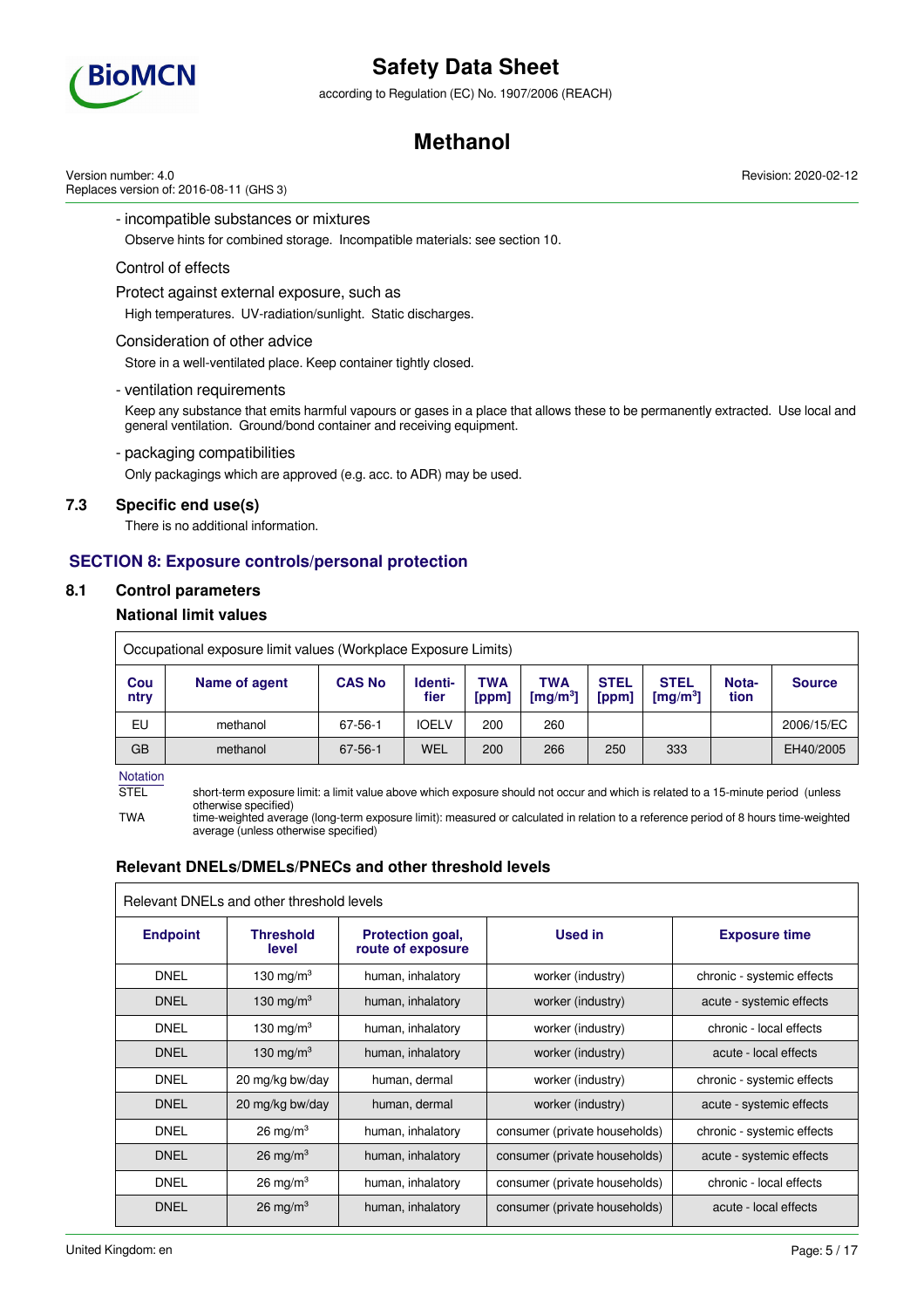

according to Regulation (EC) No. 1907/2006 (REACH)

## **Methanol**

Version number: 4.0 Replaces version of: 2016-08-11 (GHS 3)

### - incompatible substances or mixtures

Observe hints for combined storage. Incompatible materials: see section 10.

#### Control of effects

#### Protect against external exposure, such as

High temperatures. UV-radiation/sunlight. Static discharges.

#### Consideration of other advice

Store in a well-ventilated place. Keep container tightly closed.

#### - ventilation requirements

Keep any substance that emits harmful vapours or gases in a place that allows these to be permanently extracted. Use local and general ventilation. Ground/bond container and receiving equipment.

#### - packaging compatibilities

Only packagings which are approved (e.g. acc. to ADR) may be used.

### **7.3 Specific end use(s)**

There is no additional information.

### **SECTION 8: Exposure controls/personal protection**

### **8.1 Control parameters**

### **National limit values**

|             | Occupational exposure limit values (Workplace Exposure Limits) |               |                 |                     |                                               |                      |                                                |               |               |
|-------------|----------------------------------------------------------------|---------------|-----------------|---------------------|-----------------------------------------------|----------------------|------------------------------------------------|---------------|---------------|
| Cou<br>ntry | Name of agent                                                  | <b>CAS No</b> | Identi-<br>fier | <b>TWA</b><br>[ppm] | <b>TWA</b><br>$\lceil \mathsf{mq/m^3} \rceil$ | <b>STEL</b><br>[ppm] | <b>STEL</b><br>$\lceil \mathsf{mq/m^3} \rceil$ | Nota-<br>tion | <b>Source</b> |
| EU          | methanol                                                       | 67-56-1       | <b>IOELV</b>    | 200                 | 260                                           |                      |                                                |               | 2006/15/EC    |
| <b>GB</b>   | methanol                                                       | 67-56-1       | WEL             | 200                 | 266                                           | 250                  | 333                                            |               | EH40/2005     |

Notation

STEL short-term exposure limit: a limit value above which exposure should not occur and which is related to a 15-minute period (unless otherwise specified)

TWA time-weighted average (long-term exposure limit): measured or calculated in relation to a reference period of 8 hours time-weighted average (unless otherwise specified)

### **Relevant DNELs/DMELs/PNECs and other threshold levels**

| Relevant DNELs and other threshold levels |                           |                                              |                               |                            |
|-------------------------------------------|---------------------------|----------------------------------------------|-------------------------------|----------------------------|
| <b>Endpoint</b>                           | <b>Threshold</b><br>level | <b>Protection goal,</b><br>route of exposure | <b>Used in</b>                | <b>Exposure time</b>       |
| <b>DNEL</b>                               | 130 mg/m $3$              | human, inhalatory                            | worker (industry)             | chronic - systemic effects |
| <b>DNEL</b>                               | 130 mg/m <sup>3</sup>     | human, inhalatory                            | worker (industry)             | acute - systemic effects   |
| <b>DNEL</b>                               | 130 mg/m $3$              | human, inhalatory                            | worker (industry)             | chronic - local effects    |
| <b>DNEL</b>                               | 130 mg/m $3$              | human, inhalatory                            | worker (industry)             | acute - local effects      |
| <b>DNEL</b>                               | 20 mg/kg bw/day           | human, dermal                                | worker (industry)             | chronic - systemic effects |
| <b>DNEL</b>                               | 20 mg/kg bw/day           | human, dermal                                | worker (industry)             | acute - systemic effects   |
| <b>DNEL</b>                               | $26 \text{ mg/m}^3$       | human, inhalatory                            | consumer (private households) | chronic - systemic effects |
| <b>DNEL</b>                               | $26 \text{ mg/m}^3$       | human, inhalatory                            | consumer (private households) | acute - systemic effects   |
| <b>DNEL</b>                               | $26 \text{ mg/m}^3$       | human, inhalatory                            | consumer (private households) | chronic - local effects    |
| <b>DNEL</b>                               | $26 \text{ mg/m}^3$       | human, inhalatory                            | consumer (private households) | acute - local effects      |

Revision: 2020-02-12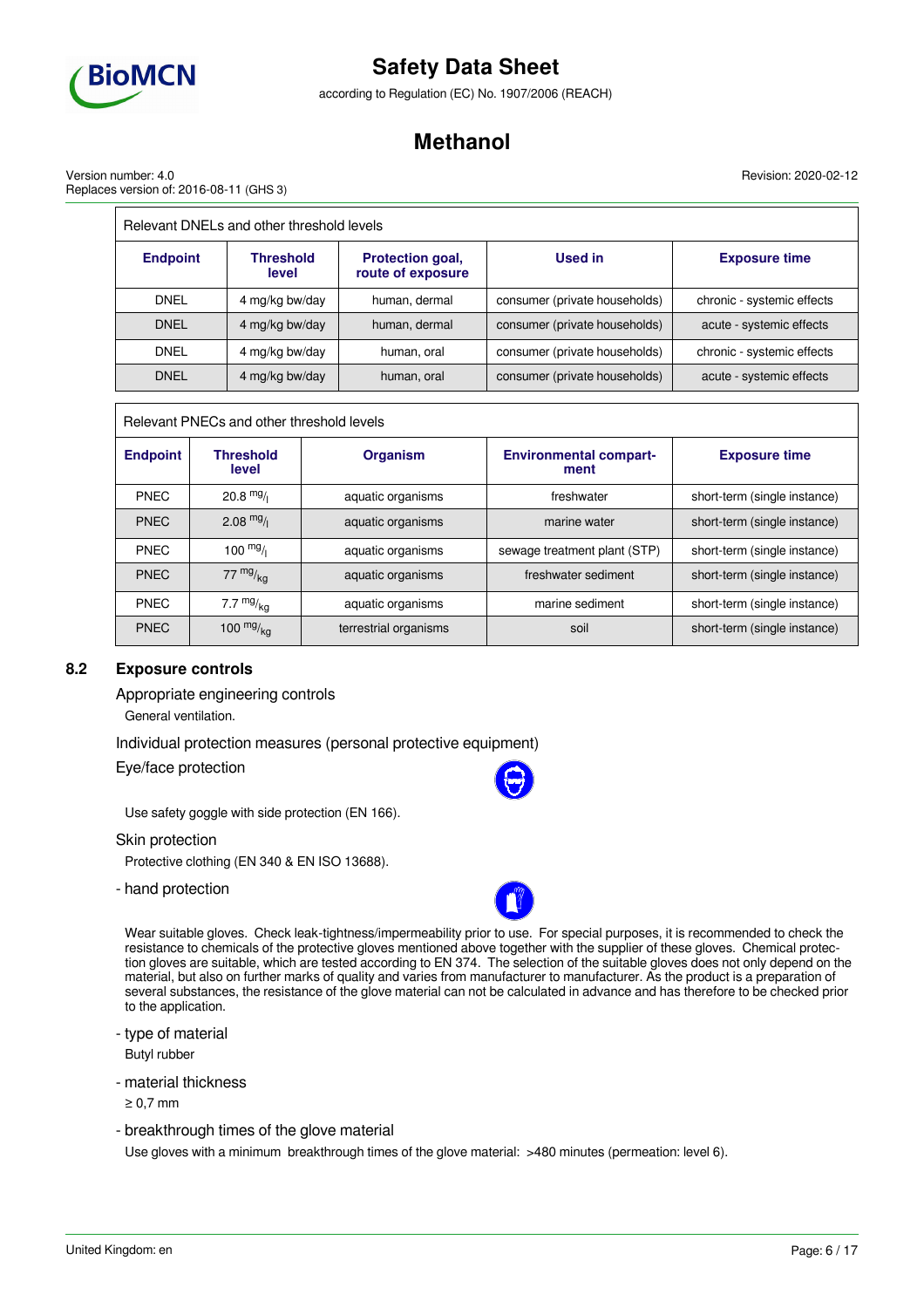

according to Regulation (EC) No. 1907/2006 (REACH)

## **Methanol**

Revision: 2020-02-12

Version number: 4.0 Replaces version of: 2016-08-11 (GHS 3)

| Relevant DNELs and other threshold levels |                           |                                       |                               |                            |
|-------------------------------------------|---------------------------|---------------------------------------|-------------------------------|----------------------------|
| <b>Endpoint</b>                           | <b>Threshold</b><br>level | Protection goal,<br>route of exposure | Used in                       | <b>Exposure time</b>       |
| <b>DNEL</b>                               | 4 mg/kg bw/day            | human, dermal                         | consumer (private households) | chronic - systemic effects |
| <b>DNEL</b>                               | 4 mg/kg bw/day            | human, dermal                         | consumer (private households) | acute - systemic effects   |
| <b>DNEL</b>                               | 4 mg/kg bw/day            | human, oral                           | consumer (private households) | chronic - systemic effects |
| <b>DNEL</b>                               | 4 mg/kg bw/day            | human, oral                           | consumer (private households) | acute - systemic effects   |

Relevant PNECs and other threshold levels

| <b>Endpoint</b> | <b>Threshold</b><br>level | <b>Organism</b>       | <b>Environmental compart-</b><br>ment | <b>Exposure time</b>         |
|-----------------|---------------------------|-----------------------|---------------------------------------|------------------------------|
| <b>PNEC</b>     | $20.8$ mg/                | aquatic organisms     | freshwater                            | short-term (single instance) |
| <b>PNEC</b>     | $2.08 \frac{mg}{l}$       | aquatic organisms     | marine water                          | short-term (single instance) |
| <b>PNEC</b>     | $100 \frac{mg}{l}$        | aquatic organisms     | sewage treatment plant (STP)          | short-term (single instance) |
| <b>PNEC</b>     | 77 $mg/kq$                | aquatic organisms     | freshwater sediment                   | short-term (single instance) |
| <b>PNEC</b>     | 7.7 $mg/kq$               | aquatic organisms     | marine sediment                       | short-term (single instance) |
| <b>PNEC</b>     | 100 $mg/kg$               | terrestrial organisms | soil                                  | short-term (single instance) |

### **8.2 Exposure controls**

Appropriate engineering controls

General ventilation.

Individual protection measures (personal protective equipment)

Eye/face protection

Use safety goggle with side protection (EN 166).

Skin protection

Protective clothing (EN 340 & EN ISO 13688).

- hand protection

Wear suitable gloves. Check leak-tightness/impermeability prior to use. For special purposes, it is recommended to check the resistance to chemicals of the protective gloves mentioned above together with the supplier of these gloves. Chemical protection gloves are suitable, which are tested according to EN 374. The selection of the suitable gloves does not only depend on the material, but also on further marks of quality and varies from manufacturer to manufacturer. As the product is a preparation of several substances, the resistance of the glove material can not be calculated in advance and has therefore to be checked prior to the application.

- type of material Butyl rubber

- material thickness

≥ 0,7 mm

- breakthrough times of the glove material

Use gloves with a minimum breakthrough times of the glove material: >480 minutes (permeation: level 6).

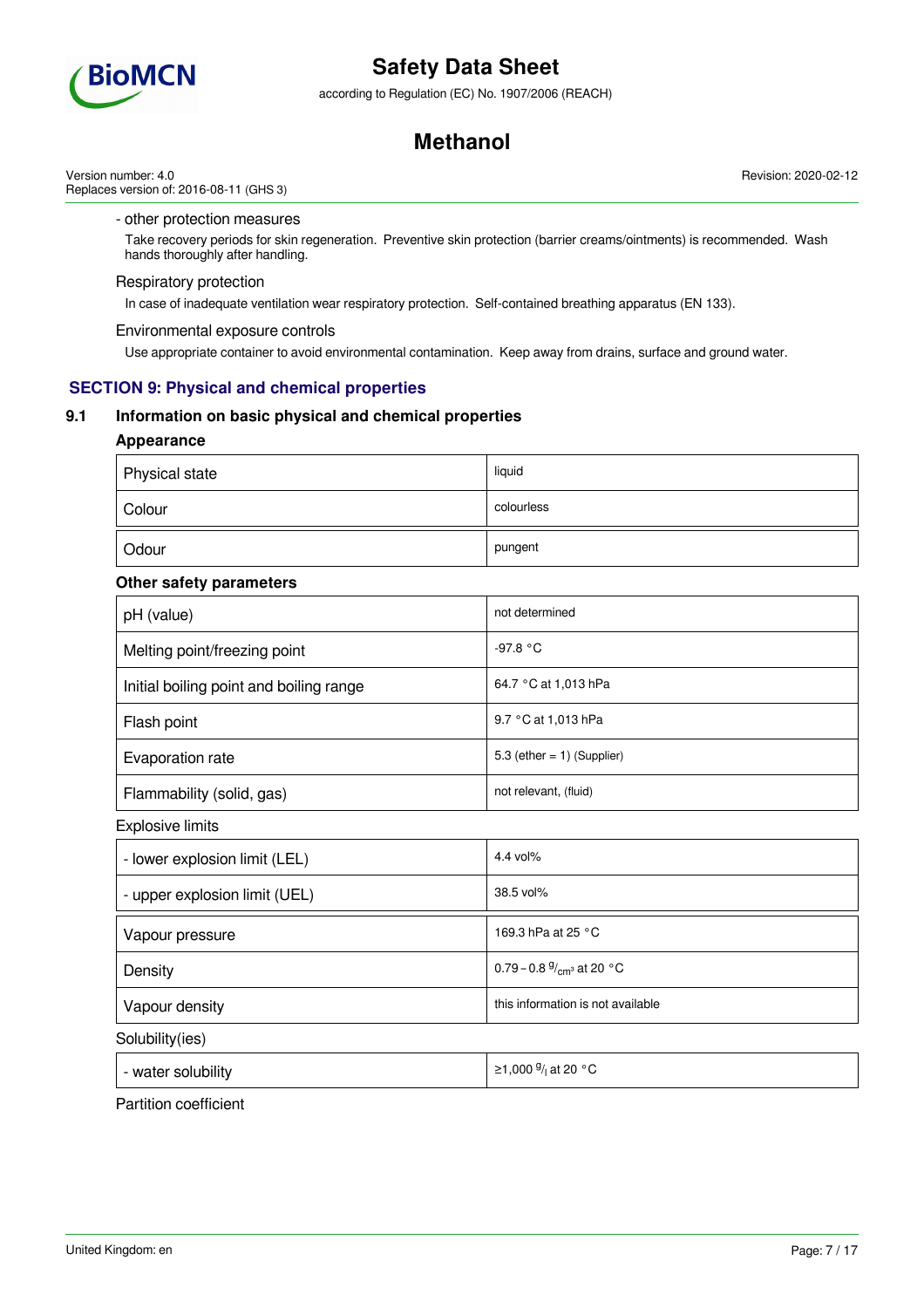

according to Regulation (EC) No. 1907/2006 (REACH)

## **Methanol**

Version number: 4.0 Replaces version of: 2016-08-11 (GHS 3)

### - other protection measures

Take recovery periods for skin regeneration. Preventive skin protection (barrier creams/ointments) is recommended. Wash hands thoroughly after handling.

### Respiratory protection

In case of inadequate ventilation wear respiratory protection. Self-contained breathing apparatus (EN 133).

#### Environmental exposure controls

Use appropriate container to avoid environmental contamination. Keep away from drains, surface and ground water.

### **SECTION 9: Physical and chemical properties**

### **9.1 Information on basic physical and chemical properties**

### **Appearance**

| Physical state | liquid     |
|----------------|------------|
| Colour         | colourless |
| Odour          | pungent    |

### **Other safety parameters**

| pH (value)                              | not determined                |
|-----------------------------------------|-------------------------------|
| Melting point/freezing point            | -97.8 °C                      |
| Initial boiling point and boiling range | 64.7 °C at 1,013 hPa          |
| Flash point                             | 9.7 °C at 1,013 hPa           |
| Evaporation rate                        | 5.3 (ether $= 1$ ) (Supplier) |
| Flammability (solid, gas)               | not relevant, (fluid)         |

Explosive limits

| - lower explosion limit (LEL) | 4.4 vol $%$                          |
|-------------------------------|--------------------------------------|
| - upper explosion limit (UEL) | 38.5 vol%                            |
| Vapour pressure               | 169.3 hPa at 25 $\degree$ C          |
| Density                       | 0.79 – 0.8 $\frac{9}{cm^3}$ at 20 °C |
| Vapour density                | this information is not available    |
| Solubility(ies)               |                                      |

- water solubility

/<sub>l</sub> at 20 °C

Partition coefficient

Revision: 2020-02-12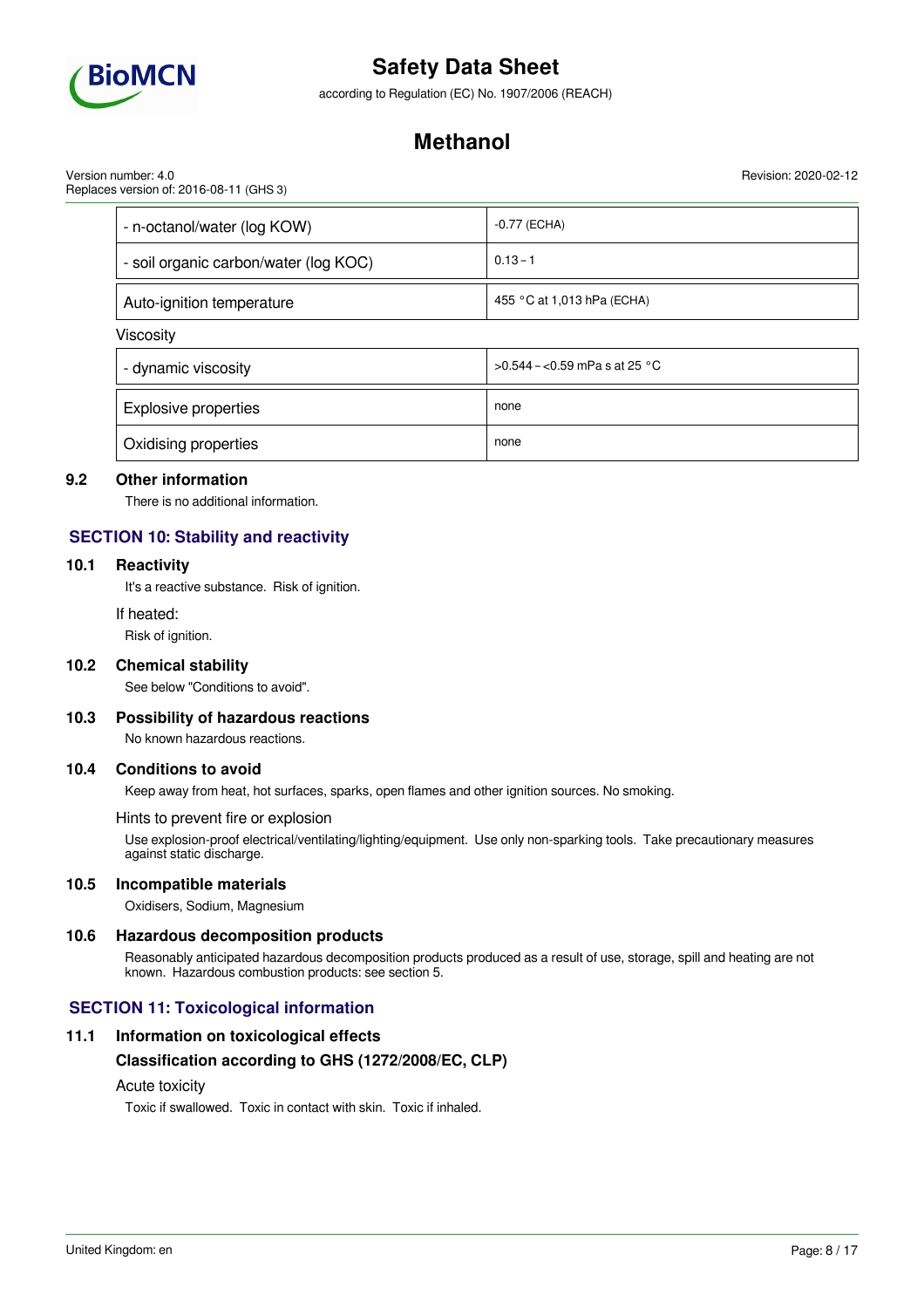

according to Regulation (EC) No. 1907/2006 (REACH)

## **Methanol**

Version number: 4.0 Replaces version of: 2016-08-11 (GHS 3)

| - n-octanol/water (log KOW)           | $-0.77$ (ECHA)                 |
|---------------------------------------|--------------------------------|
| - soil organic carbon/water (log KOC) | $0.13 - 1$                     |
| Auto-ignition temperature             | 455 °C at 1,013 hPa (ECHA)     |
| Viscosity                             |                                |
| - dynamic viscosity                   | $>0.544 - 0.59$ mPa s at 25 °C |
| <b>Explosive properties</b>           | none                           |

## **9.2 Other information**

There is no additional information.

Oxidising properties none none none

## **SECTION 10: Stability and reactivity**

### **10.1 Reactivity**

It's a reactive substance. Risk of ignition.

#### If heated:

Risk of ignition.

#### **10.2 Chemical stability**

See below "Conditions to avoid".

#### **10.3 Possibility of hazardous reactions**

No known hazardous reactions.

#### **10.4 Conditions to avoid**

Keep away from heat, hot surfaces, sparks, open flames and other ignition sources. No smoking.

#### Hints to prevent fire or explosion

Use explosion-proof electrical/ventilating/lighting/equipment. Use only non-sparking tools. Take precautionary measures against static discharge.

#### **10.5 Incompatible materials**

Oxidisers, Sodium, Magnesium

#### **10.6 Hazardous decomposition products**

Reasonably anticipated hazardous decomposition products produced as a result of use, storage, spill and heating are not known. Hazardous combustion products: see section 5.

### **SECTION 11: Toxicological information**

### **11.1 Information on toxicological effects**

#### **Classification according to GHS (1272/2008/EC, CLP)**

### Acute toxicity

Toxic if swallowed. Toxic in contact with skin. Toxic if inhaled.

Revision: 2020-02-12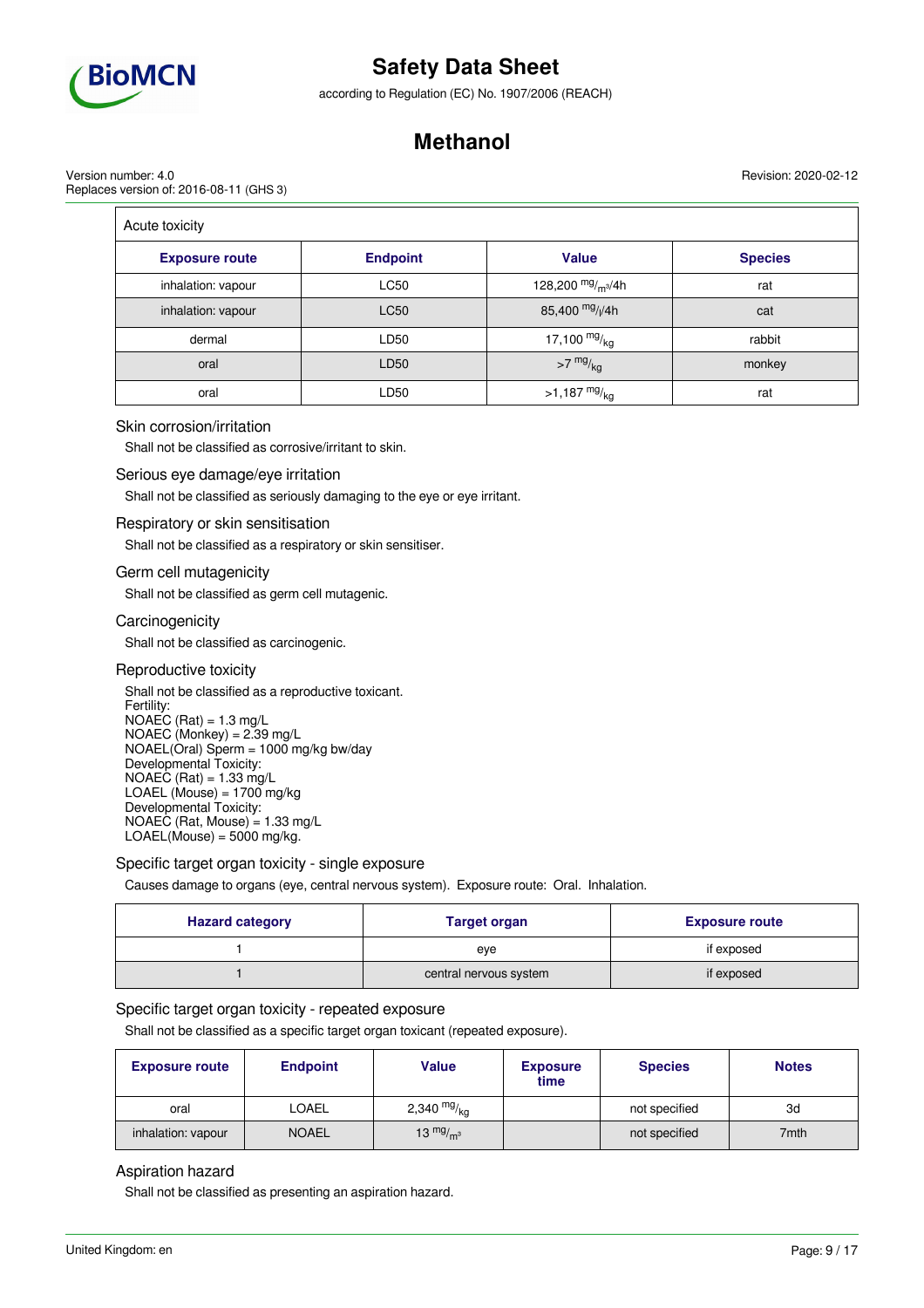

according to Regulation (EC) No. 1907/2006 (REACH)

## **Methanol**

Version number: 4.0 Replaces version of: 2016-08-11 (GHS 3) Revision: 2020-02-12

| Acute toxicity        |                 |                             |                |
|-----------------------|-----------------|-----------------------------|----------------|
| <b>Exposure route</b> | <b>Endpoint</b> | <b>Value</b>                | <b>Species</b> |
| inhalation: vapour    | <b>LC50</b>     | 128,200 $mg/m^3/4h$         | rat            |
| inhalation: vapour    | <b>LC50</b>     | 85,400 mg/ <sub>l</sub> /4h | cat            |
| dermal                | LD50            | 17,100 $mg/kg$              | rabbit         |
| oral                  | LD50            | $>7$ mg/ $_{\text{kg}}$     | monkey         |
| oral                  | LD50            | $>1,187 \frac{mg}{kg}$      | rat            |

#### Skin corrosion/irritation

Shall not be classified as corrosive/irritant to skin.

#### Serious eye damage/eye irritation

Shall not be classified as seriously damaging to the eye or eye irritant.

#### Respiratory or skin sensitisation

Shall not be classified as a respiratory or skin sensitiser.

#### Germ cell mutagenicity

Shall not be classified as germ cell mutagenic.

#### **Carcinogenicity**

Shall not be classified as carcinogenic.

#### Reproductive toxicity

Shall not be classified as a reproductive toxicant. Fertility:  $NOAEC (Rat) = 1.3 mg/L$  $NOAEC (Monkey) = 2.39 mg/L$ NOAEL(Oral) Sperm = 1000 mg/kg bw/day Developmental Toxicity:  $NOAEC (Rat) = 1.33 mg/L$ LOAEL (Mouse) =  $1700$  mg/kg Developmental Toxicity: NOAEC (Rat, Mouse) = 1.33 mg/L  $LOAEL(Mouse) = 5000$  mg/kg.

Specific target organ toxicity - single exposure

Causes damage to organs (eye, central nervous system). Exposure route: Oral. Inhalation.

| <b>Hazard category</b> | <b>Target organ</b>    | <b>Exposure route</b> |
|------------------------|------------------------|-----------------------|
|                        | eve                    | if exposed            |
|                        | central nervous system | if exposed            |

### Specific target organ toxicity - repeated exposure

Shall not be classified as a specific target organ toxicant (repeated exposure).

| <b>Exposure route</b> | <b>Endpoint</b> | Value         | <b>Exposure</b><br>time | <b>Species</b> | <b>Notes</b> |
|-----------------------|-----------------|---------------|-------------------------|----------------|--------------|
| oral                  | <b>LOAEL</b>    | 2,340 $mg/kg$ |                         | not specified  | 3d           |
| inhalation: vapour    | <b>NOAEL</b>    | 13 $mg/m3$    |                         | not specified  | 7mth         |

### Aspiration hazard

Shall not be classified as presenting an aspiration hazard.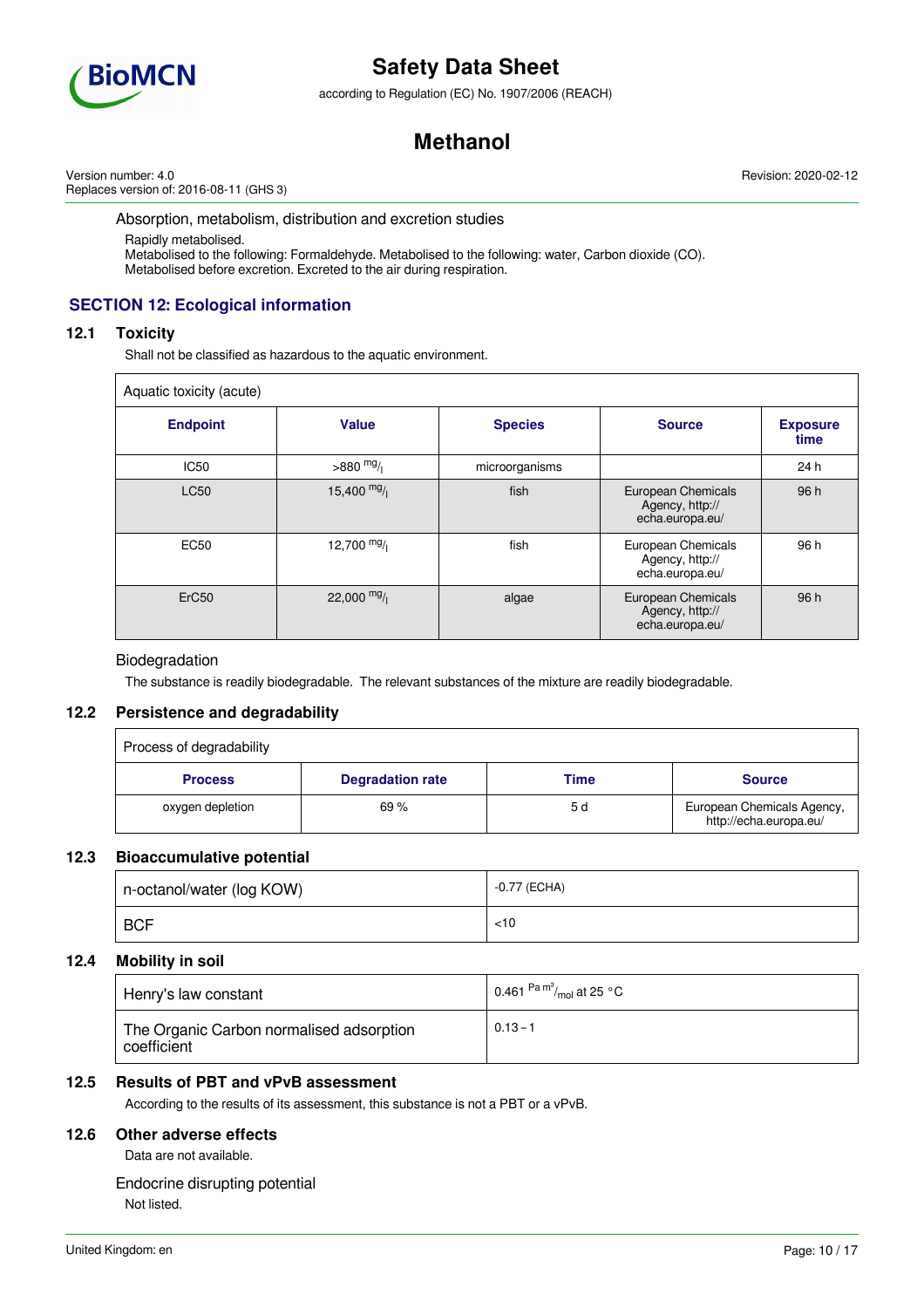

according to Regulation (EC) No. 1907/2006 (REACH)

## **Methanol**

Version number: 4.0 Replaces version of: 2016-08-11 (GHS 3) Revision: 2020-02-12

#### Absorption, metabolism, distribution and excretion studies

Rapidly metabolised. Metabolised to the following: Formaldehyde. Metabolised to the following: water, Carbon dioxide (CO). Metabolised before excretion. Excreted to the air during respiration.

## **SECTION 12: Ecological information**

### **12.1 Toxicity**

Shall not be classified as hazardous to the aquatic environment.

| Aquatic toxicity (acute) |              |                |                                                          |                         |
|--------------------------|--------------|----------------|----------------------------------------------------------|-------------------------|
| <b>Endpoint</b>          | <b>Value</b> | <b>Species</b> | <b>Source</b>                                            | <b>Exposure</b><br>time |
| <b>IC50</b>              | $>880$ mg/   | microorganisms |                                                          | 24 h                    |
| <b>LC50</b>              | $15,400$ mg/ | fish           | European Chemicals<br>Agency, http://<br>echa.europa.eu/ | 96 h                    |
| <b>EC50</b>              | 12,700 $mg/$ | fish           | European Chemicals<br>Agency, http://<br>echa.europa.eu/ | 96 h                    |
| ErC <sub>50</sub>        | 22,000 $mg/$ | algae          | European Chemicals<br>Agency, http://<br>echa.europa.eu/ | 96 h                    |

### Biodegradation

The substance is readily biodegradable. The relevant substances of the mixture are readily biodegradable.

### **12.2 Persistence and degradability**

| Process of degradability |                         |      |                                                      |
|--------------------------|-------------------------|------|------------------------------------------------------|
| <b>Process</b>           | <b>Degradation rate</b> | Time | <b>Source</b>                                        |
| oxygen depletion         | 69%                     | 5 d  | European Chemicals Agency,<br>http://echa.europa.eu/ |

### **12.3 Bioaccumulative potential**

| n-octanol/water (log KOW) | -0.77 (ECHA) |
|---------------------------|--------------|
| <b>BCF</b>                | 10>          |

### **12.4 Mobility in soil**

| Henry's law constant                                    | 0.461 $\mathrm{Pa\,m}^3/_{\mathrm{mol}}$ at 25 °C |
|---------------------------------------------------------|---------------------------------------------------|
| The Organic Carbon normalised adsorption<br>coefficient | $0.13 - 1$                                        |

### **12.5 Results of PBT and vPvB assessment**

According to the results of its assessment, this substance is not a PBT or a vPvB.

### **12.6 Other adverse effects**

Data are not available.

Endocrine disrupting potential

Not listed.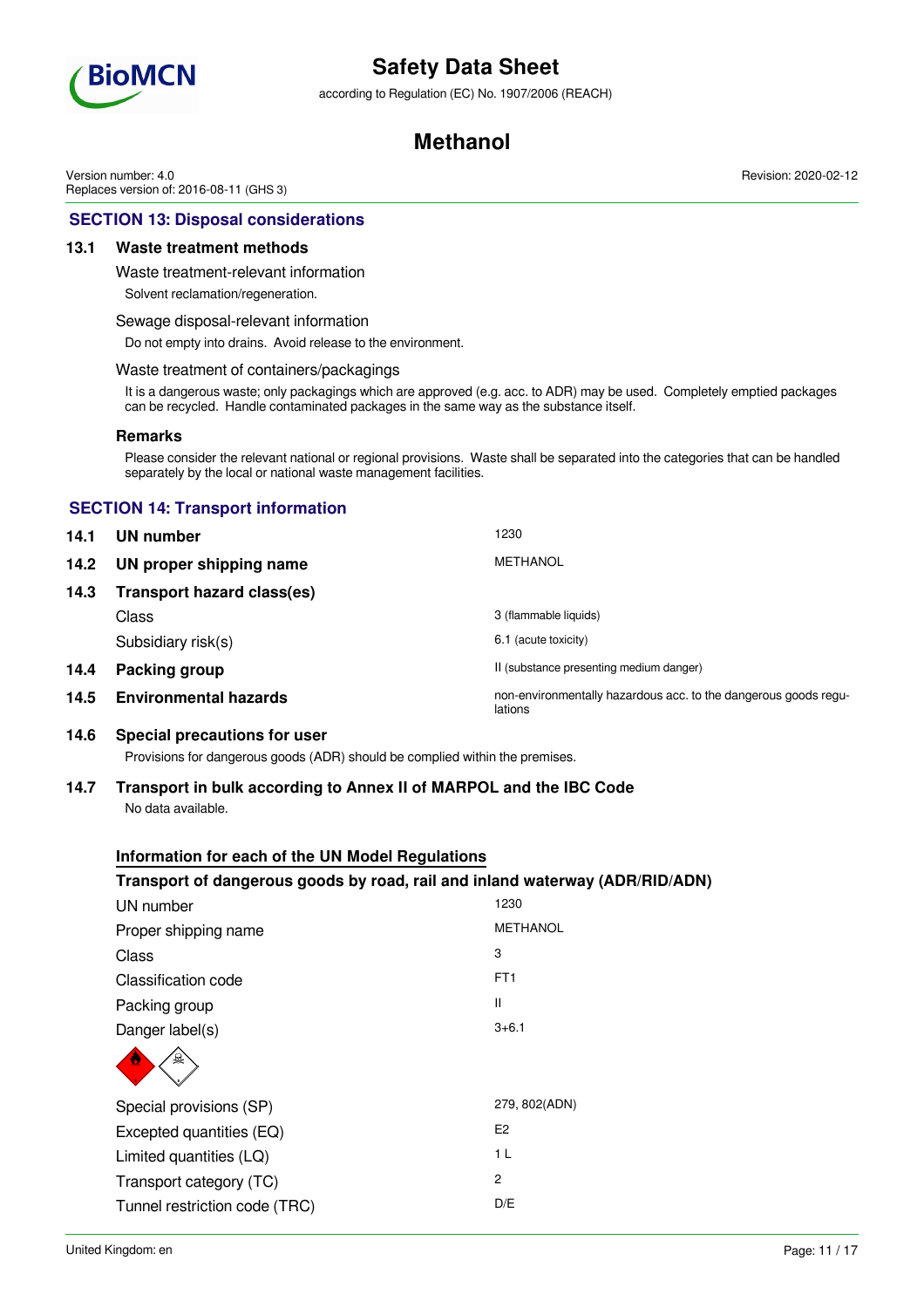

according to Regulation (EC) No. 1907/2006 (REACH)

## **Methanol**

Revision: 2020-02-12

Version number: 4.0 Replaces version of: 2016-08-11 (GHS 3)

## **SECTION 13: Disposal considerations**

### **13.1 Waste treatment methods**

Waste treatment-relevant information

Solvent reclamation/regeneration.

#### Sewage disposal-relevant information

Do not empty into drains. Avoid release to the environment.

### Waste treatment of containers/packagings

It is a dangerous waste; only packagings which are approved (e.g. acc. to ADR) may be used. Completely emptied packages can be recycled. Handle contaminated packages in the same way as the substance itself.

#### **Remarks**

Please consider the relevant national or regional provisions. Waste shall be separated into the categories that can be handled separately by the local or national waste management facilities.

## **SECTION 14: Transport information**

| 14.1 | UN number                         | 1230                                                                       |
|------|-----------------------------------|----------------------------------------------------------------------------|
| 14.2 | UN proper shipping name           | MFTHANOL                                                                   |
| 14.3 | <b>Transport hazard class(es)</b> |                                                                            |
|      | Class                             | 3 (flammable liquids)                                                      |
|      | Subsidiary risk(s)                | 6.1 (acute toxicity)                                                       |
| 14.4 | Packing group                     | II (substance presenting medium danger)                                    |
| 14.5 | <b>Environmental hazards</b>      | non-environmentally hazardous acc. to the dangerous goods regu-<br>lations |

### **14.6 Special precautions for user**

Provisions for dangerous goods (ADR) should be complied within the premises.

### **14.7 Transport in bulk according to Annex II of MARPOL and the IBC Code** No data available.

### **Information for each of the UN Model Regulations**

## **Transport of dangerous goods by road, rail and inland waterway (ADR/RID/ADN)**

| UN number                     | 1230            |
|-------------------------------|-----------------|
| Proper shipping name          | <b>METHANOL</b> |
| Class                         | 3               |
| Classification code           | FT <sub>1</sub> |
| Packing group                 | Ш               |
| Danger label(s)               | $3 + 6.1$       |
| Q                             |                 |
| Special provisions (SP)       | 279, 802(ADN)   |
| Excepted quantities (EQ)      | E <sub>2</sub>  |
| Limited quantities (LQ)       | 1 <sub>L</sub>  |
| Transport category (TC)       | 2               |
| Tunnel restriction code (TRC) | D/E             |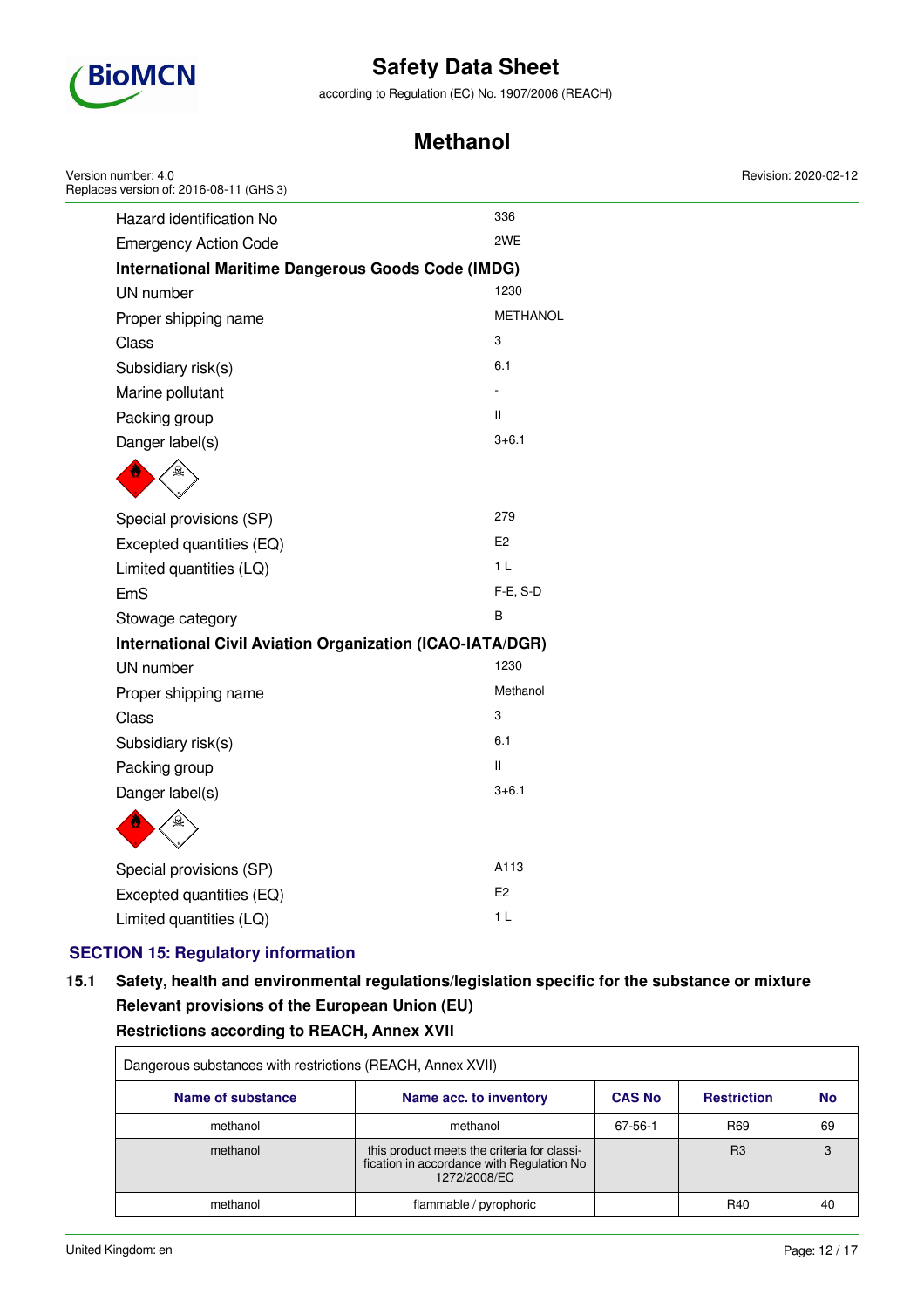

according to Regulation (EC) No. 1907/2006 (REACH)

## **Methanol**

| Version number: 4.0<br>Replaces version of: 2016-08-11 (GHS 3)   |                 | Revision: 2020-02-12 |
|------------------------------------------------------------------|-----------------|----------------------|
| Hazard identification No                                         | 336             |                      |
| <b>Emergency Action Code</b>                                     | 2WE             |                      |
| <b>International Maritime Dangerous Goods Code (IMDG)</b>        |                 |                      |
| UN number                                                        | 1230            |                      |
| Proper shipping name                                             | <b>METHANOL</b> |                      |
| Class                                                            | 3               |                      |
| Subsidiary risk(s)                                               | 6.1             |                      |
| Marine pollutant                                                 |                 |                      |
| Packing group                                                    | Ш               |                      |
| Danger label(s)                                                  | $3 + 6.1$       |                      |
|                                                                  |                 |                      |
| Special provisions (SP)                                          | 279             |                      |
| Excepted quantities (EQ)                                         | E <sub>2</sub>  |                      |
| Limited quantities (LQ)                                          | 1 <sub>L</sub>  |                      |
| EmS                                                              | F-E, S-D        |                      |
| Stowage category                                                 | $\sf B$         |                      |
| <b>International Civil Aviation Organization (ICAO-IATA/DGR)</b> |                 |                      |
| UN number                                                        | 1230            |                      |
| Proper shipping name                                             | Methanol        |                      |
| Class                                                            | 3               |                      |
| Subsidiary risk(s)                                               | 6.1             |                      |
| Packing group                                                    | Ш.              |                      |
| Danger label(s)                                                  | $3 + 6.1$       |                      |
|                                                                  |                 |                      |
| Special provisions (SP)                                          | A113            |                      |
| Excepted quantities (EQ)                                         | E <sub>2</sub>  |                      |
| Limited quantities (LQ)                                          | 1 <sub>L</sub>  |                      |
|                                                                  |                 |                      |

## **SECTION 15: Regulatory information**

## **15.1 Safety, health and environmental regulations/legislation specific for the substance or mixture Relevant provisions of the European Union (EU) Restrictions according to REACH, Annex XVII**

| Dangerous substances with restrictions (REACH, Annex XVII) |                                                                                                          |               |                    |           |
|------------------------------------------------------------|----------------------------------------------------------------------------------------------------------|---------------|--------------------|-----------|
| Name of substance                                          | Name acc. to inventory                                                                                   | <b>CAS No</b> | <b>Restriction</b> | <b>No</b> |
| methanol                                                   | methanol                                                                                                 | 67-56-1       | R <sub>69</sub>    | 69        |
| methanol                                                   | this product meets the criteria for classi-<br>fication in accordance with Regulation No<br>1272/2008/EC |               | R3                 | 3         |
| methanol                                                   | flammable / pyrophoric                                                                                   |               | R40                | 40        |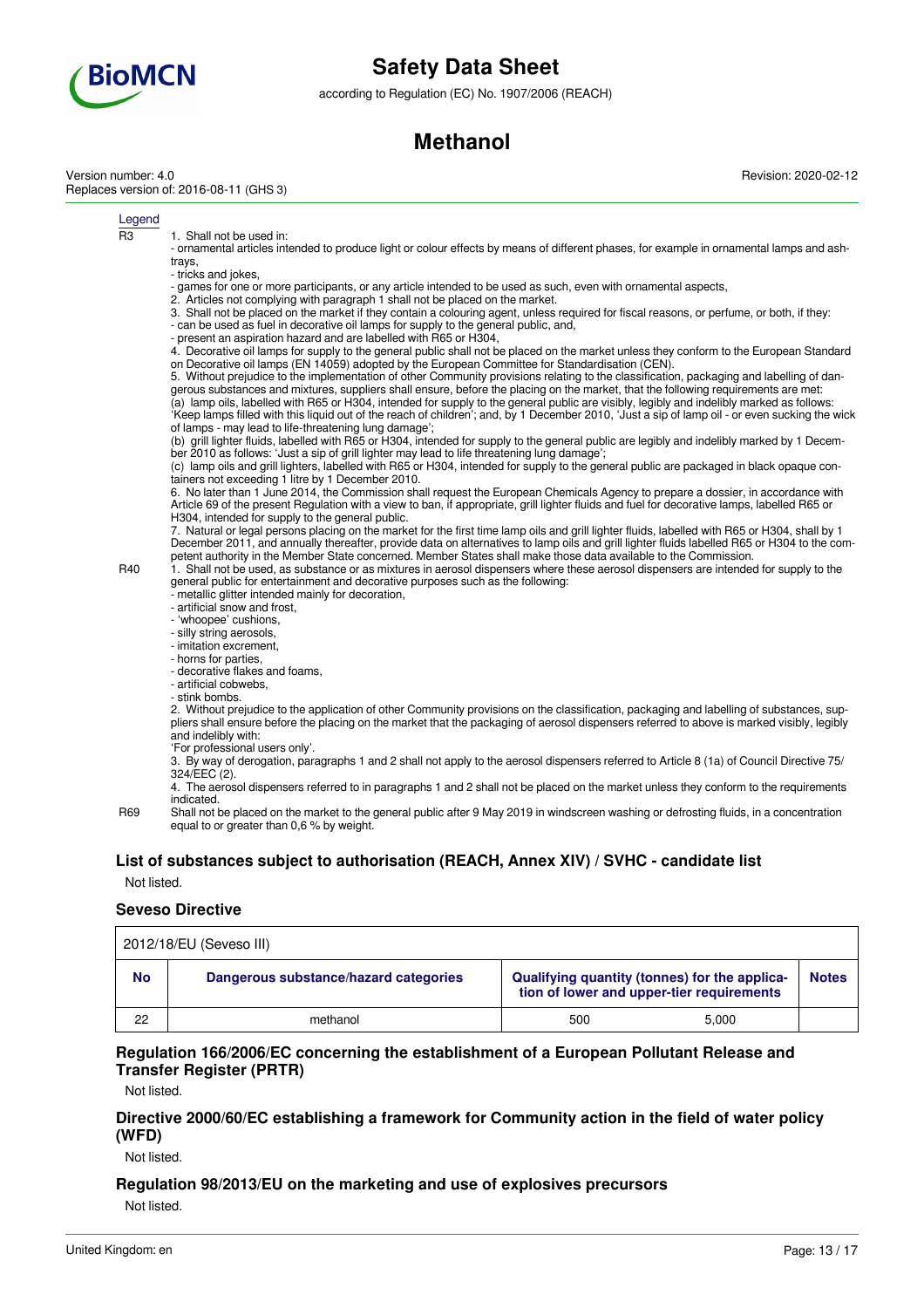

according to Regulation (EC) No. 1907/2006 (REACH)

## **Methanol**

Version number: 4.0 Replaces version of: 2016-08-11 (GHS 3) Revision: 2020-02-12

Legend

R3 1. Shall not be used in:

- ornamental articles intended to produce light or colour effects by means of different phases, for example in ornamental lamps and ashtrays,

- tricks and jokes,
- games for one or more participants, or any article intended to be used as such, even with ornamental aspects,
- 2. Articles not complying with paragraph 1 shall not be placed on the market.
- 3. Shall not be placed on the market if they contain a colouring agent, unless required for fiscal reasons, or perfume, or both, if they: - can be used as fuel in decorative oil lamps for supply to the general public, and,
- present an aspiration hazard and are labelled with R65 or H304,

4. Decorative oil lamps for supply to the general public shall not be placed on the market unless they conform to the European Standard on Decorative oil lamps (EN 14059) adopted by the European Committee for Standardisation (CEN).

5. Without prejudice to the implementation of other Community provisions relating to the classification, packaging and labelling of dangerous substances and mixtures, suppliers shall ensure, before the placing on the market, that the following requirements are met: (a) lamp oils, labelled with R65 or H304, intended for supply to the general public are visibly, legibly and indelibly marked as follows: 'Keep lamps filled with this liquid out of the reach of children'; and, by 1 December 2010, 'Just a sip of lamp oil - or even sucking the wick of lamps - may lead to life-threatening lung damage';

(b) grill lighter fluids, labelled with R65 or H304, intended for supply to the general public are legibly and indelibly marked by 1 December 2010 as follows: 'Just a sip of grill lighter may lead to life threatening lung damage';

(c) lamp oils and grill lighters, labelled with R65 or H304, intended for supply to the general public are packaged in black opaque containers not exceeding 1 litre by 1 December 2010.

6. No later than 1 June 2014, the Commission shall request the European Chemicals Agency to prepare a dossier, in accordance with Article 69 of the present Regulation with a view to ban, if appropriate, grill lighter fluids and fuel for decorative lamps, labelled R65 or H304, intended for supply to the general public.

7. Natural or legal persons placing on the market for the first time lamp oils and grill lighter fluids, labelled with R65 or H304, shall by 1 December 2011, and annually thereafter, provide data on alternatives to lamp oils and grill lighter fluids labelled R65 or H304 to the competent authority in the Member State concerned. Member States shall make those data available to the Commission.

R40 1. Shall not be used, as substance or as mixtures in aerosol dispensers where these aerosol dispensers are intended for supply to the general public for entertainment and decorative purposes such as the following:

- metallic glitter intended mainly for decoration,
- artificial snow and frost,
- 'whoopee' cushions,
- silly string aerosols, - imitation excrement,
- horns for parties,

- decorative flakes and foams,

- artificial cobwebs,
- stink bombs.

2. Without prejudice to the application of other Community provisions on the classification, packaging and labelling of substances, suppliers shall ensure before the placing on the market that the packaging of aerosol dispensers referred to above is marked visibly, legibly and indelibly with:

- 'For professional users only'.
- 3. By way of derogation, paragraphs 1 and 2 shall not apply to the aerosol dispensers referred to Article 8 (1a) of Council Directive 75/ 324/EEC (2).
- 4. The aerosol dispensers referred to in paragraphs 1 and 2 shall not be placed on the market unless they conform to the requirements indicated.
- R69 Shall not be placed on the market to the general public after 9 May 2019 in windscreen washing or defrosting fluids, in a concentration equal to or greater than 0.6 % by weight.

### **List of substances subject to authorisation (REACH, Annex XIV) / SVHC - candidate list**

Not listed.

### **Seveso Directive**

|           | 2012/18/EU (Seveso III)               |                                                                                            |       |              |  |  |
|-----------|---------------------------------------|--------------------------------------------------------------------------------------------|-------|--------------|--|--|
| <b>No</b> | Dangerous substance/hazard categories | Qualifying quantity (tonnes) for the applica-<br>tion of lower and upper-tier requirements |       | <b>Notes</b> |  |  |
| 22        | methanol                              | 500                                                                                        | 5.000 |              |  |  |

### **Regulation 166/2006/EC concerning the establishment of a European Pollutant Release and Transfer Register (PRTR)**

Not listed.

### **Directive 2000/60/EC establishing a framework for Community action in the field of water policy (WFD)**

Not listed.

### **Regulation 98/2013/EU on the marketing and use of explosives precursors**

Not listed.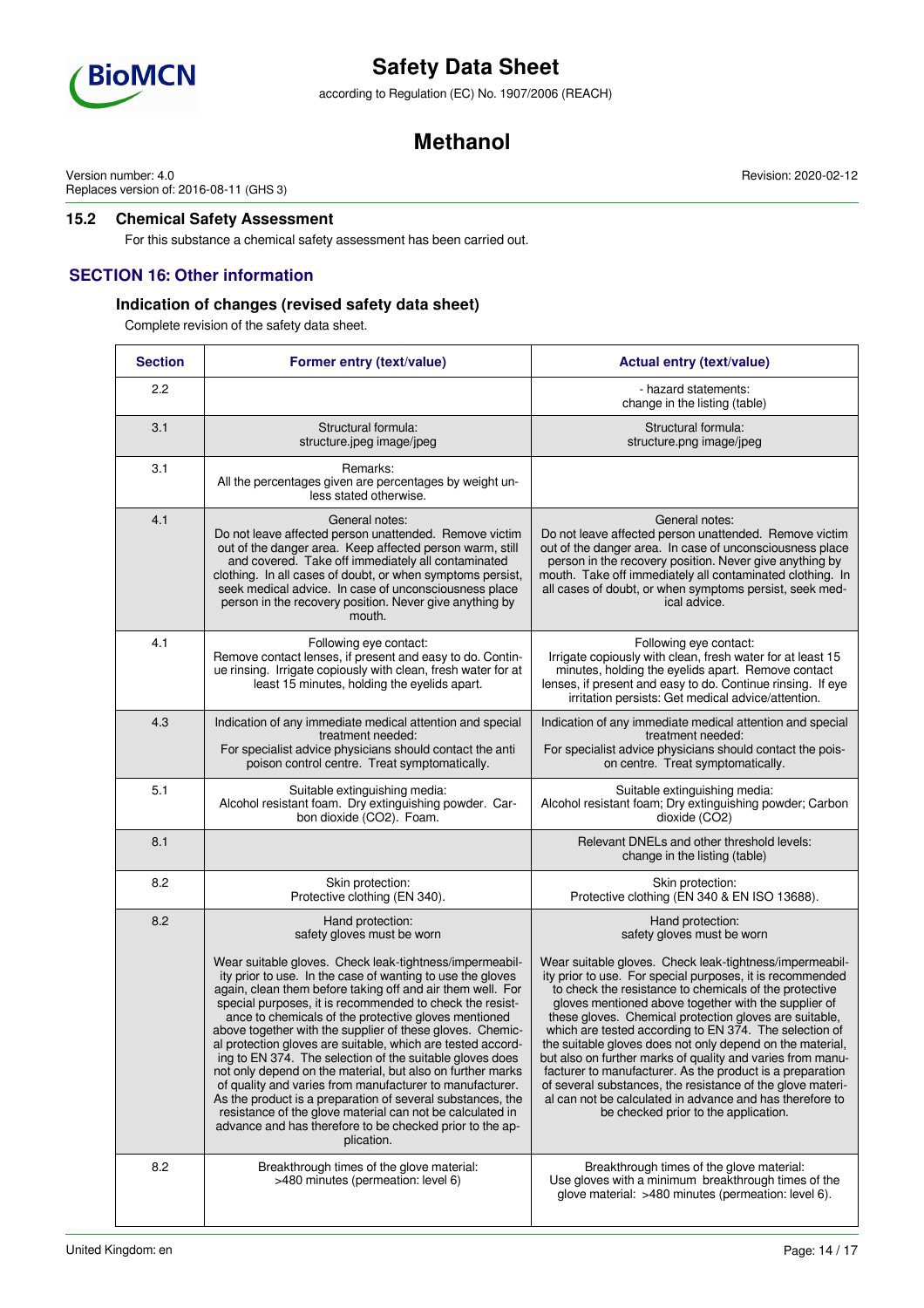

according to Regulation (EC) No. 1907/2006 (REACH)

## **Methanol**

Version number: 4.0 Replaces version of: 2016-08-11 (GHS 3)

### **15.2 Chemical Safety Assessment**

For this substance a chemical safety assessment has been carried out.

### **SECTION 16: Other information**

### **Indication of changes (revised safety data sheet)**

Complete revision of the safety data sheet.

| <b>Section</b> | Former entry (text/value)                                                                                                                                                                                                                                                                                                                                                                                                                                                                                                                                                                                                                                                                                                                                                                                                      | <b>Actual entry (text/value)</b>                                                                                                                                                                                                                                                                                                                                                                                                                                                                                                                                                                                                                                                                                     |  |  |
|----------------|--------------------------------------------------------------------------------------------------------------------------------------------------------------------------------------------------------------------------------------------------------------------------------------------------------------------------------------------------------------------------------------------------------------------------------------------------------------------------------------------------------------------------------------------------------------------------------------------------------------------------------------------------------------------------------------------------------------------------------------------------------------------------------------------------------------------------------|----------------------------------------------------------------------------------------------------------------------------------------------------------------------------------------------------------------------------------------------------------------------------------------------------------------------------------------------------------------------------------------------------------------------------------------------------------------------------------------------------------------------------------------------------------------------------------------------------------------------------------------------------------------------------------------------------------------------|--|--|
| 2.2            |                                                                                                                                                                                                                                                                                                                                                                                                                                                                                                                                                                                                                                                                                                                                                                                                                                | - hazard statements:<br>change in the listing (table)                                                                                                                                                                                                                                                                                                                                                                                                                                                                                                                                                                                                                                                                |  |  |
| 3.1            | Structural formula:<br>structure.jpeg image/jpeg                                                                                                                                                                                                                                                                                                                                                                                                                                                                                                                                                                                                                                                                                                                                                                               | Structural formula:<br>structure.png image/jpeg                                                                                                                                                                                                                                                                                                                                                                                                                                                                                                                                                                                                                                                                      |  |  |
| 3.1            | Remarks:<br>All the percentages given are percentages by weight un-<br>less stated otherwise.                                                                                                                                                                                                                                                                                                                                                                                                                                                                                                                                                                                                                                                                                                                                  |                                                                                                                                                                                                                                                                                                                                                                                                                                                                                                                                                                                                                                                                                                                      |  |  |
| 4.1            | General notes:<br>Do not leave affected person unattended. Remove victim<br>out of the danger area. Keep affected person warm, still<br>and covered. Take off immediately all contaminated<br>clothing. In all cases of doubt, or when symptoms persist,<br>seek medical advice. In case of unconsciousness place<br>person in the recovery position. Never give anything by<br>mouth.                                                                                                                                                                                                                                                                                                                                                                                                                                         | General notes:<br>Do not leave affected person unattended. Remove victim<br>out of the danger area. In case of unconsciousness place<br>person in the recovery position. Never give anything by<br>mouth. Take off immediately all contaminated clothing. In<br>all cases of doubt, or when symptoms persist, seek med-<br>ical advice.                                                                                                                                                                                                                                                                                                                                                                              |  |  |
| 4.1            | Following eye contact:<br>Remove contact lenses, if present and easy to do. Contin-<br>ue rinsing. Irrigate copiously with clean, fresh water for at<br>least 15 minutes, holding the eyelids apart.                                                                                                                                                                                                                                                                                                                                                                                                                                                                                                                                                                                                                           | Following eye contact:<br>Irrigate copiously with clean, fresh water for at least 15<br>minutes, holding the eyelids apart. Remove contact<br>lenses, if present and easy to do. Continue rinsing. If eye<br>irritation persists: Get medical advice/attention.                                                                                                                                                                                                                                                                                                                                                                                                                                                      |  |  |
| 4.3            | Indication of any immediate medical attention and special<br>treatment needed:<br>For specialist advice physicians should contact the anti<br>poison control centre. Treat symptomatically.                                                                                                                                                                                                                                                                                                                                                                                                                                                                                                                                                                                                                                    | Indication of any immediate medical attention and special<br>treatment needed:<br>For specialist advice physicians should contact the pois-<br>on centre. Treat symptomatically.                                                                                                                                                                                                                                                                                                                                                                                                                                                                                                                                     |  |  |
| 5.1            | Suitable extinguishing media:<br>Alcohol resistant foam. Dry extinguishing powder. Car-<br>bon dioxide (CO2). Foam.                                                                                                                                                                                                                                                                                                                                                                                                                                                                                                                                                                                                                                                                                                            | Suitable extinguishing media:<br>Alcohol resistant foam; Dry extinguishing powder; Carbon<br>dioxide (CO2)                                                                                                                                                                                                                                                                                                                                                                                                                                                                                                                                                                                                           |  |  |
| 8.1            |                                                                                                                                                                                                                                                                                                                                                                                                                                                                                                                                                                                                                                                                                                                                                                                                                                | Relevant DNELs and other threshold levels:<br>change in the listing (table)                                                                                                                                                                                                                                                                                                                                                                                                                                                                                                                                                                                                                                          |  |  |
| 8.2            | Skin protection:<br>Protective clothing (EN 340).                                                                                                                                                                                                                                                                                                                                                                                                                                                                                                                                                                                                                                                                                                                                                                              | Skin protection:<br>Protective clothing (EN 340 & EN ISO 13688).                                                                                                                                                                                                                                                                                                                                                                                                                                                                                                                                                                                                                                                     |  |  |
| 8.2            | Hand protection:<br>safety gloves must be worn                                                                                                                                                                                                                                                                                                                                                                                                                                                                                                                                                                                                                                                                                                                                                                                 | Hand protection:<br>safety gloves must be worn                                                                                                                                                                                                                                                                                                                                                                                                                                                                                                                                                                                                                                                                       |  |  |
|                | Wear suitable gloves. Check leak-tightness/impermeabil-<br>ity prior to use. In the case of wanting to use the gloves<br>again, clean them before taking off and air them well. For<br>special purposes, it is recommended to check the resist-<br>ance to chemicals of the protective gloves mentioned<br>above together with the supplier of these gloves. Chemic-<br>al protection gloves are suitable, which are tested accord-<br>ing to EN 374. The selection of the suitable gloves does<br>not only depend on the material, but also on further marks<br>of quality and varies from manufacturer to manufacturer.<br>As the product is a preparation of several substances, the<br>resistance of the glove material can not be calculated in<br>advance and has therefore to be checked prior to the ap-<br>plication. | Wear suitable gloves. Check leak-tightness/impermeabil-<br>ity prior to use. For special purposes, it is recommended<br>to check the resistance to chemicals of the protective<br>gloves mentioned above together with the supplier of<br>these gloves. Chemical protection gloves are suitable,<br>which are tested according to EN 374. The selection of<br>the suitable gloves does not only depend on the material,<br>but also on further marks of quality and varies from manu-<br>facturer to manufacturer. As the product is a preparation<br>of several substances, the resistance of the glove materi-<br>al can not be calculated in advance and has therefore to<br>be checked prior to the application. |  |  |
| 8.2            | Breakthrough times of the glove material:<br>>480 minutes (permeation: level 6)                                                                                                                                                                                                                                                                                                                                                                                                                                                                                                                                                                                                                                                                                                                                                | Breakthrough times of the glove material:<br>Use gloves with a minimum breakthrough times of the<br>glove material: >480 minutes (permeation: level 6).                                                                                                                                                                                                                                                                                                                                                                                                                                                                                                                                                              |  |  |

Revision: 2020-02-12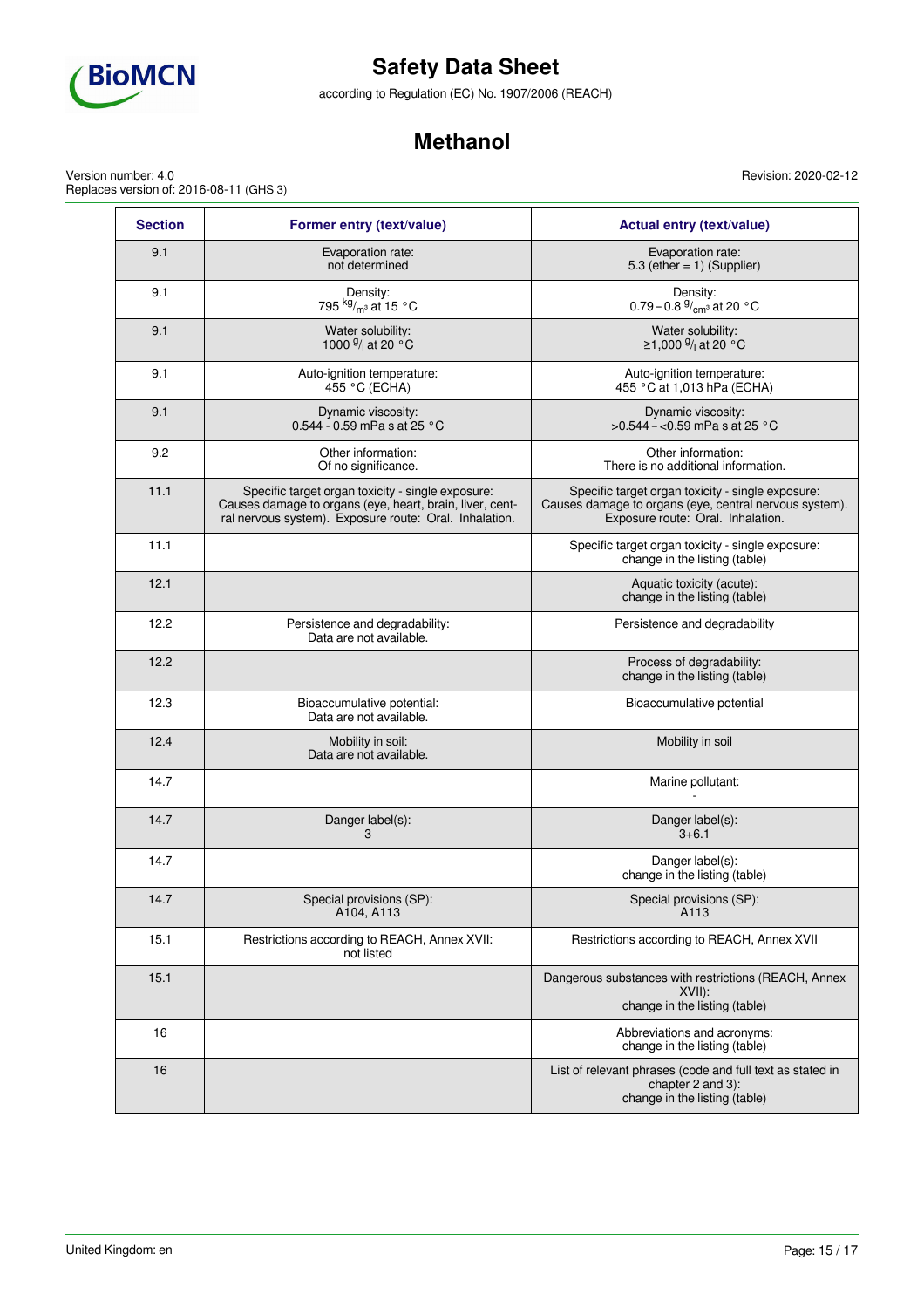

according to Regulation (EC) No. 1907/2006 (REACH)

## **Methanol**

Revision: 2020-02-12

Version number: 4.0 Replaces version of: 2016-08-11 (GHS 3)

| <b>Section</b> | Former entry (text/value)                                                                                                                                               | <b>Actual entry (text/value)</b>                                                                                                                 |
|----------------|-------------------------------------------------------------------------------------------------------------------------------------------------------------------------|--------------------------------------------------------------------------------------------------------------------------------------------------|
| 9.1            | Evaporation rate:<br>not determined                                                                                                                                     | Evaporation rate:<br>5.3 (ether = $1)$ (Supplier)                                                                                                |
| 9.1            | Density:<br>795 kg/ <sub>m<sup>3</sup></sub> at 15 °C                                                                                                                   | Density:<br>0.79 – 0.8 $\frac{9}{cm^3}$ at 20 °C                                                                                                 |
| 9.1            | Water solubility:<br>1000 $\frac{9}{1}$ at 20 °C                                                                                                                        | Water solubility:<br>≥1,000 $\frac{9}{1}$ at 20 °C                                                                                               |
| 9.1            | Auto-ignition temperature:<br>455 °C (ECHA)                                                                                                                             | Auto-ignition temperature:<br>455 °C at 1,013 hPa (ECHA)                                                                                         |
| 9.1            | Dynamic viscosity:<br>0.544 - 0.59 mPa s at 25 °C                                                                                                                       | Dynamic viscosity:<br>$>0.544 - 0.59$ mPa s at 25 °C                                                                                             |
| 9.2            | Other information:<br>Of no significance.                                                                                                                               | Other information:<br>There is no additional information.                                                                                        |
| 11.1           | Specific target organ toxicity - single exposure:<br>Causes damage to organs (eye, heart, brain, liver, cent-<br>ral nervous system). Exposure route: Oral. Inhalation. | Specific target organ toxicity - single exposure:<br>Causes damage to organs (eye, central nervous system).<br>Exposure route: Oral. Inhalation. |
| 11.1           |                                                                                                                                                                         | Specific target organ toxicity - single exposure:<br>change in the listing (table)                                                               |
| 12.1           |                                                                                                                                                                         | Aquatic toxicity (acute):<br>change in the listing (table)                                                                                       |
| 12.2           | Persistence and degradability:<br>Data are not available.                                                                                                               | Persistence and degradability                                                                                                                    |
| 12.2           |                                                                                                                                                                         | Process of degradability:<br>change in the listing (table)                                                                                       |
| 12.3           | Bioaccumulative potential:<br>Data are not available.                                                                                                                   | Bioaccumulative potential                                                                                                                        |
| 12.4           | Mobility in soil:<br>Data are not available.                                                                                                                            | Mobility in soil                                                                                                                                 |
| 14.7           |                                                                                                                                                                         | Marine pollutant:                                                                                                                                |
| 14.7           | Danger label(s):<br>3                                                                                                                                                   | Danger label(s):<br>$3 + 6.1$                                                                                                                    |
| 14.7           |                                                                                                                                                                         | Danger label(s):<br>change in the listing (table)                                                                                                |
| 14.7           | Special provisions (SP):<br>A104, A113                                                                                                                                  | Special provisions (SP):<br>A <sub>113</sub>                                                                                                     |
| 15.1           | Restrictions according to REACH, Annex XVII:<br>not listed                                                                                                              | Restrictions according to REACH, Annex XVII                                                                                                      |
| 15.1           |                                                                                                                                                                         | Dangerous substances with restrictions (REACH, Annex<br>XVIII:<br>change in the listing (table)                                                  |
| 16             |                                                                                                                                                                         | Abbreviations and acronyms:<br>change in the listing (table)                                                                                     |
| 16             |                                                                                                                                                                         | List of relevant phrases (code and full text as stated in<br>chapter 2 and 3):<br>change in the listing (table)                                  |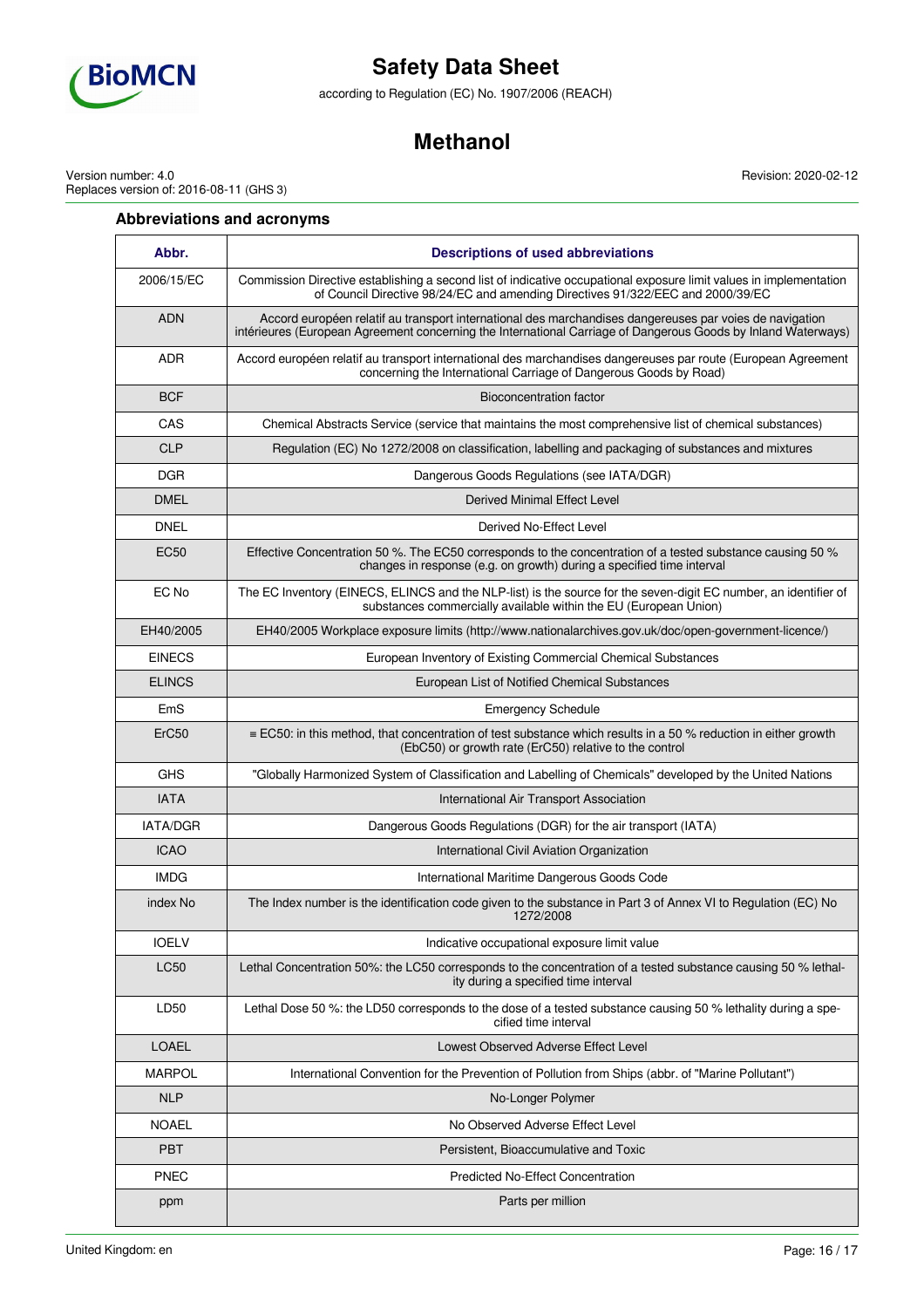

according to Regulation (EC) No. 1907/2006 (REACH)

## **Methanol**

Revision: 2020-02-12

Version number: 4.0 Replaces version of: 2016-08-11 (GHS 3)

### **Abbreviations and acronyms**

| Abbr.             | <b>Descriptions of used abbreviations</b>                                                                                                                                                                                |  |  |
|-------------------|--------------------------------------------------------------------------------------------------------------------------------------------------------------------------------------------------------------------------|--|--|
| 2006/15/EC        | Commission Directive establishing a second list of indicative occupational exposure limit values in implementation<br>of Council Directive 98/24/EC and amending Directives 91/322/EEC and 2000/39/EC                    |  |  |
| <b>ADN</b>        | Accord européen relatif au transport international des marchandises dangereuses par voies de navigation<br>intérieures (European Agreement concerning the International Carriage of Dangerous Goods by Inland Waterways) |  |  |
| <b>ADR</b>        | Accord européen relatif au transport international des marchandises dangereuses par route (European Agreement<br>concerning the International Carriage of Dangerous Goods by Road)                                       |  |  |
| <b>BCF</b>        | <b>Bioconcentration factor</b>                                                                                                                                                                                           |  |  |
| CAS               | Chemical Abstracts Service (service that maintains the most comprehensive list of chemical substances)                                                                                                                   |  |  |
| <b>CLP</b>        | Regulation (EC) No 1272/2008 on classification, labelling and packaging of substances and mixtures                                                                                                                       |  |  |
| <b>DGR</b>        | Dangerous Goods Regulations (see IATA/DGR)                                                                                                                                                                               |  |  |
| <b>DMEL</b>       | Derived Minimal Effect Level                                                                                                                                                                                             |  |  |
| <b>DNEL</b>       | Derived No-Effect Level                                                                                                                                                                                                  |  |  |
| EC <sub>50</sub>  | Effective Concentration 50 %. The EC50 corresponds to the concentration of a tested substance causing 50 %<br>changes in response (e.g. on growth) during a specified time interval                                      |  |  |
| EC No             | The EC Inventory (EINECS, ELINCS and the NLP-list) is the source for the seven-digit EC number, an identifier of<br>substances commercially available within the EU (European Union)                                     |  |  |
| EH40/2005         | EH40/2005 Workplace exposure limits (http://www.nationalarchives.gov.uk/doc/open-government-licence/)                                                                                                                    |  |  |
| <b>FINFCS</b>     | European Inventory of Existing Commercial Chemical Substances                                                                                                                                                            |  |  |
| <b>ELINCS</b>     | European List of Notified Chemical Substances                                                                                                                                                                            |  |  |
| EmS               | <b>Emergency Schedule</b>                                                                                                                                                                                                |  |  |
| ErC <sub>50</sub> | $\equiv$ EC50: in this method, that concentration of test substance which results in a 50 % reduction in either growth<br>(EbC50) or growth rate (ErC50) relative to the control                                         |  |  |
| <b>GHS</b>        | "Globally Harmonized System of Classification and Labelling of Chemicals" developed by the United Nations                                                                                                                |  |  |
| <b>IATA</b>       | International Air Transport Association                                                                                                                                                                                  |  |  |
| <b>IATA/DGR</b>   | Dangerous Goods Regulations (DGR) for the air transport (IATA)                                                                                                                                                           |  |  |
| <b>ICAO</b>       | International Civil Aviation Organization                                                                                                                                                                                |  |  |
| <b>IMDG</b>       | International Maritime Dangerous Goods Code                                                                                                                                                                              |  |  |
| index No          | The Index number is the identification code given to the substance in Part 3 of Annex VI to Regulation (EC) No<br>1272/2008                                                                                              |  |  |
| <b>IOELV</b>      | Indicative occupational exposure limit value                                                                                                                                                                             |  |  |
| <b>LC50</b>       | Lethal Concentration 50%: the LC50 corresponds to the concentration of a tested substance causing 50 % lethal-<br>ity during a specified time interval                                                                   |  |  |
| LD50              | Lethal Dose 50 %: the LD50 corresponds to the dose of a tested substance causing 50 % lethality during a spe-<br>cified time interval                                                                                    |  |  |
| <b>LOAEL</b>      | Lowest Observed Adverse Effect Level                                                                                                                                                                                     |  |  |
| <b>MARPOL</b>     | International Convention for the Prevention of Pollution from Ships (abbr. of "Marine Pollutant")                                                                                                                        |  |  |
| <b>NLP</b>        | No-Longer Polymer                                                                                                                                                                                                        |  |  |
| <b>NOAEL</b>      | No Observed Adverse Effect Level                                                                                                                                                                                         |  |  |
| <b>PBT</b>        | Persistent, Bioaccumulative and Toxic                                                                                                                                                                                    |  |  |
| <b>PNEC</b>       | <b>Predicted No-Effect Concentration</b>                                                                                                                                                                                 |  |  |
| ppm               | Parts per million                                                                                                                                                                                                        |  |  |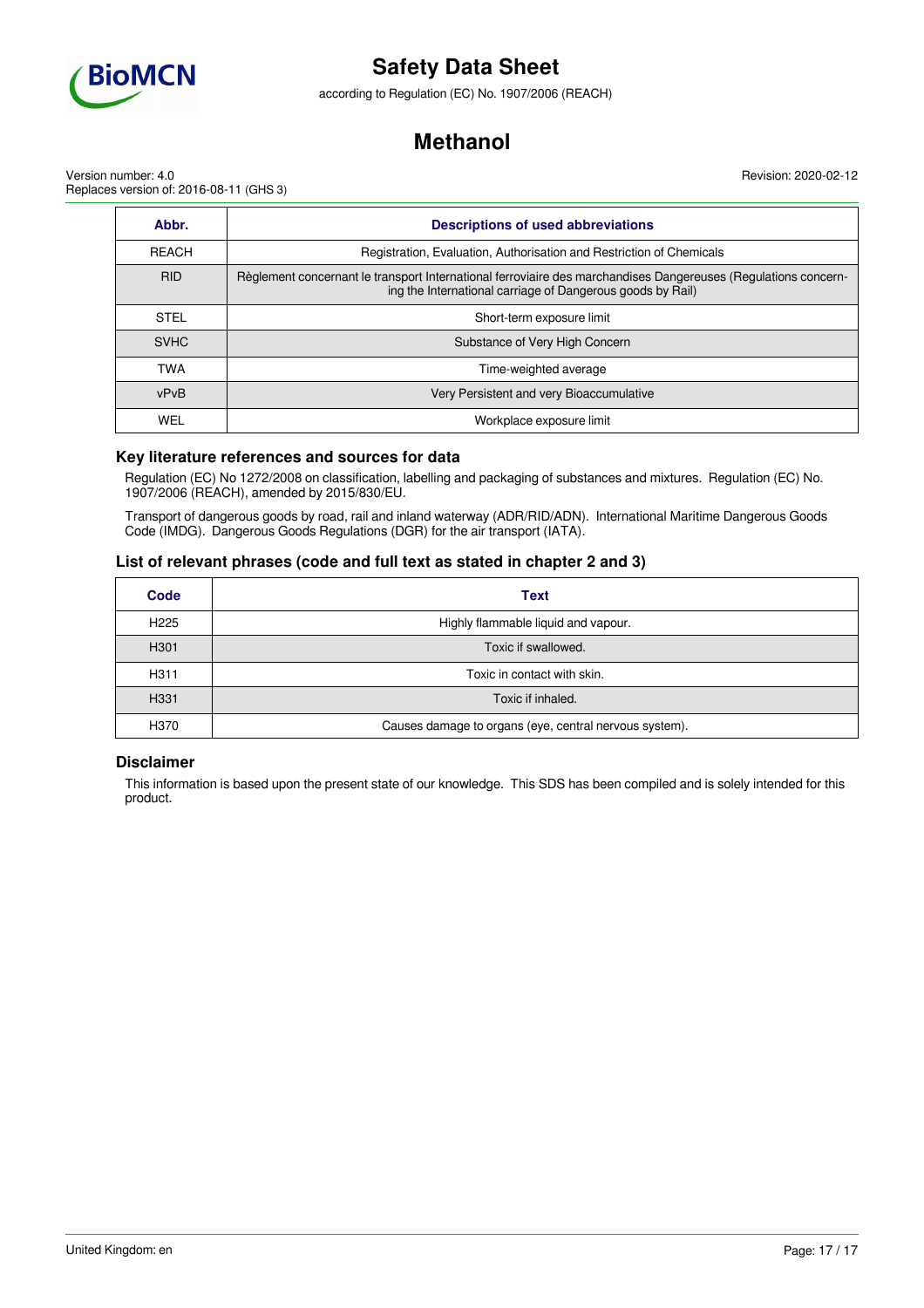

according to Regulation (EC) No. 1907/2006 (REACH)

## **Methanol**

Revision: 2020-02-12

Version number: 4.0 Replaces version of: 2016-08-11 (GHS 3)

| Abbr.        | <b>Descriptions of used abbreviations</b>                                                                                                                                    |  |  |
|--------------|------------------------------------------------------------------------------------------------------------------------------------------------------------------------------|--|--|
| <b>REACH</b> | Registration, Evaluation, Authorisation and Restriction of Chemicals                                                                                                         |  |  |
| <b>RID</b>   | Règlement concernant le transport International ferroviaire des marchandises Dangereuses (Regulations concern-<br>ing the International carriage of Dangerous goods by Rail) |  |  |
| <b>STEL</b>  | Short-term exposure limit                                                                                                                                                    |  |  |
| <b>SVHC</b>  | Substance of Very High Concern                                                                                                                                               |  |  |
| <b>TWA</b>   | Time-weighted average                                                                                                                                                        |  |  |
| vPvB         | Very Persistent and very Bioaccumulative                                                                                                                                     |  |  |
| WEL          | Workplace exposure limit                                                                                                                                                     |  |  |

### **Key literature references and sources for data**

Regulation (EC) No 1272/2008 on classification, labelling and packaging of substances and mixtures. Regulation (EC) No. 1907/2006 (REACH), amended by 2015/830/EU.

Transport of dangerous goods by road, rail and inland waterway (ADR/RID/ADN). International Maritime Dangerous Goods Code (IMDG). Dangerous Goods Regulations (DGR) for the air transport (IATA).

### **List of relevant phrases (code and full text as stated in chapter 2 and 3)**

| Code             | <b>Text</b>                                            |
|------------------|--------------------------------------------------------|
| H <sub>225</sub> | Highly flammable liquid and vapour.                    |
| H <sub>301</sub> | Toxic if swallowed.                                    |
| H311             | Toxic in contact with skin.                            |
| H <sub>331</sub> | Toxic if inhaled.                                      |
| H370             | Causes damage to organs (eye, central nervous system). |

### **Disclaimer**

This information is based upon the present state of our knowledge. This SDS has been compiled and is solely intended for this product.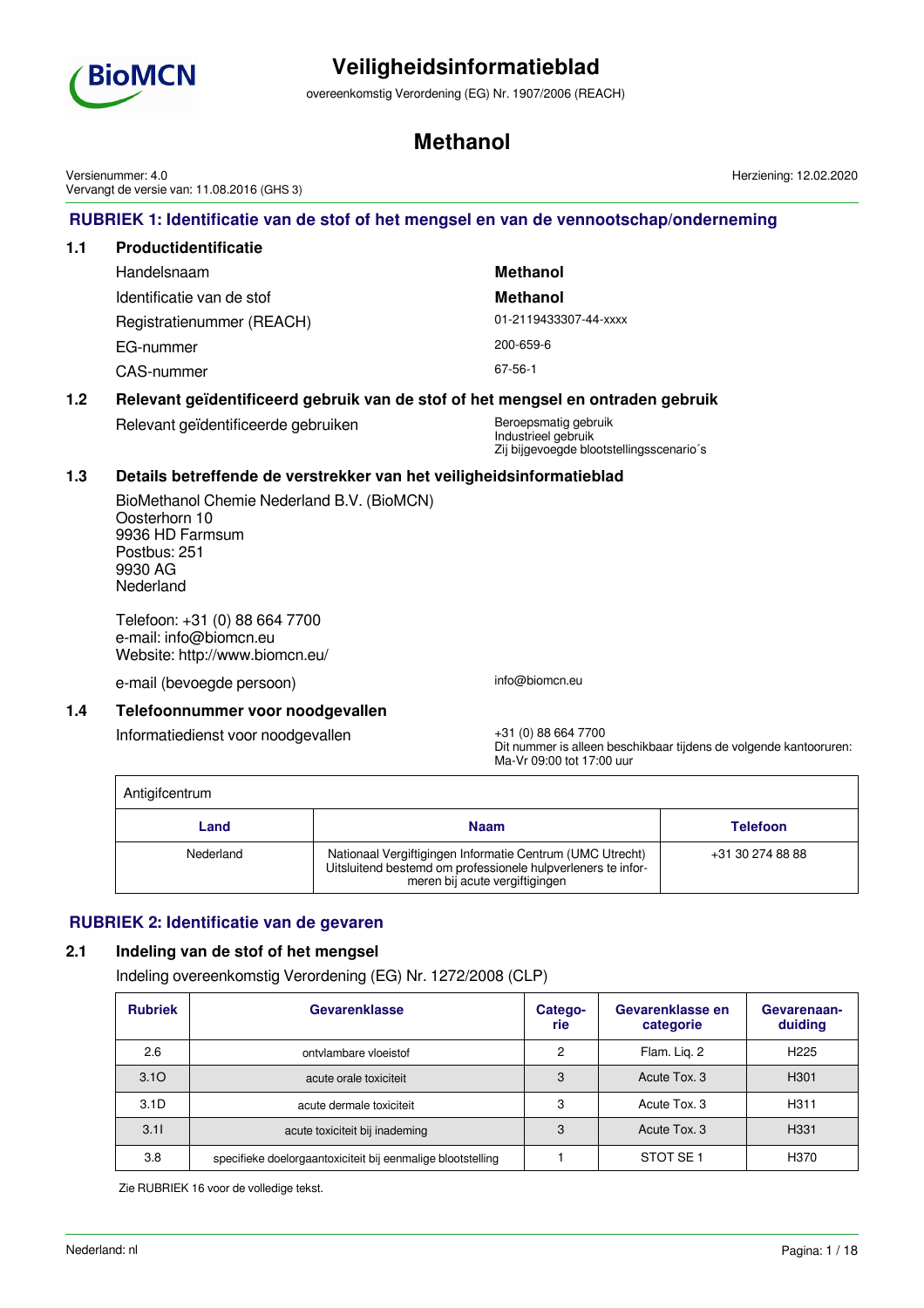

overeenkomstig Verordening (EG) Nr. 1907/2006 (REACH)

## **Methanol**

**RUBRIEK 1: Identificatie van de stof of het mengsel en van de vennootschap/onderneming 1.1 Productidentificatie** Handelsnaam **Methanol** Identificatie van de stof **Methanol** Registratienummer (REACH) 01-2119433307-44-xxxx EG-nummer 200-659-6 CAS-nummer 67-56-1 **1.2 Relevant geïdentificeerd gebruik van de stof of het mengsel en ontraden gebruik** Relevant geïdentificeerde gebruiken Beroepsmatig gebruik Industrieel gebruik Zij bijgevoegde blootstellingsscenario´s **1.3 Details betreffende de verstrekker van het veiligheidsinformatieblad** BioMethanol Chemie Nederland B.V. (BioMCN) Oosterhorn 10 9936 HD Farmsum Postbus: 251 9930 AG Nederland Telefoon: +31 (0) 88 664 7700 e-mail: info@biomcn.eu Website: http://www.biomcn.eu/ e-mail (bevoegde persoon) info@biomcn.eu **1.4 Telefoonnummer voor noodgevallen** Informatiedienst voor noodgevallen +31 (0) 88 664 7700 Dit nummer is alleen beschikbaar tijdens de volgende kantooruren: Ma-Vr 09:00 tot 17:00 uur **Antigifcentrum Land Naam Telefoon** Nederland Nationaal Vergiftigingen Informatie Centrum (UMC Utrecht) Uitsluitend bestemd om professionele hulpverleners te informeren bij acute vergiftigingen +31 30 274 88 88 **RUBRIEK 2: Identificatie van de gevaren 2.1 Indeling van de stof of het mengsel** Indeling overeenkomstig Verordening (EG) Nr. 1272/2008 (CLP) **Rubriek Catego- Categorie Gevarenklasse en categorie Gevarenaanduiding** 2.6 **b** ontvlambare vloeistof **2** Plam. Lig. 2 H225 3.1O 3 Acute orale toxiciteit 3 Acute Tox. 3 H301 Versienummer: 4.0 Vervangt de versie van: 11.08.2016 (GHS 3) Herziening: 12.02.2020

3.1D | acute dermale toxiciteit | 3 | Acute Tox. 3 | H311 3.1I | acute toxiciteit bij inademing | 3 | Acute Tox. 3 | H331 3.8 specifieke doelorgaantoxiciteit bij eenmalige blootstelling | 1 | STOT SE 1 | H370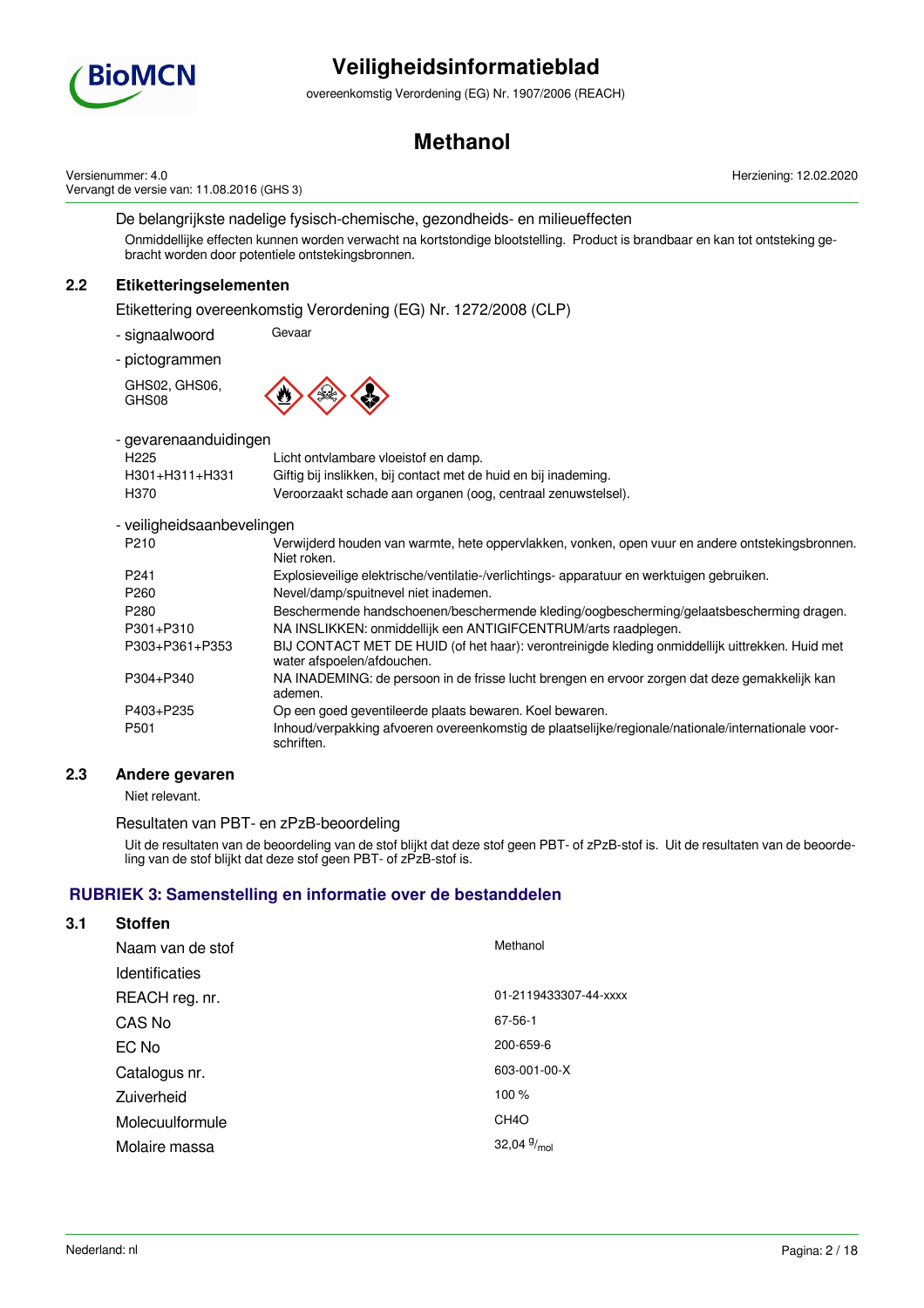

overeenkomstig Verordening (EG) Nr. 1907/2006 (REACH)

## **Methanol**

Versienummer: 4.0 Vervangt de versie van: 11.08.2016 (GHS 3) Herziening: 12.02.2020

De belangrijkste nadelige fysisch-chemische, gezondheids- en milieueffecten

Onmiddellijke effecten kunnen worden verwacht na kortstondige blootstelling. Product is brandbaar en kan tot ontsteking gebracht worden door potentiele ontstekingsbronnen.

## **2.2 Etiketteringselementen**

Etikettering overeenkomstig Verordening (EG) Nr. 1272/2008 (CLP)

- signaalwoord Gevaar
- pictogrammen

GHS02, GHS06, GHS08



- gevarenaanduidingen

| H225           | Licht ontvlambare vloeistof en damp.                            |
|----------------|-----------------------------------------------------------------|
| H301+H311+H331 | Giftig bij inslikken, bij contact met de huid en bij inademing. |
| H370           | Veroorzaakt schade aan organen (oog, centraal zenuwstelsel).    |

### - veiligheidsaanbevelingen

| P <sub>210</sub> | Verwijderd houden van warmte, hete oppervlakken, vonken, open vuur en andere ontstekingsbronnen.<br>Niet roken.               |
|------------------|-------------------------------------------------------------------------------------------------------------------------------|
| P <sub>241</sub> | Explosieveilige elektrische/ventilatie-/verlichtings- apparatuur en werktuigen gebruiken.                                     |
| P <sub>260</sub> | Nevel/damp/spuitnevel niet inademen.                                                                                          |
| P <sub>280</sub> | Beschermende handschoenen/beschermende kleding/oogbescherming/gelaatsbescherming dragen.                                      |
| P301+P310        | NA INSLIKKEN: onmiddellijk een ANTIGIFCENTRUM/arts raadplegen.                                                                |
| P303+P361+P353   | BIJ CONTACT MET DE HUID (of het haar): verontreinigde kleding onmiddellijk uittrekken. Huid met<br>water afspoelen/afdouchen. |
| P304+P340        | NA INADEMING: de persoon in de frisse lucht brengen en ervoor zorgen dat deze gemakkelijk kan<br>ademen.                      |
| P403+P235        | Op een goed geventileerde plaats bewaren. Koel bewaren.                                                                       |
| P <sub>501</sub> | Inhoud/verpakking afvoeren overeenkomstig de plaatselijke/regionale/nationale/internationale voor-<br>schriften.              |

### **2.3 Andere gevaren**

Niet relevant.

### Resultaten van PBT- en zPzB-beoordeling

Uit de resultaten van de beoordeling van de stof blijkt dat deze stof geen PBT- of zPzB-stof is. Uit de resultaten van de beoordeling van de stof blijkt dat deze stof geen PBT- of zPzB-stof is.

### **RUBRIEK 3: Samenstelling en informatie over de bestanddelen**

## **3.1 Stoffen** Naam van de stof Methanol Identificaties REACH reg. nr. 2119433307-44-xxxx CAS No 67-56-1 EC No 200-659-6 Catalogus nr. 603-001-00-X Zuiverheid 100 % Molecuulformule CH4O Molaire massa 32,04 $9/_{mol}$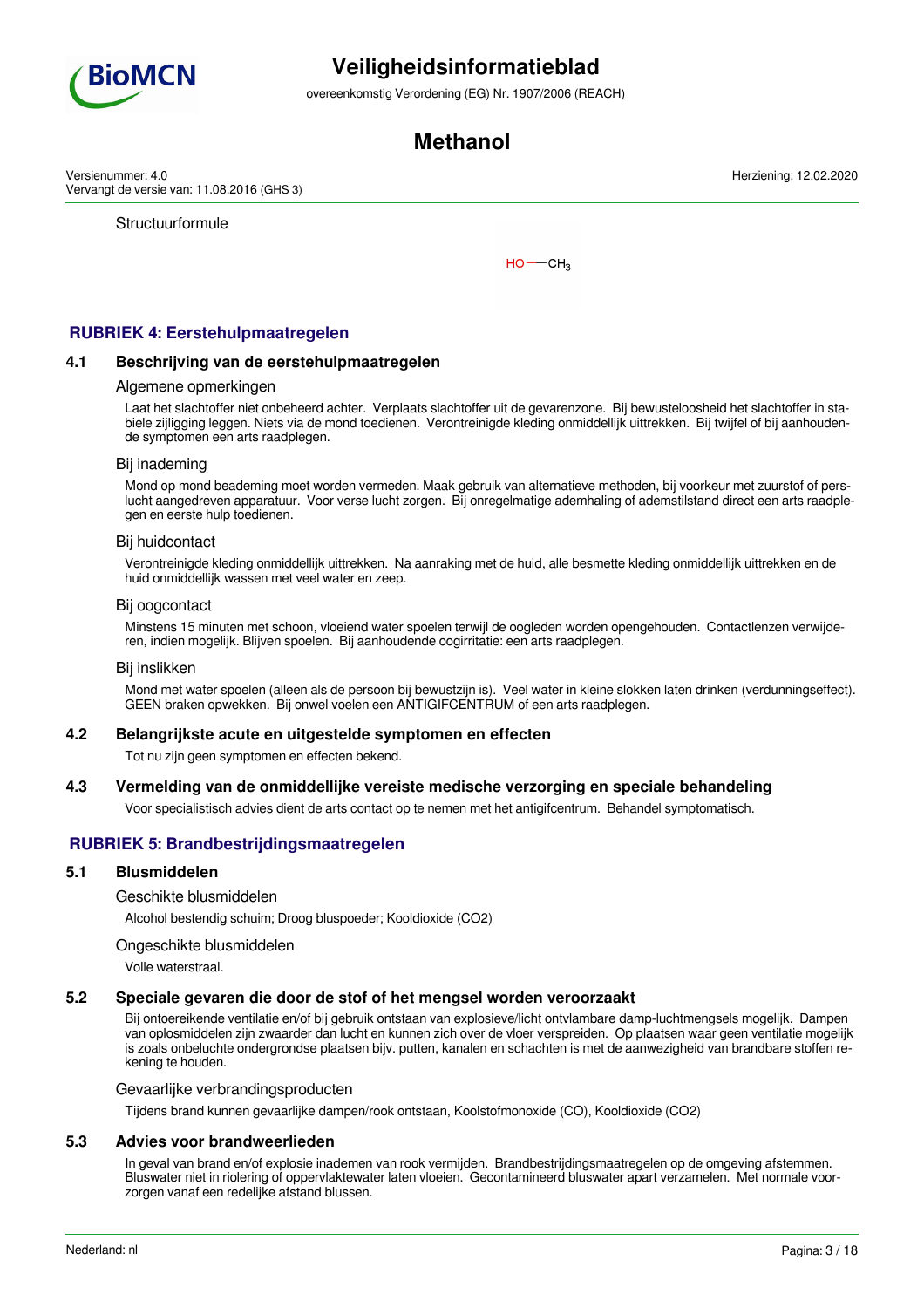

overeenkomstig Verordening (EG) Nr. 1907/2006 (REACH)

## **Methanol**

Versienummer: 4.0 Vervangt de versie van: 11.08.2016 (GHS 3)

**Structuurformule** 

 $HO$  ––  $CH<sub>3</sub>$ 

## **RUBRIEK 4: Eerstehulpmaatregelen**

#### **4.1 Beschrijving van de eerstehulpmaatregelen**

#### Algemene opmerkingen

Laat het slachtoffer niet onbeheerd achter. Verplaats slachtoffer uit de gevarenzone. Bij bewusteloosheid het slachtoffer in stabiele zijligging leggen. Niets via de mond toedienen. Verontreinigde kleding onmiddellijk uittrekken. Bij twijfel of bij aanhoudende symptomen een arts raadplegen.

#### Bij inademing

Mond op mond beademing moet worden vermeden. Maak gebruik van alternatieve methoden, bij voorkeur met zuurstof of perslucht aangedreven apparatuur. Voor verse lucht zorgen. Bij onregelmatige ademhaling of ademstilstand direct een arts raadplegen en eerste hulp toedienen.

#### Bij huidcontact

Verontreinigde kleding onmiddellijk uittrekken. Na aanraking met de huid, alle besmette kleding onmiddellijk uittrekken en de huid onmiddellijk wassen met veel water en zeep.

#### Bij oogcontact

Minstens 15 minuten met schoon, vloeiend water spoelen terwijl de oogleden worden opengehouden. Contactlenzen verwijderen, indien mogelijk. Blijven spoelen. Bij aanhoudende oogirritatie: een arts raadplegen.

#### Bij inslikken

Mond met water spoelen (alleen als de persoon bij bewustzijn is). Veel water in kleine slokken laten drinken (verdunningseffect). GEEN braken opwekken. Bij onwel voelen een ANTIGIFCENTRUM of een arts raadplegen.

#### **4.2 Belangrijkste acute en uitgestelde symptomen en effecten**

Tot nu zijn geen symptomen en effecten bekend.

### **4.3 Vermelding van de onmiddellijke vereiste medische verzorging en speciale behandeling**

Voor specialistisch advies dient de arts contact op te nemen met het antigifcentrum. Behandel symptomatisch.

### **RUBRIEK 5: Brandbestrijdingsmaatregelen**

#### **5.1 Blusmiddelen**

Geschikte blusmiddelen

Alcohol bestendig schuim; Droog bluspoeder; Kooldioxide (CO2)

#### Ongeschikte blusmiddelen

Volle waterstraal.

#### **5.2 Speciale gevaren die door de stof of het mengsel worden veroorzaakt**

Bij ontoereikende ventilatie en/of bij gebruik ontstaan van explosieve/licht ontvlambare damp-luchtmengsels mogelijk. Dampen van oplosmiddelen zijn zwaarder dan lucht en kunnen zich over de vloer verspreiden. Op plaatsen waar geen ventilatie mogelijk is zoals onbeluchte ondergrondse plaatsen bijv. putten, kanalen en schachten is met de aanwezigheid van brandbare stoffen rekening te houden.

#### Gevaarlijke verbrandingsproducten

Tijdens brand kunnen gevaarlijke dampen/rook ontstaan, Koolstofmonoxide (CO), Kooldioxide (CO2)

#### **5.3 Advies voor brandweerlieden**

In geval van brand en/of explosie inademen van rook vermijden. Brandbestrijdingsmaatregelen op de omgeving afstemmen. Bluswater niet in riolering of oppervlaktewater laten vloeien. Gecontamineerd bluswater apart verzamelen. Met normale voorzorgen vanaf een redelijke afstand blussen.

Herziening: 12.02.2020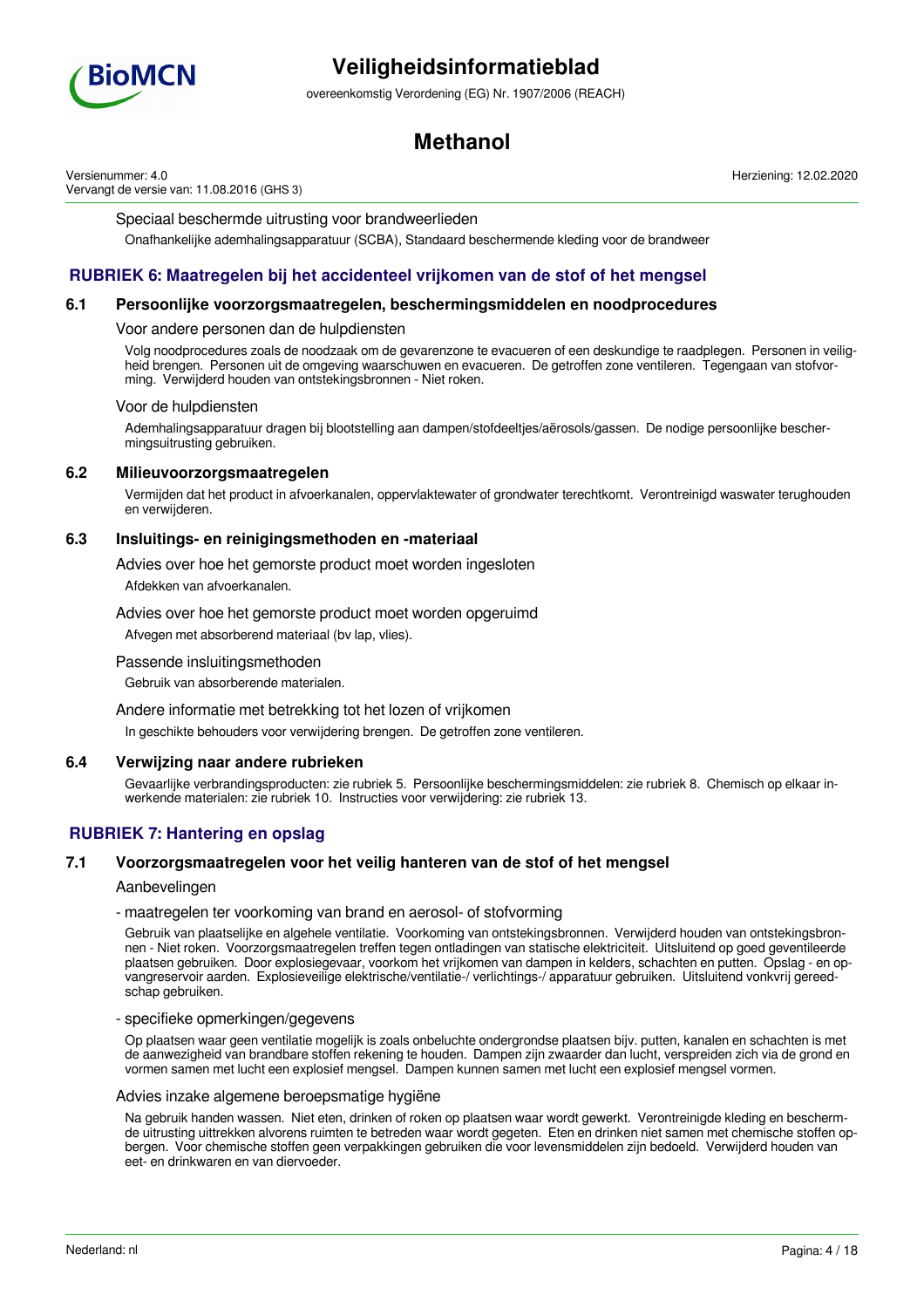

overeenkomstig Verordening (EG) Nr. 1907/2006 (REACH)

## **Methanol**

Versienummer: 4.0 Vervangt de versie van: 11.08.2016 (GHS 3) Herziening: 12.02.2020

#### Speciaal beschermde uitrusting voor brandweerlieden

Onafhankelijke ademhalingsapparatuur (SCBA), Standaard beschermende kleding voor de brandweer

### **RUBRIEK 6: Maatregelen bij het accidenteel vrijkomen van de stof of het mengsel**

#### **6.1 Persoonlijke voorzorgsmaatregelen, beschermingsmiddelen en noodprocedures**

#### Voor andere personen dan de hulpdiensten

Volg noodprocedures zoals de noodzaak om de gevarenzone te evacueren of een deskundige te raadplegen. Personen in veiligheid brengen. Personen uit de omgeving waarschuwen en evacueren. De getroffen zone ventileren. Tegengaan van stofvorming. Verwijderd houden van ontstekingsbronnen - Niet roken.

#### Voor de hulpdiensten

Ademhalingsapparatuur dragen bij blootstelling aan dampen/stofdeeltjes/aërosols/gassen. De nodige persoonlijke beschermingsuitrusting gebruiken.

#### **6.2 Milieuvoorzorgsmaatregelen**

Vermijden dat het product in afvoerkanalen, oppervlaktewater of grondwater terechtkomt. Verontreinigd waswater terughouden en verwijderen.

#### **6.3 Insluitings- en reinigingsmethoden en -materiaal**

Advies over hoe het gemorste product moet worden ingesloten

Afdekken van afvoerkanalen.

#### Advies over hoe het gemorste product moet worden opgeruimd

Afvegen met absorberend materiaal (bv lap, vlies).

#### Passende insluitingsmethoden

Gebruik van absorberende materialen.

Andere informatie met betrekking tot het lozen of vrijkomen In geschikte behouders voor verwijdering brengen. De getroffen zone ventileren.

#### **6.4 Verwijzing naar andere rubrieken**

Gevaarlijke verbrandingsproducten: zie rubriek 5. Persoonlijke beschermingsmiddelen: zie rubriek 8. Chemisch op elkaar inwerkende materialen: zie rubriek 10. Instructies voor verwijdering: zie rubriek 13.

### **RUBRIEK 7: Hantering en opslag**

#### **7.1 Voorzorgsmaatregelen voor het veilig hanteren van de stof of het mengsel**

#### Aanbevelingen

#### - maatregelen ter voorkoming van brand en aerosol- of stofvorming

Gebruik van plaatselijke en algehele ventilatie. Voorkoming van ontstekingsbronnen. Verwijderd houden van ontstekingsbronnen - Niet roken. Voorzorgsmaatregelen treffen tegen ontladingen van statische elektriciteit. Uitsluitend op goed geventileerde plaatsen gebruiken. Door explosiegevaar, voorkom het vrijkomen van dampen in kelders, schachten en putten. Opslag - en opvangreservoir aarden. Explosieveilige elektrische/ventilatie-/ verlichtings-/ apparatuur gebruiken. Uitsluitend vonkvrij gereedschap gebruiken.

#### - specifieke opmerkingen/gegevens

Op plaatsen waar geen ventilatie mogelijk is zoals onbeluchte ondergrondse plaatsen bijv. putten, kanalen en schachten is met de aanwezigheid van brandbare stoffen rekening te houden. Dampen zijn zwaarder dan lucht, verspreiden zich via de grond en vormen samen met lucht een explosief mengsel. Dampen kunnen samen met lucht een explosief mengsel vormen.

#### Advies inzake algemene beroepsmatige hygiëne

Na gebruik handen wassen. Niet eten, drinken of roken op plaatsen waar wordt gewerkt. Verontreinigde kleding en beschermde uitrusting uittrekken alvorens ruimten te betreden waar wordt gegeten. Eten en drinken niet samen met chemische stoffen opbergen. Voor chemische stoffen geen verpakkingen gebruiken die voor levensmiddelen zijn bedoeld. Verwijderd houden van eet- en drinkwaren en van diervoeder.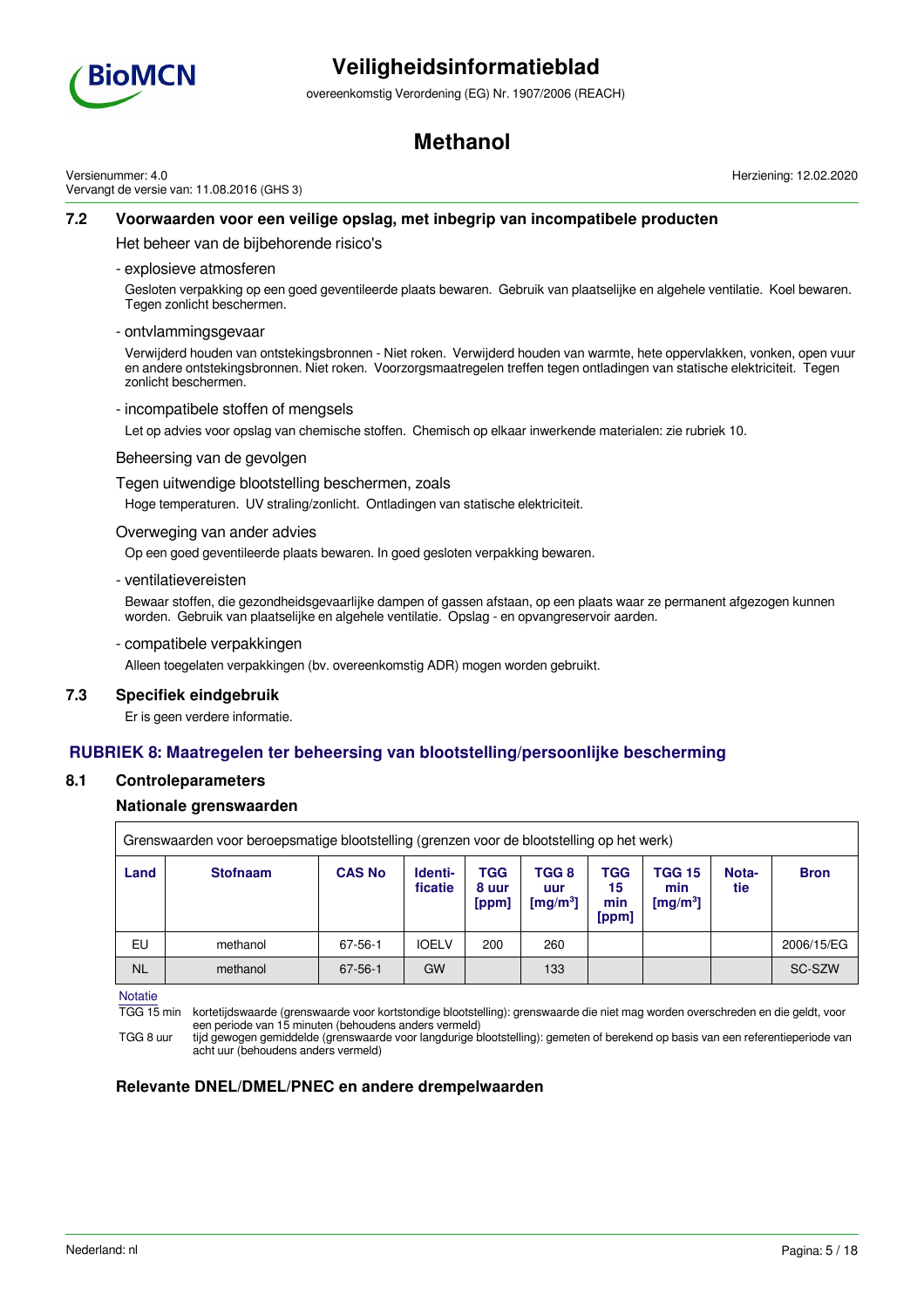

overeenkomstig Verordening (EG) Nr. 1907/2006 (REACH)

## **Methanol**

Versienummer: 4.0 Vervangt de versie van: 11.08.2016 (GHS 3) Herziening: 12.02.2020

### **7.2 Voorwaarden voor een veilige opslag, met inbegrip van incompatibele producten**

Het beheer van de bijbehorende risico's

- explosieve atmosferen

Gesloten verpakking op een goed geventileerde plaats bewaren. Gebruik van plaatselijke en algehele ventilatie. Koel bewaren. Tegen zonlicht beschermen.

- ontvlammingsgevaar

Verwijderd houden van ontstekingsbronnen - Niet roken. Verwijderd houden van warmte, hete oppervlakken, vonken, open vuur en andere ontstekingsbronnen. Niet roken. Voorzorgsmaatregelen treffen tegen ontladingen van statische elektriciteit. Tegen zonlicht beschermen.

- incompatibele stoffen of mengsels

Let op advies voor opslag van chemische stoffen. Chemisch op elkaar inwerkende materialen: zie rubriek 10.

#### Beheersing van de gevolgen

Tegen uitwendige blootstelling beschermen, zoals

Hoge temperaturen. UV straling/zonlicht. Ontladingen van statische elektriciteit.

Overweging van ander advies

Op een goed geventileerde plaats bewaren. In goed gesloten verpakking bewaren.

- ventilatievereisten

Bewaar stoffen, die gezondheidsgevaarlijke dampen of gassen afstaan, op een plaats waar ze permanent afgezogen kunnen worden. Gebruik van plaatselijke en algehele ventilatie. Opslag - en opvangreservoir aarden.

- compatibele verpakkingen

Alleen toegelaten verpakkingen (bv. overeenkomstig ADR) mogen worden gebruikt.

### **7.3 Specifiek eindgebruik**

Er is geen verdere informatie.

### **RUBRIEK 8: Maatregelen ter beheersing van blootstelling/persoonlijke bescherming**

#### **8.1 Controleparameters**

### **Nationale grenswaarden**

|           | Grenswaarden voor beroepsmatige blootstelling (grenzen voor de blootstelling op het werk) |               |                    |                              |                                      |                           |                                     |              |             |
|-----------|-------------------------------------------------------------------------------------------|---------------|--------------------|------------------------------|--------------------------------------|---------------------------|-------------------------------------|--------------|-------------|
| Land      | <b>Stofnaam</b>                                                                           | <b>CAS No</b> | Identi-<br>ficatie | <b>TGG</b><br>8 uur<br>[ppm] | TGG 8<br>uur<br>[mg/m <sup>3</sup> ] | TGG<br>15<br>min<br>[ppm] | <b>TGG 15</b><br>min<br>[ $mg/m3$ ] | Nota-<br>tie | <b>Bron</b> |
| EU        | methanol                                                                                  | 67-56-1       | <b>IOELV</b>       | 200                          | 260                                  |                           |                                     |              | 2006/15/EG  |
| <b>NL</b> | methanol                                                                                  | 67-56-1       | GW                 |                              | 133                                  |                           |                                     |              | SC-SZW      |

**Notatie** 

TGG 15 min kortetijdswaarde (grenswaarde voor kortstondige blootstelling): grenswaarde die niet mag worden overschreden en die geldt, voor een periode van 15 minuten (behoudens anders vermeld)

TGG 8 uur tijd gewogen gemiddelde (grenswaarde voor langdurige blootstelling): gemeten of berekend op basis van een referentieperiode van acht uur (behoudens anders vermeld)

### **Relevante DNEL/DMEL/PNEC en andere drempelwaarden**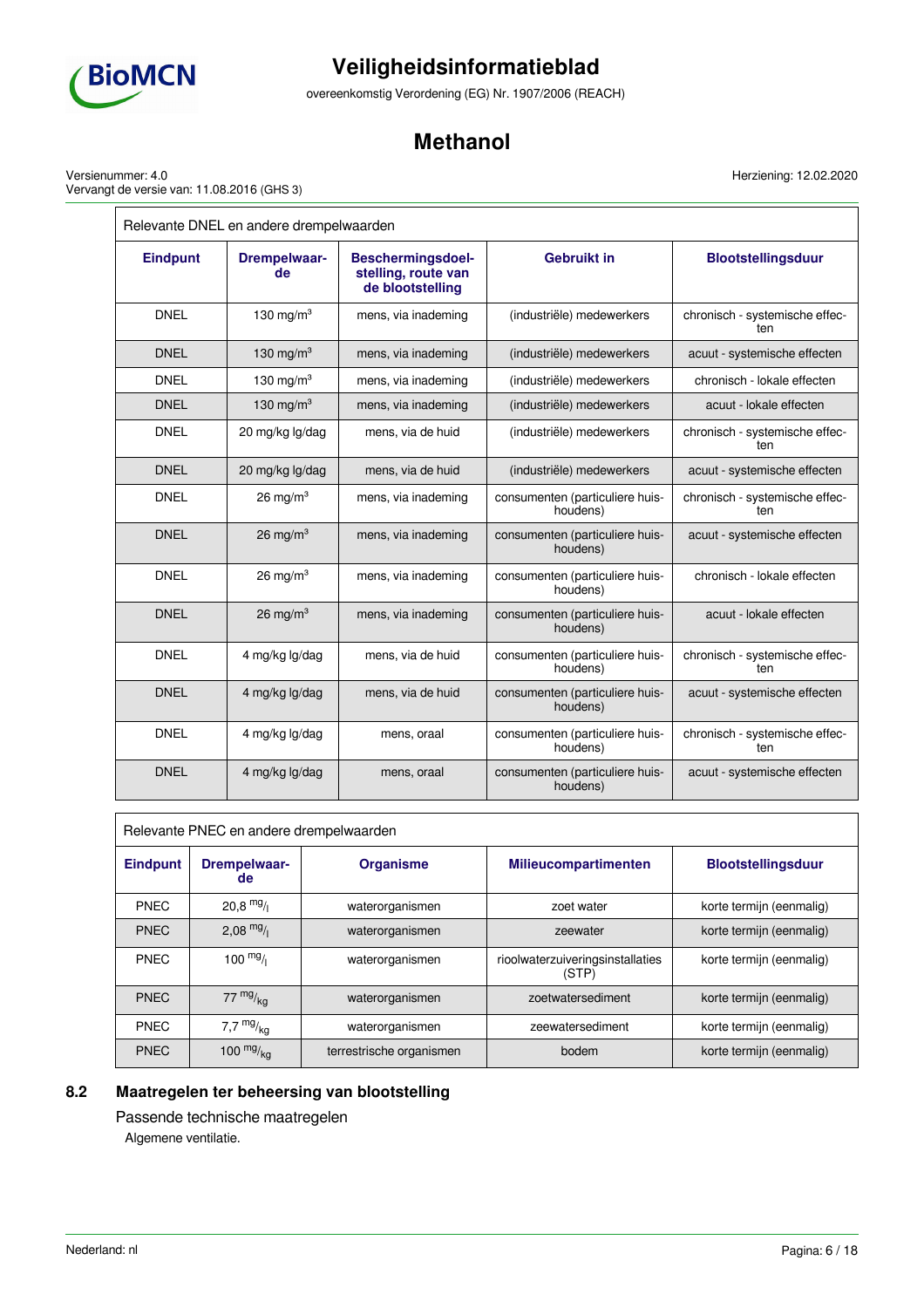

 $\overline{a}$ 

# **Veiligheidsinformatieblad**

overeenkomstig Verordening (EG) Nr. 1907/2006 (REACH)

## **Methanol**

Herziening: 12.02.2020

 $=$ 

Versienummer: 4.0 Vervangt de versie van: 11.08.2016 (GHS 3)

| Relevante DNEL en andere drempelwaarden |                           |                                                                     |                                             |                                       |  |
|-----------------------------------------|---------------------------|---------------------------------------------------------------------|---------------------------------------------|---------------------------------------|--|
| <b>Eindpunt</b>                         | <b>Drempelwaar-</b><br>de | <b>Beschermingsdoel-</b><br>stelling, route van<br>de blootstelling | <b>Gebruikt in</b>                          | <b>Blootstellingsduur</b>             |  |
| <b>DNEL</b>                             | 130 mg/m $3$              | mens, via inademing                                                 | (industriële) medewerkers                   | chronisch - systemische effec-<br>ten |  |
| <b>DNEL</b>                             | 130 mg/m $3$              | mens, via inademing                                                 | (industriële) medewerkers                   | acuut - systemische effecten          |  |
| <b>DNEL</b>                             | 130 mg/m $3$              | mens, via inademing                                                 | (industriële) medewerkers                   | chronisch - lokale effecten           |  |
| <b>DNEL</b>                             | 130 mg/m $3$              | mens, via inademing                                                 | (industriële) medewerkers                   | acuut - lokale effecten               |  |
| <b>DNEL</b>                             | 20 mg/kg lg/dag           | mens, via de huid                                                   | (industriële) medewerkers                   | chronisch - systemische effec-<br>ten |  |
| <b>DNEL</b>                             | 20 mg/kg lg/dag           | mens, via de huid                                                   | (industriële) medewerkers                   | acuut - systemische effecten          |  |
| <b>DNEL</b>                             | 26 mg/m $3$               | mens, via inademing                                                 | consumenten (particuliere huis-<br>houdens) | chronisch - systemische effec-<br>ten |  |
| <b>DNEL</b>                             | $26 \text{ mg/m}^3$       | mens, via inademing                                                 | consumenten (particuliere huis-<br>houdens) | acuut - systemische effecten          |  |
| <b>DNEL</b>                             | $26 \text{ mg/m}^3$       | mens, via inademing                                                 | consumenten (particuliere huis-<br>houdens) | chronisch - lokale effecten           |  |
| <b>DNEL</b>                             | 26 mg/m $3$               | mens, via inademing                                                 | consumenten (particuliere huis-<br>houdens) | acuut - lokale effecten               |  |
| <b>DNEL</b>                             | 4 mg/kg lg/dag            | mens, via de huid                                                   | consumenten (particuliere huis-<br>houdens) | chronisch - systemische effec-<br>ten |  |
| <b>DNEL</b>                             | 4 mg/kg lg/dag            | mens, via de huid                                                   | consumenten (particuliere huis-<br>houdens) | acuut - systemische effecten          |  |
| <b>DNEL</b>                             | 4 mg/kg lg/dag            | mens, oraal                                                         | consumenten (particuliere huis-<br>houdens) | chronisch - systemische effec-<br>ten |  |
| <b>DNEL</b>                             | 4 mg/kg lg/dag            | mens, oraal                                                         | consumenten (particuliere huis-<br>houdens) | acuut - systemische effecten          |  |

| Relevante PNEC en andere drempelwaarden |                           |                          |                                           |                           |  |
|-----------------------------------------|---------------------------|--------------------------|-------------------------------------------|---------------------------|--|
| <b>Eindpunt</b>                         | <b>Drempelwaar-</b><br>de | <b>Organisme</b>         | <b>Milieucompartimenten</b>               | <b>Blootstellingsduur</b> |  |
| <b>PNEC</b>                             | $20.8$ mg/                | waterorganismen          | zoet water                                | korte termijn (eenmalig)  |  |
| <b>PNEC</b>                             | 2,08 $mg/1$               | waterorganismen          | zeewater                                  | korte termijn (eenmalig)  |  |
| <b>PNEC</b>                             | 100 $mg/$                 | waterorganismen          | rioolwaterzuiveringsinstallaties<br>(STP) | korte termijn (eenmalig)  |  |
| <b>PNEC</b>                             | 77 $mg/kq$                | waterorganismen          | zoetwatersediment                         | korte termijn (eenmalig)  |  |
| <b>PNEC</b>                             | 7,7 $mg/kg$               | waterorganismen          | zeewatersediment                          | korte termijn (eenmalig)  |  |
| <b>PNEC</b>                             | 100 $mg/kq$               | terrestrische organismen | bodem                                     | korte termijn (eenmalig)  |  |

## **8.2 Maatregelen ter beheersing van blootstelling**

Passende technische maatregelen Algemene ventilatie.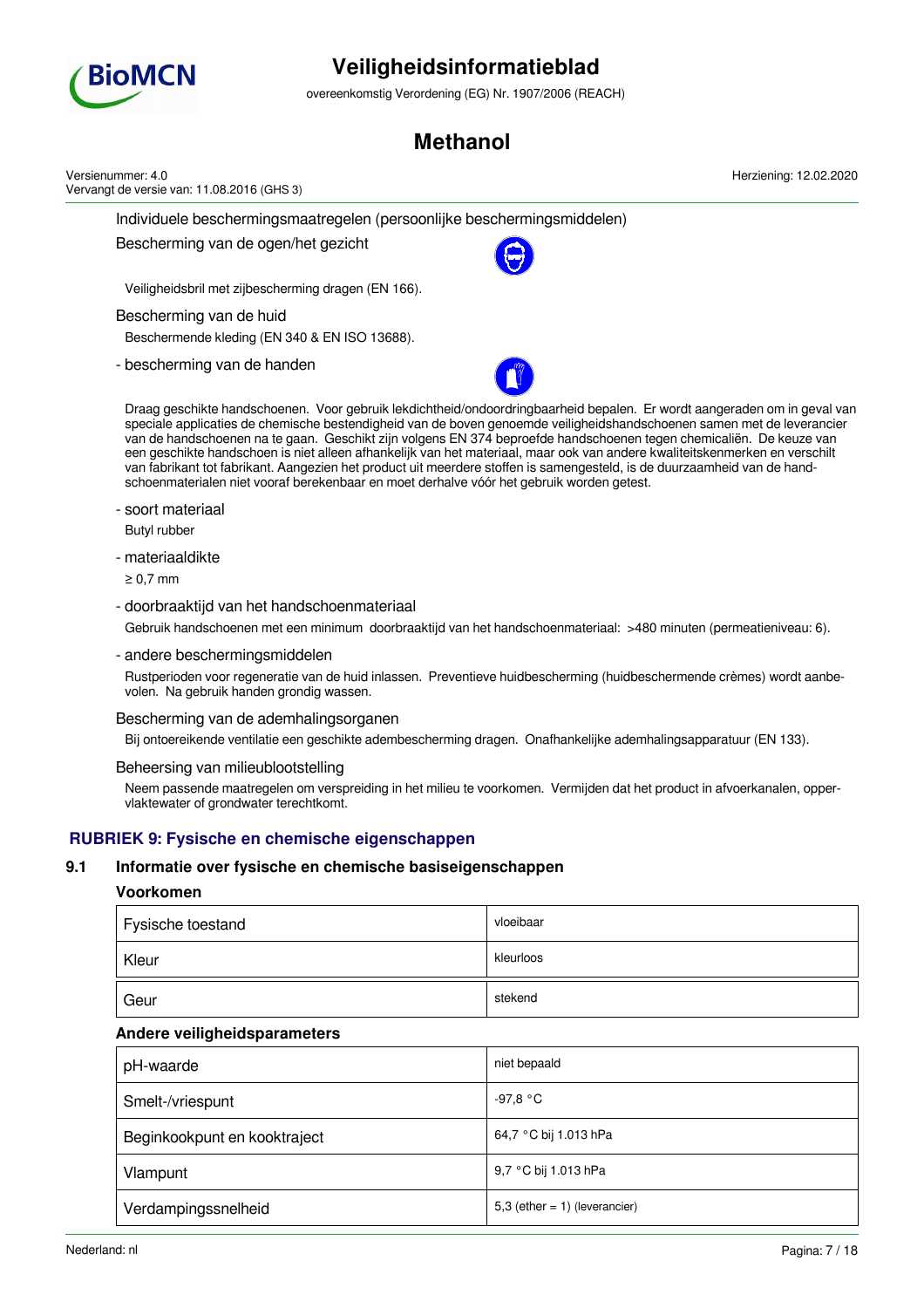

overeenkomstig Verordening (EG) Nr. 1907/2006 (REACH)

## **Methanol**

| Versienummer: 4.0<br>Vervangt de versie van: 11.08.2016 (GHS 3)                                                                                                                                                                                                                                                                                                                                                                                                                                                                                                                                                                                                                                                                   | Herziening: 12.02.2020 |
|-----------------------------------------------------------------------------------------------------------------------------------------------------------------------------------------------------------------------------------------------------------------------------------------------------------------------------------------------------------------------------------------------------------------------------------------------------------------------------------------------------------------------------------------------------------------------------------------------------------------------------------------------------------------------------------------------------------------------------------|------------------------|
| Individuele beschermingsmaatregelen (persoonlijke beschermingsmiddelen)                                                                                                                                                                                                                                                                                                                                                                                                                                                                                                                                                                                                                                                           |                        |
| Bescherming van de ogen/het gezicht                                                                                                                                                                                                                                                                                                                                                                                                                                                                                                                                                                                                                                                                                               |                        |
| Veiligheidsbril met zijbescherming dragen (EN 166).                                                                                                                                                                                                                                                                                                                                                                                                                                                                                                                                                                                                                                                                               |                        |
| Bescherming van de huid<br>Beschermende kleding (EN 340 & EN ISO 13688).                                                                                                                                                                                                                                                                                                                                                                                                                                                                                                                                                                                                                                                          |                        |
| - bescherming van de handen                                                                                                                                                                                                                                                                                                                                                                                                                                                                                                                                                                                                                                                                                                       |                        |
| Draag geschikte handschoenen. Voor gebruik lekdichtheid/ondoordringbaarheid bepalen. Er wordt aangeraden om in geval van<br>speciale applicaties de chemische bestendigheid van de boven genoemde veiligheidshandschoenen samen met de leverancier<br>van de handschoenen na te gaan. Geschikt zijn volgens EN 374 beproefde handschoenen tegen chemicaliën. De keuze van<br>een geschikte handschoen is niet alleen afhankelijk van het materiaal, maar ook van andere kwaliteitskenmerken en verschilt<br>van fabrikant tot fabrikant. Aangezien het product uit meerdere stoffen is samengesteld, is de duurzaamheid van de hand-<br>schoenmaterialen niet vooraf berekenbaar en moet derhalve vóór het gebruik worden getest. |                        |
| - soort materiaal<br>Butyl rubber                                                                                                                                                                                                                                                                                                                                                                                                                                                                                                                                                                                                                                                                                                 |                        |
| - materiaaldikte<br>$\geq 0.7$ mm                                                                                                                                                                                                                                                                                                                                                                                                                                                                                                                                                                                                                                                                                                 |                        |
| - doorbraaktijd van het handschoenmateriaal<br>Gebruik handschoenen met een minimum doorbraaktijd van het handschoenmateriaal: >480 minuten (permeatieniveau: 6).                                                                                                                                                                                                                                                                                                                                                                                                                                                                                                                                                                 |                        |
| - andere beschermingsmiddelen                                                                                                                                                                                                                                                                                                                                                                                                                                                                                                                                                                                                                                                                                                     |                        |

Rustperioden voor regeneratie van de huid inlassen. Preventieve huidbescherming (huidbeschermende crèmes) wordt aanbevolen. Na gebruik handen grondig wassen.

Bescherming van de ademhalingsorganen

Bij ontoereikende ventilatie een geschikte adembescherming dragen. Onafhankelijke ademhalingsapparatuur (EN 133).

#### Beheersing van milieublootstelling

Neem passende maatregelen om verspreiding in het milieu te voorkomen. Vermijden dat het product in afvoerkanalen, oppervlaktewater of grondwater terechtkomt.

## **RUBRIEK 9: Fysische en chemische eigenschappen**

### **9.1 Informatie over fysische en chemische basiseigenschappen**

### **Voorkomen**

| Fysische toestand | vloeibaar |
|-------------------|-----------|
| Kleur             | kleurloos |
| Geur              | stekend   |

### **Andere veiligheidsparameters**

| pH-waarde                    | niet bepaald                     |
|------------------------------|----------------------------------|
| Smelt-/vriespunt             | -97,8 °C                         |
| Beginkookpunt en kooktraject | 64,7 °C bij 1.013 hPa            |
| Vlampunt                     | 9,7 °C bij 1.013 hPa             |
| Verdampingssnelheid          | 5,3 (ether = $1$ ) (leverancier) |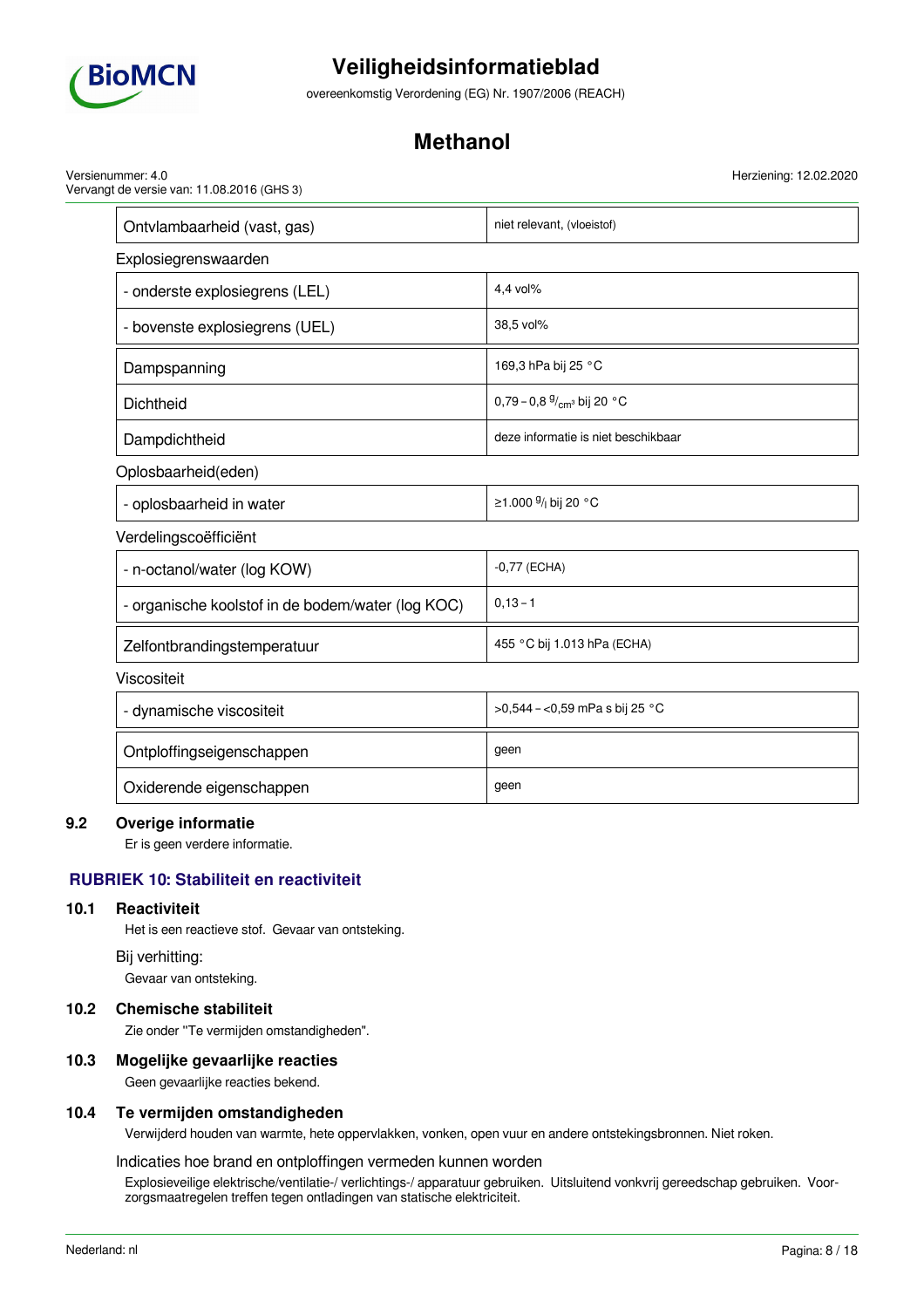

overeenkomstig Verordening (EG) Nr. 1907/2006 (REACH)

## **Methanol**

Versienummer: 4.0 Vervangt de versie van: 11.08.2016 (GHS 3)

| Ontvlambaarheid (vast, gas)                       | niet relevant, (vloeistof)                   |  |  |  |
|---------------------------------------------------|----------------------------------------------|--|--|--|
| Explosiegrenswaarden                              |                                              |  |  |  |
| - onderste explosiegrens (LEL)                    | 4,4 vol%                                     |  |  |  |
| - bovenste explosiegrens (UEL)                    | 38,5 vol%                                    |  |  |  |
| Dampspanning                                      | 169,3 hPa bij 25 °C                          |  |  |  |
| Dichtheid                                         | 0,79 - 0,8 $\frac{9}{cm}$ bij 20 °C          |  |  |  |
| Dampdichtheid                                     | deze informatie is niet beschikbaar          |  |  |  |
| Oplosbaarheid(eden)                               |                                              |  |  |  |
| - oplosbaarheid in water                          | ≥1.000 <sup>g</sup> / <sub>l</sub> bij 20 °C |  |  |  |
| Verdelingscoëfficiënt                             |                                              |  |  |  |
| - n-octanol/water (log KOW)                       | $-0,77$ (ECHA)                               |  |  |  |
| - organische koolstof in de bodem/water (log KOC) | $0, 13 - 1$                                  |  |  |  |
| Zelfontbrandingstemperatuur                       | 455 °C bij 1.013 hPa (ECHA)                  |  |  |  |
| Viscositeit                                       |                                              |  |  |  |
| - dynamische viscositeit                          | >0,544 - <0,59 mPa s bij 25 °C               |  |  |  |
| Ontploffingseigenschappen                         | geen                                         |  |  |  |
| Oxiderende eigenschappen                          | geen                                         |  |  |  |

### **9.2 Overige informatie**

Er is geen verdere informatie.

## **RUBRIEK 10: Stabiliteit en reactiviteit**

### **10.1 Reactiviteit**

Het is een reactieve stof. Gevaar van ontsteking.

#### Bij verhitting:

Gevaar van ontsteking.

### **10.2 Chemische stabiliteit**

Zie onder ''Te vermijden omstandigheden".

### **10.3 Mogelijke gevaarlijke reacties**

Geen gevaarlijke reacties bekend.

### **10.4 Te vermijden omstandigheden**

Verwijderd houden van warmte, hete oppervlakken, vonken, open vuur en andere ontstekingsbronnen. Niet roken.

#### Indicaties hoe brand en ontploffingen vermeden kunnen worden

Explosieveilige elektrische/ventilatie-/ verlichtings-/ apparatuur gebruiken. Uitsluitend vonkvrij gereedschap gebruiken. Voorzorgsmaatregelen treffen tegen ontladingen van statische elektriciteit.

Herziening: 12.02.2020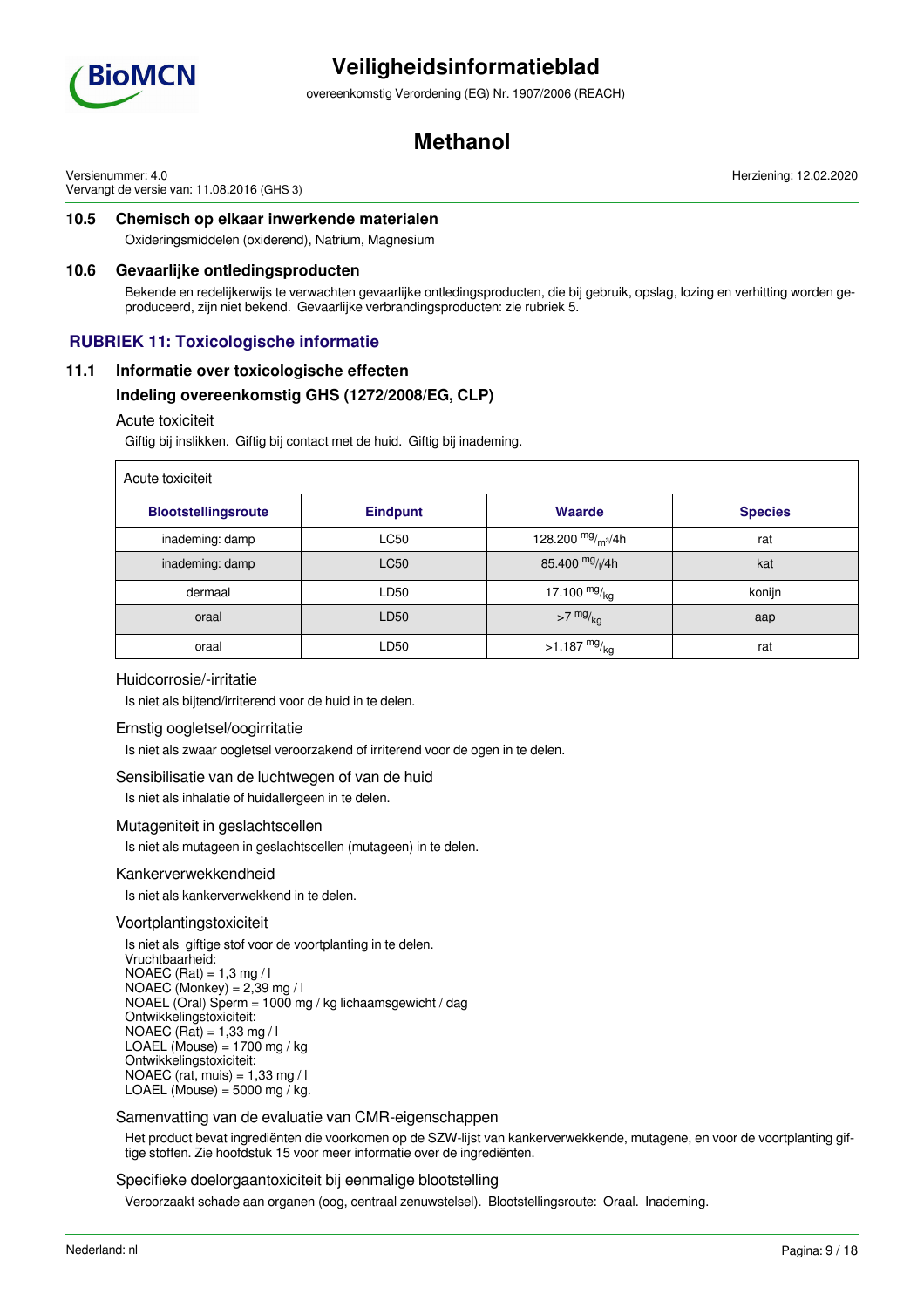

overeenkomstig Verordening (EG) Nr. 1907/2006 (REACH)

## **Methanol**

Versienummer: 4.0 Vervangt de versie van: 11.08.2016 (GHS 3) Herziening: 12.02.2020

## **10.5 Chemisch op elkaar inwerkende materialen**

Oxideringsmiddelen (oxiderend), Natrium, Magnesium

### **10.6 Gevaarlijke ontledingsproducten**

Bekende en redelijkerwijs te verwachten gevaarlijke ontledingsproducten, die bij gebruik, opslag, lozing en verhitting worden geproduceerd, zijn niet bekend. Gevaarlijke verbrandingsproducten: zie rubriek 5.

## **RUBRIEK 11: Toxicologische informatie**

### **11.1 Informatie over toxicologische effecten**

### **Indeling overeenkomstig GHS (1272/2008/EG, CLP)**

#### Acute toxiciteit

Giftig bij inslikken. Giftig bij contact met de huid. Giftig bij inademing.

| Acute toxiciteit           |                 |                             |                |  |
|----------------------------|-----------------|-----------------------------|----------------|--|
| <b>Blootstellingsroute</b> | <b>Eindpunt</b> | Waarde                      | <b>Species</b> |  |
| inademing: damp            | <b>LC50</b>     | 128.200 $mg/m^3/4h$         | rat            |  |
| inademing: damp            | <b>LC50</b>     | 85.400 mg/ <sub>l</sub> /4h | kat            |  |
| dermaal                    | LD50            | 17.100 $mg/_{\rm kq}$       | konijn         |  |
| oraal                      | LD50            | $>7$ mg/ $_{\text{kg}}$     | aap            |  |
| oraal                      | LD50            | >1.187 $mg/_{kq}$           | rat            |  |

### Huidcorrosie/-irritatie

Is niet als bijtend/irriterend voor de huid in te delen.

### Ernstig oogletsel/oogirritatie

Is niet als zwaar oogletsel veroorzakend of irriterend voor de ogen in te delen.

### Sensibilisatie van de luchtwegen of van de huid

Is niet als inhalatie of huidallergeen in te delen.

### Mutageniteit in geslachtscellen

Is niet als mutageen in geslachtscellen (mutageen) in te delen.

#### Kankerverwekkendheid

Is niet als kankerverwekkend in te delen.

#### Voortplantingstoxiciteit

Is niet als giftige stof voor de voortplanting in te delen. Vruchtbaarheid: NOAEC (Rat) =  $1,3$  mg / l NOAEC (Monkey) =  $2,39$  mg / l NOAEL (Oral) Sperm = 1000 mg / kg lichaamsgewicht / dag Ontwikkelingstoxiciteit: NOAEC (Rat) =  $1,33$  mg / l LOAEL (Mouse) =  $1700$  mg / kg Ontwikkelingstoxiciteit: NOAEC (rat, muis) = 1,33 mg / l LOAEL (Mouse) =  $5000$  mg  $\overline{}/$  kg.

### Samenvatting van de evaluatie van CMR-eigenschappen

Het product bevat ingrediënten die voorkomen op de SZW-lijst van kankerverwekkende, mutagene, en voor de voortplanting giftige stoffen. Zie hoofdstuk 15 voor meer informatie over de ingrediënten.

### Specifieke doelorgaantoxiciteit bij eenmalige blootstelling

Veroorzaakt schade aan organen (oog, centraal zenuwstelsel). Blootstellingsroute: Oraal. Inademing.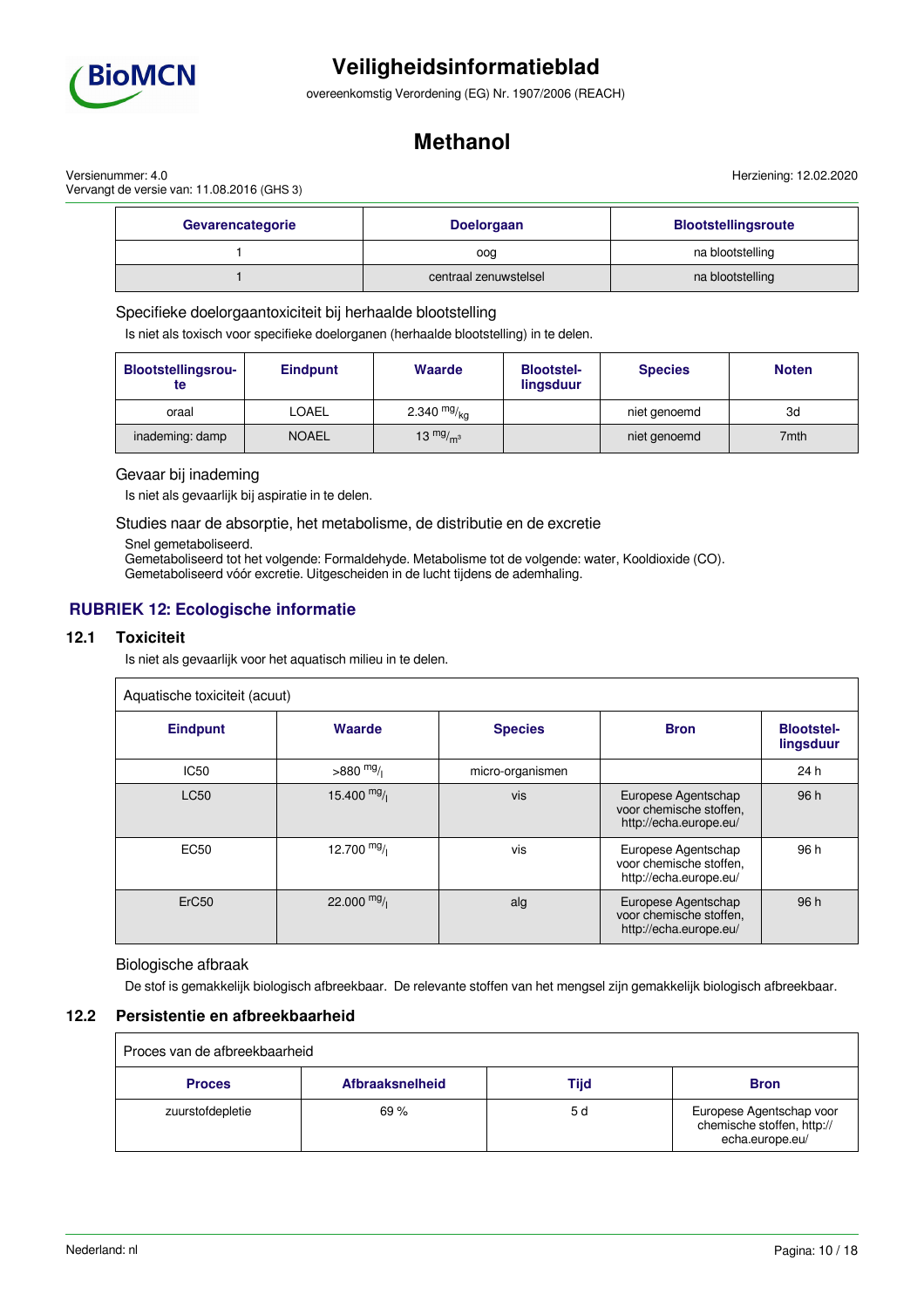

overeenkomstig Verordening (EG) Nr. 1907/2006 (REACH)

## **Methanol**

Versienummer: 4.0 Vervangt de versie van: 11.08.2016 (GHS 3) Herziening: 12.02.2020

| Gevarencategorie | <b>Doelorgaan</b>     | <b>Blootstellingsroute</b> |
|------------------|-----------------------|----------------------------|
|                  | oog                   | na blootstelling           |
|                  | centraal zenuwstelsel | na blootstelling           |

### Specifieke doelorgaantoxiciteit bij herhaalde blootstelling

Is niet als toxisch voor specifieke doelorganen (herhaalde blootstelling) in te delen.

| <b>Blootstellingsrou-</b><br>te | <b>Eindpunt</b> | <b>Waarde</b> | <b>Blootstel-</b><br>lingsduur | <b>Species</b> | <b>Noten</b> |
|---------------------------------|-----------------|---------------|--------------------------------|----------------|--------------|
| oraal                           | <b>LOAEL</b>    | 2.340 $mg/kq$ |                                | niet genoemd   | 3d           |
| inademing: damp                 | <b>NOAEL</b>    | 13 $mg/m3$    |                                | niet genoemd   | 7mth         |

### Gevaar bij inademing

Is niet als gevaarlijk bij aspiratie in te delen.

Studies naar de absorptie, het metabolisme, de distributie en de excretie

Snel gemetaboliseerd.

Gemetaboliseerd tot het volgende: Formaldehyde. Metabolisme tot de volgende: water, Kooldioxide (CO).

Gemetaboliseerd vóór excretie. Uitgescheiden in de lucht tijdens de ademhaling.

## **RUBRIEK 12: Ecologische informatie**

### **12.1 Toxiciteit**

Is niet als gevaarlijk voor het aquatisch milieu in te delen.

| Aquatische toxiciteit (acuut) |              |                  |                                                                          |                                |  |
|-------------------------------|--------------|------------------|--------------------------------------------------------------------------|--------------------------------|--|
| <b>Eindpunt</b>               | Waarde       | <b>Species</b>   | <b>Bron</b>                                                              | <b>Blootstel-</b><br>lingsduur |  |
| <b>IC50</b>                   | $>880$ mg/   | micro-organismen |                                                                          | 24 h                           |  |
| <b>LC50</b>                   | 15.400 $mg/$ | vis              | Europese Agentschap<br>voor chemische stoffen,<br>http://echa.europe.eu/ | 96 h                           |  |
| <b>EC50</b>                   | 12.700 $mg/$ | vis              | Europese Agentschap<br>voor chemische stoffen.<br>http://echa.europe.eu/ | 96 h                           |  |
| ErC <sub>50</sub>             | 22.000 $mg/$ | alg              | Europese Agentschap<br>voor chemische stoffen,<br>http://echa.europe.eu/ | 96 h                           |  |

#### Biologische afbraak

De stof is gemakkelijk biologisch afbreekbaar. De relevante stoffen van het mengsel zijn gemakkelijk biologisch afbreekbaar.

### **12.2 Persistentie en afbreekbaarheid**

| Proces van de afbreekbaarheid |                        |      |                                                                           |  |
|-------------------------------|------------------------|------|---------------------------------------------------------------------------|--|
| <b>Proces</b>                 | <b>Afbraaksnelheid</b> | Tijd | <b>Bron</b>                                                               |  |
| zuurstofdepletie              | 69%                    | 5 d  | Europese Agentschap voor<br>chemische stoffen, http://<br>echa.europe.eu/ |  |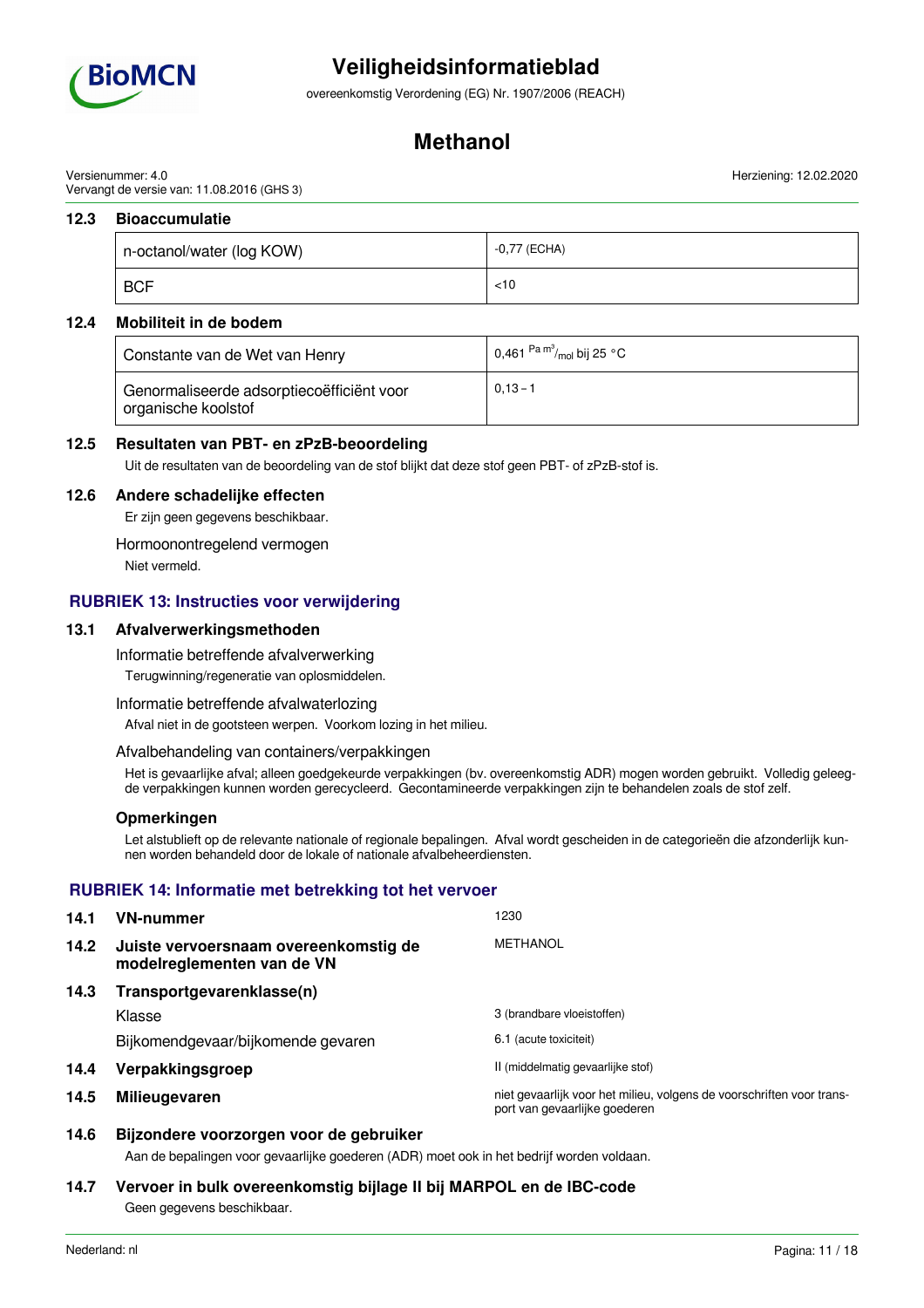

overeenkomstig Verordening (EG) Nr. 1907/2006 (REACH)

## **Methanol**

Versienummer: 4.0 Vervangt de versie van: 11.08.2016 (GHS 3)

### **12.3 Bioaccumulatie**

| n-octanol/water (log KOW) | -0,77 (ECHA) |
|---------------------------|--------------|
| <b>BCF</b>                | $<$ 10       |

### **12.4 Mobiliteit in de bodem**

| Constante van de Wet van Henry                                   | 0,461 <sup>Pa m°/</sup> mol bij 25 °C |
|------------------------------------------------------------------|---------------------------------------|
| Genormaliseerde adsorptiecoëfficiënt voor<br>organische koolstof | $0.13 - 1$                            |

### **12.5 Resultaten van PBT- en zPzB-beoordeling**

Uit de resultaten van de beoordeling van de stof blijkt dat deze stof geen PBT- of zPzB-stof is.

### **12.6 Andere schadelijke effecten**

Er zijn geen gegevens beschikbaar.

Hormoonontregelend vermogen

Niet vermeld.

### **RUBRIEK 13: Instructies voor verwijdering**

### **13.1 Afvalverwerkingsmethoden**

Informatie betreffende afvalverwerking

Terugwinning/regeneratie van oplosmiddelen.

Informatie betreffende afvalwaterlozing

Afval niet in de gootsteen werpen. Voorkom lozing in het milieu.

#### Afvalbehandeling van containers/verpakkingen

Het is gevaarlijke afval; alleen goedgekeurde verpakkingen (bv. overeenkomstig ADR) mogen worden gebruikt. Volledig geleegde verpakkingen kunnen worden gerecycleerd. Gecontamineerde verpakkingen zijn te behandelen zoals de stof zelf.

#### **Opmerkingen**

Let alstublieft op de relevante nationale of regionale bepalingen. Afval wordt gescheiden in de categorieën die afzonderlijk kunnen worden behandeld door de lokale of nationale afvalbeheerdiensten.

### **RUBRIEK 14: Informatie met betrekking tot het vervoer**

| 14.1 | <b>VN-nummer</b>                                                    | 1230                                                                                                   |
|------|---------------------------------------------------------------------|--------------------------------------------------------------------------------------------------------|
| 14.2 | Juiste vervoersnaam overeenkomstig de<br>modelreglementen van de VN | <b>METHANOL</b>                                                                                        |
| 14.3 | Transportgevarenklasse(n)                                           |                                                                                                        |
|      | Klasse                                                              | 3 (brandbare vloeistoffen)                                                                             |
|      | Bijkomendgevaar/bijkomende gevaren                                  | 6.1 (acute toxiciteit)                                                                                 |
| 14.4 | Verpakkingsgroep                                                    | II (middelmatig gevaarlijke stof)                                                                      |
| 14.5 | <b>Milieugevaren</b>                                                | niet gevaarlijk voor het milieu, volgens de voorschriften voor trans-<br>port van gevaarlijke goederen |

### **14.6 Bijzondere voorzorgen voor de gebruiker**

Aan de bepalingen voor gevaarlijke goederen (ADR) moet ook in het bedrijf worden voldaan.

### **14.7 Vervoer in bulk overeenkomstig bijlage II bij MARPOL en de IBC-code**

Geen gegevens beschikbaar.

Herziening: 12.02.2020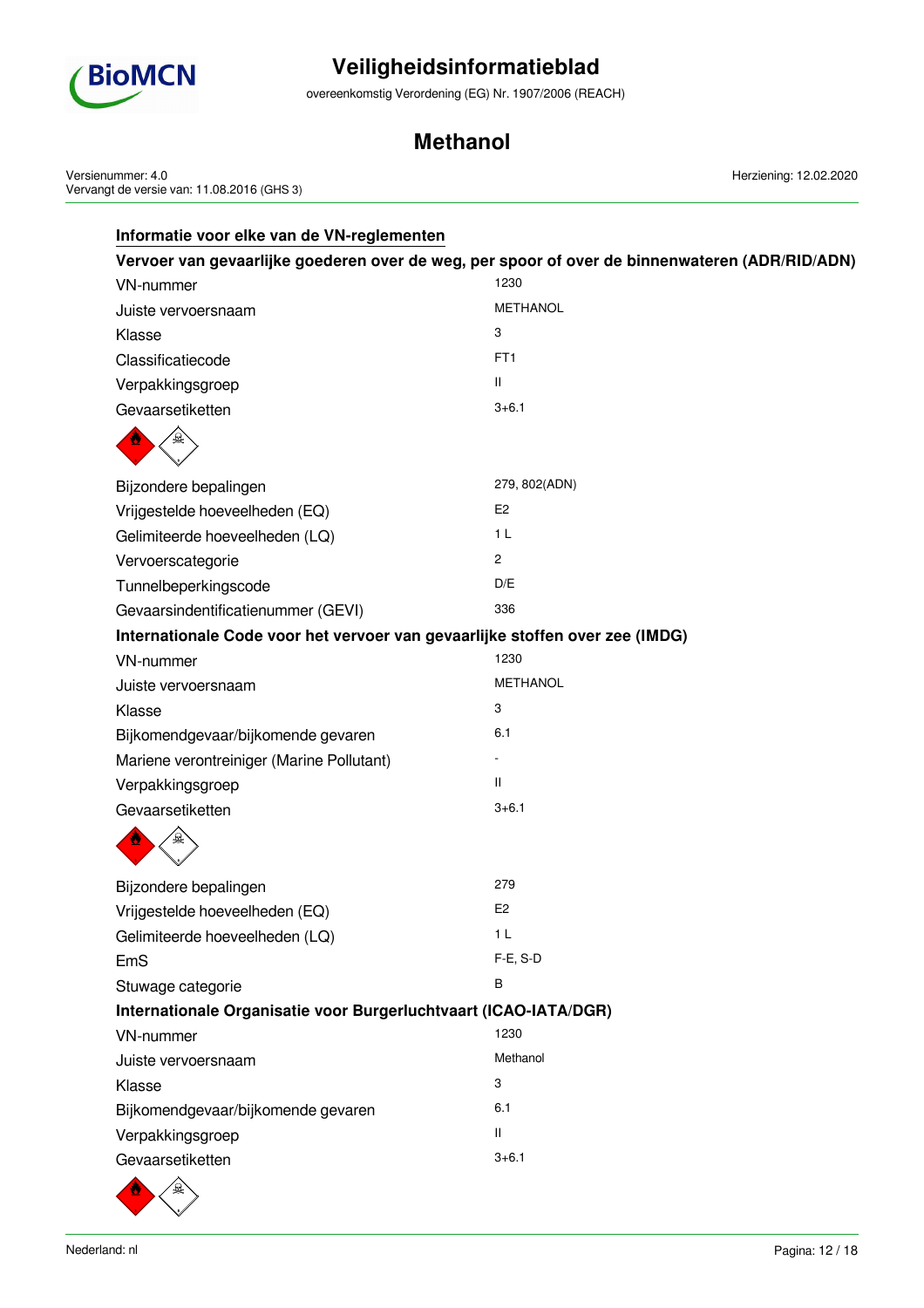

overeenkomstig Verordening (EG) Nr. 1907/2006 (REACH)

## **Methanol**

Versienummer: 4.0 Vervangt de versie van: 11.08.2016 (GHS 3) Herziening: 12.02.2020

|                                                                              | Vervoer van gevaarlijke goederen over de weg, per spoor of over de binnenwateren (ADR/RID/ADN) |
|------------------------------------------------------------------------------|------------------------------------------------------------------------------------------------|
| VN-nummer                                                                    | 1230                                                                                           |
| Juiste vervoersnaam                                                          | <b>METHANOL</b>                                                                                |
| Klasse                                                                       | 3                                                                                              |
| Classificatiecode                                                            | FT <sub>1</sub>                                                                                |
| Verpakkingsgroep                                                             | Ш                                                                                              |
| Gevaarsetiketten                                                             | $3 + 6.1$                                                                                      |
|                                                                              |                                                                                                |
| Bijzondere bepalingen                                                        | 279, 802(ADN)                                                                                  |
| Vrijgestelde hoeveelheden (EQ)                                               | E <sub>2</sub>                                                                                 |
| Gelimiteerde hoeveelheden (LQ)                                               | 1 <sub>L</sub>                                                                                 |
| Vervoerscategorie                                                            | 2                                                                                              |
| Tunnelbeperkingscode                                                         | D/E                                                                                            |
| Gevaarsindentificatienummer (GEVI)                                           | 336                                                                                            |
| Internationale Code voor het vervoer van gevaarlijke stoffen over zee (IMDG) |                                                                                                |
| <b>VN-nummer</b>                                                             | 1230                                                                                           |
| Juiste vervoersnaam                                                          | <b>METHANOL</b>                                                                                |
| Klasse                                                                       | 3                                                                                              |
| Bijkomendgevaar/bijkomende gevaren                                           | 6.1                                                                                            |
| Mariene verontreiniger (Marine Pollutant)                                    |                                                                                                |
| Verpakkingsgroep                                                             | Ш                                                                                              |
| Gevaarsetiketten                                                             | $3 + 6.1$                                                                                      |
|                                                                              |                                                                                                |
| Bijzondere bepalingen                                                        | 279                                                                                            |
| Vrijgestelde hoeveelheden (EQ)                                               | E <sub>2</sub>                                                                                 |
| Gelimiteerde hoeveelheden (LQ)                                               | 1 <sub>L</sub>                                                                                 |
| EmS                                                                          | F-E, S-D                                                                                       |
| Stuwage categorie                                                            | В                                                                                              |
| Internationale Organisatie voor Burgerluchtvaart (ICAO-IATA/DGR)             |                                                                                                |
| <b>VN-nummer</b>                                                             | 1230                                                                                           |
| Juiste vervoersnaam                                                          | Methanol                                                                                       |
| Klasse                                                                       | 3                                                                                              |
| Bijkomendgevaar/bijkomende gevaren                                           | 6.1                                                                                            |
| Verpakkingsgroep                                                             | Ш                                                                                              |
| Gevaarsetiketten                                                             | $3 + 6.1$                                                                                      |
| $\sqrt{2}$<br>A                                                              |                                                                                                |

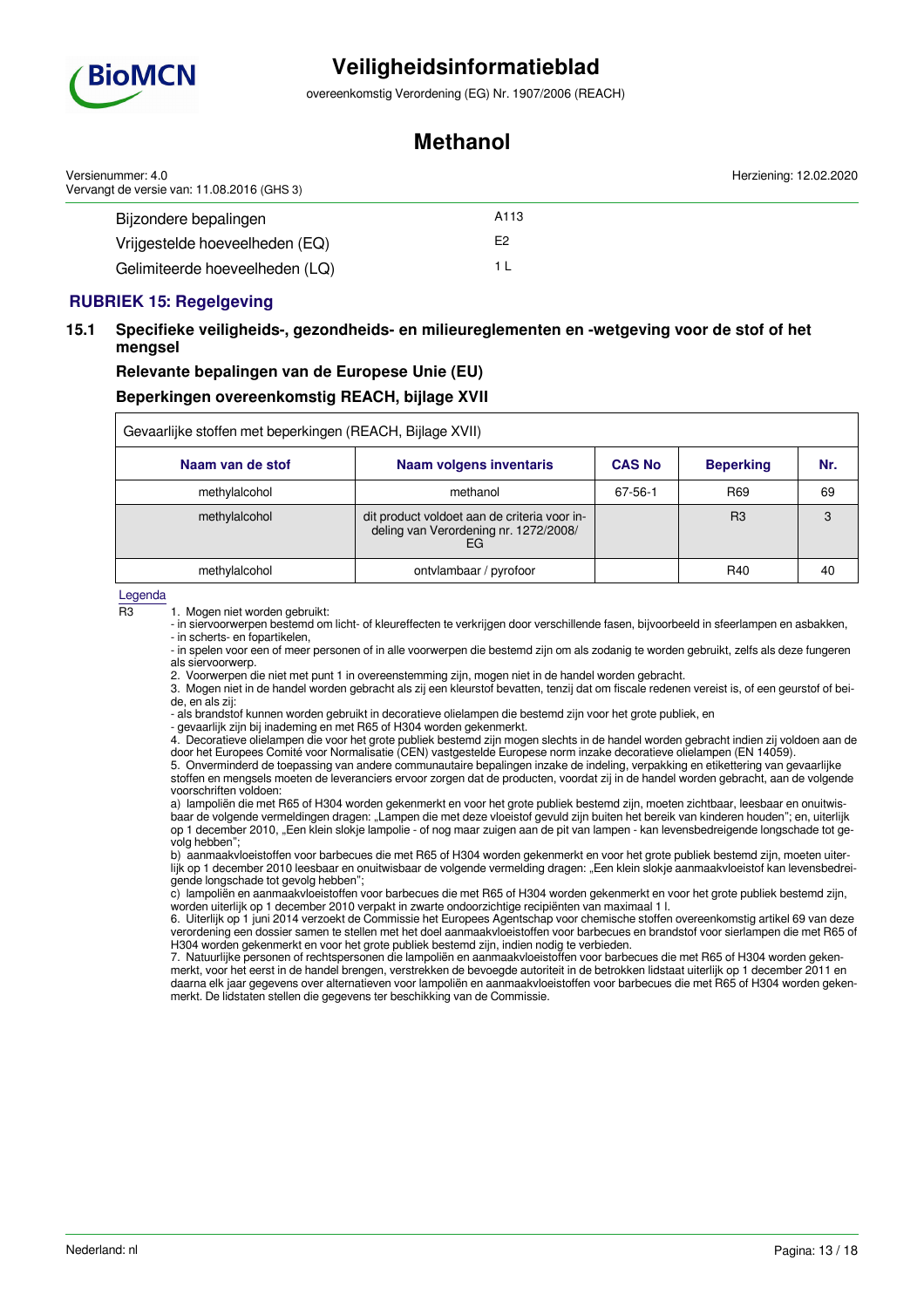

overeenkomstig Verordening (EG) Nr. 1907/2006 (REACH)

## **Methanol**

| Versienummer: 4.0<br>Vervangt de versie van: 11.08.2016 (GHS 3) |      | Herziening: 12.02.2020 |
|-----------------------------------------------------------------|------|------------------------|
| Bijzondere bepalingen                                           | A113 |                        |
| Vrijgestelde hoeveelheden (EQ)                                  | E2   |                        |
| Gelimiteerde hoeveelheden (LQ)                                  |      |                        |

### **RUBRIEK 15: Regelgeving**

### **15.1 Specifieke veiligheids-, gezondheids- en milieureglementen en -wetgeving voor de stof of het mengsel**

## **Relevante bepalingen van de Europese Unie (EU) Beperkingen overeenkomstig REACH, bijlage XVII**

| Gevaarlijke stoffen met beperkingen (REACH, Bijlage XVII) |                                                                                             |               |                  |     |
|-----------------------------------------------------------|---------------------------------------------------------------------------------------------|---------------|------------------|-----|
| Naam van de stof                                          | <b>Naam volgens inventaris</b>                                                              | <b>CAS No</b> | <b>Beperking</b> | Nr. |
| methylalcohol                                             | methanol                                                                                    | 67-56-1       | R <sub>69</sub>  | 69  |
| methylalcohol                                             | dit product voldoet aan de criteria voor in-<br>deling van Verordening nr. 1272/2008/<br>EG |               | R <sub>3</sub>   |     |
| methylalcohol                                             | ontvlambaar / pyrofoor                                                                      |               | R40              | 40  |

Legenda

R3 1. Mogen niet worden gebruikt:

- in siervoorwerpen bestemd om licht- of kleureffecten te verkrijgen door verschillende fasen, bijvoorbeeld in sfeerlampen en asbakken, - in scherts- en fopartikelen,

- in spelen voor een of meer personen of in alle voorwerpen die bestemd zijn om als zodanig te worden gebruikt, zelfs als deze fungeren als siervoorwerp.

2. Voorwerpen die niet met punt 1 in overeenstemming zijn, mogen niet in de handel worden gebracht.

3. Mogen niet in de handel worden gebracht als zij een kleurstof bevatten, tenzij dat om fiscale redenen vereist is, of een geurstof of beide, en als zij:

- als brandstof kunnen worden gebruikt in decoratieve olielampen die bestemd zijn voor het grote publiek, en

- gevaarlijk zijn bij inademing en met R65 of H304 worden gekenmerkt.

4. Decoratieve olielampen die voor het grote publiek bestemd zijn mogen slechts in de handel worden gebracht indien zij voldoen aan de door het Europees Comité voor Normalisatie (CEN) vastgestelde Europese norm inzake decoratieve olielampen (EN 14059).

5. Onverminderd de toepassing van andere communautaire bepalingen inzake de indeling, verpakking en etikettering van gevaarlijke stoffen en mengsels moeten de leveranciers ervoor zorgen dat de producten, voordat zij in de handel worden gebracht, aan de volgende voorschriften voldoen:

a) lampoliën die met R65 of H304 worden gekenmerkt en voor het grote publiek bestemd zijn, moeten zichtbaar, leesbaar en onuitwisbaar de volgende vermeldingen dragen: "Lampen die met deze vloeistof gevuld zijn buiten het bereik van kinderen houden"; en, uiterlijk op 1 december 2010, "Een klein slokje lampolie - of nog maar zuigen aan de pit van lampen - kan levensbedreigende longschade tot gevolg hebben";

b) aanmaakvloeistoffen voor barbecues die met R65 of H304 worden gekenmerkt en voor het grote publiek bestemd zijn, moeten uiterlijk op 1 december 2010 leesbaar en onuitwisbaar de volgende vermelding dragen: "Een klein slokje aanmaakvloeistof kan levensbedreigende longschade tot gevolg hebben";

c) lampoliën en aanmaakvloeistoffen voor barbecues die met R65 of H304 worden gekenmerkt en voor het grote publiek bestemd zijn, worden uiterlijk op 1 december 2010 verpakt in zwarte ondoorzichtige recipiënten van maximaal 1 l.

6. Uiterlijk op 1 juni 2014 verzoekt de Commissie het Europees Agentschap voor chemische stoffen overeenkomstig artikel 69 van deze verordening een dossier samen te stellen met het doel aanmaakvloeistoffen voor barbecues en brandstof voor sierlampen die met R65 of H304 worden gekenmerkt en voor het grote publiek bestemd zijn, indien nodig te verbieden.

7. Natuurlijke personen of rechtspersonen die lampoliën en aanmaakvloeistoffen voor barbecues die met R65 of H304 worden gekenmerkt, voor het eerst in de handel brengen, verstrekken de bevoegde autoriteit in de betrokken lidstaat uiterlijk op 1 december 2011 en daarna elk jaar gegevens over alternatieven voor lampoliën en aanmaakvloeistoffen voor barbecues die met R65 of H304 worden gekenmerkt. De lidstaten stellen die gegevens ter beschikking van de Commissie.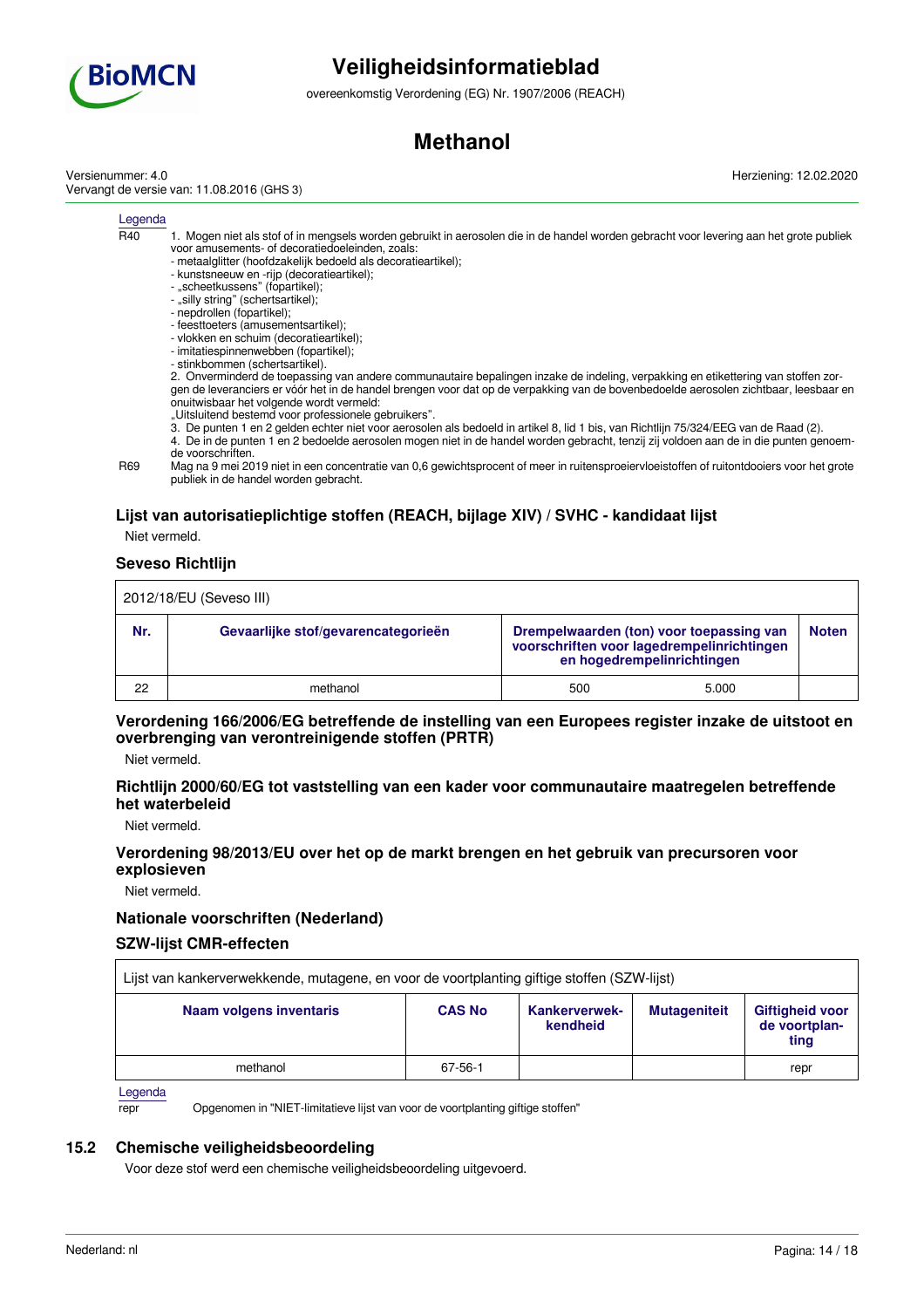

overeenkomstig Verordening (EG) Nr. 1907/2006 (REACH)

## **Methanol**

Versienummer: 4.0 Vervangt de versie van: 11.08.2016 (GHS 3) Herziening: 12.02.2020

#### Legenda

- $\overline{R40}$  1. Mogen niet als stof of in mengsels worden gebruikt in aerosolen die in de handel worden gebracht voor levering aan het grote publiek voor amusements- of decoratiedoeleinden, zoals:
	- metaalglitter (hoofdzakelijk bedoeld als decoratieartikel);
	- kunstsneeuw en -rijp (decoratieartikel);
	- "scheetkussens" (fopartikel);
	- "silly string" (schertsartikel);
	- nepdrollen (fopartikel);
	- feesttoeters (amusementsartikel);
	- vlokken en schuim (decoratieartikel); - imitatiespinnenwebben (fopartikel);
	- stinkbommen (schertsartikel).

2. Onverminderd de toepassing van andere communautaire bepalingen inzake de indeling, verpakking en etikettering van stoffen zorgen de leveranciers er vóór het in de handel brengen voor dat op de verpakking van de bovenbedoelde aerosolen zichtbaar, leesbaar en onuitwisbaar het volgende wordt vermeld:

- "Uitsluitend bestemd voor professionele gebruikers".
- 3. De punten 1 en 2 gelden echter niet voor aerosolen als bedoeld in artikel 8, lid 1 bis, van Richtlijn 75/324/EEG van de Raad (2).

4. De in de punten 1 en 2 bedoelde aerosolen mogen niet in de handel worden gebracht, tenzij zij voldoen aan de in die punten genoemde voorschriften.

R69 Mag na 9 mei 2019 niet in een concentratie van 0,6 gewichtsprocent of meer in ruitensproeiervloeistoffen of ruitontdooiers voor het grote publiek in de handel worden gebracht.

### **Lijst van autorisatieplichtige stoffen (REACH, bijlage XIV) / SVHC - kandidaat lijst**

Niet vermeld.

### **Seveso Richtlijn**

| 2012/18/EU (Seveso III) |                                     |     |                                                                                                                      |              |  |
|-------------------------|-------------------------------------|-----|----------------------------------------------------------------------------------------------------------------------|--------------|--|
| Nr.                     | Gevaarlijke stof/gevarencategorieën |     | Drempelwaarden (ton) voor toepassing van<br>voorschriften voor lagedrempelinrichtingen<br>en hogedrempelinrichtingen | <b>Noten</b> |  |
| 22                      | methanol                            | 500 | 5.000                                                                                                                |              |  |

### **Verordening 166/2006/EG betreffende de instelling van een Europees register inzake de uitstoot en overbrenging van verontreinigende stoffen (PRTR)**

Niet vermeld.

### **Richtlijn 2000/60/EG tot vaststelling van een kader voor communautaire maatregelen betreffende het waterbeleid**

Niet vermeld.

### **Verordening 98/2013/EU over het op de markt brengen en het gebruik van precursoren voor explosieven**

Niet vermeld.

### **Nationale voorschriften (Nederland)**

### **SZW-lijst CMR-effecten**

| Lijst van kankerverwekkende, mutagene, en voor de voortplanting giftige stoffen (SZW-lijst) |               |                                  |                     |                                          |
|---------------------------------------------------------------------------------------------|---------------|----------------------------------|---------------------|------------------------------------------|
| Naam volgens inventaris                                                                     | <b>CAS No</b> | <b>Kankerverwek-</b><br>kendheid | <b>Mutageniteit</b> | Giftigheid voor<br>de voortplan-<br>ting |
| methanol                                                                                    | 67-56-1       |                                  |                     | repr                                     |

**Legenda** 

repr Opgenomen in "NIET-limitatieve lijst van voor de voortplanting giftige stoffen"

### **15.2 Chemische veiligheidsbeoordeling**

Voor deze stof werd een chemische veiligheidsbeoordeling uitgevoerd.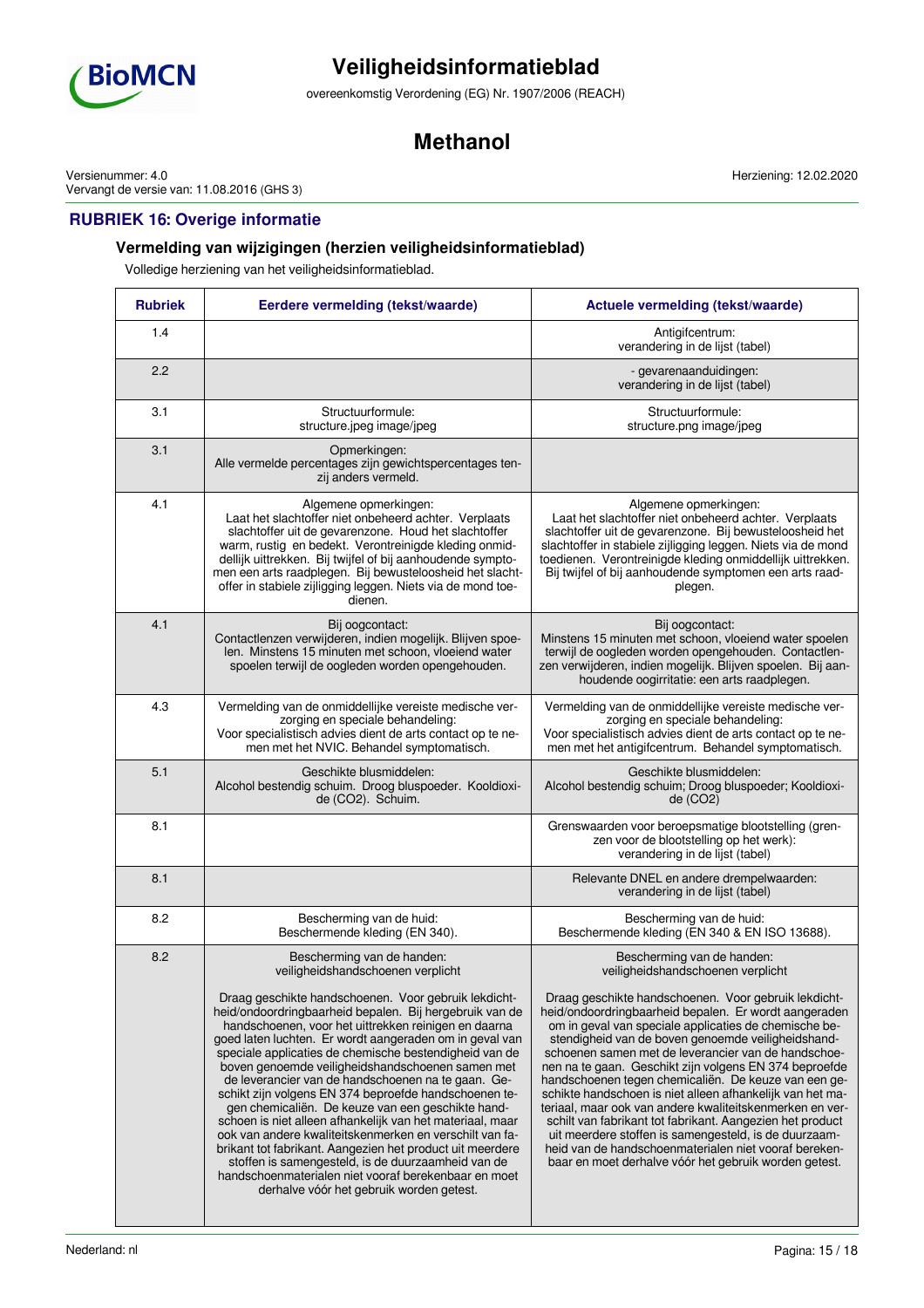

overeenkomstig Verordening (EG) Nr. 1907/2006 (REACH)

## **Methanol**

Versienummer: 4.0 Vervangt de versie van: 11.08.2016 (GHS 3)

## **RUBRIEK 16: Overige informatie**

## **Vermelding van wijzigingen (herzien veiligheidsinformatieblad)**

Volledige herziening van het veiligheidsinformatieblad.

| <b>Rubriek</b> | Eerdere vermelding (tekst/waarde)                                                                                                                                                                                                                                                                                                                                                                                                                                                                                                                                                                                                                                                                                                                                                                                                                                                                                                      | Actuele vermelding (tekst/waarde)                                                                                                                                                                                                                                                                                                                                                                                                                                                                                                                                                                                                                                                                                                                                                                                                         |  |
|----------------|----------------------------------------------------------------------------------------------------------------------------------------------------------------------------------------------------------------------------------------------------------------------------------------------------------------------------------------------------------------------------------------------------------------------------------------------------------------------------------------------------------------------------------------------------------------------------------------------------------------------------------------------------------------------------------------------------------------------------------------------------------------------------------------------------------------------------------------------------------------------------------------------------------------------------------------|-------------------------------------------------------------------------------------------------------------------------------------------------------------------------------------------------------------------------------------------------------------------------------------------------------------------------------------------------------------------------------------------------------------------------------------------------------------------------------------------------------------------------------------------------------------------------------------------------------------------------------------------------------------------------------------------------------------------------------------------------------------------------------------------------------------------------------------------|--|
| 1.4            |                                                                                                                                                                                                                                                                                                                                                                                                                                                                                                                                                                                                                                                                                                                                                                                                                                                                                                                                        | Antigifcentrum:<br>verandering in de lijst (tabel)                                                                                                                                                                                                                                                                                                                                                                                                                                                                                                                                                                                                                                                                                                                                                                                        |  |
| 2.2            |                                                                                                                                                                                                                                                                                                                                                                                                                                                                                                                                                                                                                                                                                                                                                                                                                                                                                                                                        | - gevarenaanduidingen:<br>verandering in de lijst (tabel)                                                                                                                                                                                                                                                                                                                                                                                                                                                                                                                                                                                                                                                                                                                                                                                 |  |
| 3.1            | Structuurformule:<br>structure.jpeg image/jpeg                                                                                                                                                                                                                                                                                                                                                                                                                                                                                                                                                                                                                                                                                                                                                                                                                                                                                         | Structuurformule:<br>structure.png image/jpeg                                                                                                                                                                                                                                                                                                                                                                                                                                                                                                                                                                                                                                                                                                                                                                                             |  |
| 3.1            | Opmerkingen:<br>Alle vermelde percentages zijn gewichtspercentages ten-<br>zij anders vermeld.                                                                                                                                                                                                                                                                                                                                                                                                                                                                                                                                                                                                                                                                                                                                                                                                                                         |                                                                                                                                                                                                                                                                                                                                                                                                                                                                                                                                                                                                                                                                                                                                                                                                                                           |  |
| 4.1            | Algemene opmerkingen:<br>Laat het slachtoffer niet onbeheerd achter. Verplaats<br>slachtoffer uit de gevarenzone. Houd het slachtoffer<br>warm, rustig en bedekt. Verontreinigde kleding onmid-<br>dellijk uittrekken. Bij twijfel of bij aanhoudende sympto-<br>men een arts raadplegen. Bij bewusteloosheid het slacht-<br>offer in stabiele zijligging leggen. Niets via de mond toe-<br>dienen.                                                                                                                                                                                                                                                                                                                                                                                                                                                                                                                                    | Algemene opmerkingen:<br>Laat het slachtoffer niet onbeheerd achter. Verplaats<br>slachtoffer uit de gevarenzone. Bij bewusteloosheid het<br>slachtoffer in stabiele zijligging leggen. Niets via de mond<br>toedienen. Verontreinigde kleding onmiddellijk uittrekken.<br>Bij twijfel of bij aanhoudende symptomen een arts raad-<br>plegen.                                                                                                                                                                                                                                                                                                                                                                                                                                                                                             |  |
| 4.1            | Bij oogcontact:<br>Contactlenzen verwijderen, indien mogelijk. Blijven spoe-<br>len. Minstens 15 minuten met schoon, vloeiend water<br>spoelen terwijl de oogleden worden opengehouden.                                                                                                                                                                                                                                                                                                                                                                                                                                                                                                                                                                                                                                                                                                                                                | Bij oogcontact:<br>Minstens 15 minuten met schoon, vloeiend water spoelen<br>terwijl de oogleden worden opengehouden. Contactlen-<br>zen verwijderen, indien mogelijk. Blijven spoelen. Bij aan-<br>houdende oogirritatie: een arts raadplegen.                                                                                                                                                                                                                                                                                                                                                                                                                                                                                                                                                                                           |  |
| 4.3            | Vermelding van de onmiddellijke vereiste medische ver-<br>zorging en speciale behandeling:<br>Voor specialistisch advies dient de arts contact op te ne-<br>men met het NVIC. Behandel symptomatisch.                                                                                                                                                                                                                                                                                                                                                                                                                                                                                                                                                                                                                                                                                                                                  | Vermelding van de onmiddellijke vereiste medische ver-<br>zorging en speciale behandeling:<br>Voor specialistisch advies dient de arts contact op te ne-<br>men met het antigifcentrum. Behandel symptomatisch.                                                                                                                                                                                                                                                                                                                                                                                                                                                                                                                                                                                                                           |  |
| 5.1            | Geschikte blusmiddelen:<br>Alcohol bestendig schuim. Droog bluspoeder. Kooldioxi-<br>de (CO2). Schuim.                                                                                                                                                                                                                                                                                                                                                                                                                                                                                                                                                                                                                                                                                                                                                                                                                                 | Geschikte blusmiddelen:<br>Alcohol bestendig schuim; Droog bluspoeder; Kooldioxi-<br>de (CO2)                                                                                                                                                                                                                                                                                                                                                                                                                                                                                                                                                                                                                                                                                                                                             |  |
| 8.1            |                                                                                                                                                                                                                                                                                                                                                                                                                                                                                                                                                                                                                                                                                                                                                                                                                                                                                                                                        | Grenswaarden voor beroepsmatige blootstelling (gren-<br>zen voor de blootstelling op het werk):<br>verandering in de lijst (tabel)                                                                                                                                                                                                                                                                                                                                                                                                                                                                                                                                                                                                                                                                                                        |  |
| 8.1            |                                                                                                                                                                                                                                                                                                                                                                                                                                                                                                                                                                                                                                                                                                                                                                                                                                                                                                                                        | Relevante DNEL en andere drempelwaarden:<br>verandering in de lijst (tabel)                                                                                                                                                                                                                                                                                                                                                                                                                                                                                                                                                                                                                                                                                                                                                               |  |
| 8.2            | Bescherming van de huid:<br>Beschermende kleding (EN 340).                                                                                                                                                                                                                                                                                                                                                                                                                                                                                                                                                                                                                                                                                                                                                                                                                                                                             | Bescherming van de huid:<br>Beschermende kleding (EN 340 & EN ISO 13688).                                                                                                                                                                                                                                                                                                                                                                                                                                                                                                                                                                                                                                                                                                                                                                 |  |
| 8.2            | Bescherming van de handen:<br>veiligheidshandschoenen verplicht<br>Draag geschikte handschoenen. Voor gebruik lekdicht-<br>heid/ondoordringbaarheid bepalen. Bij hergebruik van de<br>handschoenen, voor het uittrekken reinigen en daarna<br>goed laten luchten. Er wordt aangeraden om in geval van<br>speciale applicaties de chemische bestendigheid van de<br>boven genoemde veiligheidshandschoenen samen met<br>de leverancier van de handschoenen na te gaan. Ge-<br>schikt zijn volgens EN 374 beproefde handschoenen te-<br>gen chemicaliën. De keuze van een geschikte hand-<br>schoen is niet alleen afhankelijk van het materiaal, maar<br>ook van andere kwaliteitskenmerken en verschilt van fa-<br>brikant tot fabrikant. Aangezien het product uit meerdere<br>stoffen is samengesteld, is de duurzaamheid van de<br>handschoenmaterialen niet vooraf berekenbaar en moet<br>derhalve vóór het gebruik worden getest. | Bescherming van de handen:<br>veiligheidshandschoenen verplicht<br>Draag geschikte handschoenen. Voor gebruik lekdicht-<br>heid/ondoordringbaarheid bepalen. Er wordt aangeraden<br>om in geval van speciale applicaties de chemische be-<br>stendigheid van de boven genoemde veiligheidshand-<br>schoenen samen met de leverancier van de handschoe-<br>nen na te gaan. Geschikt zijn volgens EN 374 beproefde<br>handschoenen tegen chemicaliën. De keuze van een ge-<br>schikte handschoen is niet alleen afhankelijk van het ma-<br>teriaal, maar ook van andere kwaliteitskenmerken en ver-<br>schilt van fabrikant tot fabrikant. Aangezien het product<br>uit meerdere stoffen is samengesteld, is de duurzaam-<br>heid van de handschoenmaterialen niet vooraf bereken-<br>baar en moet derhalve vóór het gebruik worden getest. |  |

Herziening: 12.02.2020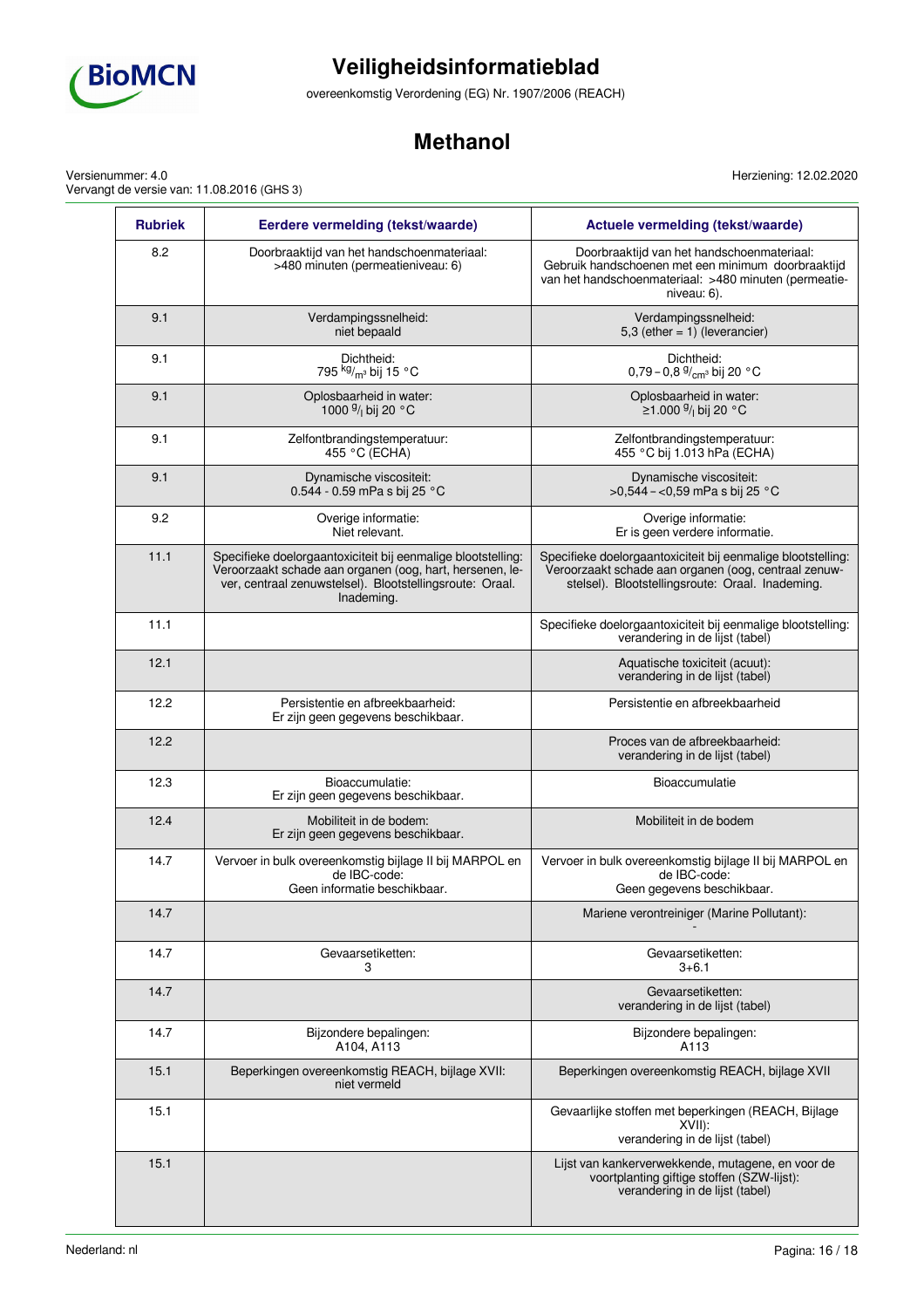

overeenkomstig Verordening (EG) Nr. 1907/2006 (REACH)

## **Methanol**

Herziening: 12.02.2020

Versienummer: 4.0 Vervangt de versie van: 11.08.2016 (GHS 3)

| <b>Rubriek</b> | Eerdere vermelding (tekst/waarde)                                                                                                                                                                  | Actuele vermelding (tekst/waarde)                                                                                                                                        |
|----------------|----------------------------------------------------------------------------------------------------------------------------------------------------------------------------------------------------|--------------------------------------------------------------------------------------------------------------------------------------------------------------------------|
| 8.2            | Doorbraaktijd van het handschoenmateriaal:<br>>480 minuten (permeatieniveau: 6)                                                                                                                    | Doorbraaktijd van het handschoenmateriaal:<br>Gebruik handschoenen met een minimum doorbraaktijd<br>van het handschoenmateriaal: >480 minuten (permeatie-<br>niveau: 6). |
| 9.1            | Verdampingssnelheid:<br>niet bepaald                                                                                                                                                               | Verdampingssnelheid:<br>5,3 (ether $= 1$ ) (leverancier)                                                                                                                 |
| 9.1            | Dichtheid:<br>795 kg/m <sup>3</sup> bij 15 °C                                                                                                                                                      | Dichtheid:<br>0,79 - 0,8 $\frac{9}{cm}$ bij 20 °C                                                                                                                        |
| 9.1            | Oplosbaarheid in water:<br>1000 <sup>g</sup> / <sub>l</sub> bij 20 °C                                                                                                                              | Oplosbaarheid in water:<br>≥1.000 <sup>g</sup> / <sub>l</sub> bij 20 °C                                                                                                  |
| 9.1            | Zelfontbrandingstemperatuur:<br>455 °C (ECHA)                                                                                                                                                      | Zelfontbrandingstemperatuur:<br>455 °C bij 1.013 hPa (ECHA)                                                                                                              |
| 9.1            | Dynamische viscositeit:<br>0.544 - 0.59 mPa s bij 25 °C                                                                                                                                            | Dynamische viscositeit:<br>>0,544 - <0,59 mPa s bij 25 °C                                                                                                                |
| 9.2            | Overige informatie:<br>Niet relevant.                                                                                                                                                              | Overige informatie:<br>Er is geen verdere informatie.                                                                                                                    |
| 11.1           | Specifieke doelorgaantoxiciteit bij eenmalige blootstelling:<br>Veroorzaakt schade aan organen (oog, hart, hersenen, le-<br>ver, centraal zenuwstelsel). Blootstellingsroute: Oraal.<br>Inademing. | Specifieke doelorgaantoxiciteit bij eenmalige blootstelling:<br>Veroorzaakt schade aan organen (oog, centraal zenuw-<br>stelsel). Blootstellingsroute: Oraal. Inademing. |
| 11.1           |                                                                                                                                                                                                    | Specifieke doelorgaantoxiciteit bij eenmalige blootstelling:<br>verandering in de lijst (tabel)                                                                          |
| 12.1           |                                                                                                                                                                                                    | Aquatische toxiciteit (acuut):<br>verandering in de lijst (tabel)                                                                                                        |
| 12.2           | Persistentie en afbreekbaarheid:<br>Er zijn geen gegevens beschikbaar.                                                                                                                             | Persistentie en afbreekbaarheid                                                                                                                                          |
| 12.2           |                                                                                                                                                                                                    | Proces van de afbreekbaarheid:<br>verandering in de lijst (tabel)                                                                                                        |
| 12.3           | Bioaccumulatie:<br>Er zijn geen gegevens beschikbaar.                                                                                                                                              | Bioaccumulatie                                                                                                                                                           |
| 12.4           | Mobiliteit in de bodem:<br>Er zijn geen gegevens beschikbaar.                                                                                                                                      | Mobiliteit in de bodem                                                                                                                                                   |
| 14.7           | Vervoer in bulk overeenkomstig bijlage II bij MARPOL en<br>de IBC-code:<br>Geen informatie beschikbaar.                                                                                            | Vervoer in bulk overeenkomstig bijlage II bij MARPOL en<br>de IBC-code:<br>Geen gegevens beschikbaar.                                                                    |
| 14.7           |                                                                                                                                                                                                    | Mariene verontreiniger (Marine Pollutant):                                                                                                                               |
| 14.7           | Gevaarsetiketten:<br>3                                                                                                                                                                             | Gevaarsetiketten:<br>$3 + 6.1$                                                                                                                                           |
| 14.7           |                                                                                                                                                                                                    | Gevaarsetiketten:<br>verandering in de lijst (tabel)                                                                                                                     |
| 14.7           | Bijzondere bepalingen:<br>A104, A113                                                                                                                                                               | Bijzondere bepalingen:<br>A113                                                                                                                                           |
| 15.1           | Beperkingen overeenkomstig REACH, bijlage XVII:<br>niet vermeld                                                                                                                                    | Beperkingen overeenkomstig REACH, bijlage XVII                                                                                                                           |
| 15.1           |                                                                                                                                                                                                    | Gevaarlijke stoffen met beperkingen (REACH, Bijlage<br>XVIII:<br>verandering in de lijst (tabel)                                                                         |
| 15.1           |                                                                                                                                                                                                    | Lijst van kankerverwekkende, mutagene, en voor de<br>voortplanting giftige stoffen (SZW-lijst):<br>verandering in de lijst (tabel)                                       |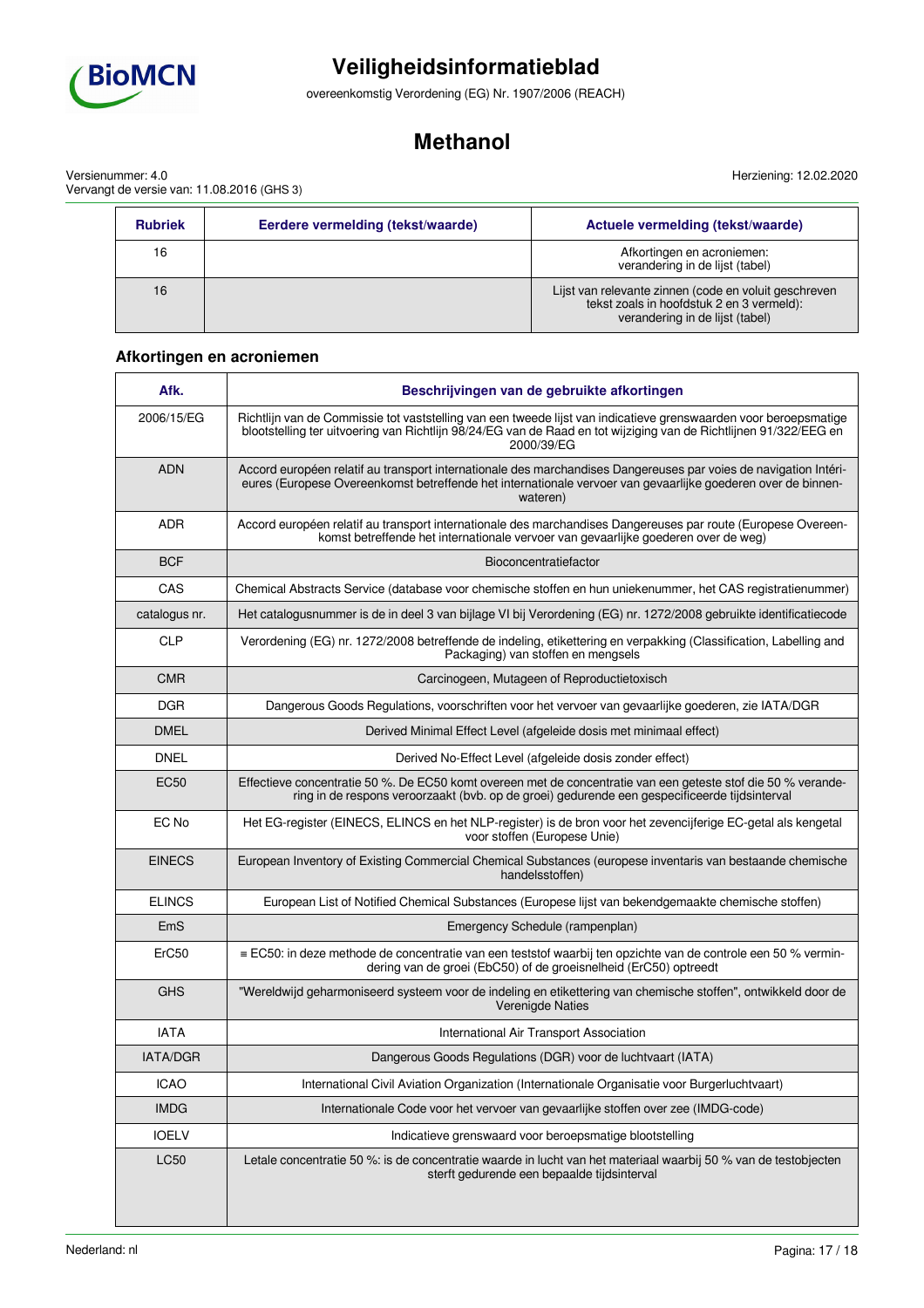

overeenkomstig Verordening (EG) Nr. 1907/2006 (REACH)

## **Methanol**

Versienummer: 4.0 Vervangt de versie van: 11.08.2016 (GHS 3)

| Herziening: 12.02.2020 |
|------------------------|
|                        |
|                        |

| <b>Rubriek</b> | Eerdere vermelding (tekst/waarde) | Actuele vermelding (tekst/waarde)                                                                                                     |
|----------------|-----------------------------------|---------------------------------------------------------------------------------------------------------------------------------------|
| 16             |                                   | Afkortingen en acroniemen:<br>verandering in de lijst (tabel)                                                                         |
| 16             |                                   | Lijst van relevante zinnen (code en voluit geschreven<br>tekst zoals in hoofdstuk 2 en 3 vermeld):<br>verandering in de lijst (tabel) |

## **Afkortingen en acroniemen**

| Afk.            | Beschrijvingen van de gebruikte afkortingen                                                                                                                                                                                                         |
|-----------------|-----------------------------------------------------------------------------------------------------------------------------------------------------------------------------------------------------------------------------------------------------|
| 2006/15/EG      | Richtlijn van de Commissie tot vaststelling van een tweede lijst van indicatieve grenswaarden voor beroepsmatige<br>blootstelling ter uitvoering van Richtlijn 98/24/EG van de Raad en tot wijziging van de Richtlijnen 91/322/EEG en<br>2000/39/EG |
| <b>ADN</b>      | Accord européen relatif au transport internationale des marchandises Dangereuses par voies de navigation Intéri-<br>eures (Europese Overeenkomst betreffende het internationale vervoer van gevaarlijke goederen over de binnen-<br>wateren)        |
| <b>ADR</b>      | Accord européen relatif au transport internationale des marchandises Dangereuses par route (Europese Overeen-<br>komst betreffende het internationale vervoer van gevaarlijke goederen over de weg)                                                 |
| <b>BCF</b>      | Bioconcentratiefactor                                                                                                                                                                                                                               |
| CAS             | Chemical Abstracts Service (database voor chemische stoffen en hun uniekenummer, het CAS registratienummer)                                                                                                                                         |
| catalogus nr.   | Het catalogusnummer is de in deel 3 van bijlage VI bij Verordening (EG) nr. 1272/2008 gebruikte identificatiecode                                                                                                                                   |
| <b>CLP</b>      | Verordening (EG) nr. 1272/2008 betreffende de indeling, etikettering en verpakking (Classification, Labelling and<br>Packaging) van stoffen en mengsels                                                                                             |
| <b>CMR</b>      | Carcinogeen, Mutageen of Reproductietoxisch                                                                                                                                                                                                         |
| <b>DGR</b>      | Dangerous Goods Regulations, voorschriften voor het vervoer van gevaarlijke goederen, zie IATA/DGR                                                                                                                                                  |
| <b>DMEL</b>     | Derived Minimal Effect Level (afgeleide dosis met minimaal effect)                                                                                                                                                                                  |
| <b>DNEL</b>     | Derived No-Effect Level (afgeleide dosis zonder effect)                                                                                                                                                                                             |
| <b>EC50</b>     | Effectieve concentratie 50 %. De EC50 komt overeen met de concentratie van een geteste stof die 50 % verande-<br>ring in de respons veroorzaakt (bvb. op de groei) gedurende een gespecificeerde tijdsinterval                                      |
| EC No           | Het EG-register (EINECS, ELINCS en het NLP-register) is de bron voor het zevencijferige EC-getal als kengetal<br>voor stoffen (Europese Unie)                                                                                                       |
| <b>EINECS</b>   | European Inventory of Existing Commercial Chemical Substances (europese inventaris van bestaande chemische<br>handelsstoffen)                                                                                                                       |
| <b>ELINCS</b>   | European List of Notified Chemical Substances (Europese lijst van bekendgemaakte chemische stoffen)                                                                                                                                                 |
| EmS             | Emergency Schedule (rampenplan)                                                                                                                                                                                                                     |
| ErC50           | $\equiv$ EC50: in deze methode de concentratie van een teststof waarbij ten opzichte van de controle een 50 % vermin-<br>dering van de groei (EbC50) of de groeisnelheid (ErC50) optreedt                                                           |
| <b>GHS</b>      | "Wereldwijd geharmoniseerd systeem voor de indeling en etikettering van chemische stoffen", ontwikkeld door de<br>Verenigde Naties                                                                                                                  |
| <b>IATA</b>     | International Air Transport Association                                                                                                                                                                                                             |
| <b>IATA/DGR</b> | Dangerous Goods Regulations (DGR) voor de luchtvaart (IATA)                                                                                                                                                                                         |
| <b>ICAO</b>     | International Civil Aviation Organization (Internationale Organisatie voor Burgerluchtvaart)                                                                                                                                                        |
| <b>IMDG</b>     | Internationale Code voor het vervoer van gevaarlijke stoffen over zee (IMDG-code)                                                                                                                                                                   |
| <b>IOELV</b>    | Indicatieve grenswaard voor beroepsmatige blootstelling                                                                                                                                                                                             |
| <b>LC50</b>     | Letale concentratie 50 %: is de concentratie waarde in lucht van het materiaal waarbij 50 % van de testobjecten<br>sterft gedurende een bepaalde tijdsinterval                                                                                      |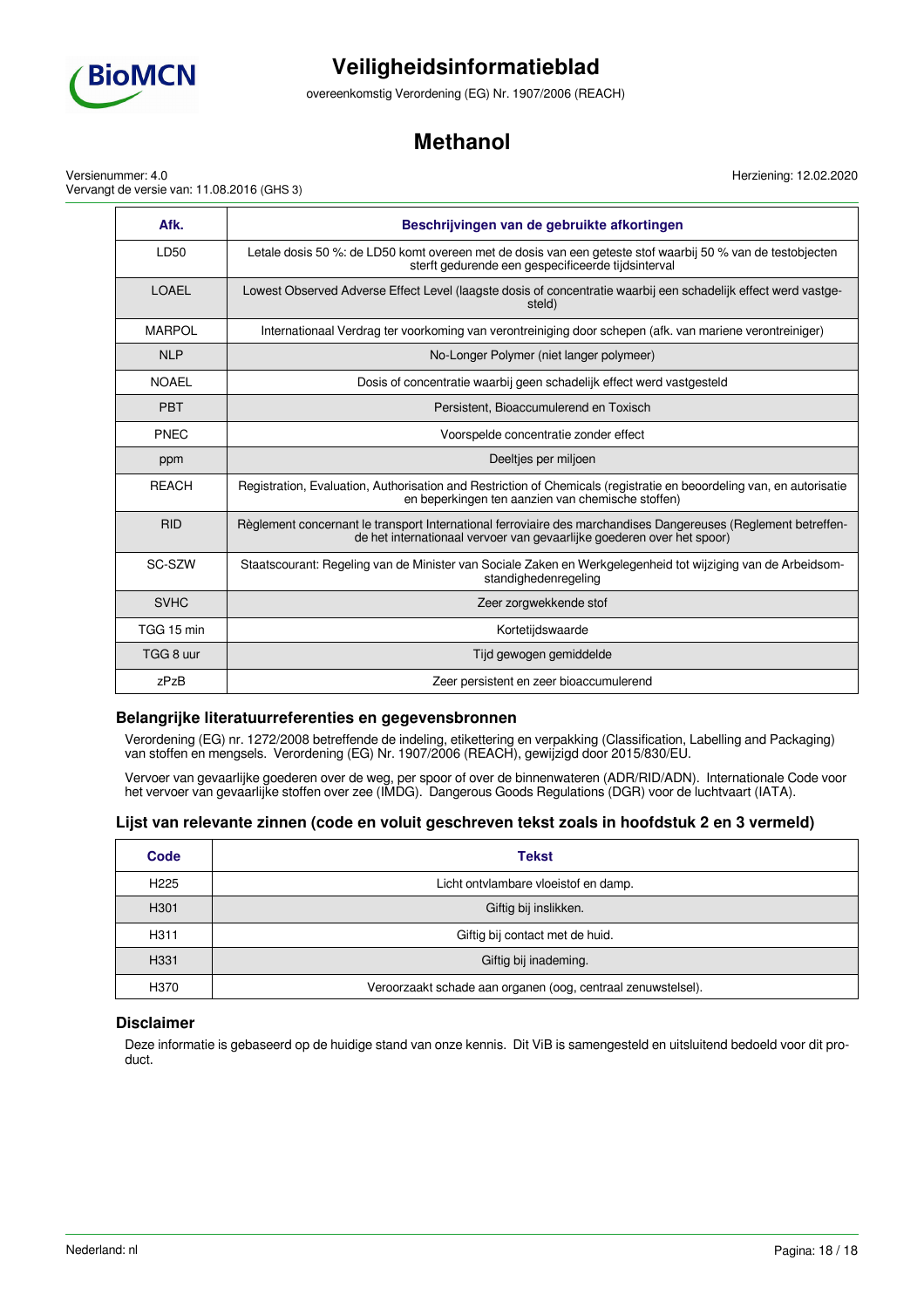

overeenkomstig Verordening (EG) Nr. 1907/2006 (REACH)

## **Methanol**

Versienummer: 4.0 Vervangt de versie van: 11.08.2016 (GHS 3)

| Afk.          | Beschrijvingen van de gebruikte afkortingen                                                                                                                                              |
|---------------|------------------------------------------------------------------------------------------------------------------------------------------------------------------------------------------|
| <b>ID50</b>   | Letale dosis 50 %: de LD50 komt overeen met de dosis van een geteste stof waarbij 50 % van de testobjecten<br>sterft gedurende een gespecificeerde tijdsinterval                         |
| <b>LOAFL</b>  | Lowest Observed Adverse Effect Level (laagste dosis of concentratie waarbij een schadelijk effect werd vastge-<br>steld)                                                                 |
| <b>MARPOL</b> | Internationaal Verdrag ter voorkoming van verontreiniging door schepen (afk. van mariene verontreiniger)                                                                                 |
| <b>NLP</b>    | No-Longer Polymer (niet langer polymeer)                                                                                                                                                 |
| <b>NOAEL</b>  | Dosis of concentratie waarbij geen schadelijk effect werd vastgesteld                                                                                                                    |
| <b>PBT</b>    | Persistent, Bioaccumulerend en Toxisch                                                                                                                                                   |
| <b>PNFC</b>   | Voorspelde concentratie zonder effect                                                                                                                                                    |
| ppm           | Deeltjes per miljoen                                                                                                                                                                     |
| <b>REACH</b>  | Registration, Evaluation, Authorisation and Restriction of Chemicals (registratie en beoordeling van, en autorisatie<br>en beperkingen ten aanzien van chemische stoffen)                |
| <b>RID</b>    | Règlement concernant le transport International ferroviaire des marchandises Dangereuses (Reglement betreffen-<br>de het internationaal vervoer van gevaarlijke goederen over het spoor) |
| SC-SZW        | Staatscourant: Regeling van de Minister van Sociale Zaken en Werkgelegenheid tot wijziging van de Arbeidsom-<br>standighedenregeling                                                     |
| <b>SVHC</b>   | Zeer zorgwekkende stof                                                                                                                                                                   |
| TGG 15 min    | Kortetijdswaarde                                                                                                                                                                         |
| TGG 8 uur     | Tijd gewogen gemiddelde                                                                                                                                                                  |
| zPzB          | Zeer persistent en zeer bioaccumulerend                                                                                                                                                  |

### **Belangrijke literatuurreferenties en gegevensbronnen**

Verordening (EG) nr. 1272/2008 betreffende de indeling, etikettering en verpakking (Classification, Labelling and Packaging) van stoffen en mengsels. Verordening (EG) Nr. 1907/2006 (REACH), gewijzigd door 2015/830/EU.

Vervoer van gevaarlijke goederen over de weg, per spoor of over de binnenwateren (ADR/RID/ADN). Internationale Code voor het vervoer van gevaarlijke stoffen over zee (IMDG). Dangerous Goods Regulations (DGR) voor de luchtvaart (IATA).

### **Lijst van relevante zinnen (code en voluit geschreven tekst zoals in hoofdstuk 2 en 3 vermeld)**

| Code             | <b>Tekst</b>                                                 |
|------------------|--------------------------------------------------------------|
| H <sub>225</sub> | Licht ontvlambare vloeistof en damp.                         |
| H301             | Giftig bij inslikken.                                        |
| H311             | Giftig bij contact met de huid.                              |
| H <sub>331</sub> | Giftig bij inademing.                                        |
| H <sub>370</sub> | Veroorzaakt schade aan organen (oog, centraal zenuwstelsel). |

### **Disclaimer**

Deze informatie is gebaseerd op de huidige stand van onze kennis. Dit ViB is samengesteld en uitsluitend bedoeld voor dit product.

Herziening: 12.02.2020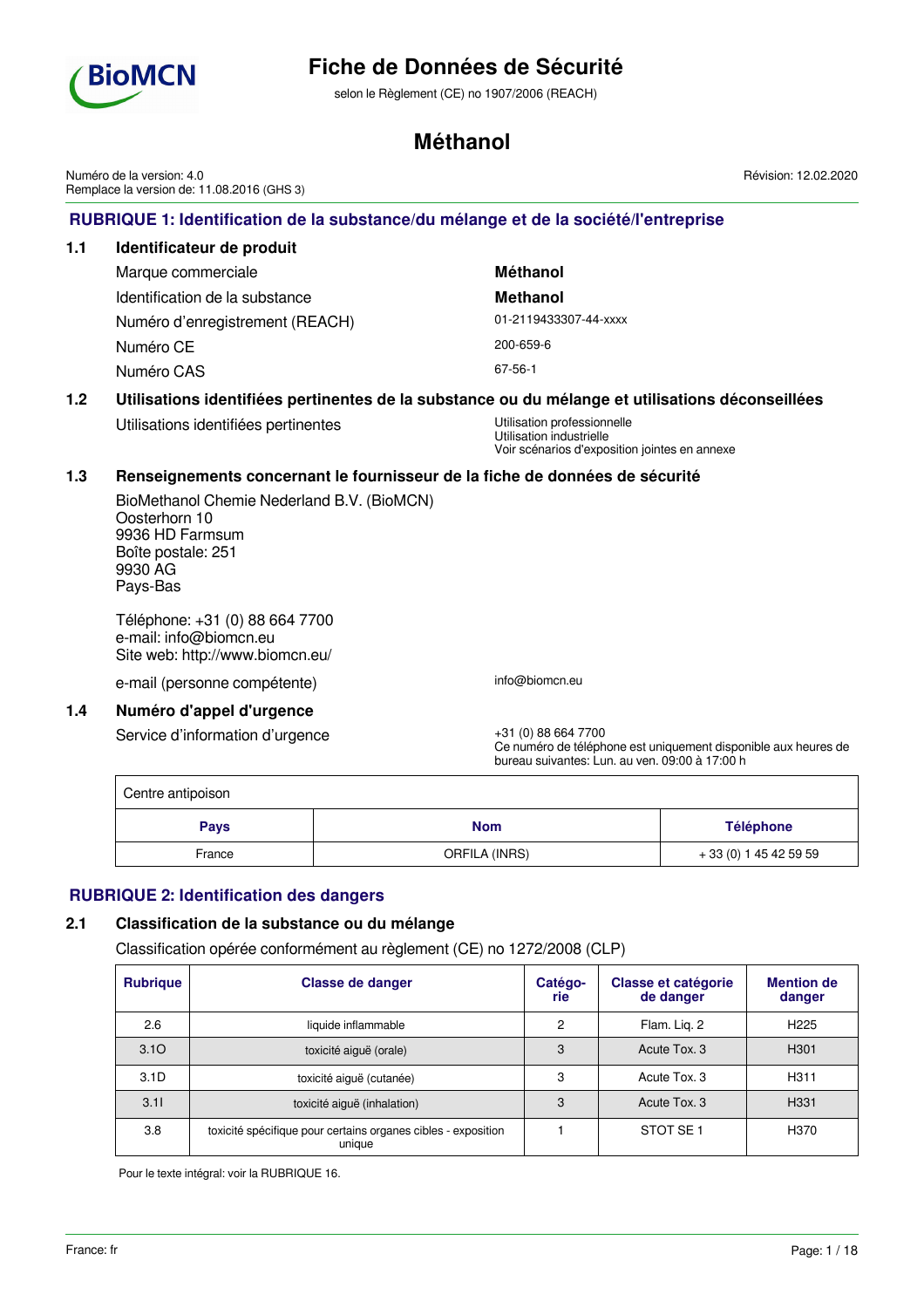

selon le Règlement (CE) no 1907/2006 (REACH)

## **Méthanol**

**RUBRIQUE 1: Identification de la substance/du mélange et de la société/l'entreprise 1.1 Identificateur de produit** Marque commerciale **Méthanol** Identification de la substance **Methanol** Numéro d'enregistrement (REACH) 01-2119433307-44-xxxx Numéro CE 200-659-6 Numéro CAS 67-56-1 **1.2 Utilisations identifiées pertinentes de la substance ou du mélange et utilisations déconseillées** Utilisations identifiées pertinentes **Utilisation professionnelle** Utilisation industrielle Voir scénarios d'exposition jointes en annexe **1.3 Renseignements concernant le fournisseur de la fiche de données de sécurité** BioMethanol Chemie Nederland B.V. (BioMCN) Oosterhorn 10 9936 HD Farmsum Boîte postale: 251 9930 AG Pays-Bas Téléphone: +31 (0) 88 664 7700 e-mail: info@biomcn.eu Site web: http://www.biomcn.eu/ e-mail (personne compétente) info@biomcn.eu **1.4 Numéro d'appel d'urgence** Service d'information d'urgence  $+31$  (0) 88 664 7700 Ce numéro de téléphone est uniquement disponible aux heures de bureau suivantes: Lun. au ven. 09:00 à 17:00 h Centre antipoison **Pays Nom Nom Nom Téléphone** France **CRELA (INRS)** + 33 (0) 1 45 42 59 59 **RUBRIQUE 2: Identification des dangers 2.1 Classification de la substance ou du mélange** Classification opérée conformément au règlement (CE) no 1272/2008 (CLP) **Rubrique Classe de danger Catégo-Classe et catégorie Mention de** Numéro de la version: 4.0 Remplace la version de: 11.08.2016 (GHS 3) Révision: 12.02.2020

| <b>Rubrique</b>  | Classe de danger                                                        | Catego-<br>rie | Classe et categorie<br>de danger | <b>Mention de</b><br>danger |
|------------------|-------------------------------------------------------------------------|----------------|----------------------------------|-----------------------------|
| 2.6              | liquide inflammable                                                     | 2              | Flam. Lig. 2                     | H <sub>225</sub>            |
| 3.10             | toxicité aiguë (orale)                                                  | 3              | Acute Tox, 3                     | H <sub>301</sub>            |
| 3.1 <sub>D</sub> | toxicité aiguë (cutanée)                                                | 3              | Acute Tox, 3                     | H311                        |
| 3.11             | toxicité aiguë (inhalation)                                             | 3              | Acute Tox, 3                     | H <sub>331</sub>            |
| 3.8              | toxicité spécifique pour certains organes cibles - exposition<br>unique |                | STOT SE <sub>1</sub>             | H370                        |

Pour le texte intégral: voir la RUBRIQUE 16.

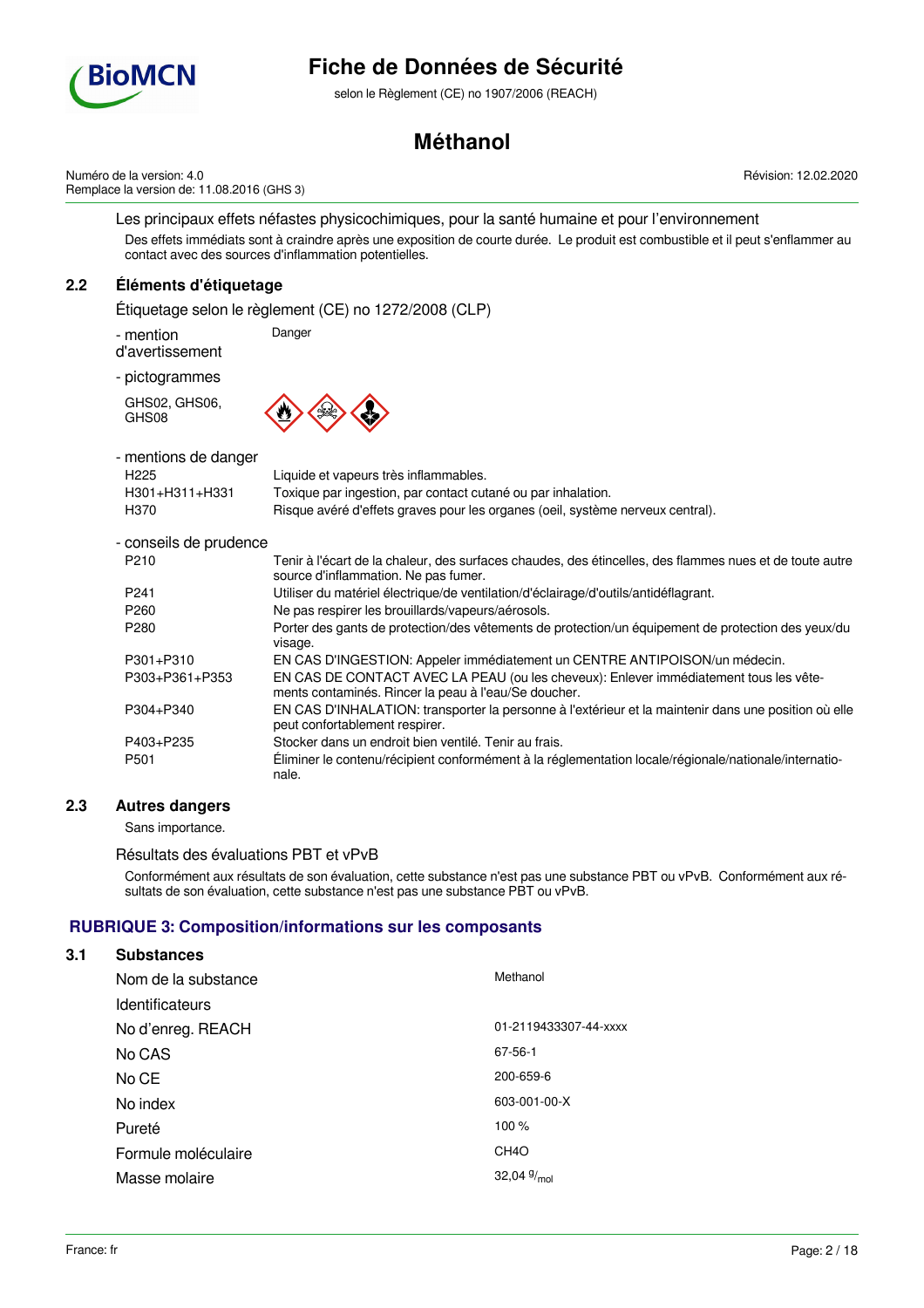

selon le Règlement (CE) no 1907/2006 (REACH)

# **Méthanol**

Numéro de la version: 4.0 Remplace la version de: 11.08.2016 (GHS 3) Révision: 12.02.2020

Les principaux effets néfastes physicochimiques, pour la santé humaine et pour l'environnement Des effets immédiats sont à craindre après une exposition de courte durée. Le produit est combustible et il peut s'enflammer au contact avec des sources d'inflammation potentielles.

# **2.2 Éléments d'étiquetage**

Étiquetage selon le règlement (CE) no 1272/2008 (CLP)

- mention Danger

d'avertissement

- pictogrammes

GHS02, GHS06, GHS08



| - mentions de danger<br>H <sub>225</sub><br>H301+H311+H331<br>H370 | Liquide et vapeurs très inflammables.<br>Toxique par ingestion, par contact cutané ou par inhalation.<br>Risque avéré d'effets graves pour les organes (oeil, système nerveux central). |
|--------------------------------------------------------------------|-----------------------------------------------------------------------------------------------------------------------------------------------------------------------------------------|
| - conseils de prudence                                             |                                                                                                                                                                                         |
| P <sub>210</sub>                                                   | Tenir à l'écart de la chaleur, des surfaces chaudes, des étincelles, des flammes nues et de toute autre<br>source d'inflammation. Ne pas fumer.                                         |
| P <sub>241</sub>                                                   | Utiliser du matériel électrique/de ventilation/d'éclairage/d'outils/antidéflagrant.                                                                                                     |
| P <sub>260</sub>                                                   | Ne pas respirer les brouillards/vapeurs/aérosols.                                                                                                                                       |
| P <sub>280</sub>                                                   | Porter des gants de protection/des vêtements de protection/un équipement de protection des yeux/du<br>visage.                                                                           |
| P301+P310                                                          | EN CAS D'INGESTION: Appeler immédiatement un CENTRE ANTIPOISON/un médecin.                                                                                                              |
| P303+P361+P353                                                     | EN CAS DE CONTACT AVEC LA PEAU (ou les cheveux): Enlever immédiatement tous les vête-<br>ments contaminés. Rincer la peau à l'eau/Se doucher.                                           |
| P304+P340                                                          | EN CAS D'INHALATION: transporter la personne à l'extérieur et la maintenir dans une position où elle<br>peut confortablement respirer.                                                  |
| P403+P235                                                          | Stocker dans un endroit bien ventilé. Tenir au frais.                                                                                                                                   |
| P <sub>501</sub>                                                   | Éliminer le contenu/récipient conformément à la réglementation locale/régionale/nationale/internatio-<br>nale.                                                                          |

# **2.3 Autres dangers**

Sans importance.

Résultats des évaluations PBT et vPvB

Conformément aux résultats de son évaluation, cette substance n'est pas une substance PBT ou vPvB. Conformément aux résultats de son évaluation, cette substance n'est pas une substance PBT ou vPvB.

# **RUBRIQUE 3: Composition/informations sur les composants**

### **3.1 Substances**

| Nom de la substance | Methanol              |
|---------------------|-----------------------|
| Identificateurs     |                       |
| No d'enreg. REACH   | 01-2119433307-44-xxxx |
| No CAS              | 67-56-1               |
| No CE               | 200-659-6             |
| No index            | 603-001-00-X          |
| Pureté              | 100 %                 |
| Formule moléculaire | CH <sub>4</sub> O     |
| Masse molaire       | 32,04 $\frac{9}{mol}$ |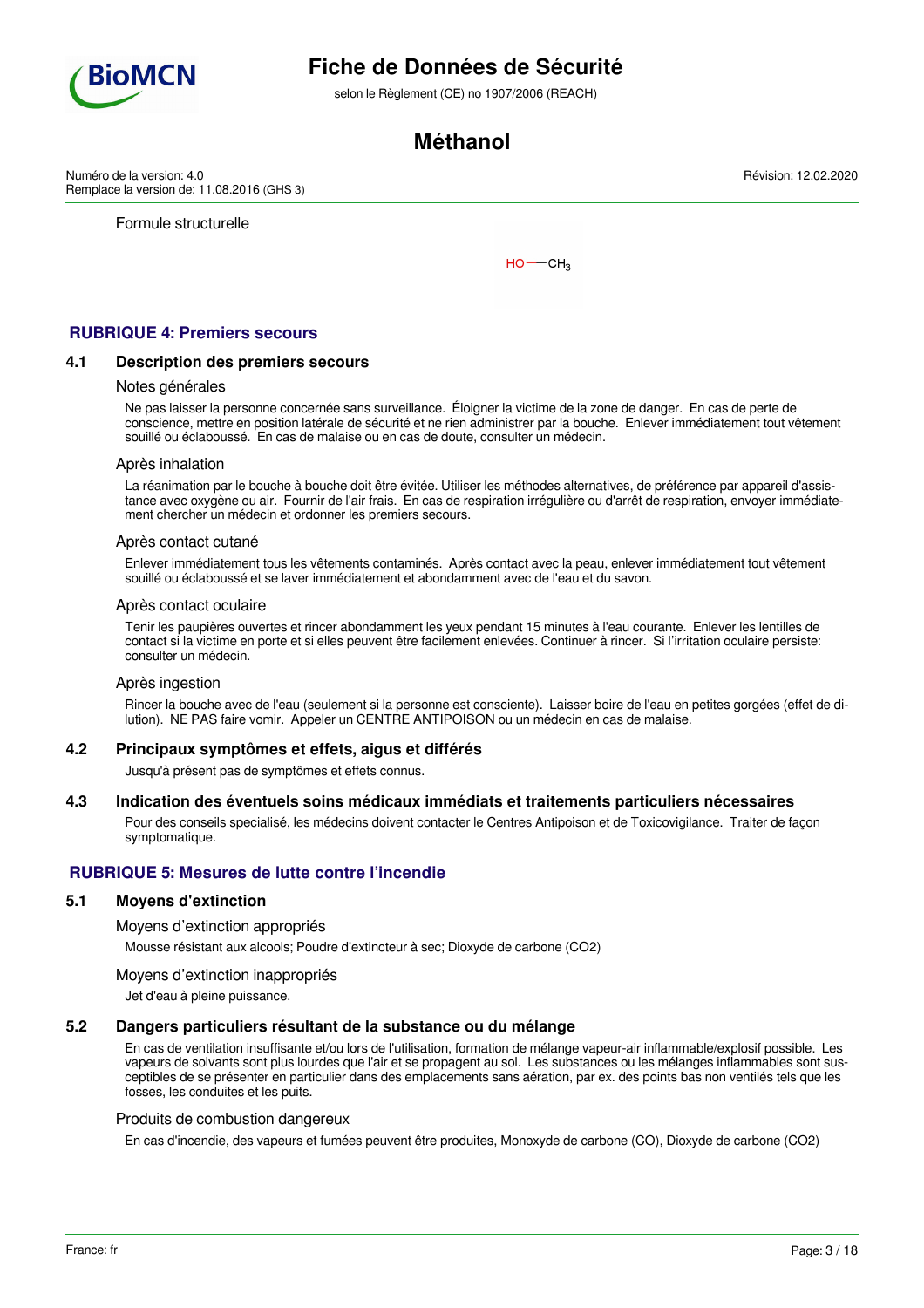

selon le Règlement (CE) no 1907/2006 (REACH)

# **Méthanol**

Numéro de la version: 4.0 Remplace la version de: 11.08.2016 (GHS 3)

Formule structurelle

 $HO$  ––  $CH<sub>3</sub>$ 

# **RUBRIQUE 4: Premiers secours**

### **4.1 Description des premiers secours**

#### Notes générales

Ne pas laisser la personne concernée sans surveillance. Éloigner la victime de la zone de danger. En cas de perte de conscience, mettre en position latérale de sécurité et ne rien administrer par la bouche. Enlever immédiatement tout vêtement souillé ou éclaboussé. En cas de malaise ou en cas de doute, consulter un médecin.

#### Après inhalation

La réanimation par le bouche à bouche doit être évitée. Utiliser les méthodes alternatives, de préférence par appareil d'assistance avec oxygène ou air. Fournir de l'air frais. En cas de respiration irrégulière ou d'arrêt de respiration, envoyer immédiatement chercher un médecin et ordonner les premiers secours.

#### Après contact cutané

Enlever immédiatement tous les vêtements contaminés. Après contact avec la peau, enlever immédiatement tout vêtement souillé ou éclaboussé et se laver immédiatement et abondamment avec de l'eau et du savon.

#### Après contact oculaire

Tenir les paupières ouvertes et rincer abondamment les yeux pendant 15 minutes à l'eau courante. Enlever les lentilles de contact si la victime en porte et si elles peuvent être facilement enlevées. Continuer à rincer. Si l'irritation oculaire persiste: consulter un médecin.

#### Après ingestion

Rincer la bouche avec de l'eau (seulement si la personne est consciente). Laisser boire de l'eau en petites gorgées (effet de dilution). NE PAS faire vomir. Appeler un CENTRE ANTIPOISON ou un médecin en cas de malaise.

#### **4.2 Principaux symptômes et effets, aigus et différés**

Jusqu'à présent pas de symptômes et effets connus.

#### **4.3 Indication des éventuels soins médicaux immédiats et traitements particuliers nécessaires**

Pour des conseils specialisé, les médecins doivent contacter le Centres Antipoison et de Toxicovigilance. Traiter de façon symptomatique.

## **RUBRIQUE 5: Mesures de lutte contre l'incendie**

## **5.1 Moyens d'extinction**

#### Moyens d'extinction appropriés

Mousse résistant aux alcools; Poudre d'extincteur à sec; Dioxyde de carbone (CO2)

#### Moyens d'extinction inappropriés

Jet d'eau à pleine puissance.

### **5.2 Dangers particuliers résultant de la substance ou du mélange**

En cas de ventilation insuffisante et/ou lors de l'utilisation, formation de mélange vapeur-air inflammable/explosif possible. Les vapeurs de solvants sont plus lourdes que l'air et se propagent au sol. Les substances ou les mélanges inflammables sont susceptibles de se présenter en particulier dans des emplacements sans aération, par ex. des points bas non ventilés tels que les fosses, les conduites et les puits.

#### Produits de combustion dangereux

En cas d'incendie, des vapeurs et fumées peuvent être produites, Monoxyde de carbone (CO), Dioxyde de carbone (CO2)

Révision: 12.02.2020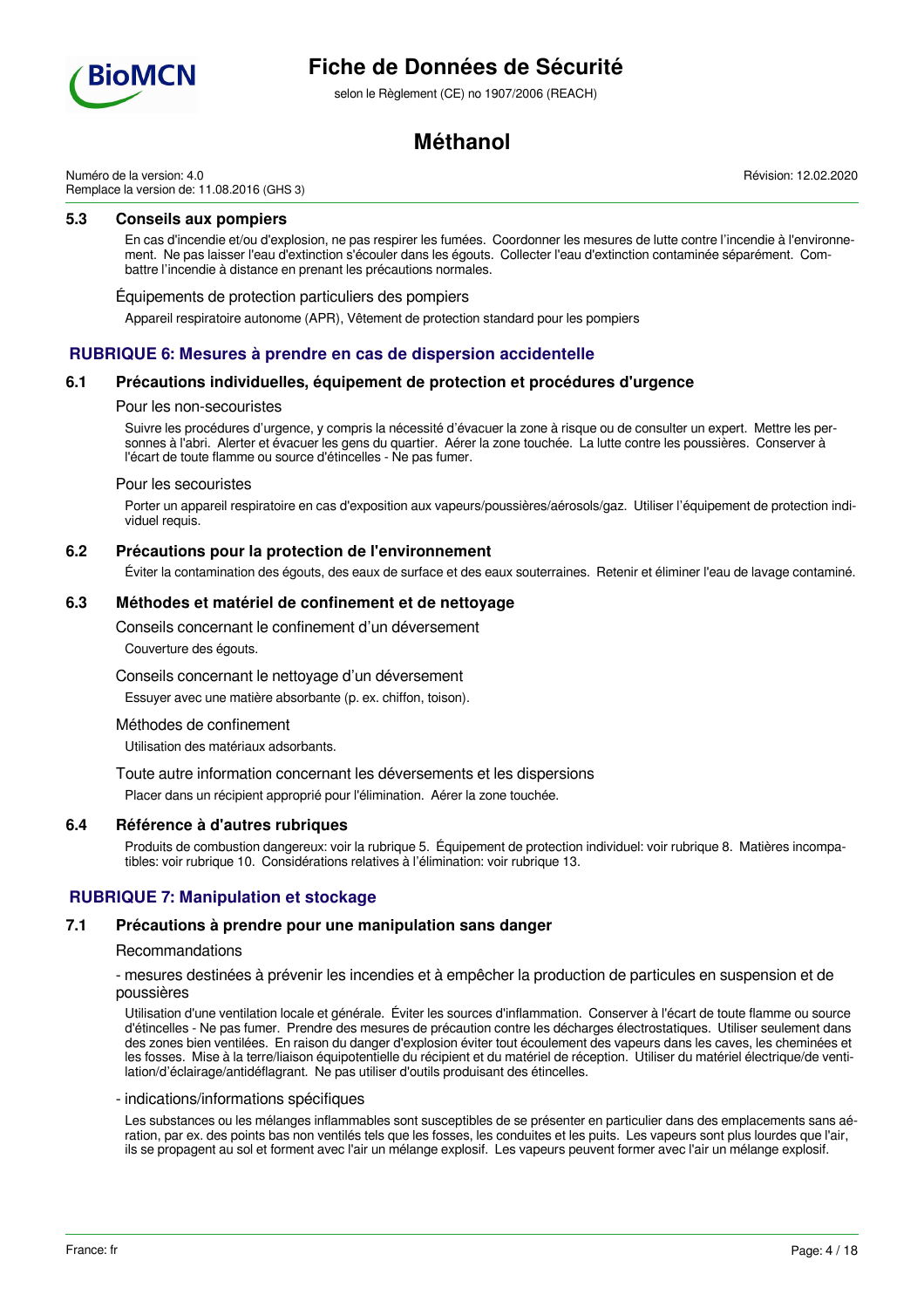

selon le Règlement (CE) no 1907/2006 (REACH)

# **Méthanol**

Numéro de la version: 4.0 Remplace la version de: 11.08.2016 (GHS 3)

## **5.3 Conseils aux pompiers**

En cas d'incendie et/ou d'explosion, ne pas respirer les fumées. Coordonner les mesures de lutte contre l'incendie à l'environnement. Ne pas laisser l'eau d'extinction s'écouler dans les égouts. Collecter l'eau d'extinction contaminée séparément. Combattre l'incendie à distance en prenant les précautions normales.

#### Équipements de protection particuliers des pompiers

Appareil respiratoire autonome (APR), Vêtement de protection standard pour les pompiers

## **RUBRIQUE 6: Mesures à prendre en cas de dispersion accidentelle**

### **6.1 Précautions individuelles, équipement de protection et procédures d'urgence**

#### Pour les non-secouristes

Suivre les procédures d'urgence, y compris la nécessité d'évacuer la zone à risque ou de consulter un expert. Mettre les personnes à l'abri. Alerter et évacuer les gens du quartier. Aérer la zone touchée. La lutte contre les poussières. Conserver à l'écart de toute flamme ou source d'étincelles - Ne pas fumer.

#### Pour les secouristes

Porter un appareil respiratoire en cas d'exposition aux vapeurs/poussières/aérosols/gaz. Utiliser l'équipement de protection individuel requis.

## **6.2 Précautions pour la protection de l'environnement**

Éviter la contamination des égouts, des eaux de surface et des eaux souterraines. Retenir et éliminer l'eau de lavage contaminé.

### **6.3 Méthodes et matériel de confinement et de nettoyage**

Conseils concernant le confinement d'un déversement

Couverture des égouts.

Conseils concernant le nettoyage d'un déversement

Essuyer avec une matière absorbante (p. ex. chiffon, toison).

### Méthodes de confinement

Utilisation des matériaux adsorbants.

Toute autre information concernant les déversements et les dispersions

Placer dans un récipient approprié pour l'élimination. Aérer la zone touchée.

### **6.4 Référence à d'autres rubriques**

Produits de combustion dangereux: voir la rubrique 5. Équipement de protection individuel: voir rubrique 8. Matières incompatibles: voir rubrique 10. Considérations relatives à l'élimination: voir rubrique 13.

## **RUBRIQUE 7: Manipulation et stockage**

### **7.1 Précautions à prendre pour une manipulation sans danger**

#### Recommandations

- mesures destinées à prévenir les incendies et à empêcher la production de particules en suspension et de poussières

Utilisation d'une ventilation locale et générale. Éviter les sources d'inflammation. Conserver à l'écart de toute flamme ou source d'étincelles - Ne pas fumer. Prendre des mesures de précaution contre les décharges électrostatiques. Utiliser seulement dans des zones bien ventilées. En raison du danger d'explosion éviter tout écoulement des vapeurs dans les caves, les cheminées et les fosses. Mise à la terre/liaison équipotentielle du récipient et du matériel de réception. Utiliser du matériel électrique/de ventilation/d'éclairage/antidéflagrant. Ne pas utiliser d'outils produisant des étincelles.

#### - indications/informations spécifiques

Les substances ou les mélanges inflammables sont susceptibles de se présenter en particulier dans des emplacements sans aération, par ex. des points bas non ventilés tels que les fosses, les conduites et les puits. Les vapeurs sont plus lourdes que l'air, ils se propagent au sol et forment avec l'air un mélange explosif. Les vapeurs peuvent former avec l'air un mélange explosif.

Révision: 12.02.2020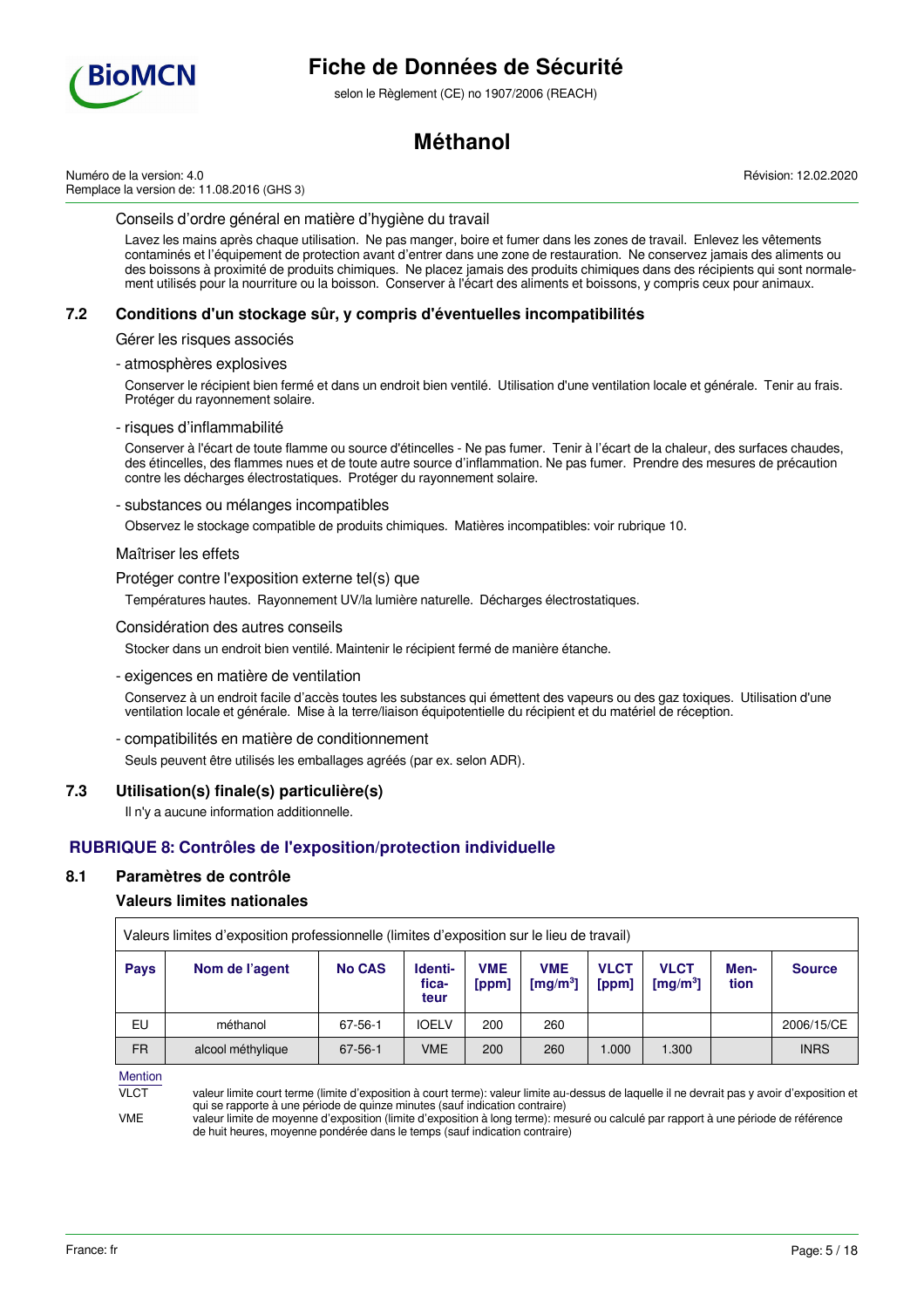

selon le Règlement (CE) no 1907/2006 (REACH)

# **Méthanol**

Numéro de la version: 4.0 Remplace la version de: 11.08.2016 (GHS 3) Révision: 12.02.2020

### Conseils d'ordre général en matière d'hygiène du travail

Lavez les mains après chaque utilisation. Ne pas manger, boire et fumer dans les zones de travail. Enlevez les vêtements contaminés et l'équipement de protection avant d'entrer dans une zone de restauration. Ne conservez jamais des aliments ou des boissons à proximité de produits chimiques. Ne placez jamais des produits chimiques dans des récipients qui sont normalement utilisés pour la nourriture ou la boisson. Conserver à l'écart des aliments et boissons, y compris ceux pour animaux.

## **7.2 Conditions d'un stockage sûr, y compris d'éventuelles incompatibilités**

Gérer les risques associés

- atmosphères explosives

Conserver le récipient bien fermé et dans un endroit bien ventilé. Utilisation d'une ventilation locale et générale. Tenir au frais. Protéger du rayonnement solaire.

#### - risques d'inflammabilité

Conserver à l'écart de toute flamme ou source d'étincelles - Ne pas fumer. Tenir à l'écart de la chaleur, des surfaces chaudes, des étincelles, des flammes nues et de toute autre source d'inflammation. Ne pas fumer. Prendre des mesures de précaution contre les décharges électrostatiques. Protéger du rayonnement solaire.

#### - substances ou mélanges incompatibles

Observez le stockage compatible de produits chimiques. Matières incompatibles: voir rubrique 10.

#### Maîtriser les effets

Protéger contre l'exposition externe tel(s) que

Températures hautes. Rayonnement UV/la lumière naturelle. Décharges électrostatiques.

#### Considération des autres conseils

Stocker dans un endroit bien ventilé. Maintenir le récipient fermé de manière étanche.

#### - exigences en matière de ventilation

Conservez à un endroit facile d'accès toutes les substances qui émettent des vapeurs ou des gaz toxiques. Utilisation d'une ventilation locale et générale. Mise à la terre/liaison équipotentielle du récipient et du matériel de réception.

#### - compatibilités en matière de conditionnement

Seuls peuvent être utilisés les emballages agréés (par ex. selon ADR).

## **7.3 Utilisation(s) finale(s) particulière(s)**

Il n'y a aucune information additionnelle.

## **RUBRIQUE 8: Contrôles de l'exposition/protection individuelle**

## **8.1 Paramètres de contrôle**

## **Valeurs limites nationales**

| Valeurs limites d'exposition professionnelle (limites d'exposition sur le lieu de travail) |                   |               |                          |                     |                                               |                      |                                     |              |               |
|--------------------------------------------------------------------------------------------|-------------------|---------------|--------------------------|---------------------|-----------------------------------------------|----------------------|-------------------------------------|--------------|---------------|
| <b>Pays</b>                                                                                | Nom de l'agent    | <b>No CAS</b> | Identi-<br>fica-<br>teur | <b>VME</b><br>[ppm] | <b>VME</b><br>$\lceil \mathsf{mq/m^3} \rceil$ | <b>VLCT</b><br>[ppm] | <b>VLCT</b><br>[mg/m <sup>3</sup> ] | Men-<br>tion | <b>Source</b> |
| EU                                                                                         | méthanol          | 67-56-1       | <b>IOELV</b>             | 200                 | 260                                           |                      |                                     |              | 2006/15/CE    |
| <b>FR</b>                                                                                  | alcool méthylique | 67-56-1       | <b>VME</b>               | 200                 | 260                                           | 1.000                | 1.300                               |              | <b>INRS</b>   |

Mention

VLCT valeur limite court terme (limite d'exposition à court terme): valeur limite au-dessus de laquelle il ne devrait pas y avoir d'exposition et qui se rapporte à une période de quinze minutes (sauf indication contraire)

VME valeur limite de moyenne d'exposition (limite d'exposition à long terme): mesuré ou calculé par rapport à une période de référence de huit heures, moyenne pondérée dans le temps (sauf indication contraire)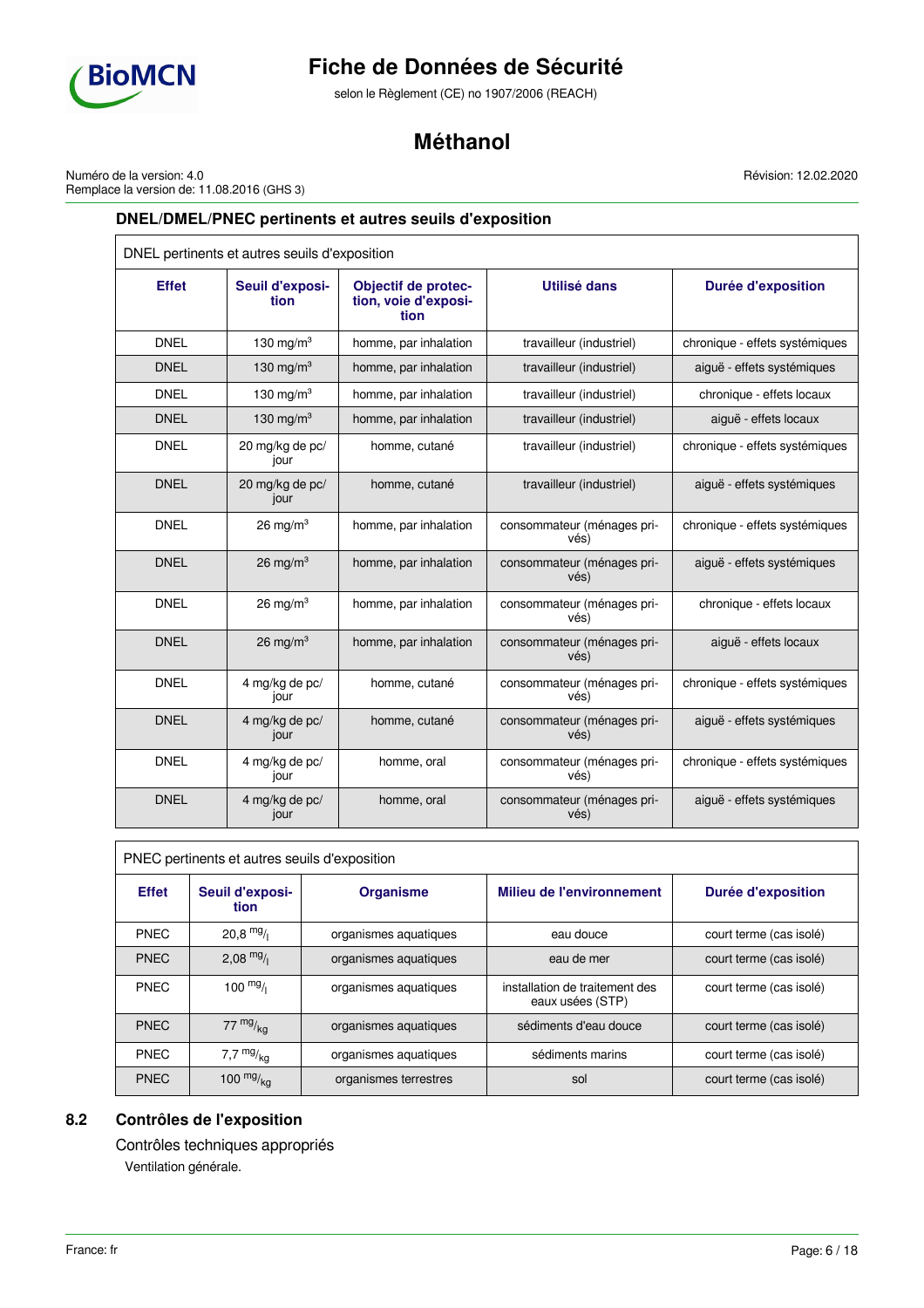

selon le Règlement (CE) no 1907/2006 (REACH)

# **Méthanol**

Numéro de la version: 4.0 Remplace la version de: 11.08.2016 (GHS 3) Révision: 12.02.2020

# **DNEL/DMEL/PNEC pertinents et autres seuils d'exposition**

| DNEL pertinents et autres seuils d'exposition |                         |                                                            |                                    |                                |  |
|-----------------------------------------------|-------------------------|------------------------------------------------------------|------------------------------------|--------------------------------|--|
| <b>Effet</b>                                  | Seuil d'exposi-<br>tion | <b>Objectif de protec-</b><br>tion, voie d'exposi-<br>tion | Utilisé dans                       | <b>Durée d'exposition</b>      |  |
| <b>DNEL</b>                                   | 130 mg/m $3$            | homme, par inhalation                                      | travailleur (industriel)           | chronique - effets systémiques |  |
| <b>DNEL</b>                                   | 130 mg/m <sup>3</sup>   | homme, par inhalation                                      | travailleur (industriel)           | aiguë - effets systémiques     |  |
| <b>DNEL</b>                                   | 130 mg/m $3$            | homme, par inhalation                                      | travailleur (industriel)           | chronique - effets locaux      |  |
| <b>DNEL</b>                                   | 130 mg/m $3$            | homme, par inhalation                                      | travailleur (industriel)           | aiquë - effets locaux          |  |
| <b>DNEL</b>                                   | 20 mg/kg de pc/<br>jour | homme, cutané                                              | travailleur (industriel)           | chronique - effets systémiques |  |
| <b>DNEL</b>                                   | 20 mg/kg de pc/<br>jour | homme, cutané                                              | travailleur (industriel)           | aiguë - effets systémiques     |  |
| <b>DNEL</b>                                   | $26 \text{ mg/m}^3$     | homme, par inhalation                                      | consommateur (ménages pri-<br>vés) | chronique - effets systémiques |  |
| <b>DNEL</b>                                   | $26 \text{ mg/m}^3$     | homme, par inhalation                                      | consommateur (ménages pri-<br>vés) | aiguë - effets systémiques     |  |
| <b>DNEL</b>                                   | $26 \text{ mg/m}^3$     | homme, par inhalation                                      | consommateur (ménages pri-<br>vés) | chronique - effets locaux      |  |
| <b>DNEL</b>                                   | $26 \text{ mg/m}^3$     | homme, par inhalation                                      | consommateur (ménages pri-<br>vés) | aiguë - effets locaux          |  |
| <b>DNEL</b>                                   | 4 mg/kg de pc/<br>jour  | homme, cutané                                              | consommateur (ménages pri-<br>vés) | chronique - effets systémiques |  |
| <b>DNEL</b>                                   | 4 mg/kg de pc/<br>jour  | homme, cutané                                              | consommateur (ménages pri-<br>vés) | aiguë - effets systémiques     |  |
| <b>DNEL</b>                                   | 4 mg/kg de pc/<br>jour  | homme, oral                                                | consommateur (ménages pri-<br>vés) | chronique - effets systémiques |  |
| <b>DNEL</b>                                   | 4 mg/kg de pc/<br>jour  | homme, oral                                                | consommateur (ménages pri-<br>vés) | aiguë - effets systémiques     |  |

| PNEC pertinents et autres seuils d'exposition |                         |                       |                                                    |                         |  |  |
|-----------------------------------------------|-------------------------|-----------------------|----------------------------------------------------|-------------------------|--|--|
| <b>Effet</b>                                  | Seuil d'exposi-<br>tion | Organisme             | <b>Milieu de l'environnement</b>                   | Durée d'exposition      |  |  |
| <b>PNEC</b>                                   | $20.8$ mg/              | organismes aquatiques | eau douce                                          | court terme (cas isolé) |  |  |
| <b>PNEC</b>                                   | $2,08$ mg/              | organismes aquatiques | eau de mer                                         | court terme (cas isolé) |  |  |
| <b>PNEC</b>                                   | $100 \frac{mg}{l}$      | organismes aquatiques | installation de traitement des<br>eaux usées (STP) | court terme (cas isolé) |  |  |
| <b>PNEC</b>                                   | $77 \frac{mg}{ka}$      | organismes aquatiques | sédiments d'eau douce                              | court terme (cas isolé) |  |  |
| <b>PNEC</b>                                   | 7,7 $mg/kg$             | organismes aquatiques | sédiments marins                                   | court terme (cas isolé) |  |  |
| <b>PNEC</b>                                   | 100 $mg/kq$             | organismes terrestres | sol                                                | court terme (cas isolé) |  |  |

# **8.2 Contrôles de l'exposition**

Contrôles techniques appropriés Ventilation générale.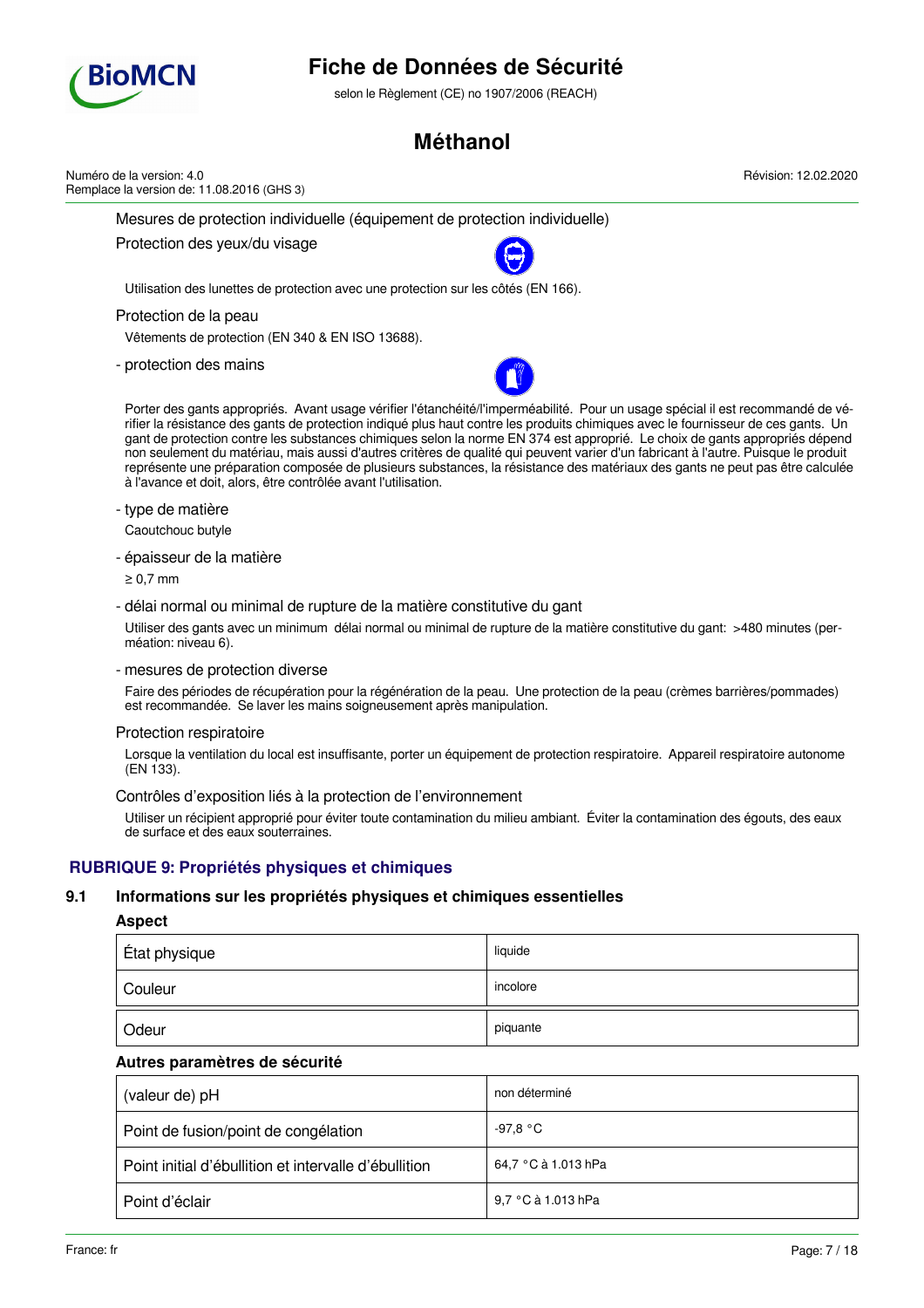

selon le Règlement (CE) no 1907/2006 (REACH)

# **Méthanol**

Mesures de protection individuelle (équipement de protection individuelle) Protection des yeux/du visage Utilisation des lunettes de protection avec une protection sur les côtés (EN 166). Protection de la peau Vêtements de protection (EN 340 & EN ISO 13688). - protection des mains Porter des gants appropriés. Avant usage vérifier l'étanchéité/l'imperméabilité. Pour un usage spécial il est recommandé de vérifier la résistance des gants de protection indiqué plus haut contre les produits chimiques avec le fournisseur de ces gants. Un gant de protection contre les substances chimiques selon la norme EN 374 est approprié. Le choix de gants appropriés dépend non seulement du matériau, mais aussi d'autres critères de qualité qui peuvent varier d'un fabricant à l'autre. Puisque le produit représente une préparation composée de plusieurs substances, la résistance des matériaux des gants ne peut pas être calculée à l'avance et doit, alors, être contrôlée avant l'utilisation. - type de matière Caoutchouc butyle - épaisseur de la matière ≥ 0,7 mm - délai normal ou minimal de rupture de la matière constitutive du gant Utiliser des gants avec un minimum délai normal ou minimal de rupture de la matière constitutive du gant: >480 minutes (perméation: niveau 6). - mesures de protection diverse Faire des périodes de récupération pour la régénération de la peau. Une protection de la peau (crèmes barrières/pommades) est recommandée. Se laver les mains soigneusement après manipulation. Protection respiratoire Lorsque la ventilation du local est insuffisante, porter un équipement de protection respiratoire. Appareil respiratoire autonome (EN 133). Contrôles d'exposition liés à la protection de l'environnement Utiliser un récipient approprié pour éviter toute contamination du milieu ambiant. Éviter la contamination des égouts, des eaux de surface et des eaux souterraines. **RUBRIQUE 9: Propriétés physiques et chimiques 9.1 Informations sur les propriétés physiques et chimiques essentielles** Numéro de la version: 4.0 Remplace la version de: 11.08.2016 (GHS 3)

## **Aspect**

| État physique | liquide  |
|---------------|----------|
| Couleur       | incolore |
| Odeur         | piquante |

## **Autres paramètres de sécurité**

| (valeur de) pH                                        | non déterminé       |
|-------------------------------------------------------|---------------------|
| Point de fusion/point de congélation                  | -97,8 °C            |
| Point initial d'ébullition et intervalle d'ébullition | 64,7 °C à 1.013 hPa |
| Point d'éclair                                        | 9,7 °C à 1.013 hPa  |

Révision: 12.02.2020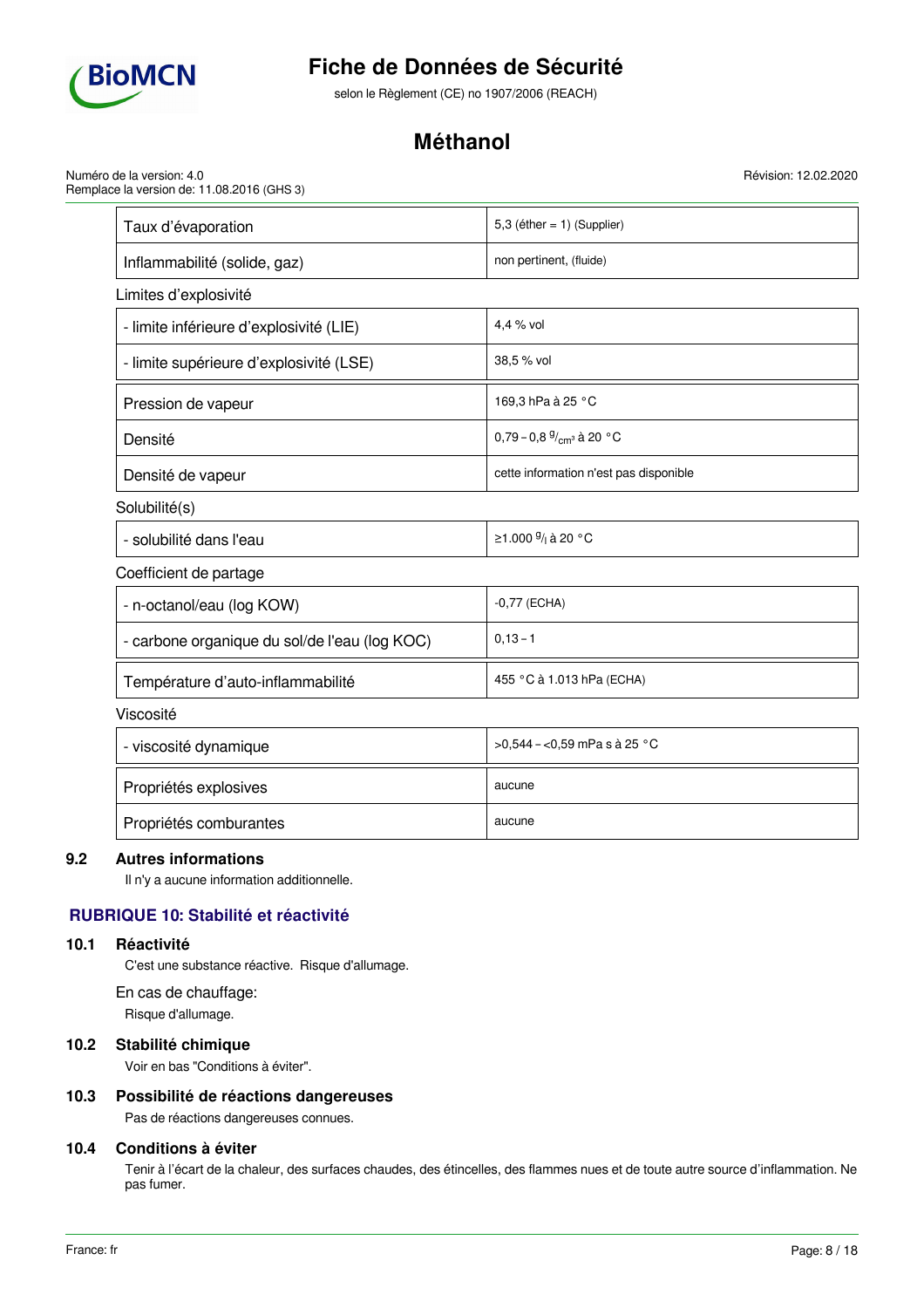

selon le Règlement (CE) no 1907/2006 (REACH)

# **Méthanol**

Numéro de la version: 4.0 Remplace la version de: 11.08.2016 (GHS 3)

| Taux d'évaporation                            | 5,3 (éther = $1)$ (Supplier)               |
|-----------------------------------------------|--------------------------------------------|
| Inflammabilité (solide, gaz)                  | non pertinent, (fluide)                    |
| Limites d'explosivité                         |                                            |
| - limite inférieure d'explosivité (LIE)       | 4,4 % vol                                  |
| - limite supérieure d'explosivité (LSE)       | 38,5 % vol                                 |
| Pression de vapeur                            | 169,3 hPa à 25 °C                          |
| Densité                                       | 0,79 - 0,8 $\frac{9}{cm}$ à 20 °C          |
| Densité de vapeur                             | cette information n'est pas disponible     |
| Solubilité(s)                                 |                                            |
| - solubilité dans l'eau                       | ≥1.000 <sup>g</sup> / <sub>i</sub> à 20 °C |
| Coefficient de partage                        |                                            |
| - n-octanol/eau (log KOW)                     | $-0,77$ (ECHA)                             |
| - carbone organique du sol/de l'eau (log KOC) | $0,13 - 1$                                 |
| Température d'auto-inflammabilité             | 455 °C à 1.013 hPa (ECHA)                  |
| Viscosité                                     |                                            |
| - viscosité dynamique                         | >0,544 - <0,59 mPa s à 25 °C               |
| Propriétés explosives                         | aucune                                     |
| Propriétés comburantes                        | aucune                                     |

## **9.2 Autres informations**

Il n'y a aucune information additionnelle.

# **RUBRIQUE 10: Stabilité et réactivité**

# **10.1 Réactivité**

C'est une substance réactive. Risque d'allumage.

En cas de chauffage: Risque d'allumage.

## **10.2 Stabilité chimique**

Voir en bas "Conditions à éviter".

# **10.3 Possibilité de réactions dangereuses**

Pas de réactions dangereuses connues.

## **10.4 Conditions à éviter**

Tenir à l'écart de la chaleur, des surfaces chaudes, des étincelles, des flammes nues et de toute autre source d'inflammation. Ne pas fumer.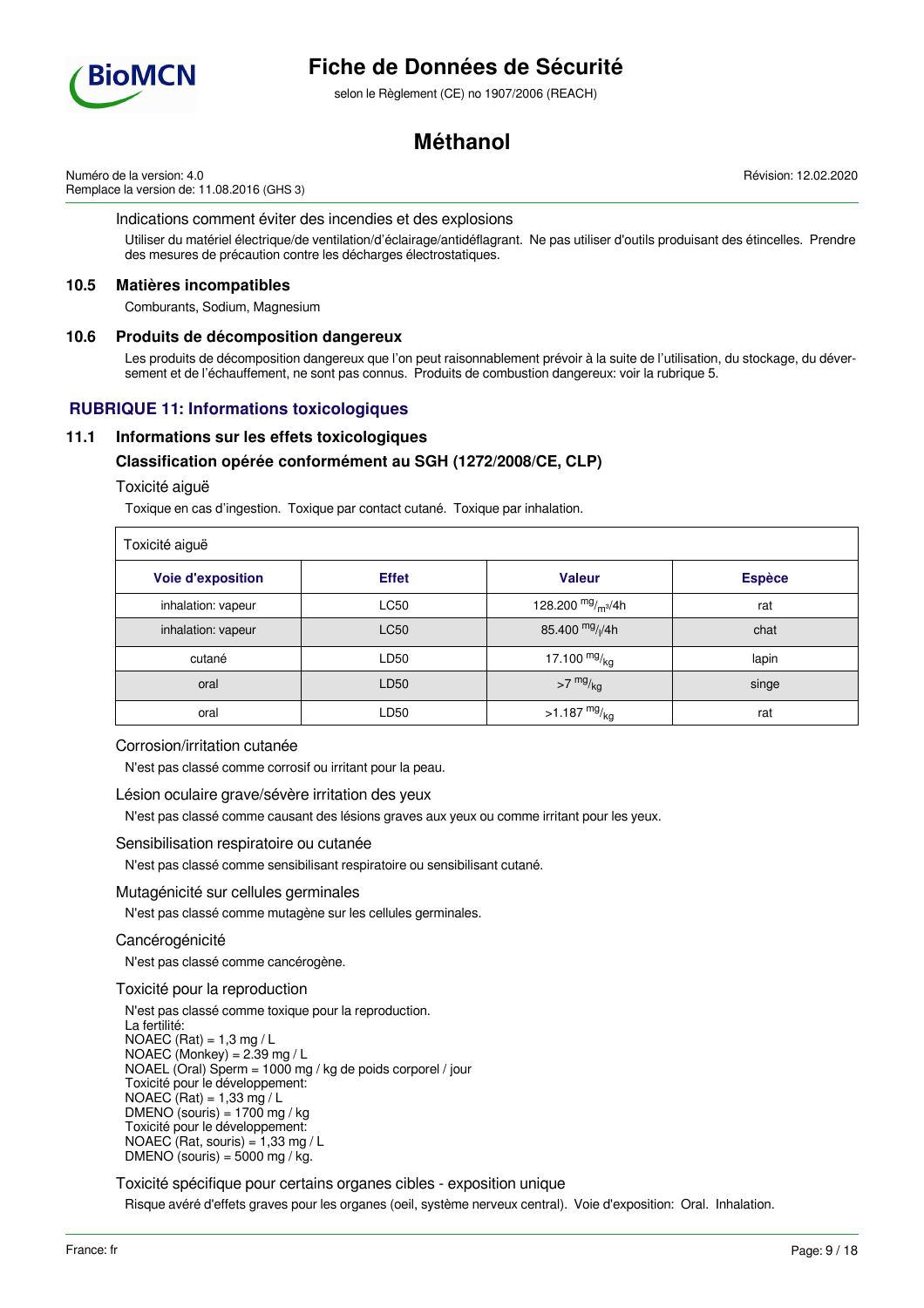

selon le Règlement (CE) no 1907/2006 (REACH)

# **Méthanol**

Numéro de la version: 4.0 Remplace la version de: 11.08.2016 (GHS 3)

Indications comment éviter des incendies et des explosions

Utiliser du matériel électrique/de ventilation/d'éclairage/antidéflagrant. Ne pas utiliser d'outils produisant des étincelles. Prendre des mesures de précaution contre les décharges électrostatiques.

## **10.5 Matières incompatibles**

Comburants, Sodium, Magnesium

## **10.6 Produits de décomposition dangereux**

Les produits de décomposition dangereux que l'on peut raisonnablement prévoir à la suite de l'utilisation, du stockage, du déversement et de l'échauffement, ne sont pas connus. Produits de combustion dangereux: voir la rubrique 5.

# **RUBRIQUE 11: Informations toxicologiques**

## **11.1 Informations sur les effets toxicologiques**

## **Classification opérée conformément au SGH (1272/2008/CE, CLP)**

### Toxicité aiguë

Toxique en cas d'ingestion. Toxique par contact cutané. Toxique par inhalation.

| Toxicité aiguë           |              |                             |               |  |  |
|--------------------------|--------------|-----------------------------|---------------|--|--|
| <b>Voie d'exposition</b> | <b>Effet</b> | <b>Valeur</b>               | <b>Espèce</b> |  |  |
| inhalation: vapeur       | <b>LC50</b>  | 128.200 $mg/m^3/4h$         | rat           |  |  |
| inhalation: vapeur       | <b>LC50</b>  | 85.400 mg/ <sub>l</sub> /4h | chat          |  |  |
| cutané                   | LD50         | 17.100 $mg/kq$              | lapin         |  |  |
| oral                     | LD50         | $>7$ mg/ $_{\text{kg}}$     | singe         |  |  |
| oral                     | LD50         | $>1.187 \frac{mg}{kg}$      | rat           |  |  |

### Corrosion/irritation cutanée

N'est pas classé comme corrosif ou irritant pour la peau.

#### Lésion oculaire grave/sévère irritation des yeux

N'est pas classé comme causant des lésions graves aux yeux ou comme irritant pour les yeux.

#### Sensibilisation respiratoire ou cutanée

N'est pas classé comme sensibilisant respiratoire ou sensibilisant cutané.

## Mutagénicité sur cellules germinales

N'est pas classé comme mutagène sur les cellules germinales.

## Cancérogénicité

N'est pas classé comme cancérogène.

## Toxicité pour la reproduction

N'est pas classé comme toxique pour la reproduction. La fertilité:  $NOAEC (Rat) = 1,3 mg/L$ NOAEC (Monkey) = 2.39 mg / L NOAEL (Oral) Sperm = 1000 mg / kg de poids corporel / jour Toxicité pour le développement: NOAEC  $(Rat) = 1,33$  mg / L  $DMENO$  (souris) = 1700 mg / kg Toxicité pour le développement: NOAEC (Rat, souris) =  $1,33$  mg / L DMENO (souris) =  $5000$  mg / kg.

Toxicité spécifique pour certains organes cibles - exposition unique

Risque avéré d'effets graves pour les organes (oeil, système nerveux central). Voie d'exposition: Oral. Inhalation.

Révision: 12.02.2020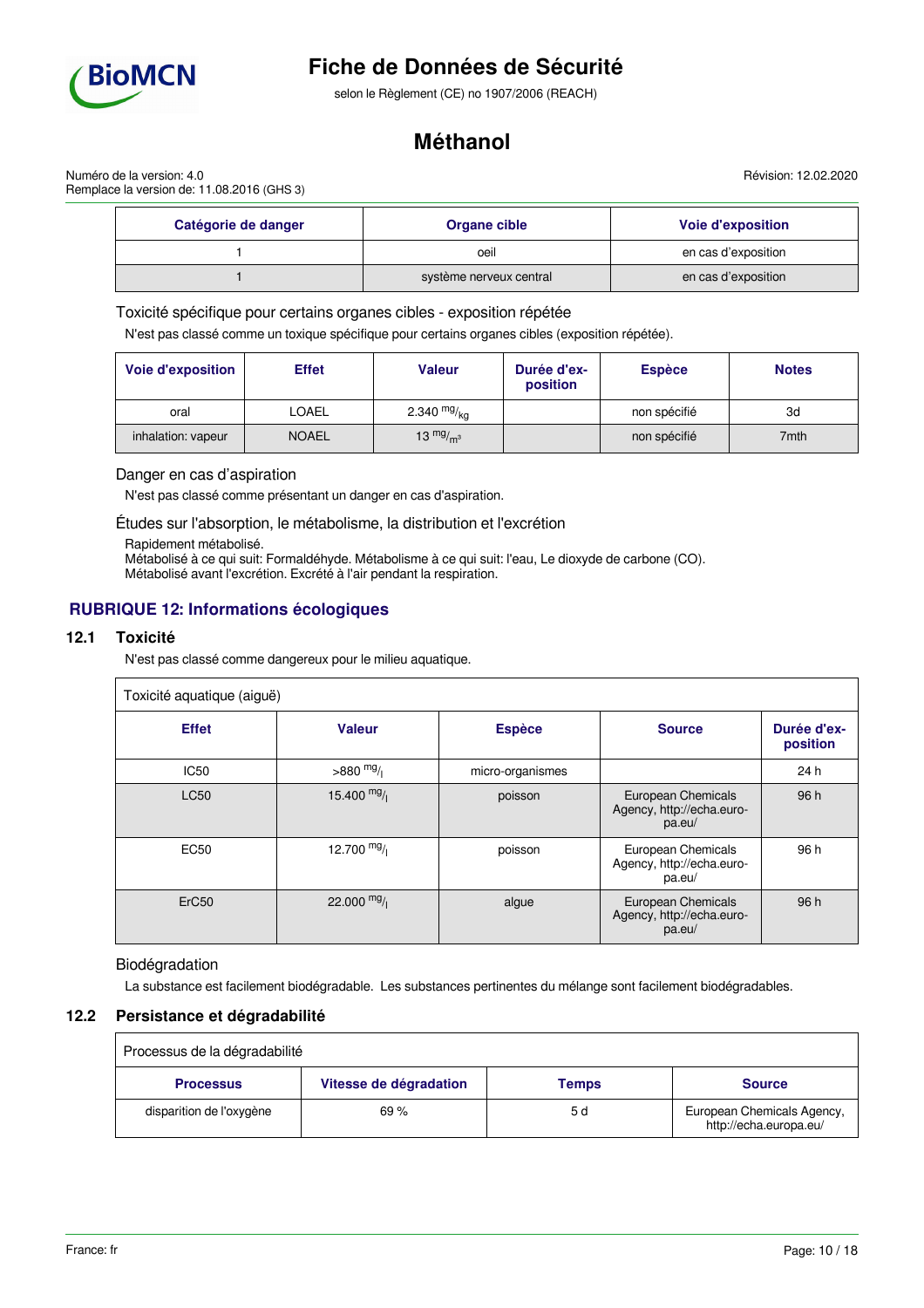

selon le Règlement (CE) no 1907/2006 (REACH)

# **Méthanol**

Révision: 12.02.2020

Numéro de la version: 4.0 Remplace la version de: 11.08.2016 (GHS 3)

| Catégorie de danger | Organe cible            | <b>Voie d'exposition</b> |  |
|---------------------|-------------------------|--------------------------|--|
|                     | oeil                    | en cas d'exposition      |  |
|                     | système nerveux central | en cas d'exposition      |  |

Toxicité spécifique pour certains organes cibles - exposition répétée

N'est pas classé comme un toxique spécifique pour certains organes cibles (exposition répétée).

| <b>Voie d'exposition</b> | <b>Effet</b> | Valeur        | Durée d'ex-<br>position | <b>Espèce</b> | <b>Notes</b> |
|--------------------------|--------------|---------------|-------------------------|---------------|--------------|
| oral                     | LOAEL        | 2.340 $mg/kq$ |                         | non spécifié  | 3d           |
| inhalation: vapeur       | <b>NOAEL</b> | 13 $mg/m3$    |                         | non spécifié  | 7mth         |

### Danger en cas d'aspiration

N'est pas classé comme présentant un danger en cas d'aspiration.

Études sur l'absorption, le métabolisme, la distribution et l'excrétion

Rapidement métabolisé.

Métabolisé à ce qui suit: Formaldéhyde. Métabolisme à ce qui suit: l'eau, Le dioxyde de carbone (CO). Métabolisé avant l'excrétion. Excrété à l'air pendant la respiration.

# **RUBRIQUE 12: Informations écologiques**

## **12.1 Toxicité**

N'est pas classé comme dangereux pour le milieu aquatique.

| Toxicité aquatique (aiguë) |               |                  |                                                           |                         |
|----------------------------|---------------|------------------|-----------------------------------------------------------|-------------------------|
| <b>Effet</b>               | <b>Valeur</b> | <b>Espèce</b>    | <b>Source</b>                                             | Durée d'ex-<br>position |
| <b>IC50</b>                | $>880$ mg/    | micro-organismes |                                                           | 24h                     |
| <b>LC50</b>                | 15.400 $mg/$  | poisson          | European Chemicals<br>Agency, http://echa.euro-<br>pa.eu/ | 96 h                    |
| <b>EC50</b>                | 12.700 $mg/$  | poisson          | European Chemicals<br>Agency, http://echa.euro-<br>pa.eu/ | 96 h                    |
| ErC <sub>50</sub>          | 22.000 $mg/$  | algue            | European Chemicals<br>Agency, http://echa.euro-<br>pa.eu/ | 96 h                    |

## Biodégradation

La substance est facilement biodégradable. Les substances pertinentes du mélange sont facilement biodégradables.

## **12.2 Persistance et dégradabilité**

| Processus de la dégradabilité |                        |       |                                                      |
|-------------------------------|------------------------|-------|------------------------------------------------------|
| <b>Processus</b>              | Vitesse de dégradation | Temps | <b>Source</b>                                        |
| disparition de l'oxygène      | 69%                    | 5 d   | European Chemicals Agency,<br>http://echa.europa.eu/ |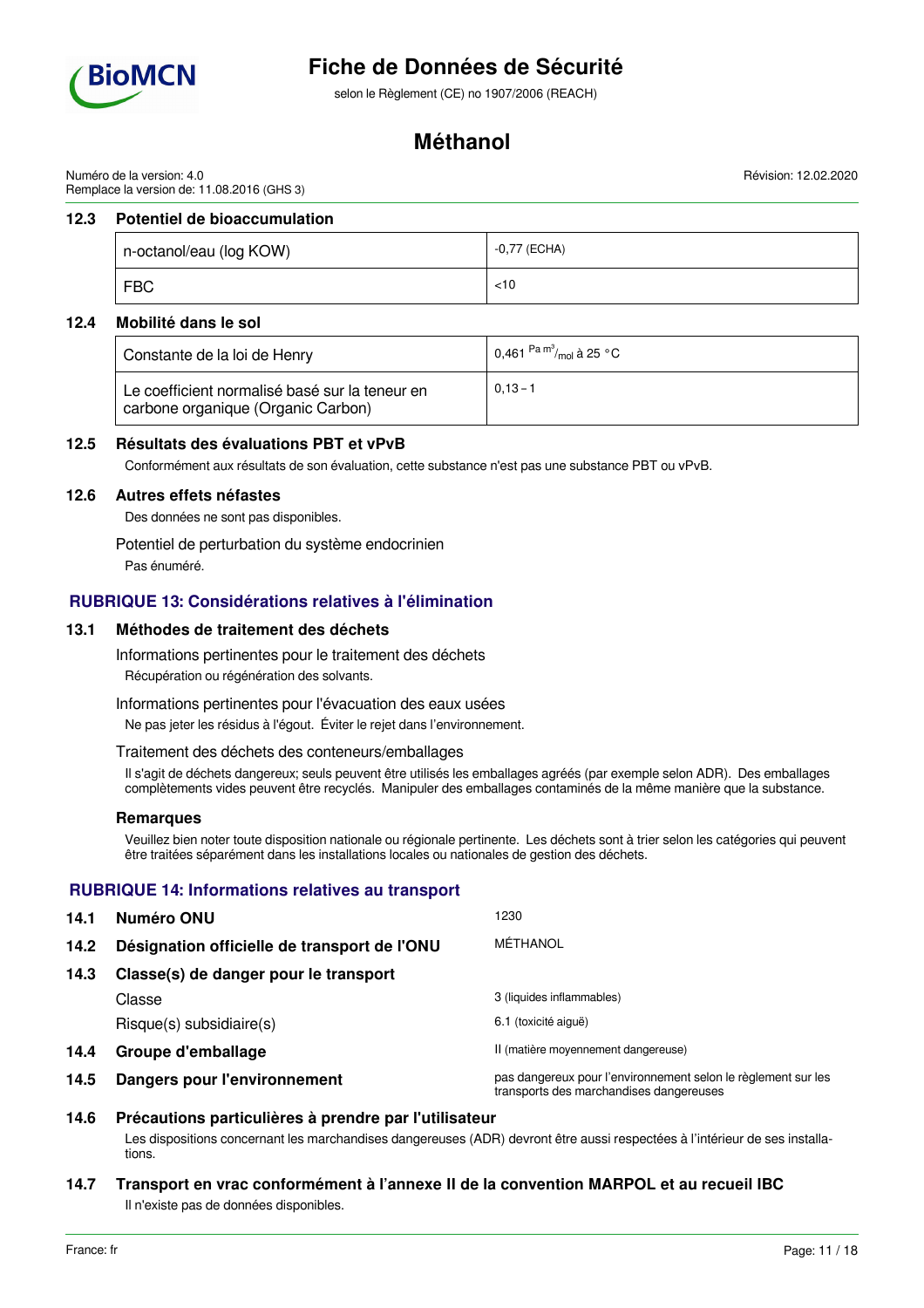

selon le Règlement (CE) no 1907/2006 (REACH)

# **Méthanol**

Numéro de la version: 4.0 Remplace la version de: 11.08.2016 (GHS 3)

## **12.3 Potentiel de bioaccumulation**

| n-octanol/eau (log KOW) |            | -0,77 (ECHA) |
|-------------------------|------------|--------------|
|                         | <b>FBC</b> | $<$ 10       |

## **12.4 Mobilité dans le sol**

| Constante de la loi de Henry                                                         | 0,461 $\mathrm{^{Pa}}$ $\mathrm{^{m^3}_{\prime mol}}$ à 25 $\mathrm{^{\circ}C}$ |
|--------------------------------------------------------------------------------------|---------------------------------------------------------------------------------|
| Le coefficient normalisé basé sur la teneur en<br>carbone organique (Organic Carbon) | $0.13 - 1$                                                                      |

## **12.5 Résultats des évaluations PBT et vPvB**

Conformément aux résultats de son évaluation, cette substance n'est pas une substance PBT ou vPvB.

### **12.6 Autres effets néfastes**

Des données ne sont pas disponibles.

Potentiel de perturbation du système endocrinien

Pas énuméré.

# **RUBRIQUE 13: Considérations relatives à l'élimination**

## **13.1 Méthodes de traitement des déchets**

Informations pertinentes pour le traitement des déchets

Récupération ou régénération des solvants.

Informations pertinentes pour l'évacuation des eaux usées

Ne pas jeter les résidus à l'égout. Éviter le rejet dans l'environnement.

## Traitement des déchets des conteneurs/emballages

Il s'agit de déchets dangereux; seuls peuvent être utilisés les emballages agréés (par exemple selon ADR). Des emballages complètements vides peuvent être recyclés. Manipuler des emballages contaminés de la même manière que la substance.

## **Remarques**

Veuillez bien noter toute disposition nationale ou régionale pertinente. Les déchets sont à trier selon les catégories qui peuvent être traitées séparément dans les installations locales ou nationales de gestion des déchets.

# **RUBRIQUE 14: Informations relatives au transport**

| 14.1 | Numéro ONU                                   | 1230                                                                                                     |
|------|----------------------------------------------|----------------------------------------------------------------------------------------------------------|
| 14.2 | Désignation officielle de transport de l'ONU | MÉTHANOL                                                                                                 |
| 14.3 | Classe(s) de danger pour le transport        |                                                                                                          |
|      | Classe                                       | 3 (liquides inflammables)                                                                                |
|      | $Risque(s)$ subsidiaire $(s)$                | 6.1 (toxicité aiguë)                                                                                     |
| 14.4 | Groupe d'emballage                           | II (matière moyennement dangereuse)                                                                      |
| 14.5 | Dangers pour l'environnement                 | pas dangereux pour l'environnement selon le règlement sur les<br>transports des marchandises dangereuses |

# **14.6 Précautions particulières à prendre par l'utilisateur**

Les dispositions concernant les marchandises dangereuses (ADR) devront être aussi respectées à l'intérieur de ses installations.

# **14.7 Transport en vrac conformément à l'annexe II de la convention MARPOL et au recueil IBC** Il n'existe pas de données disponibles.

Révision: 12.02.2020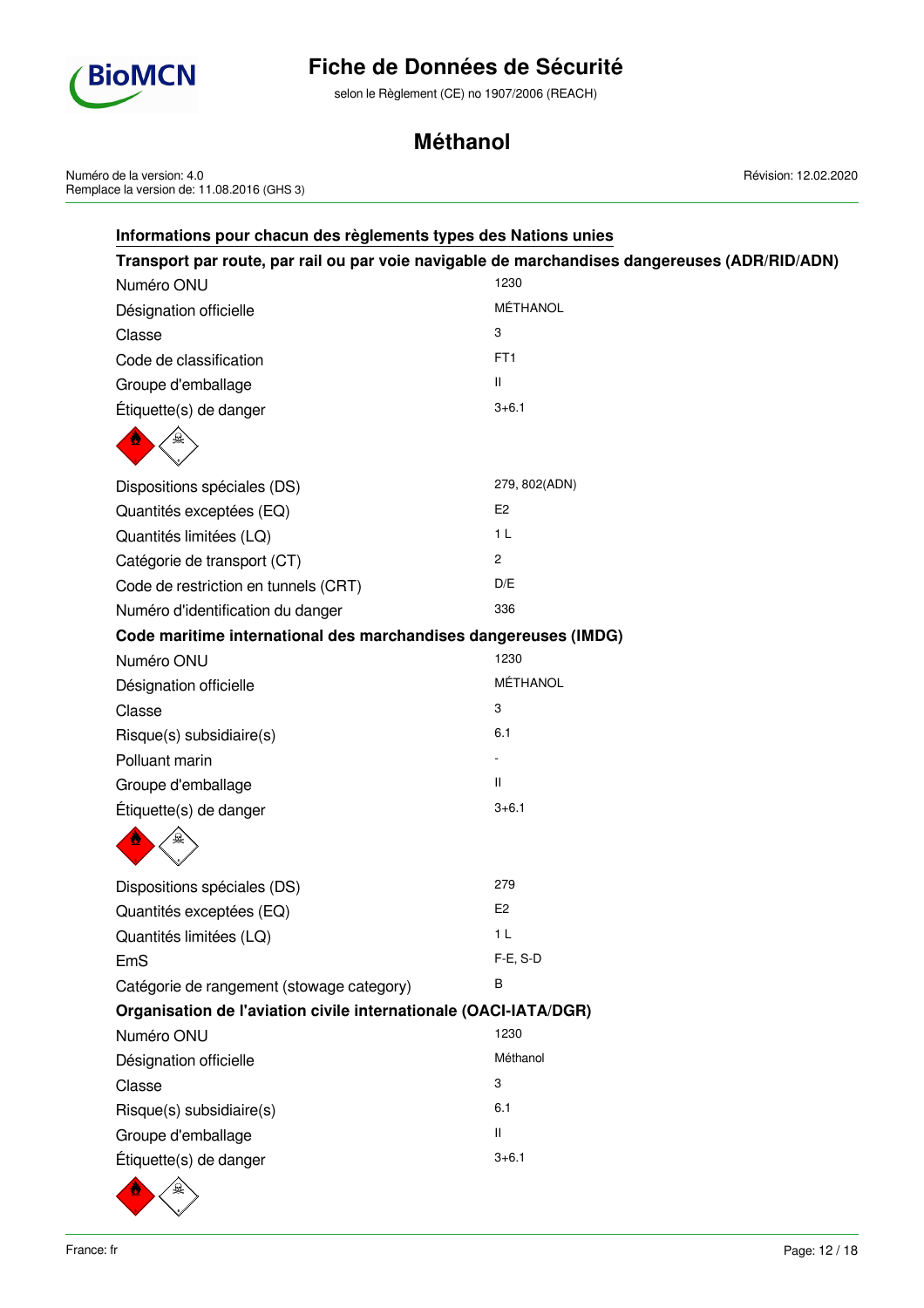

selon le Règlement (CE) no 1907/2006 (REACH)

# **Méthanol**

Numéro de la version: 4.0 Remplace la version de: 11.08.2016 (GHS 3) Révision: 12.02.2020

| Informations pour chacun des règlements types des Nations unies  |                                                                                               |
|------------------------------------------------------------------|-----------------------------------------------------------------------------------------------|
|                                                                  | Transport par route, par rail ou par voie navigable de marchandises dangereuses (ADR/RID/ADN) |
| Numéro ONU                                                       | 1230                                                                                          |
| Désignation officielle                                           | MÉTHANOL                                                                                      |
| Classe                                                           | 3                                                                                             |
| Code de classification                                           | FT <sub>1</sub>                                                                               |
| Groupe d'emballage                                               | $\mathbf{H}$                                                                                  |
| Étiquette(s) de danger                                           | $3 + 6.1$                                                                                     |
|                                                                  |                                                                                               |
| Dispositions spéciales (DS)                                      | 279, 802(ADN)                                                                                 |
| Quantités exceptées (EQ)                                         | E <sub>2</sub>                                                                                |
| Quantités limitées (LQ)                                          | 1 <sub>L</sub>                                                                                |
| Catégorie de transport (CT)                                      | 2                                                                                             |
| Code de restriction en tunnels (CRT)                             | D/E                                                                                           |
| Numéro d'identification du danger                                | 336                                                                                           |
| Code maritime international des marchandises dangereuses (IMDG)  |                                                                                               |
| Numéro ONU                                                       | 1230                                                                                          |
| Désignation officielle                                           | MÉTHANOL                                                                                      |
| Classe                                                           | 3                                                                                             |
| Risque(s) subsidiaire(s)                                         | 6.1                                                                                           |
| Polluant marin                                                   |                                                                                               |
| Groupe d'emballage                                               | $\mathbf{H}$                                                                                  |
| Étiquette(s) de danger                                           | $3 + 6.1$                                                                                     |
|                                                                  |                                                                                               |
| Dispositions spéciales (DS)                                      | 279                                                                                           |
| Quantités exceptées (EQ)                                         | E <sub>2</sub>                                                                                |
| Quantités limitées (LQ)                                          | 1 <sub>L</sub>                                                                                |
| EmS                                                              | F-E, S-D                                                                                      |
| Catégorie de rangement (stowage category)                        | В                                                                                             |
| Organisation de l'aviation civile internationale (OACI-IATA/DGR) |                                                                                               |
| Numéro ONU                                                       | 1230                                                                                          |
| Désignation officielle                                           | Méthanol                                                                                      |
| Classe                                                           | 3                                                                                             |
| Risque(s) subsidiaire(s)                                         | 6.1                                                                                           |
| Groupe d'emballage                                               | Ш                                                                                             |
| Étiquette(s) de danger                                           | $3 + 6.1$                                                                                     |
|                                                                  |                                                                                               |

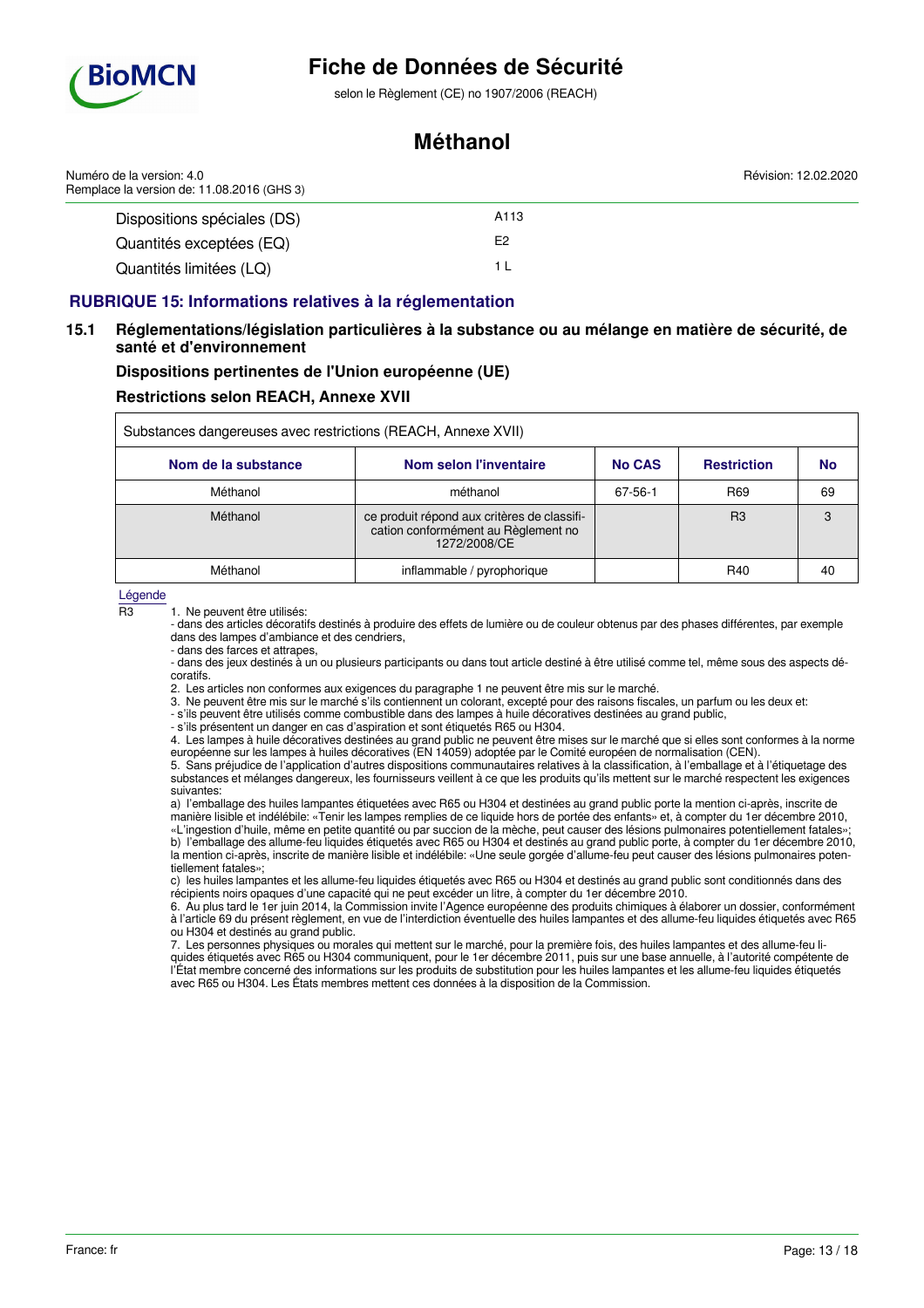

## selon le Règlement (CE) no 1907/2006 (REACH)

# **Méthanol**

| Numéro de la version: 4.0<br>Remplace la version de: 11.08.2016 (GHS 3) | Révision: 12.02.2020 |  |
|-------------------------------------------------------------------------|----------------------|--|
| Dispositions spéciales (DS)                                             | A113                 |  |
| Quantités exceptées (EQ)                                                | E2                   |  |
| Quantités limitées (LQ)                                                 |                      |  |

## **RUBRIQUE 15: Informations relatives à la réglementation**

## **15.1 Réglementations/législation particulières à la substance ou au mélange en matière de sécurité, de santé et d'environnement**

**Dispositions pertinentes de l'Union européenne (UE)**

## **Restrictions selon REACH, Annexe XVII**

| Substances dangereuses avec restrictions (REACH, Annexe XVII) |                                                                                                    |               |                    |    |
|---------------------------------------------------------------|----------------------------------------------------------------------------------------------------|---------------|--------------------|----|
| Nom de la substance                                           | Nom selon l'inventaire                                                                             | <b>No CAS</b> | <b>Restriction</b> | No |
| Méthanol                                                      | méthanol                                                                                           | 67-56-1       | R <sub>69</sub>    | 69 |
| Méthanol                                                      | ce produit répond aux critères de classifi-<br>cation conformément au Règlement no<br>1272/2008/CE |               | R3                 | 3  |
| Méthanol                                                      | inflammable / pyrophorique                                                                         |               | R40                | 40 |

#### Légende

 $\overline{R3}$  1. Ne peuvent être utilisés:

- dans des articles décoratifs destinés à produire des effets de lumière ou de couleur obtenus par des phases différentes, par exemple dans des lampes d'ambiance et des cendriers,

- dans des jeux destinés à un ou plusieurs participants ou dans tout article destiné à être utilisé comme tel, même sous des aspects décoratifs.

2. Les articles non conformes aux exigences du paragraphe 1 ne peuvent être mis sur le marché.

3. Ne peuvent être mis sur le marché s'ils contiennent un colorant, excepté pour des raisons fiscales, un parfum ou les deux et:

- s'ils peuvent être utilisés comme combustible dans des lampes à huile décoratives destinées au grand public,

- s'ils présentent un danger en cas d'aspiration et sont étiquetés R65 ou H304.

4. Les lampes à huile décoratives destinées au grand public ne peuvent être mises sur le marché que si elles sont conformes à la norme européenne sur les lampes à huiles décoratives (EN 14059) adoptée par le Comité européen de normalisation (CEN).

5. Sans préjudice de l'application d'autres dispositions communautaires relatives à la classification, à l'emballage et à l'étiquetage des substances et mélanges dangereux, les fournisseurs veillent à ce que les produits qu'ils mettent sur le marché respectent les exigences suivantes:

a) l'emballage des huiles lampantes étiquetées avec R65 ou H304 et destinées au grand public porte la mention ci-après, inscrite de manière lisible et indélébile: «Tenir les lampes remplies de ce liquide hors de portée des enfants» et, à compter du 1er décembre 2010, «L'ingestion d'huile, même en petite quantité ou par succion de la mèche, peut causer des lésions pulmonaires potentiellement fatales»;

b) l'emballage des allume-feu liquides étiquetés avec R65 ou H304 et destinés au grand public porte, à compter du 1er décembre 2010, la mention ci-après, inscrite de manière lisible et indélébile: «Une seule gorgée d'allume-feu peut causer des lésions pulmonaires potentiellement fatales»;

c) les huiles lampantes et les allume-feu liquides étiquetés avec R65 ou H304 et destinés au grand public sont conditionnés dans des récipients noirs opaques d'une capacité qui ne peut excéder un litre, à compter du 1er décembre 2010.

6. Au plus tard le 1er juin 2014, la Commission invite l'Agence européenne des produits chimiques à élaborer un dossier, conformément à l'article 69 du présent règlement, en vue de l'interdiction éventuelle des huiles lampantes et des allume-feu liquides étiquetés avec R65 ou H304 et destinés au grand public.

7. Les personnes physiques ou morales qui mettent sur le marché, pour la première fois, des huiles lampantes et des allume-feu liquides étiquetés avec R65 ou H304 communiquent, pour le 1er décembre 2011, puis sur une base annuelle, à l'autorité compétente de l'État membre concerné des informations sur les produits de substitution pour les huiles lampantes et les allume-feu liquides étiquetés avec R65 ou H304. Les États membres mettent ces données à la disposition de la Commission.

<sup>-</sup> dans des farces et attrapes,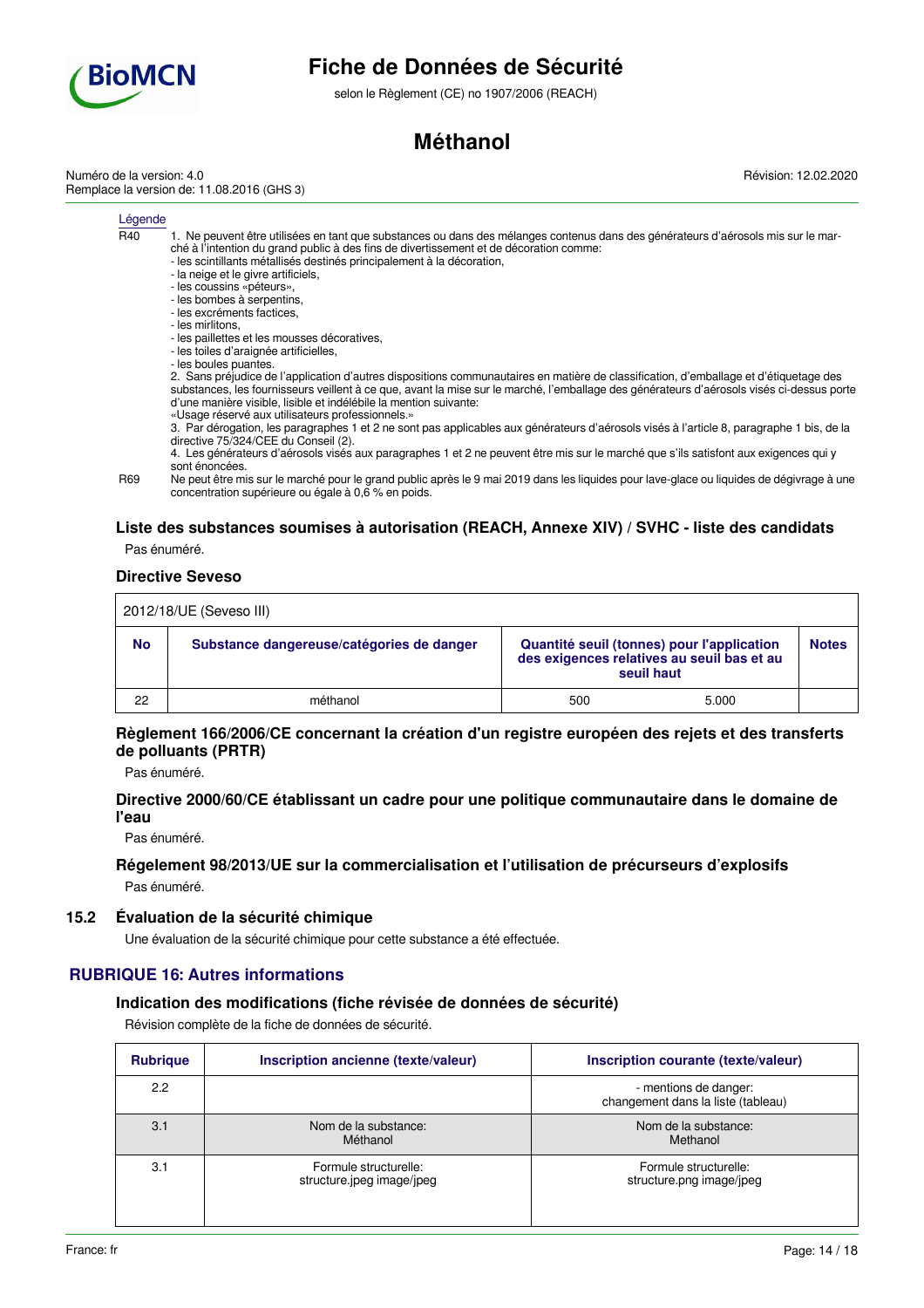

selon le Règlement (CE) no 1907/2006 (REACH)

# **Méthanol**

Numéro de la version: 4.0 Remplace la version de: 11.08.2016 (GHS 3) Révision: 12.02.2020

#### Légende

- R40 1. Ne peuvent être utilisées en tant que substances ou dans des mélanges contenus dans des générateurs d'aérosols mis sur le marché à l'intention du grand public à des fins de divertissement et de décoration comme:
	- les scintillants métallisés destinés principalement à la décoration,
	- la neige et le givre artificiels,
	- les coussins «péteurs»,
	- les bombes à serpentins, - les excréments factices,
	- les mirlitons,
	- les paillettes et les mousses décoratives,
	- les toiles d'araignée artificielles,
	- les boules puantes.

2. Sans préjudice de l'application d'autres dispositions communautaires en matière de classification, d'emballage et d'étiquetage des substances, les fournisseurs veillent à ce que, avant la mise sur le marché, l'emballage des générateurs d'aérosols visés ci-dessus porte d'une manière visible, lisible et indélébile la mention suivante:

«Usage réservé aux utilisateurs professionnels.»

3. Par dérogation, les paragraphes 1 et 2 ne sont pas applicables aux générateurs d'aérosols visés à l'article 8, paragraphe 1 bis, de la directive 75/324/CEE du Conseil (2).

4. Les générateurs d'aérosols visés aux paragraphes 1 et 2 ne peuvent être mis sur le marché que s'ils satisfont aux exigences qui y sont énoncées.

R69 Ne peut être mis sur le marché pour le grand public après le 9 mai 2019 dans les liquides pour lave-glace ou liquides de dégivrage à une concentration supérieure ou égale à 0,6 % en poids.

# **Liste des substances soumises à autorisation (REACH, Annexe XIV) / SVHC - liste des candidats**

# Pas énuméré.

## **Directive Seveso**

| 2012/18/UE (Seveso III) |                                           |     |                                                                                                        |              |
|-------------------------|-------------------------------------------|-----|--------------------------------------------------------------------------------------------------------|--------------|
| <b>No</b>               | Substance dangereuse/catégories de danger |     | Quantité seuil (tonnes) pour l'application<br>des exigences relatives au seuil bas et au<br>seuil haut | <b>Notes</b> |
| 22                      | méthanol                                  | 500 | 5.000                                                                                                  |              |

## **Règlement 166/2006/CE concernant la création d'un registre européen des rejets et des transferts de polluants (PRTR)**

Pas énuméré.

## **Directive 2000/60/CE établissant un cadre pour une politique communautaire dans le domaine de l'eau**

Pas énuméré.

# **Régelement 98/2013/UE sur la commercialisation et l'utilisation de précurseurs d'explosifs**

Pas énuméré.

## **15.2 Évaluation de la sécurité chimique**

Une évaluation de la sécurité chimique pour cette substance a été effectuée.

# **RUBRIQUE 16: Autres informations**

## **Indication des modifications (fiche révisée de données de sécurité)**

Révision complète de la fiche de données de sécurité.

| <b>Rubrique</b> | Inscription ancienne (texte/valeur)                | Inscription courante (texte/valeur)                         |
|-----------------|----------------------------------------------------|-------------------------------------------------------------|
| 2.2             |                                                    | - mentions de danger:<br>changement dans la liste (tableau) |
| 3.1             | Nom de la substance:<br>Méthanol                   | Nom de la substance:<br>Methanol                            |
| 3.1             | Formule structurelle:<br>structure.jpeg image/jpeg | Formule structurelle:<br>structure.png image/jpeg           |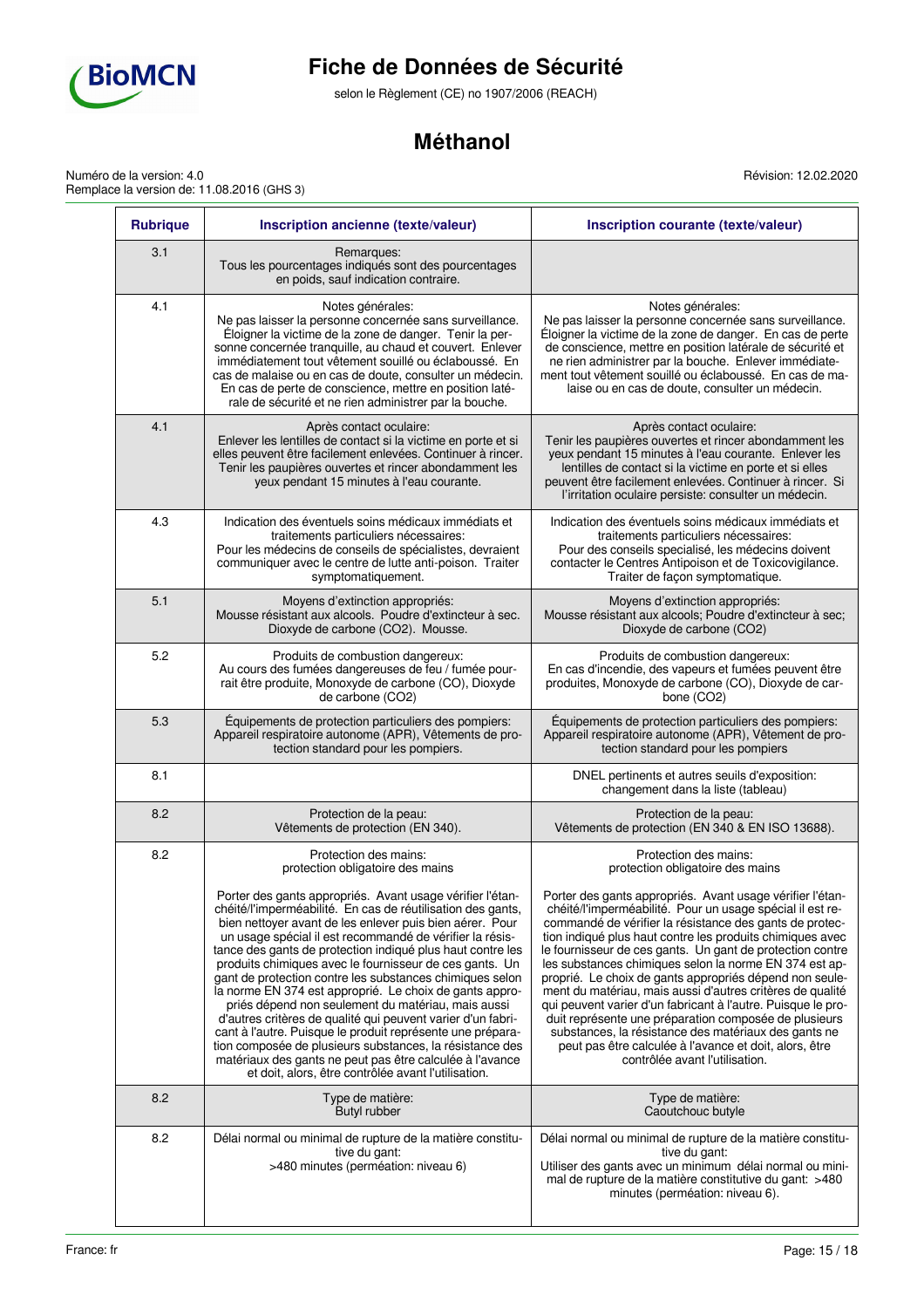

Numéro de la version: 4.0

# **Fiche de Données de Sécurité**

selon le Règlement (CE) no 1907/2006 (REACH)

# **Méthanol**

Révision: 12.02.2020

| <b>Rubrique</b> | Inscription ancienne (texte/valeur)                                                                                                                                                                                                                                                                                                                                                                                                                                                                                                                                                                                                                                                                                                                                                                                                                                | Inscription courante (texte/valeur)                                                                                                                                                                                                                                                                                                                                                                                                                                                                                                                                                                                                                                                                                                                                        |
|-----------------|--------------------------------------------------------------------------------------------------------------------------------------------------------------------------------------------------------------------------------------------------------------------------------------------------------------------------------------------------------------------------------------------------------------------------------------------------------------------------------------------------------------------------------------------------------------------------------------------------------------------------------------------------------------------------------------------------------------------------------------------------------------------------------------------------------------------------------------------------------------------|----------------------------------------------------------------------------------------------------------------------------------------------------------------------------------------------------------------------------------------------------------------------------------------------------------------------------------------------------------------------------------------------------------------------------------------------------------------------------------------------------------------------------------------------------------------------------------------------------------------------------------------------------------------------------------------------------------------------------------------------------------------------------|
| 3.1             | Remarques:<br>Tous les pourcentages indiqués sont des pourcentages<br>en poids, sauf indication contraire.                                                                                                                                                                                                                                                                                                                                                                                                                                                                                                                                                                                                                                                                                                                                                         |                                                                                                                                                                                                                                                                                                                                                                                                                                                                                                                                                                                                                                                                                                                                                                            |
| 4.1             | Notes générales:<br>Ne pas laisser la personne concernée sans surveillance.<br>Éloigner la victime de la zone de danger. Tenir la per-<br>sonne concernée tranquille, au chaud et couvert. Enlever<br>immédiatement tout vêtement souillé ou éclaboussé. En<br>cas de malaise ou en cas de doute, consulter un médecin.<br>En cas de perte de conscience, mettre en position laté-<br>rale de sécurité et ne rien administrer par la bouche.                                                                                                                                                                                                                                                                                                                                                                                                                       | Notes générales:<br>Ne pas laisser la personne concernée sans surveillance.<br>Éloigner la victime de la zone de danger. En cas de perte<br>de conscience, mettre en position latérale de sécurité et<br>ne rien administrer par la bouche. Enlever immédiate-<br>ment tout vêtement souillé ou éclaboussé. En cas de ma-<br>laise ou en cas de doute, consulter un médecin.                                                                                                                                                                                                                                                                                                                                                                                               |
| 4.1             | Après contact oculaire:<br>Enlever les lentilles de contact si la victime en porte et si<br>elles peuvent être facilement enlevées. Continuer à rincer.<br>Tenir les paupières ouvertes et rincer abondamment les<br>yeux pendant 15 minutes à l'eau courante.                                                                                                                                                                                                                                                                                                                                                                                                                                                                                                                                                                                                     | Après contact oculaire:<br>Tenir les paupières ouvertes et rincer abondamment les<br>yeux pendant 15 minutes à l'eau courante. Enlever les<br>lentilles de contact si la victime en porte et si elles<br>peuvent être facilement enlevées. Continuer à rincer. Si<br>l'irritation oculaire persiste: consulter un médecin.                                                                                                                                                                                                                                                                                                                                                                                                                                                 |
| 4.3             | Indication des éventuels soins médicaux immédiats et<br>traitements particuliers nécessaires:<br>Pour les médecins de conseils de spécialistes, devraient<br>communiquer avec le centre de lutte anti-poison. Traiter<br>symptomatiquement.                                                                                                                                                                                                                                                                                                                                                                                                                                                                                                                                                                                                                        | Indication des éventuels soins médicaux immédiats et<br>traitements particuliers nécessaires:<br>Pour des conseils specialisé, les médecins doivent<br>contacter le Centres Antipoison et de Toxicovigilance.<br>Traiter de façon symptomatique.                                                                                                                                                                                                                                                                                                                                                                                                                                                                                                                           |
| 5.1             | Moyens d'extinction appropriés:<br>Mousse résistant aux alcools. Poudre d'extincteur à sec.<br>Dioxyde de carbone (CO2). Mousse.                                                                                                                                                                                                                                                                                                                                                                                                                                                                                                                                                                                                                                                                                                                                   | Moyens d'extinction appropriés:<br>Mousse résistant aux alcools: Poudre d'extincteur à sec:<br>Dioxyde de carbone (CO2)                                                                                                                                                                                                                                                                                                                                                                                                                                                                                                                                                                                                                                                    |
| 5.2             | Produits de combustion dangereux:<br>Au cours des fumées dangereuses de feu / fumée pour-<br>rait être produite, Monoxyde de carbone (CO), Dioxyde<br>de carbone (CO2)                                                                                                                                                                                                                                                                                                                                                                                                                                                                                                                                                                                                                                                                                             | Produits de combustion dangereux:<br>En cas d'incendie, des vapeurs et fumées peuvent être<br>produites, Monoxyde de carbone (CO), Dioxyde de car-<br>bone (CO2)                                                                                                                                                                                                                                                                                                                                                                                                                                                                                                                                                                                                           |
| 5.3             | Équipements de protection particuliers des pompiers:<br>Appareil respiratoire autonome (APR), Vêtements de pro-<br>tection standard pour les pompiers.                                                                                                                                                                                                                                                                                                                                                                                                                                                                                                                                                                                                                                                                                                             | Équipements de protection particuliers des pompiers:<br>Appareil respiratoire autonome (APR), Vêtement de pro-<br>tection standard pour les pompiers                                                                                                                                                                                                                                                                                                                                                                                                                                                                                                                                                                                                                       |
| 8.1             |                                                                                                                                                                                                                                                                                                                                                                                                                                                                                                                                                                                                                                                                                                                                                                                                                                                                    | DNEL pertinents et autres seuils d'exposition:<br>changement dans la liste (tableau)                                                                                                                                                                                                                                                                                                                                                                                                                                                                                                                                                                                                                                                                                       |
| 8.2             | Protection de la peau:<br>Vêtements de protection (EN 340).                                                                                                                                                                                                                                                                                                                                                                                                                                                                                                                                                                                                                                                                                                                                                                                                        | Protection de la peau:<br>Vêtements de protection (EN 340 & EN ISO 13688).                                                                                                                                                                                                                                                                                                                                                                                                                                                                                                                                                                                                                                                                                                 |
| 8.2             | Protection des mains:<br>protection obligatoire des mains                                                                                                                                                                                                                                                                                                                                                                                                                                                                                                                                                                                                                                                                                                                                                                                                          | Protection des mains:<br>protection obligatoire des mains                                                                                                                                                                                                                                                                                                                                                                                                                                                                                                                                                                                                                                                                                                                  |
|                 | Porter des gants appropriés. Avant usage vérifier l'étan-<br>chéité/l'imperméabilité. En cas de réutilisation des gants,<br>bien nettoyer avant de les enlever puis bien aérer. Pour<br>un usage spécial il est recommandé de vérifier la résis-<br>tance des gants de protection indiqué plus haut contre les<br>produits chimiques avec le fournisseur de ces gants. Un<br>gant de protection contre les substances chimiques selon<br>la norme EN 374 est approprié. Le choix de gants appro-<br>priés dépend non seulement du matériau, mais aussi<br>d'autres critères de qualité qui peuvent varier d'un fabri-<br>cant à l'autre. Puisque le produit représente une prépara-<br>tion composée de plusieurs substances, la résistance des<br>matériaux des gants ne peut pas être calculée à l'avance<br>et doit, alors, être contrôlée avant l'utilisation. | Porter des gants appropriés. Avant usage vérifier l'étan-<br>chéité/l'imperméabilité. Pour un usage spécial il est re-<br>commandé de vérifier la résistance des gants de protec-<br>tion indiqué plus haut contre les produits chimiques avec<br>le fournisseur de ces gants. Un gant de protection contre<br>les substances chimiques selon la norme EN 374 est ap-<br>proprié. Le choix de gants appropriés dépend non seule-<br>ment du matériau, mais aussi d'autres critères de qualité<br>qui peuvent varier d'un fabricant à l'autre. Puisque le pro-<br>duit représente une préparation composée de plusieurs<br>substances, la résistance des matériaux des gants ne<br>peut pas être calculée à l'avance et doit, alors, être<br>contrôlée avant l'utilisation. |
| 8.2             | Type de matière:<br>Butyl rubber                                                                                                                                                                                                                                                                                                                                                                                                                                                                                                                                                                                                                                                                                                                                                                                                                                   | Type de matière:<br>Caoutchouc butyle                                                                                                                                                                                                                                                                                                                                                                                                                                                                                                                                                                                                                                                                                                                                      |
| 8.2             | Délai normal ou minimal de rupture de la matière constitu-<br>tive du gant:<br>>480 minutes (perméation: niveau 6)                                                                                                                                                                                                                                                                                                                                                                                                                                                                                                                                                                                                                                                                                                                                                 | Délai normal ou minimal de rupture de la matière constitu-<br>tive du gant:<br>Utiliser des gants avec un minimum délai normal ou mini-<br>mal de rupture de la matière constitutive du gant: >480<br>minutes (perméation: niveau 6).                                                                                                                                                                                                                                                                                                                                                                                                                                                                                                                                      |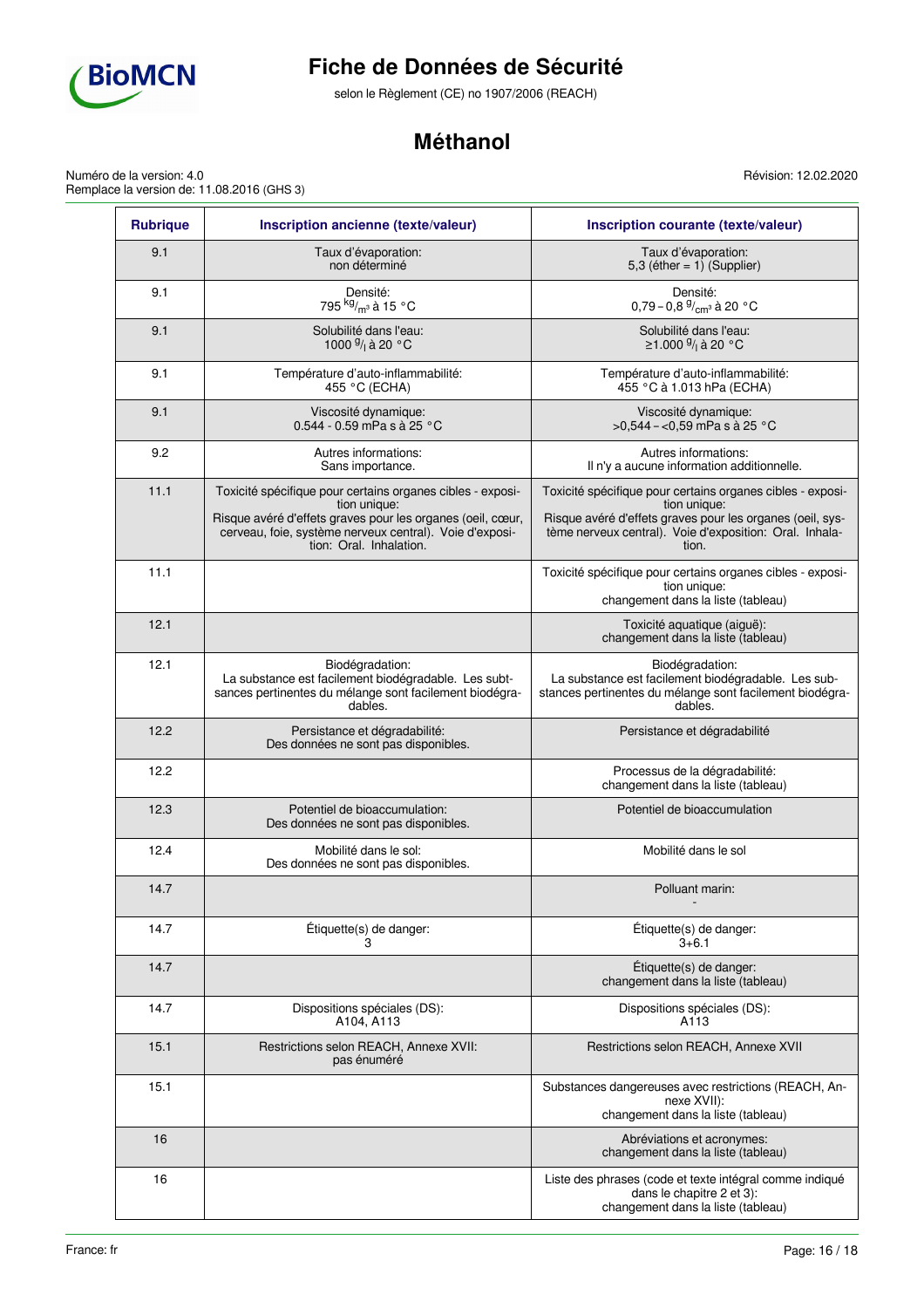

selon le Règlement (CE) no 1907/2006 (REACH)

# **Méthanol**

Révision: 12.02.2020

Numéro de la version: 4.0 Remplace la version de: 11.08.2016 (GHS 3)

| <b>Rubrique</b> | Inscription ancienne (texte/valeur)                                                                                                                                                                                            | Inscription courante (texte/valeur)                                                                                                                                                                         |
|-----------------|--------------------------------------------------------------------------------------------------------------------------------------------------------------------------------------------------------------------------------|-------------------------------------------------------------------------------------------------------------------------------------------------------------------------------------------------------------|
| 9.1             | Taux d'évaporation:<br>non déterminé                                                                                                                                                                                           | Taux d'évaporation:<br>5,3 (éther = $1)$ (Supplier)                                                                                                                                                         |
| 9.1             | Densité:<br>795 <sup>kg</sup> / <sub>m</sub> 3 à 15 °C                                                                                                                                                                         | Densité:<br>0,79 - 0,8 $\frac{9}{cm}$ à 20 °C                                                                                                                                                               |
| 9.1             | Solubilité dans l'eau:<br>1000 <sup>g</sup> / <sub>1</sub> à 20 °C                                                                                                                                                             | Solubilité dans l'eau:<br>≥1.000 <sup>9</sup> / <sub>1</sub> à 20 °C                                                                                                                                        |
| 9.1             | Température d'auto-inflammabilité:<br>455 °C (ECHA)                                                                                                                                                                            | Température d'auto-inflammabilité:<br>455 °C à 1.013 hPa (ECHA)                                                                                                                                             |
| 9.1             | Viscosité dynamique:<br>0.544 - 0.59 mPa s à 25 °C                                                                                                                                                                             | Viscosité dynamique:<br>>0,544 - <0,59 mPa s à 25 °C                                                                                                                                                        |
| 9.2             | Autres informations:<br>Sans importance.                                                                                                                                                                                       | Autres informations:<br>Il n'y a aucune information additionnelle.                                                                                                                                          |
| 11.1            | Toxicité spécifique pour certains organes cibles - exposi-<br>tion unique:<br>Risque avéré d'effets graves pour les organes (oeil, cœur,<br>cerveau, foie, système nerveux central). Voie d'exposi-<br>tion: Oral. Inhalation. | Toxicité spécifique pour certains organes cibles - exposi-<br>tion unique:<br>Risque avéré d'effets graves pour les organes (oeil, sys-<br>tème nerveux central). Voie d'exposition: Oral. Inhala-<br>tion. |
| 11.1            |                                                                                                                                                                                                                                | Toxicité spécifique pour certains organes cibles - exposi-<br>tion unique:<br>changement dans la liste (tableau)                                                                                            |
| 12.1            |                                                                                                                                                                                                                                | Toxicité aquatique (aiguë):<br>changement dans la liste (tableau)                                                                                                                                           |
| 12.1            | Biodégradation:<br>La substance est facilement biodégradable. Les subt-<br>sances pertinentes du mélange sont facilement biodégra-<br>dables.                                                                                  | Biodégradation:<br>La substance est facilement biodégradable. Les sub-<br>stances pertinentes du mélange sont facilement biodégra-<br>dables.                                                               |
| 12.2            | Persistance et dégradabilité:<br>Des données ne sont pas disponibles.                                                                                                                                                          | Persistance et dégradabilité                                                                                                                                                                                |
| 12.2            |                                                                                                                                                                                                                                | Processus de la dégradabilité:<br>changement dans la liste (tableau)                                                                                                                                        |
| 12.3            | Potentiel de bioaccumulation:<br>Des données ne sont pas disponibles.                                                                                                                                                          | Potentiel de bioaccumulation                                                                                                                                                                                |
| 12.4            | Mobilité dans le sol:<br>Des données ne sont pas disponibles.                                                                                                                                                                  | Mobilité dans le sol                                                                                                                                                                                        |
| 14.7            |                                                                                                                                                                                                                                | Polluant marin:                                                                                                                                                                                             |
| 14.7            | Étiquette(s) de danger:<br>3                                                                                                                                                                                                   | Étiquette(s) de danger:<br>$3 + 6.1$                                                                                                                                                                        |
| 14.7            |                                                                                                                                                                                                                                | Étiquette(s) de danger:<br>changement dans la liste (tableau)                                                                                                                                               |
| 14.7            | Dispositions spéciales (DS):<br>A104, A113                                                                                                                                                                                     | Dispositions spéciales (DS):<br>A113                                                                                                                                                                        |
| 15.1            | Restrictions selon REACH, Annexe XVII:<br>pas énuméré                                                                                                                                                                          | Restrictions selon REACH, Annexe XVII                                                                                                                                                                       |
| 15.1            |                                                                                                                                                                                                                                | Substances dangereuses avec restrictions (REACH, An-<br>nexe XVII):<br>changement dans la liste (tableau)                                                                                                   |
| 16              |                                                                                                                                                                                                                                | Abréviations et acronymes:<br>changement dans la liste (tableau)                                                                                                                                            |
| 16              |                                                                                                                                                                                                                                | Liste des phrases (code et texte intégral comme indiqué<br>dans le chapitre 2 et 3):<br>changement dans la liste (tableau)                                                                                  |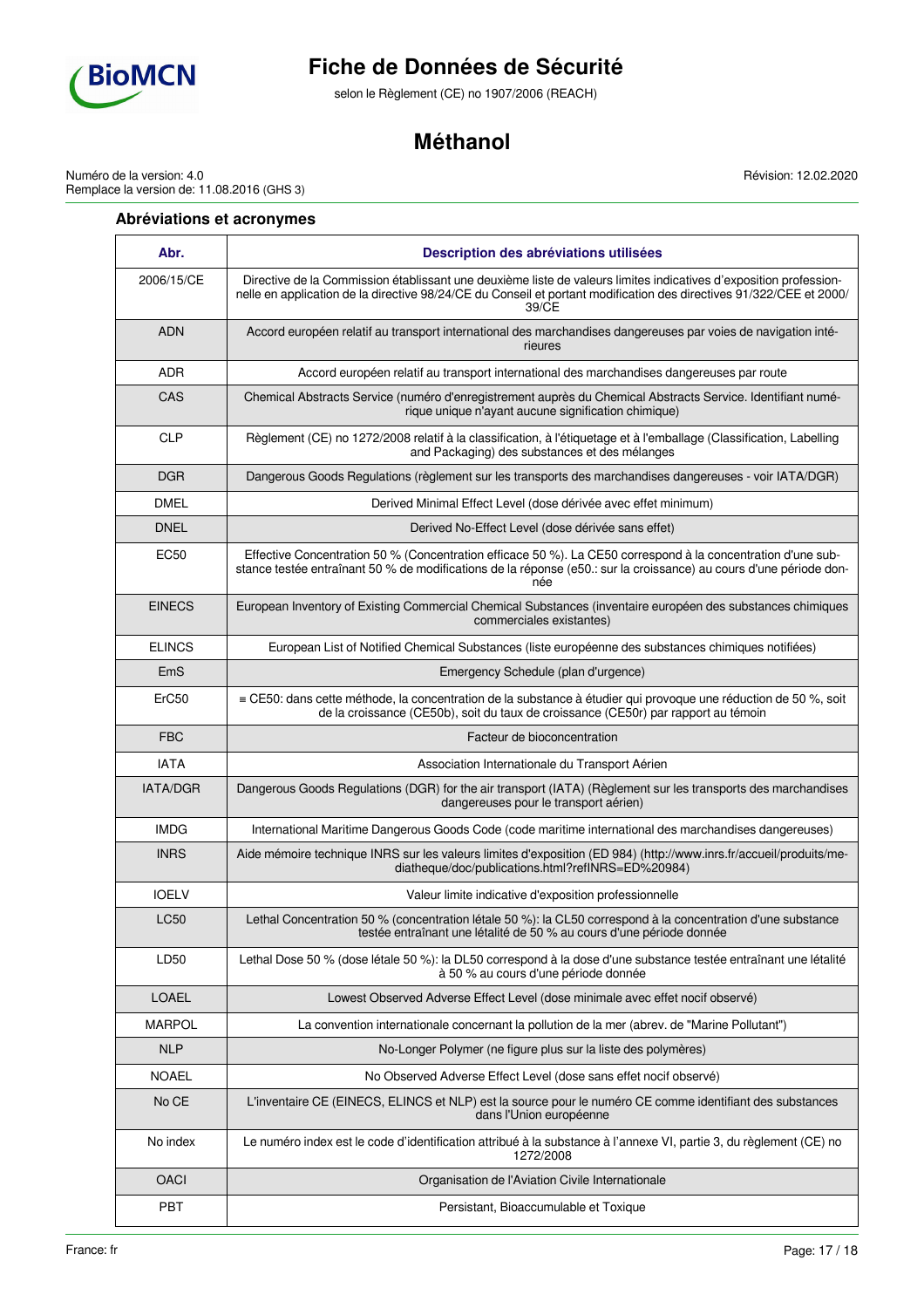

selon le Règlement (CE) no 1907/2006 (REACH)

# **Méthanol**

Numéro de la version: 4.0 Remplace la version de: 11.08.2016 (GHS 3)

## **Abréviations et acronymes**

**Abr. Description des abréviations utilisées** 2006/15/CE Directive de la Commission établissant une deuxième liste de valeurs limites indicatives d'exposition professionnelle en application de la directive 98/24/CE du Conseil et portant modification des directives 91/322/CEE et 2000/ 39/CE ADN Accord européen relatif au transport international des marchandises dangereuses par voies de navigation intérieures ADR Accord européen relatif au transport international des marchandises dangereuses par route CAS Chemical Abstracts Service (numéro d'enregistrement auprès du Chemical Abstracts Service. Identifiant numérique unique n'ayant aucune signification chimique) CLP Règlement (CE) no 1272/2008 relatif à la classification, à l'étiquetage et à l'emballage (Classification, Labelling and Packaging) des substances et des mélanges DGR **DANGER** Dangerous Goods Regulations (règlement sur les transports des marchandises dangereuses - voir IATA/DGR) DMEL **DERIVER DERIVED DES** Derived Minimal Effect Level (dose dérivée avec effet minimum) DNEL Derived No-Effect Level (dose dérivée sans effet) EC50 Effective Concentration 50 % (Concentration efficace 50 %). La CE50 correspond à la concentration d'une substance testée entraînant 50 % de modifications de la réponse (e50.: sur la croissance) au cours d'une période donnée EINECS European Inventory of Existing Commercial Chemical Substances (inventaire européen des substances chimiques commerciales existantes) ELINCS European List of Notified Chemical Substances (liste européenne des substances chimiques notifiées) EmS Emergency Schedule (plan d'urgence) ErC50 ≡ CE50: dans cette méthode, la concentration de la substance à étudier qui provoque une réduction de 50 %, soit de la croissance (CE50b), soit du taux de croissance (CE50r) par rapport au témoin FBC Facteur de bioconcentration IATA Association Internationale du Transport Aérien IATA/DGR | Dangerous Goods Regulations (DGR) for the air transport (IATA) (Règlement sur les transports des marchandises dangereuses pour le transport aérien) IMDG International Maritime Dangerous Goods Code (code maritime international des marchandises dangereuses) INRS Aide mémoire technique INRS sur les valeurs limites d'exposition (ED 984) (http://www.inrs.fr/accueil/produits/mediatheque/doc/publications.html?refINRS=ED%20984) IOELV Valeur limite indicative d'exposition professionnelle LC50 Lethal Concentration 50 % (concentration létale 50 %): la CL50 correspond à la concentration d'une substance testée entraînant une létalité de 50 % au cours d'une période donnée LD50 Lethal Dose 50 % (dose létale 50 %): la DL50 correspond à la dose d'une substance testée entraînant une létalité à 50 % au cours d'une période donnée LOAEL **LOAEL** Lowest Observed Adverse Effect Level (dose minimale avec effet nocif observé) MARPOL La convention internationale concernant la pollution de la mer (abrev. de "Marine Pollutant") NLP No-Longer Polymer (ne figure plus sur la liste des polymères) NOAEL NOAEL No Observed Adverse Effect Level (dose sans effet nocif observé) No CE L'inventaire CE (EINECS, ELINCS et NLP) est la source pour le numéro CE comme identifiant des substances dans l'Union européenne No index Le numéro index est le code d'identification attribué à la substance à l'annexe VI, partie 3, du règlement (CE) no 1272/2008 OACI Organisation de l'Aviation Civile Internationale PBT PBT PET PET PERSISTANT, Bioaccumulable et Toxique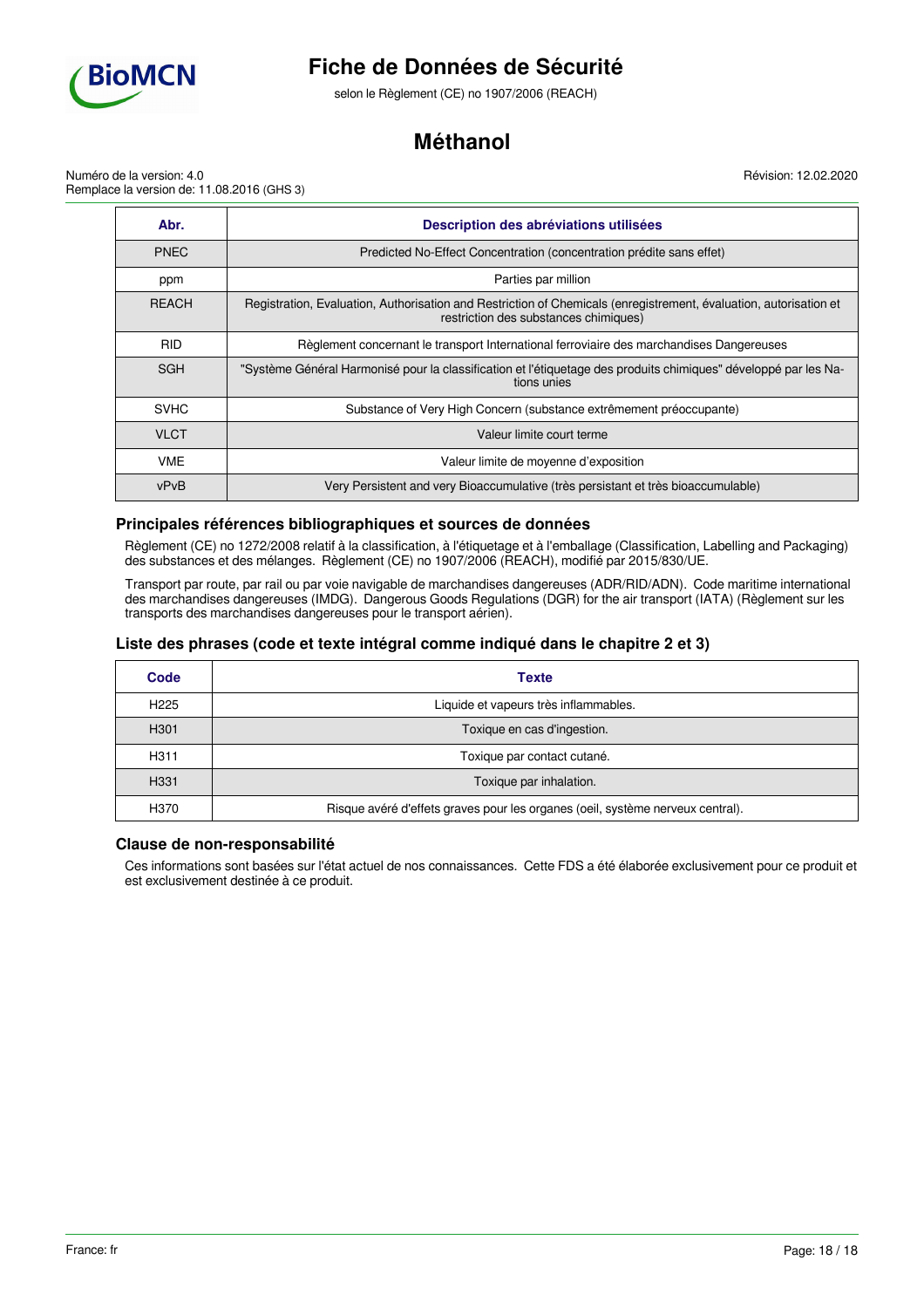

selon le Règlement (CE) no 1907/2006 (REACH)

# **Méthanol**

Révision: 12.02.2020

Numéro de la version: 4.0 Remplace la version de: 11.08.2016 (GHS 3)

| Abr.         | Description des abréviations utilisées                                                                                                                     |  |  |  |
|--------------|------------------------------------------------------------------------------------------------------------------------------------------------------------|--|--|--|
| <b>PNEC</b>  | Predicted No-Effect Concentration (concentration prédite sans effet)                                                                                       |  |  |  |
| ppm          | Parties par million                                                                                                                                        |  |  |  |
| <b>REACH</b> | Registration, Evaluation, Authorisation and Restriction of Chemicals (enregistrement, évaluation, autorisation et<br>restriction des substances chimiques) |  |  |  |
| <b>RID</b>   | Règlement concernant le transport International ferroviaire des marchandises Dangereuses                                                                   |  |  |  |
| <b>SGH</b>   | "Système Général Harmonisé pour la classification et l'étiquetage des produits chimiques" développé par les Na-<br>tions unies                             |  |  |  |
| <b>SVHC</b>  | Substance of Very High Concern (substance extrêmement préoccupante)                                                                                        |  |  |  |
| <b>VLCT</b>  | Valeur limite court terme                                                                                                                                  |  |  |  |
| <b>VME</b>   | Valeur limite de moyenne d'exposition                                                                                                                      |  |  |  |
| vPvB         | Very Persistent and very Bioaccumulative (très persistant et très bioaccumulable)                                                                          |  |  |  |

## **Principales références bibliographiques et sources de données**

Règlement (CE) no 1272/2008 relatif à la classification, à l'étiquetage et à l'emballage (Classification, Labelling and Packaging) des substances et des mélanges. Règlement (CE) no 1907/2006 (REACH), modifié par 2015/830/UE.

Transport par route, par rail ou par voie navigable de marchandises dangereuses (ADR/RID/ADN). Code maritime international des marchandises dangereuses (IMDG). Dangerous Goods Regulations (DGR) for the air transport (IATA) (Règlement sur les transports des marchandises dangereuses pour le transport aérien).

## **Liste des phrases (code et texte intégral comme indiqué dans le chapitre 2 et 3)**

| Code             | <b>Texte</b>                                                                   |
|------------------|--------------------------------------------------------------------------------|
| H <sub>225</sub> | Liquide et vapeurs très inflammables.                                          |
| H <sub>301</sub> | Toxique en cas d'ingestion.                                                    |
| H <sub>311</sub> | Toxique par contact cutané.                                                    |
| H <sub>331</sub> | Toxique par inhalation.                                                        |
| H370             | Risque avéré d'effets graves pour les organes (oeil, système nerveux central). |

## **Clause de non-responsabilité**

Ces informations sont basées sur l'état actuel de nos connaissances. Cette FDS a été élaborée exclusivement pour ce produit et est exclusivement destinée à ce produit.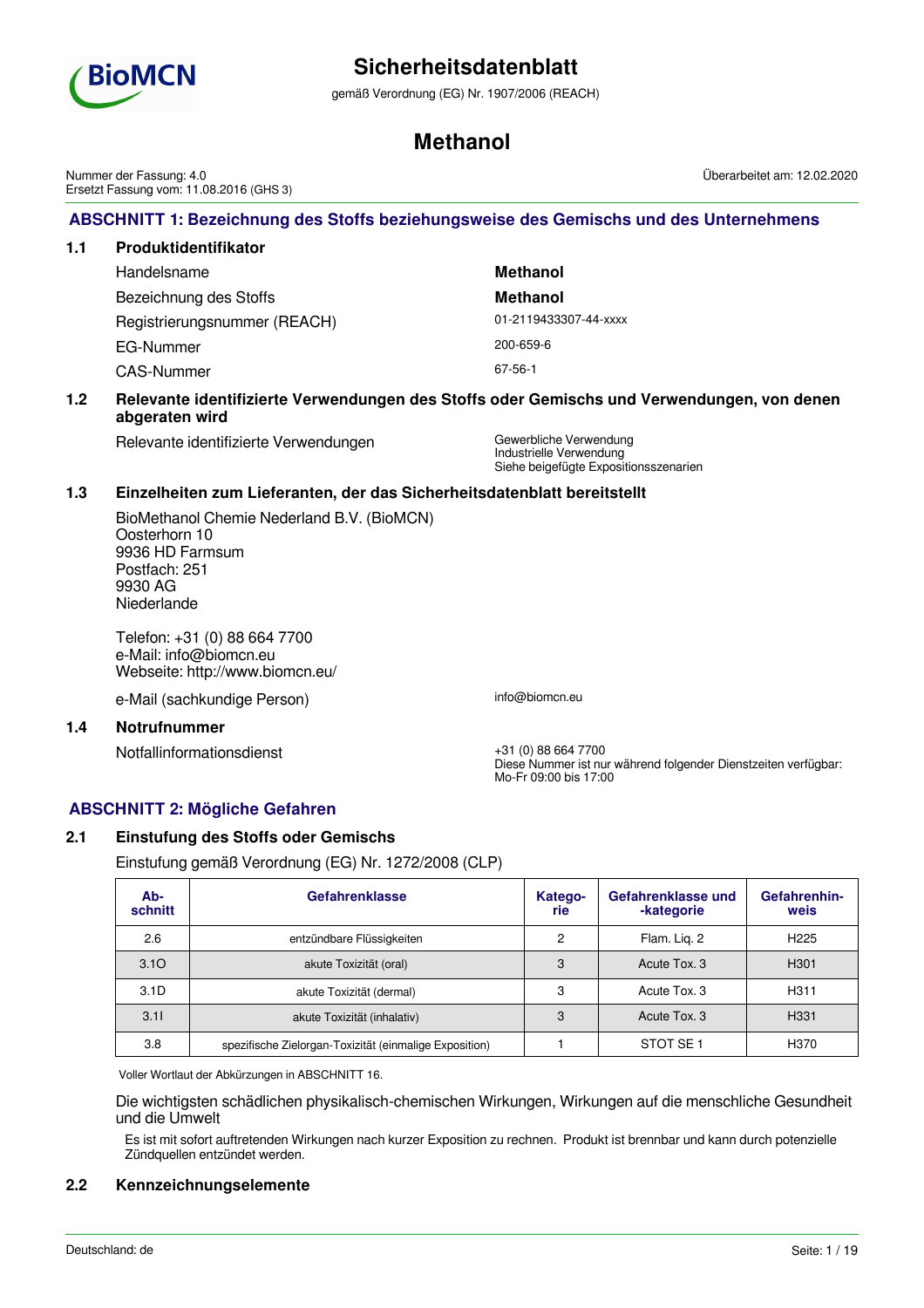

gemäß Verordnung (EG) Nr. 1907/2006 (REACH)

# **Methanol**

**ABSCHNITT 1: Bezeichnung des Stoffs beziehungsweise des Gemischs und des Unternehmens** Nummer der Fassung: 4.0 Ersetzt Fassung vom: 11.08.2016 (GHS 3) Überarbeitet am: 12.02.2020

# **1.1 Produktidentifikator** Handelsname **Methanol** Bezeichnung des Stoffs **Methanol** Registrierungsnummer (REACH) 01-2119433307-44-xxxx EG-Nummer 200-659-6 CAS-Nummer 67-56-1

## **1.2 Relevante identifizierte Verwendungen des Stoffs oder Gemischs und Verwendungen, von denen abgeraten wird**

Relevante identifizierte Verwendungen Gewerbliche Verwendung

Industrielle Verwendung Siehe beigefügte Expositionsszenarien

## **1.3 Einzelheiten zum Lieferanten, der das Sicherheitsdatenblatt bereitstellt**

BioMethanol Chemie Nederland B.V. (BioMCN) Oosterhorn 10 9936 HD Farmsum Postfach: 251 9930 AG Niederlande

Telefon: +31 (0) 88 664 7700 e-Mail: info@biomcn.eu Webseite: http://www.biomcn.eu/

e-Mail (sachkundige Person) info@biomcn.eu

## **1.4 Notrufnummer**

Notfallinformationsdienst +31 (0) 88 664 7700

Diese Nummer ist nur während folgender Dienstzeiten verfügbar: Mo-Fr 09:00 bis 17:00

# **ABSCHNITT 2: Mögliche Gefahren**

# **2.1 Einstufung des Stoffs oder Gemischs**

Einstufung gemäß Verordnung (EG) Nr. 1272/2008 (CLP)

| Ab-<br>schnitt   | <b>Gefahrenklasse</b>                                  | Katego-<br>rie | Gefahrenklasse und<br>-kategorie | Gefahrenhin-<br>weis |
|------------------|--------------------------------------------------------|----------------|----------------------------------|----------------------|
| 2.6              | entzündbare Flüssigkeiten                              | 2              | Flam. Lig. 2                     | H <sub>225</sub>     |
| 3.10             | akute Toxizität (oral)                                 | 3              | Acute Tox, 3                     | H <sub>301</sub>     |
| 3.1 <sub>D</sub> | akute Toxizität (dermal)                               | 3              | Acute Tox, 3                     | H <sub>311</sub>     |
| 3.11             | akute Toxizität (inhalativ)                            | 3              | Acute Tox, 3                     | H <sub>331</sub>     |
| 3.8              | spezifische Zielorgan-Toxizität (einmalige Exposition) |                | STOT SE <sub>1</sub>             | H370                 |

Voller Wortlaut der Abkürzungen in ABSCHNITT 16.

Die wichtigsten schädlichen physikalisch-chemischen Wirkungen, Wirkungen auf die menschliche Gesundheit und die Umwelt

Es ist mit sofort auftretenden Wirkungen nach kurzer Exposition zu rechnen. Produkt ist brennbar und kann durch potenzielle Zündquellen entzündet werden.

# **2.2 Kennzeichnungselemente**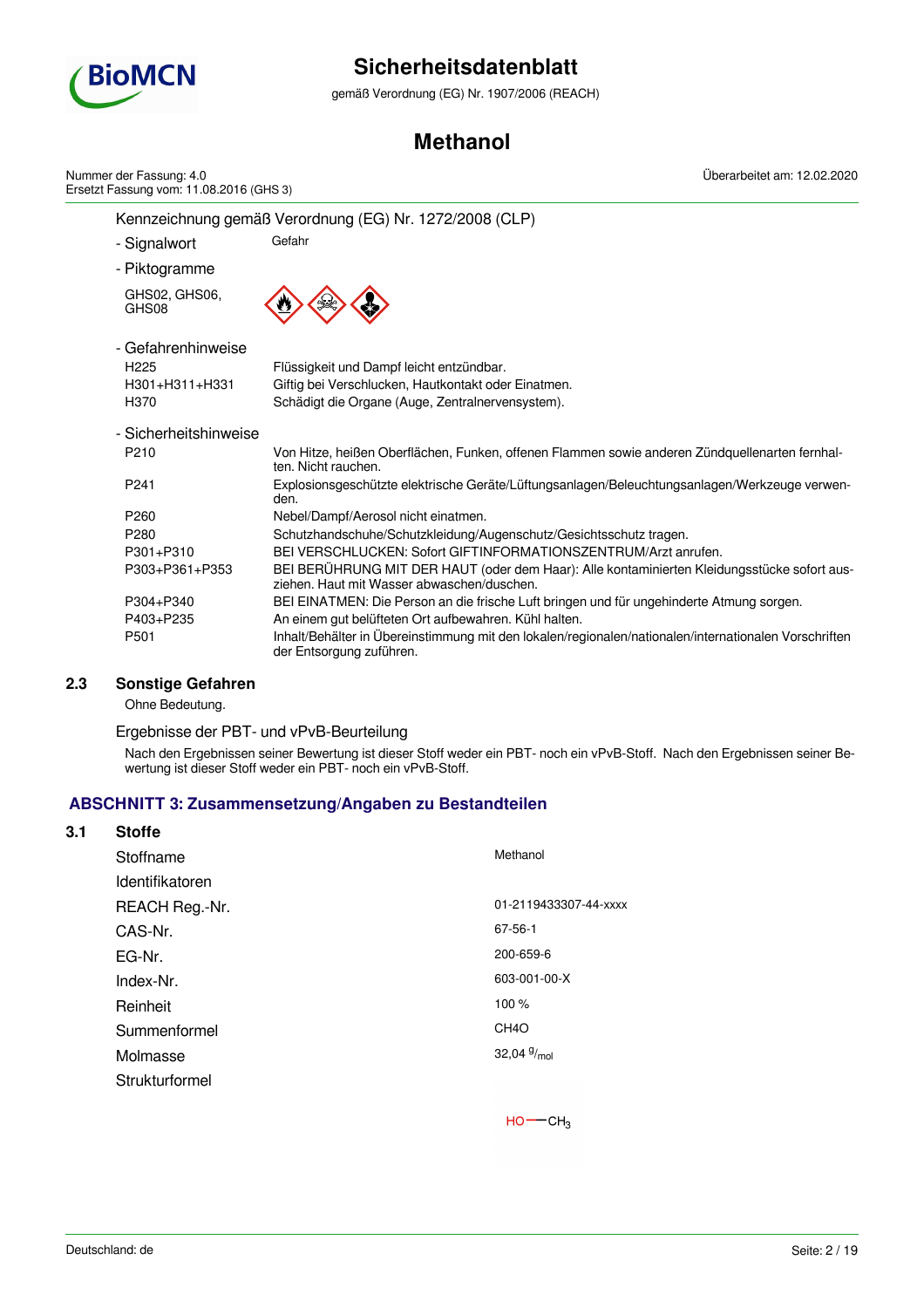

gemäß Verordnung (EG) Nr. 1907/2006 (REACH)

# **Methanol**

Kennzeichnung gemäß Verordnung (EG) Nr. 1272/2008 (CLP) - Signalwort Gefahr - Piktogramme GHS02, GHS06, GHS08 - Gefahrenhinweise H225 Flüssigkeit und Dampf leicht entzündbar. H301+H311+H331 Giftig bei Verschlucken, Hautkontakt oder Einatmen. H370 Schädigt die Organe (Auge, Zentralnervensystem). - Sicherheitshinweise P210 Von Hitze, heißen Oberflächen, Funken, offenen Flammen sowie anderen Zündquellenarten fernhalten. Nicht rauchen. P241 Explosionsgeschützte elektrische Geräte/Lüftungsanlagen/Beleuchtungsanlagen/Werkzeuge verwenden. P260 Nebel/Dampf/Aerosol nicht einatmen. P280 Schutzhandschuhe/Schutzkleidung/Augenschutz/Gesichtsschutz tragen. P301+P310 BEI VERSCHLUCKEN: Sofort GIFTINFORMATIONSZENTRUM/Arzt anrufen. P303+P361+P353 BEI BERÜHRUNG MIT DER HAUT (oder dem Haar): Alle kontaminierten Kleidungsstücke sofort ausziehen. Haut mit Wasser abwaschen/duschen. P304+P340 BEI EINATMEN: Die Person an die frische Luft bringen und für ungehinderte Atmung sorgen. P403+P235 An einem gut belüfteten Ort aufbewahren. Kühl halten. P501 Inhalt/Behälter in Übereinstimmung mit den lokalen/regionalen/nationalen/internationalen Vorschriften der Entsorgung zuführen. Nummer der Fassung: 4.0 Ersetzt Fassung vom: 11.08.2016 (GHS 3) Überarbeitet am: 12.02.2020

# **2.3 Sonstige Gefahren**

Ohne Bedeutung.

Ergebnisse der PBT- und vPvB-Beurteilung

Nach den Ergebnissen seiner Bewertung ist dieser Stoff weder ein PBT- noch ein vPvB-Stoff. Nach den Ergebnissen seiner Bewertung ist dieser Stoff weder ein PBT- noch ein vPvB-Stoff.

# **ABSCHNITT 3: Zusammensetzung/Angaben zu Bestandteilen**

| 3.1 | <b>Stoffe</b>   |                       |
|-----|-----------------|-----------------------|
|     | Stoffname       | Methanol              |
|     | Identifikatoren |                       |
|     | REACH Reg.-Nr.  | 01-2119433307-44-xxxx |
|     | CAS-Nr.         | 67-56-1               |
|     | EG-Nr.          | 200-659-6             |
|     | Index-Nr.       | 603-001-00-X          |
|     | Reinheit        | 100 %                 |
|     | Summenformel    | CH <sub>4</sub> O     |
|     | Molmasse        | 32,04 $\frac{9}{mol}$ |
|     | Strukturformel  |                       |
|     |                 |                       |

 $HO$  -  $CH<sub>3</sub>$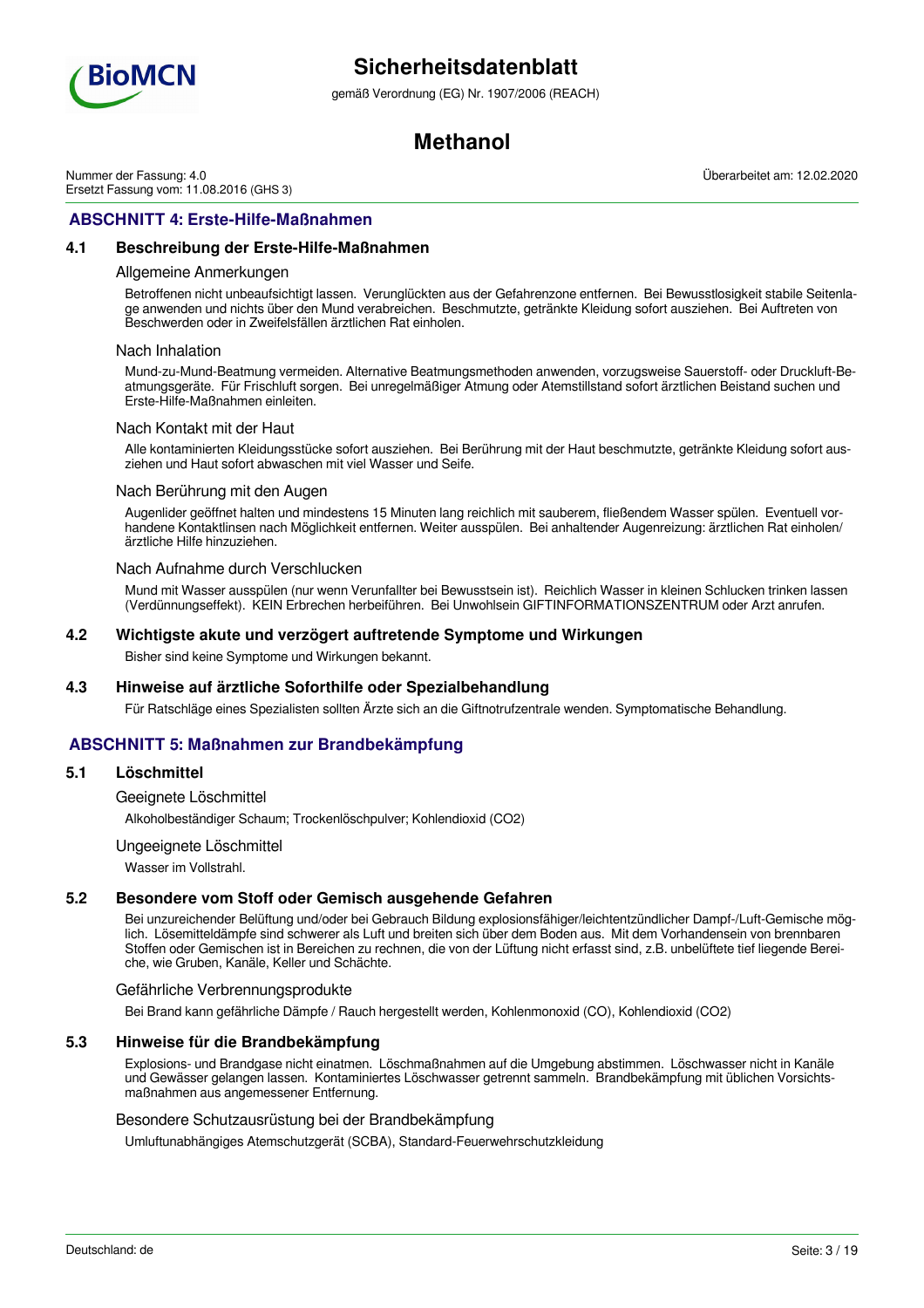

gemäß Verordnung (EG) Nr. 1907/2006 (REACH)

# **Methanol**

Nummer der Fassung: 4.0 Ersetzt Fassung vom: 11.08.2016 (GHS 3) Überarbeitet am: 12.02.2020

# **ABSCHNITT 4: Erste-Hilfe-Maßnahmen**

## **4.1 Beschreibung der Erste-Hilfe-Maßnahmen**

#### Allgemeine Anmerkungen

Betroffenen nicht unbeaufsichtigt lassen. Verunglückten aus der Gefahrenzone entfernen. Bei Bewusstlosigkeit stabile Seitenlage anwenden und nichts über den Mund verabreichen. Beschmutzte, getränkte Kleidung sofort ausziehen. Bei Auftreten von Beschwerden oder in Zweifelsfällen ärztlichen Rat einholen.

#### Nach Inhalation

Mund-zu-Mund-Beatmung vermeiden. Alternative Beatmungsmethoden anwenden, vorzugsweise Sauerstoff- oder Druckluft-Beatmungsgeräte. Für Frischluft sorgen. Bei unregelmäßiger Atmung oder Atemstillstand sofort ärztlichen Beistand suchen und Erste-Hilfe-Maßnahmen einleiten.

#### Nach Kontakt mit der Haut

Alle kontaminierten Kleidungsstücke sofort ausziehen. Bei Berührung mit der Haut beschmutzte, getränkte Kleidung sofort ausziehen und Haut sofort abwaschen mit viel Wasser und Seife.

#### Nach Berührung mit den Augen

Augenlider geöffnet halten und mindestens 15 Minuten lang reichlich mit sauberem, fließendem Wasser spülen. Eventuell vorhandene Kontaktlinsen nach Möglichkeit entfernen. Weiter ausspülen. Bei anhaltender Augenreizung: ärztlichen Rat einholen/ ärztliche Hilfe hinzuziehen.

#### Nach Aufnahme durch Verschlucken

Mund mit Wasser ausspülen (nur wenn Verunfallter bei Bewusstsein ist). Reichlich Wasser in kleinen Schlucken trinken lassen (Verdünnungseffekt). KEIN Erbrechen herbeiführen. Bei Unwohlsein GIFTINFORMATIONSZENTRUM oder Arzt anrufen.

#### **4.2 Wichtigste akute und verzögert auftretende Symptome und Wirkungen**

Bisher sind keine Symptome und Wirkungen bekannt.

### **4.3 Hinweise auf ärztliche Soforthilfe oder Spezialbehandlung**

Für Ratschläge eines Spezialisten sollten Ärzte sich an die Giftnotrufzentrale wenden. Symptomatische Behandlung.

# **ABSCHNITT 5: Maßnahmen zur Brandbekämpfung**

#### **5.1 Löschmittel**

Geeignete Löschmittel

Alkoholbeständiger Schaum; Trockenlöschpulver; Kohlendioxid (CO2)

#### Ungeeignete Löschmittel

Wasser im Vollstrahl.

### **5.2 Besondere vom Stoff oder Gemisch ausgehende Gefahren**

Bei unzureichender Belüftung und/oder bei Gebrauch Bildung explosionsfähiger/leichtentzündlicher Dampf-/Luft-Gemische möglich. Lösemitteldämpfe sind schwerer als Luft und breiten sich über dem Boden aus. Mit dem Vorhandensein von brennbaren Stoffen oder Gemischen ist in Bereichen zu rechnen, die von der Lüftung nicht erfasst sind, z.B. unbelüftete tief liegende Bereiche, wie Gruben, Kanäle, Keller und Schächte.

#### Gefährliche Verbrennungsprodukte

Bei Brand kann gefährliche Dämpfe / Rauch hergestellt werden, Kohlenmonoxid (CO), Kohlendioxid (CO2)

#### **5.3 Hinweise für die Brandbekämpfung**

Explosions- und Brandgase nicht einatmen. Löschmaßnahmen auf die Umgebung abstimmen. Löschwasser nicht in Kanäle und Gewässer gelangen lassen. Kontaminiertes Löschwasser getrennt sammeln. Brandbekämpfung mit üblichen Vorsichtsmaßnahmen aus angemessener Entfernung.

#### Besondere Schutzausrüstung bei der Brandbekämpfung

Umluftunabhängiges Atemschutzgerät (SCBA), Standard-Feuerwehrschutzkleidung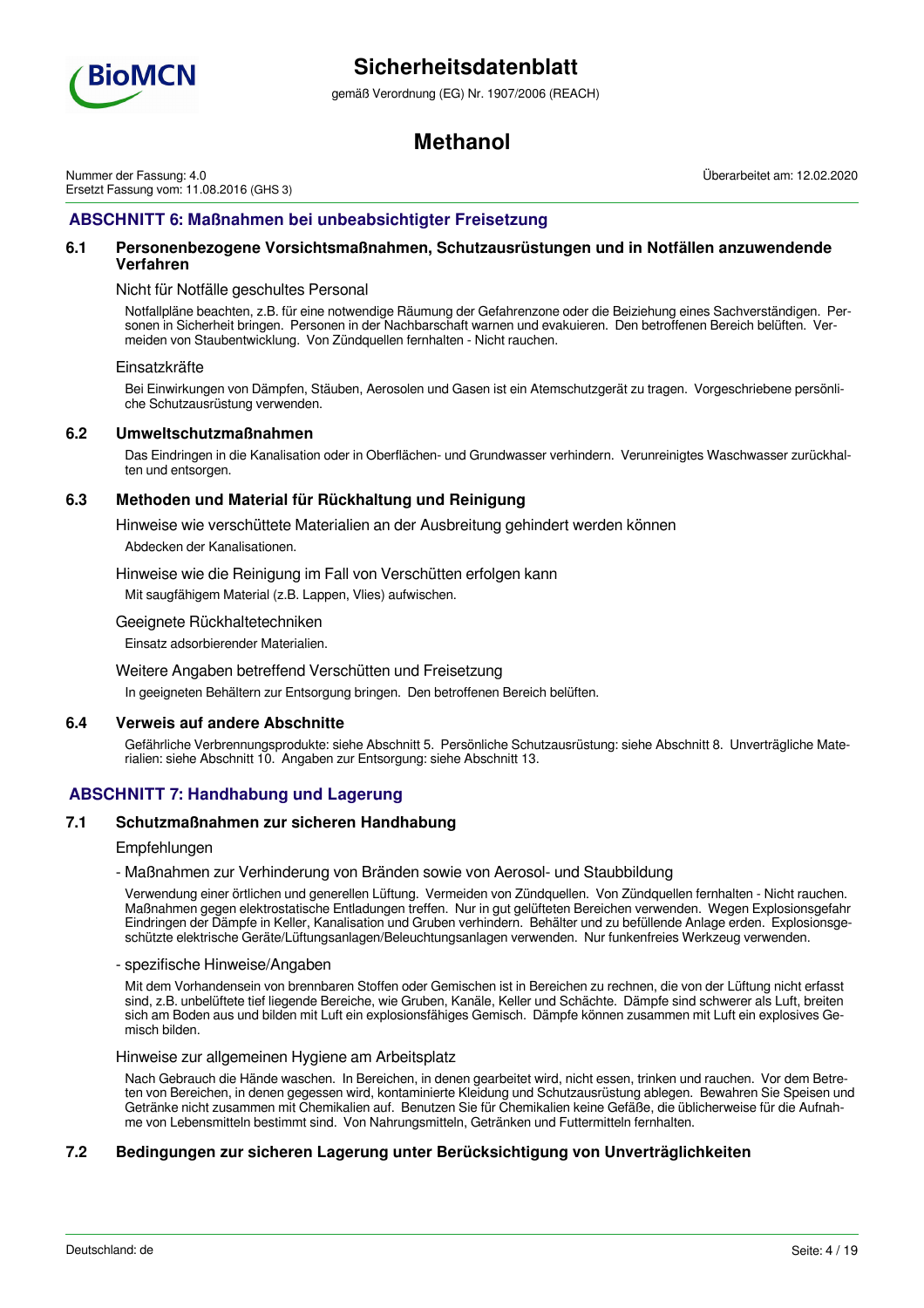

gemäß Verordnung (EG) Nr. 1907/2006 (REACH)

# **Methanol**

Nummer der Fassung: 4.0 Ersetzt Fassung vom: 11.08.2016 (GHS 3) Überarbeitet am: 12.02.2020

# **ABSCHNITT 6: Maßnahmen bei unbeabsichtigter Freisetzung**

## **6.1 Personenbezogene Vorsichtsmaßnahmen, Schutzausrüstungen und in Notfällen anzuwendende Verfahren**

### Nicht für Notfälle geschultes Personal

Notfallpläne beachten, z.B. für eine notwendige Räumung der Gefahrenzone oder die Beiziehung eines Sachverständigen. Personen in Sicherheit bringen. Personen in der Nachbarschaft warnen und evakuieren. Den betroffenen Bereich belüften. Vermeiden von Staubentwicklung. Von Zündquellen fernhalten - Nicht rauchen.

#### Einsatzkräfte

Bei Einwirkungen von Dämpfen, Stäuben, Aerosolen und Gasen ist ein Atemschutzgerät zu tragen. Vorgeschriebene persönliche Schutzausrüstung verwenden.

## **6.2 Umweltschutzmaßnahmen**

Das Eindringen in die Kanalisation oder in Oberflächen- und Grundwasser verhindern. Verunreinigtes Waschwasser zurückhalten und entsorgen.

## **6.3 Methoden und Material für Rückhaltung und Reinigung**

Hinweise wie verschüttete Materialien an der Ausbreitung gehindert werden können

Abdecken der Kanalisationen.

Hinweise wie die Reinigung im Fall von Verschütten erfolgen kann

Mit saugfähigem Material (z.B. Lappen, Vlies) aufwischen.

Geeignete Rückhaltetechniken

Einsatz adsorbierender Materialien.

Weitere Angaben betreffend Verschütten und Freisetzung

In geeigneten Behältern zur Entsorgung bringen. Den betroffenen Bereich belüften.

## **6.4 Verweis auf andere Abschnitte**

Gefährliche Verbrennungsprodukte: siehe Abschnitt 5. Persönliche Schutzausrüstung: siehe Abschnitt 8. Unverträgliche Materialien: siehe Abschnitt 10. Angaben zur Entsorgung: siehe Abschnitt 13.

# **ABSCHNITT 7: Handhabung und Lagerung**

## **7.1 Schutzmaßnahmen zur sicheren Handhabung**

## **Empfehlungen**

- Maßnahmen zur Verhinderung von Bränden sowie von Aerosol- und Staubbildung

Verwendung einer örtlichen und generellen Lüftung. Vermeiden von Zündquellen. Von Zündquellen fernhalten - Nicht rauchen. Maßnahmen gegen elektrostatische Entladungen treffen. Nur in gut gelüfteten Bereichen verwenden. Wegen Explosionsgefahr Eindringen der Dämpfe in Keller, Kanalisation und Gruben verhindern. Behälter und zu befüllende Anlage erden. Explosionsgeschützte elektrische Geräte/Lüftungsanlagen/Beleuchtungsanlagen verwenden. Nur funkenfreies Werkzeug verwenden.

#### - spezifische Hinweise/Angaben

Mit dem Vorhandensein von brennbaren Stoffen oder Gemischen ist in Bereichen zu rechnen, die von der Lüftung nicht erfasst sind, z.B. unbelüftete tief liegende Bereiche, wie Gruben, Kanäle, Keller und Schächte. Dämpfe sind schwerer als Luft, breiten sich am Boden aus und bilden mit Luft ein explosionsfähiges Gemisch. Dämpfe können zusammen mit Luft ein explosives Gemisch bilden.

Hinweise zur allgemeinen Hygiene am Arbeitsplatz

Nach Gebrauch die Hände waschen. In Bereichen, in denen gearbeitet wird, nicht essen, trinken und rauchen. Vor dem Betreten von Bereichen, in denen gegessen wird, kontaminierte Kleidung und Schutzausrüstung ablegen. Bewahren Sie Speisen und Getränke nicht zusammen mit Chemikalien auf. Benutzen Sie für Chemikalien keine Gefäße, die üblicherweise für die Aufnahme von Lebensmitteln bestimmt sind. Von Nahrungsmitteln, Getränken und Futtermitteln fernhalten.

## **7.2 Bedingungen zur sicheren Lagerung unter Berücksichtigung von Unverträglichkeiten**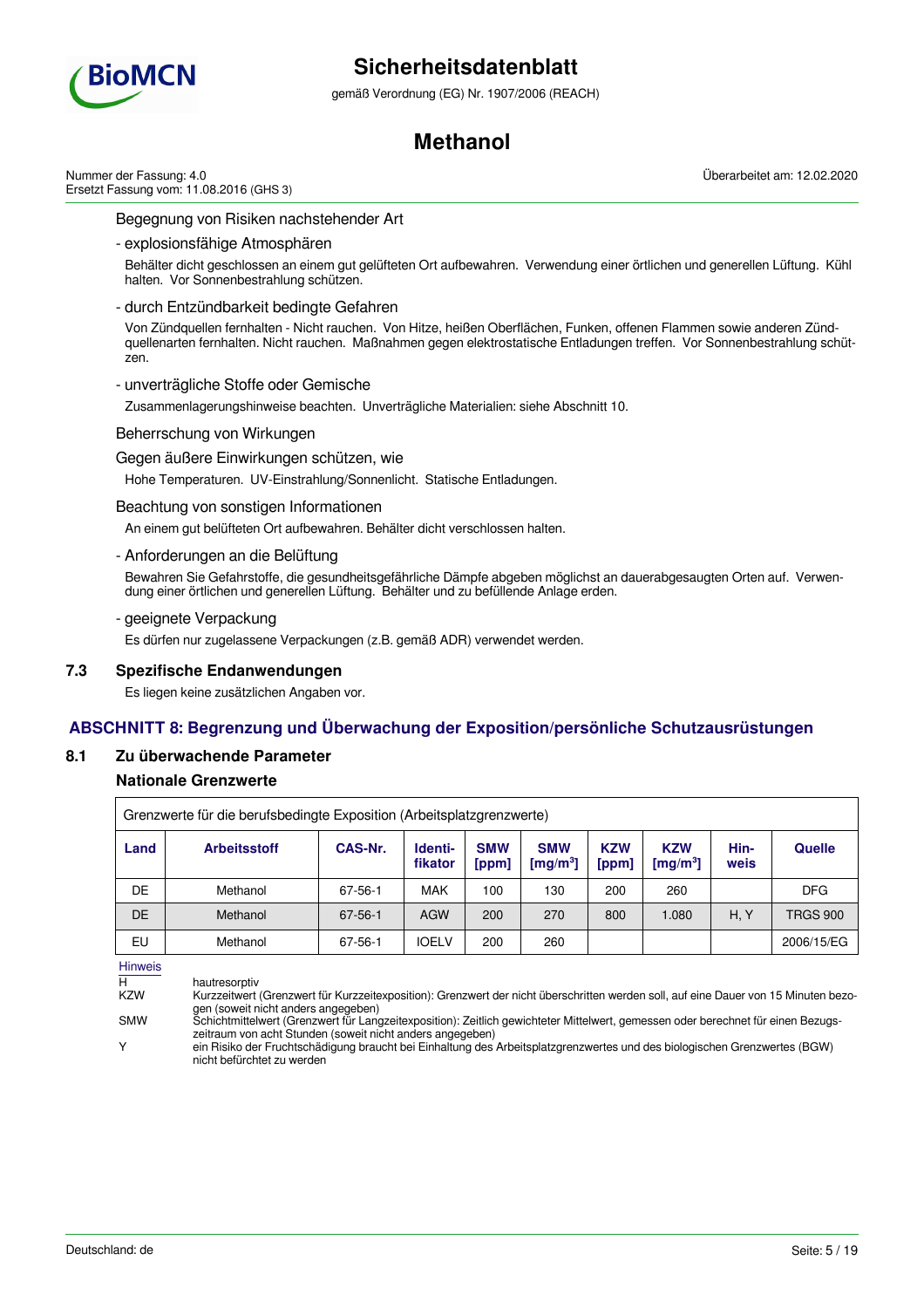

gemäß Verordnung (EG) Nr. 1907/2006 (REACH)

# **Methanol**

Nummer der Fassung: 4.0 Ersetzt Fassung vom: 11.08.2016 (GHS 3) Überarbeitet am: 12.02.2020

## Begegnung von Risiken nachstehender Art

- explosionsfähige Atmosphären

Behälter dicht geschlossen an einem gut gelüfteten Ort aufbewahren. Verwendung einer örtlichen und generellen Lüftung. Kühl halten. Vor Sonnenbestrahlung schützen.

### - durch Entzündbarkeit bedingte Gefahren

Von Zündquellen fernhalten - Nicht rauchen. Von Hitze, heißen Oberflächen, Funken, offenen Flammen sowie anderen Zündquellenarten fernhalten. Nicht rauchen. Maßnahmen gegen elektrostatische Entladungen treffen. Vor Sonnenbestrahlung schützen.

### - unverträgliche Stoffe oder Gemische

Zusammenlagerungshinweise beachten. Unverträgliche Materialien: siehe Abschnitt 10.

### Beherrschung von Wirkungen

#### Gegen äußere Einwirkungen schützen, wie

Hohe Temperaturen. UV-Einstrahlung/Sonnenlicht. Statische Entladungen.

### Beachtung von sonstigen Informationen

An einem gut belüfteten Ort aufbewahren. Behälter dicht verschlossen halten.

### - Anforderungen an die Belüftung

Bewahren Sie Gefahrstoffe, die gesundheitsgefährliche Dämpfe abgeben möglichst an dauerabgesaugten Orten auf. Verwendung einer örtlichen und generellen Lüftung. Behälter und zu befüllende Anlage erden.

### - geeignete Verpackung

Es dürfen nur zugelassene Verpackungen (z.B. gemäß ADR) verwendet werden.

## **7.3 Spezifische Endanwendungen**

Es liegen keine zusätzlichen Angaben vor.

# **ABSCHNITT 8: Begrenzung und Überwachung der Exposition/persönliche Schutzausrüstungen**

## **8.1 Zu überwachende Parameter**

## **Nationale Grenzwerte**

|      | Grenzwerte für die berufsbedingte Exposition (Arbeitsplatzgrenzwerte) |               |                    |                     |                                    |                     |                           |              |                 |
|------|-----------------------------------------------------------------------|---------------|--------------------|---------------------|------------------------------------|---------------------|---------------------------|--------------|-----------------|
| Land | <b>Arbeitsstoff</b>                                                   | CAS-Nr.       | Identi-<br>fikator | <b>SMW</b><br>[ppm] | <b>SMW</b><br>[mg/m <sup>3</sup> ] | <b>KZW</b><br>[ppm] | <b>KZW</b><br>[mg/m $3$ ] | Hin-<br>weis | <b>Quelle</b>   |
| DE   | Methanol                                                              | 67-56-1       | <b>MAK</b>         | 100                 | 130                                | 200                 | 260                       |              | <b>DFG</b>      |
| DE   | Methanol                                                              | $67 - 56 - 1$ | AGW                | 200                 | 270                                | 800                 | 1.080                     | H. Y         | <b>TRGS 900</b> |
| EU   | Methanol                                                              | 67-56-1       | <b>IOELV</b>       | 200                 | 260                                |                     |                           |              | 2006/15/EG      |

Hinweis

H hautresorptiv<br>K7W Kurzzeitwert Kurzzeitwert (Grenzwert für Kurzzeitexposition): Grenzwert der nicht überschritten werden soll, auf eine Dauer von 15 Minuten bezogen (soweit nicht anders angegeben)

SMW Schichtmittelwert (Grenzwert für Langzeitexposition): Zeitlich gewichteter Mittelwert, gemessen oder berechnet für einen Bezugszeitraum von acht Stunden (soweit nicht anders angegeben)

Y ein Risiko der Fruchtschädigung braucht bei Einhaltung des Arbeitsplatzgrenzwertes und des biologischen Grenzwertes (BGW) nicht befürchtet zu werden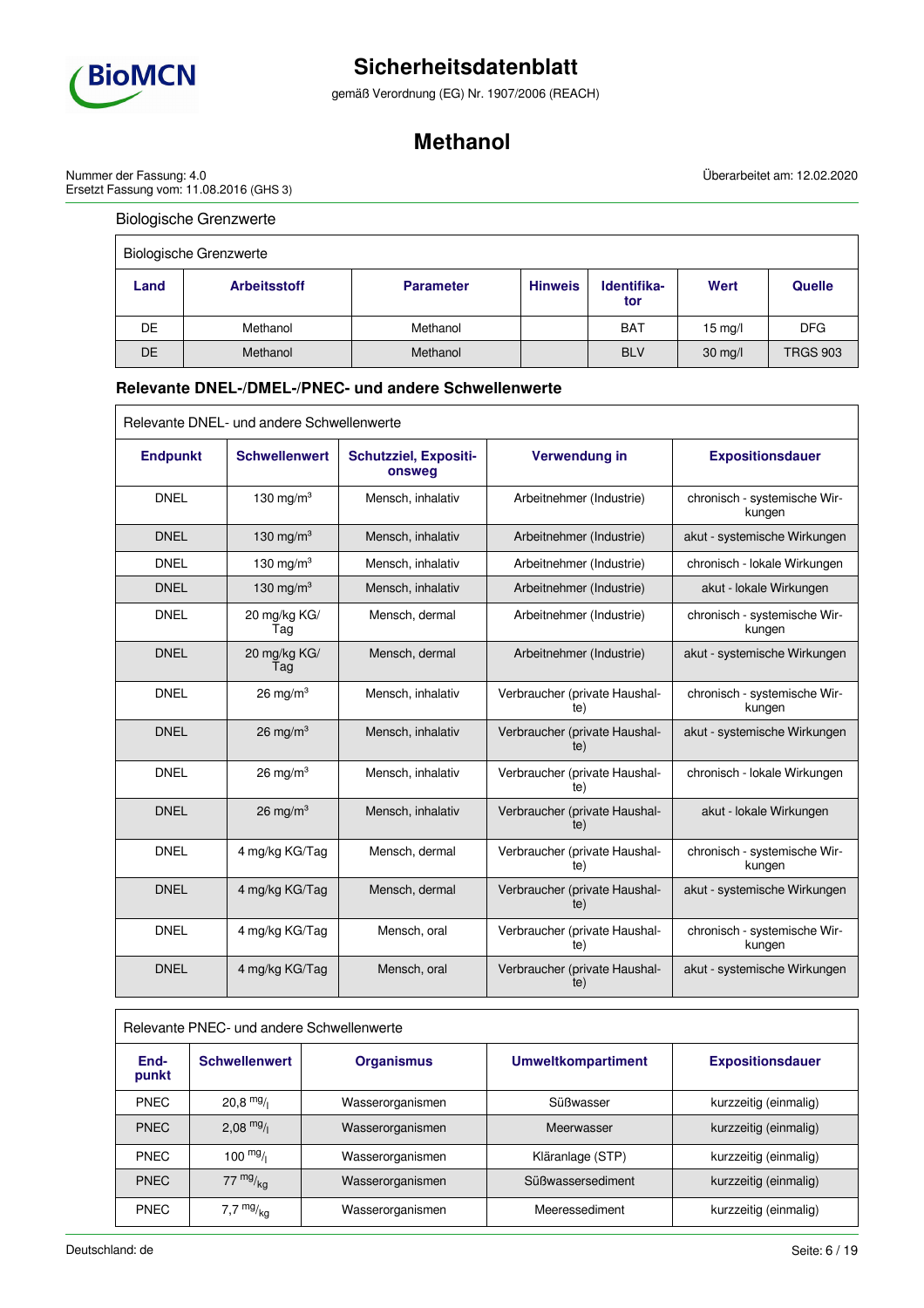

gemäß Verordnung (EG) Nr. 1907/2006 (REACH)

# **Methanol**

Überarbeitet am: 12.02.2020

Nummer der Fassung: 4.0 Ersetzt Fassung vom: 11.08.2016 (GHS 3)

# Biologische Grenzwerte

| <b>Biologische Grenzwerte</b> |                     |                  |                |                    |                   |                 |
|-------------------------------|---------------------|------------------|----------------|--------------------|-------------------|-----------------|
| Land                          | <b>Arbeitsstoff</b> | <b>Parameter</b> | <b>Hinweis</b> | Identifika-<br>tor | Wert              | <b>Quelle</b>   |
| DE                            | Methanol            | Methanol         |                | <b>BAT</b>         | $15 \text{ mg}/l$ | <b>DFG</b>      |
| DE                            | Methanol            | Methanol         |                | <b>BLV</b>         | $30$ mg/l         | <b>TRGS 903</b> |

# **Relevante DNEL-/DMEL-/PNEC- und andere Schwellenwerte**

| Relevante DNEL- und andere Schwellenwerte |                      |                                        |                                      |                                        |  |
|-------------------------------------------|----------------------|----------------------------------------|--------------------------------------|----------------------------------------|--|
| <b>Endpunkt</b>                           | <b>Schwellenwert</b> | <b>Schutzziel, Expositi-</b><br>onsweg | Verwendung in                        | <b>Expositionsdauer</b>                |  |
| <b>DNEL</b>                               | 130 mg/m $3$         | Mensch, inhalativ                      | Arbeitnehmer (Industrie)             | chronisch - systemische Wir-<br>kungen |  |
| <b>DNEL</b>                               | 130 mg/m $3$         | Mensch, inhalativ                      | Arbeitnehmer (Industrie)             | akut - systemische Wirkungen           |  |
| <b>DNEL</b>                               | 130 mg/m $3$         | Mensch, inhalativ                      | Arbeitnehmer (Industrie)             | chronisch - lokale Wirkungen           |  |
| <b>DNEL</b>                               | 130 mg/m $3$         | Mensch, inhalativ                      | Arbeitnehmer (Industrie)             | akut - lokale Wirkungen                |  |
| <b>DNEL</b>                               | 20 mg/kg KG/<br>Tag  | Mensch, dermal                         | Arbeitnehmer (Industrie)             | chronisch - systemische Wir-<br>kungen |  |
| <b>DNEL</b>                               | 20 mg/kg KG/<br>Tag  | Mensch, dermal                         | Arbeitnehmer (Industrie)             | akut - systemische Wirkungen           |  |
| <b>DNEL</b>                               | 26 mg/m $3$          | Mensch, inhalativ                      | Verbraucher (private Haushal-<br>te) | chronisch - systemische Wir-<br>kungen |  |
| <b>DNEL</b>                               | 26 mg/m $3$          | Mensch, inhalativ                      | Verbraucher (private Haushal-<br>te) | akut - systemische Wirkungen           |  |
| <b>DNEL</b>                               | $26 \text{ mg/m}^3$  | Mensch, inhalativ                      | Verbraucher (private Haushal-<br>te) | chronisch - lokale Wirkungen           |  |
| <b>DNEL</b>                               | 26 mg/m $3$          | Mensch, inhalativ                      | Verbraucher (private Haushal-<br>te) | akut - lokale Wirkungen                |  |
| <b>DNEL</b>                               | 4 mg/kg KG/Tag       | Mensch, dermal                         | Verbraucher (private Haushal-<br>te) | chronisch - systemische Wir-<br>kungen |  |
| <b>DNEL</b>                               | 4 mg/kg KG/Tag       | Mensch, dermal                         | Verbraucher (private Haushal-<br>te) | akut - systemische Wirkungen           |  |
| <b>DNEL</b>                               | 4 mg/kg KG/Tag       | Mensch, oral                           | Verbraucher (private Haushal-<br>te) | chronisch - systemische Wir-<br>kungen |  |
| <b>DNEL</b>                               | 4 mg/kg KG/Tag       | Mensch, oral                           | Verbraucher (private Haushal-<br>te) | akut - systemische Wirkungen           |  |

| Relevante PNEC- und andere Schwellenwerte |                      |                   |                           |                         |  |  |
|-------------------------------------------|----------------------|-------------------|---------------------------|-------------------------|--|--|
| End-<br>punkt                             | <b>Schwellenwert</b> | <b>Organismus</b> | <b>Umweltkompartiment</b> | <b>Expositionsdauer</b> |  |  |
| <b>PNEC</b>                               | $20.8$ mg/           | Wasserorganismen  | Süßwasser                 | kurzzeitig (einmalig)   |  |  |
| <b>PNEC</b>                               | $2,08$ mg/           | Wasserorganismen  | Meerwasser                | kurzzeitig (einmalig)   |  |  |
| <b>PNEC</b>                               | $100 \frac{mg}{l}$   | Wasserorganismen  | Kläranlage (STP)          | kurzzeitig (einmalig)   |  |  |
| <b>PNEC</b>                               | $77 \frac{mg}{ka}$   | Wasserorganismen  | Süßwassersediment         | kurzzeitig (einmalig)   |  |  |
| <b>PNEC</b>                               | 7,7 $mg/kq$          | Wasserorganismen  | Meeressediment            | kurzzeitig (einmalig)   |  |  |

٦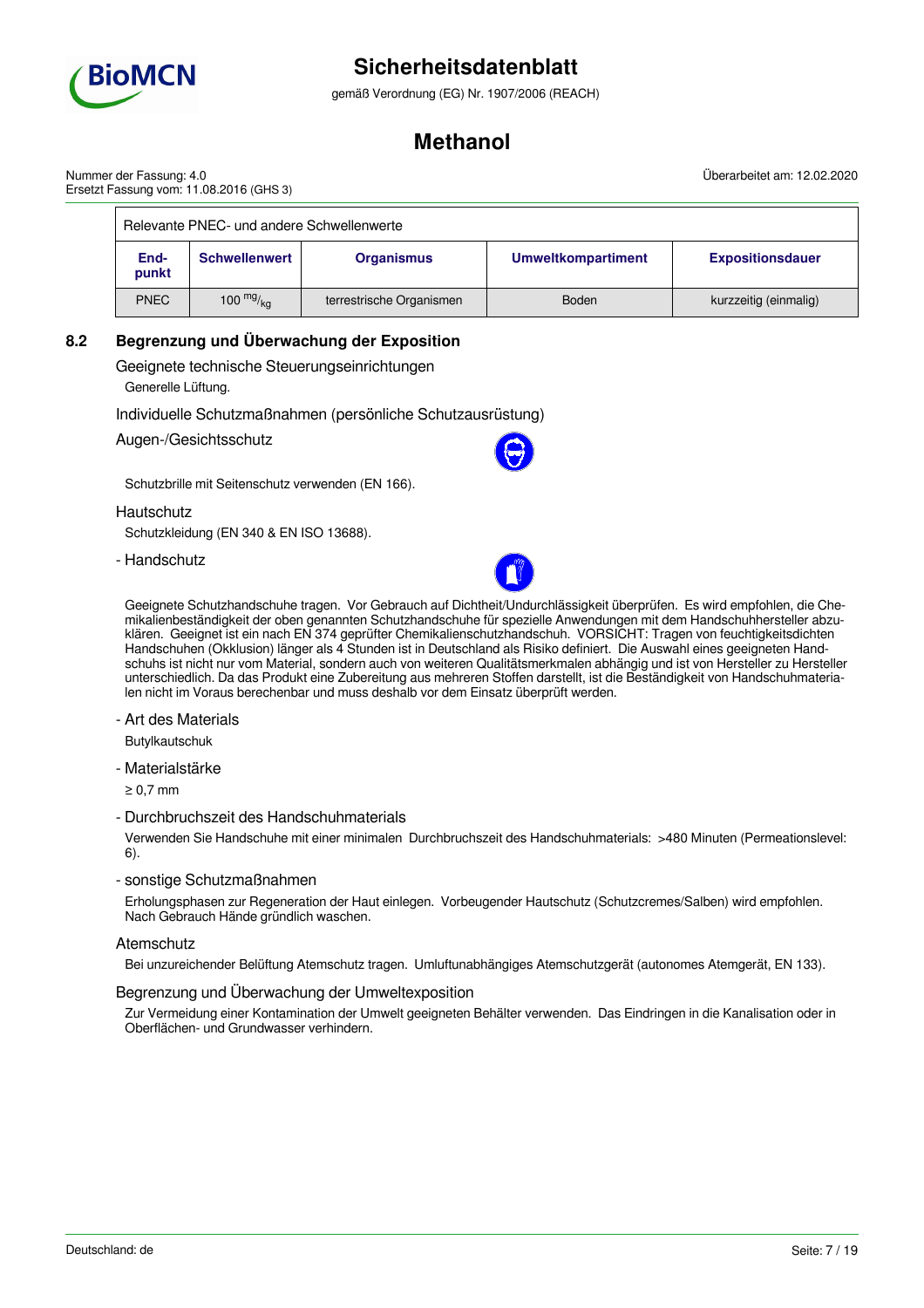

gemäß Verordnung (EG) Nr. 1907/2006 (REACH)

# **Methanol**

Überarbeitet am: 12.02.2020

| Nummer der Fassung: 4.0                 |  |
|-----------------------------------------|--|
| Ersetzt Fassung vom: 11.08.2016 (GHS 3) |  |

| Relevante PNEC- und andere Schwellenwerte |                        |                          |                           |                         |  |  |
|-------------------------------------------|------------------------|--------------------------|---------------------------|-------------------------|--|--|
| End-<br>punkt                             | <b>Schwellenwert</b>   | <b>Organismus</b>        | <b>Umweltkompartiment</b> | <b>Expositionsdauer</b> |  |  |
| <b>PNEC</b>                               | 100 $mg/g_{\text{kg}}$ | terrestrische Organismen | <b>Boden</b>              | kurzzeitig (einmalig)   |  |  |

# **8.2 Begrenzung und Überwachung der Exposition**

Geeignete technische Steuerungseinrichtungen

Generelle Lüftung.

Individuelle Schutzmaßnahmen (persönliche Schutzausrüstung)

Augen-/Gesichtsschutz

Schutzbrille mit Seitenschutz verwenden (EN 166).

**Hautschutz** 

Schutzkleidung (EN 340 & EN ISO 13688).

- Handschutz



Geeignete Schutzhandschuhe tragen. Vor Gebrauch auf Dichtheit/Undurchlässigkeit überprüfen. Es wird empfohlen, die Chemikalienbeständigkeit der oben genannten Schutzhandschuhe für spezielle Anwendungen mit dem Handschuhhersteller abzuklären. Geeignet ist ein nach EN 374 geprüfter Chemikalienschutzhandschuh. VORSICHT: Tragen von feuchtigkeitsdichten Handschuhen (Okklusion) länger als 4 Stunden ist in Deutschland als Risiko definiert. Die Auswahl eines geeigneten Handschuhs ist nicht nur vom Material, sondern auch von weiteren Qualitätsmerkmalen abhängig und ist von Hersteller zu Hersteller unterschiedlich. Da das Produkt eine Zubereitung aus mehreren Stoffen darstellt, ist die Beständigkeit von Handschuhmaterialen nicht im Voraus berechenbar und muss deshalb vor dem Einsatz überprüft werden.

- Art des Materials

Butylkautschuk

- Materialstärke

 $> 0.7$  mm

- Durchbruchszeit des Handschuhmaterials

Verwenden Sie Handschuhe mit einer minimalen Durchbruchszeit des Handschuhmaterials: >480 Minuten (Permeationslevel: 6).

- sonstige Schutzmaßnahmen

Erholungsphasen zur Regeneration der Haut einlegen. Vorbeugender Hautschutz (Schutzcremes/Salben) wird empfohlen. Nach Gebrauch Hände gründlich waschen.

## **Atemschutz**

Bei unzureichender Belüftung Atemschutz tragen. Umluftunabhängiges Atemschutzgerät (autonomes Atemgerät, EN 133).

## Begrenzung und Überwachung der Umweltexposition

Zur Vermeidung einer Kontamination der Umwelt geeigneten Behälter verwenden. Das Eindringen in die Kanalisation oder in Oberflächen- und Grundwasser verhindern.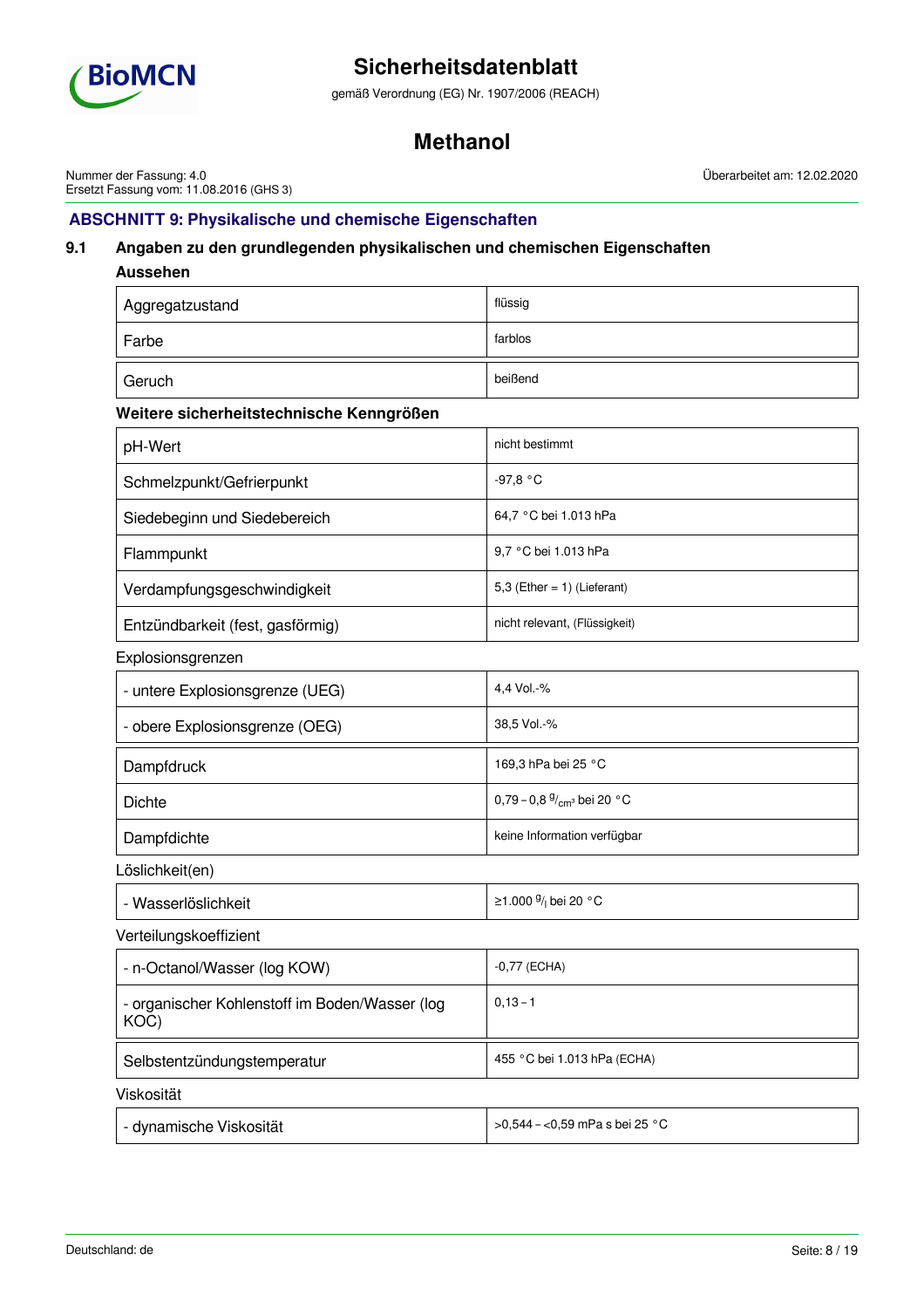

gemäß Verordnung (EG) Nr. 1907/2006 (REACH)

# **Methanol**

Nummer der Fassung: 4.0 Ersetzt Fassung vom: 11.08.2016 (GHS 3) Überarbeitet am: 12.02.2020

# **ABSCHNITT 9: Physikalische und chemische Eigenschaften**

# **9.1 Angaben zu den grundlegenden physikalischen und chemischen Eigenschaften**

| <b>Aussehen</b>                                        |                                  |
|--------------------------------------------------------|----------------------------------|
| Aggregatzustand                                        | flüssig                          |
| Farbe                                                  | farblos                          |
| Geruch                                                 | beißend                          |
| Weitere sicherheitstechnische Kenngrößen               |                                  |
| pH-Wert                                                | nicht bestimmt                   |
| Schmelzpunkt/Gefrierpunkt                              | $-97,8 °C$                       |
| Siedebeginn und Siedebereich                           | 64,7 °C bei 1.013 hPa            |
| Flammpunkt                                             | 9,7 °C bei 1.013 hPa             |
| Verdampfungsgeschwindigkeit                            | 5,3 (Ether = $1$ ) (Lieferant)   |
| Entzündbarkeit (fest, gasförmig)                       | nicht relevant, (Flüssigkeit)    |
| Explosionsgrenzen                                      |                                  |
| - untere Explosionsgrenze (UEG)                        | 4,4 Vol.-%                       |
| - obere Explosionsgrenze (OEG)                         | 38,5 Vol.-%                      |
| Dampfdruck                                             | 169,3 hPa bei 25 °C              |
| <b>Dichte</b>                                          | 0,79 - 0,8 $9/_{cm^3}$ bei 20 °C |
| Dampfdichte                                            | keine Information verfügbar      |
| Löslichkeit(en)                                        |                                  |
| - Wasserlöslichkeit                                    | ≥1.000 $\frac{9}{1}$ bei 20 °C   |
| Verteilungskoeffizient                                 |                                  |
| - n-Octanol/Wasser (log KOW)                           | $-0,77$ (ECHA)                   |
| - organischer Kohlenstoff im Boden/Wasser (log<br>KOC) | $0, 13 - 1$                      |
| Selbstentzündungstemperatur                            | 455 °C bei 1.013 hPa (ECHA)      |
| Viskosität                                             |                                  |
| - dynamische Viskosität                                | >0,544 - <0,59 mPa s bei 25 °C   |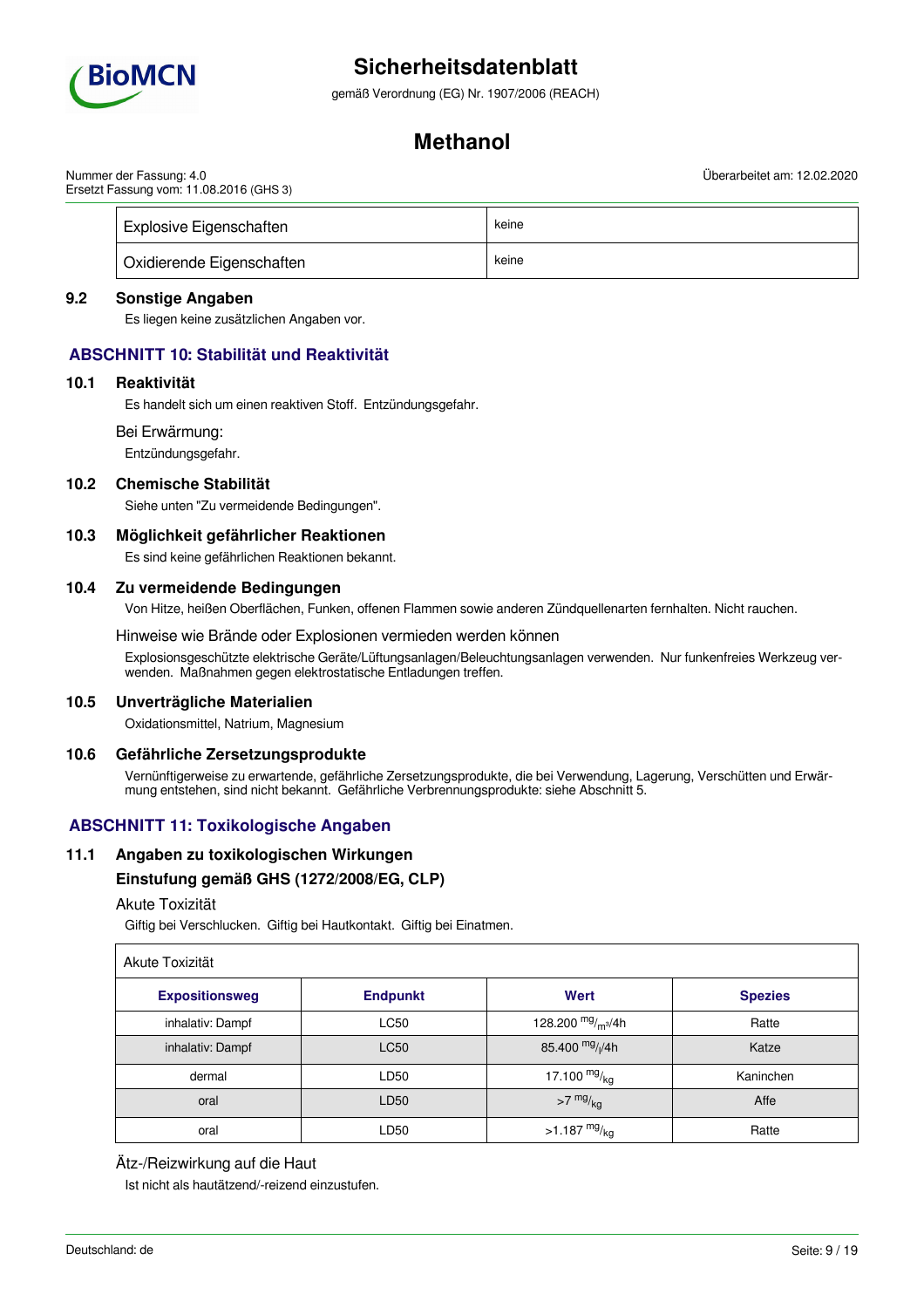

gemäß Verordnung (EG) Nr. 1907/2006 (REACH)

# **Methanol**

Nummer der Fassung: 4.0 Ersetzt Fassung vom: 11.08.2016 (GHS 3) Überarbeitet am: 12.02.2020

| Explosive Eigenschaften          | keine |
|----------------------------------|-------|
| <b>Oxidierende Eigenschaften</b> | keine |

## **9.2 Sonstige Angaben**

Es liegen keine zusätzlichen Angaben vor.

# **ABSCHNITT 10: Stabilität und Reaktivität**

### **10.1 Reaktivität**

Es handelt sich um einen reaktiven Stoff. Entzündungsgefahr.

Bei Erwärmung:

Entzündungsgefahr.

# **10.2 Chemische Stabilität**

Siehe unten "Zu vermeidende Bedingungen".

## **10.3 Möglichkeit gefährlicher Reaktionen**

Es sind keine gefährlichen Reaktionen bekannt.

### **10.4 Zu vermeidende Bedingungen**

Von Hitze, heißen Oberflächen, Funken, offenen Flammen sowie anderen Zündquellenarten fernhalten. Nicht rauchen.

### Hinweise wie Brände oder Explosionen vermieden werden können

Explosionsgeschützte elektrische Geräte/Lüftungsanlagen/Beleuchtungsanlagen verwenden. Nur funkenfreies Werkzeug verwenden. Maßnahmen gegen elektrostatische Entladungen treffen.

#### **10.5 Unverträgliche Materialien**

Oxidationsmittel, Natrium, Magnesium

## **10.6 Gefährliche Zersetzungsprodukte**

Vernünftigerweise zu erwartende, gefährliche Zersetzungsprodukte, die bei Verwendung, Lagerung, Verschütten und Erwärmung entstehen, sind nicht bekannt. Gefährliche Verbrennungsprodukte: siehe Abschnitt 5.

# **ABSCHNITT 11: Toxikologische Angaben**

## **11.1 Angaben zu toxikologischen Wirkungen**

## **Einstufung gemäß GHS (1272/2008/EG, CLP)**

### Akute Toxizität

Giftig bei Verschlucken. Giftig bei Hautkontakt. Giftig bei Einatmen.

| Akute Toxizität       |                 |                         |                |
|-----------------------|-----------------|-------------------------|----------------|
| <b>Expositionsweg</b> | <b>Endpunkt</b> | Wert                    | <b>Spezies</b> |
| inhalativ: Dampf      | <b>LC50</b>     | 128.200 $mg/m^3/4h$     | Ratte          |
| inhalativ: Dampf      | <b>LC50</b>     | 85.400 $mg/1/4h$        | Katze          |
| dermal                | LD50            | 17.100 $mg/kq$          | Kaninchen      |
| oral                  | LD50            | $>7$ mg/ $_{\text{kg}}$ | Affe           |
| oral                  | LD50            | $>1.187 \frac{mg}{kg}$  | Ratte          |

## Ätz-/Reizwirkung auf die Haut

Ist nicht als hautätzend/-reizend einzustufen.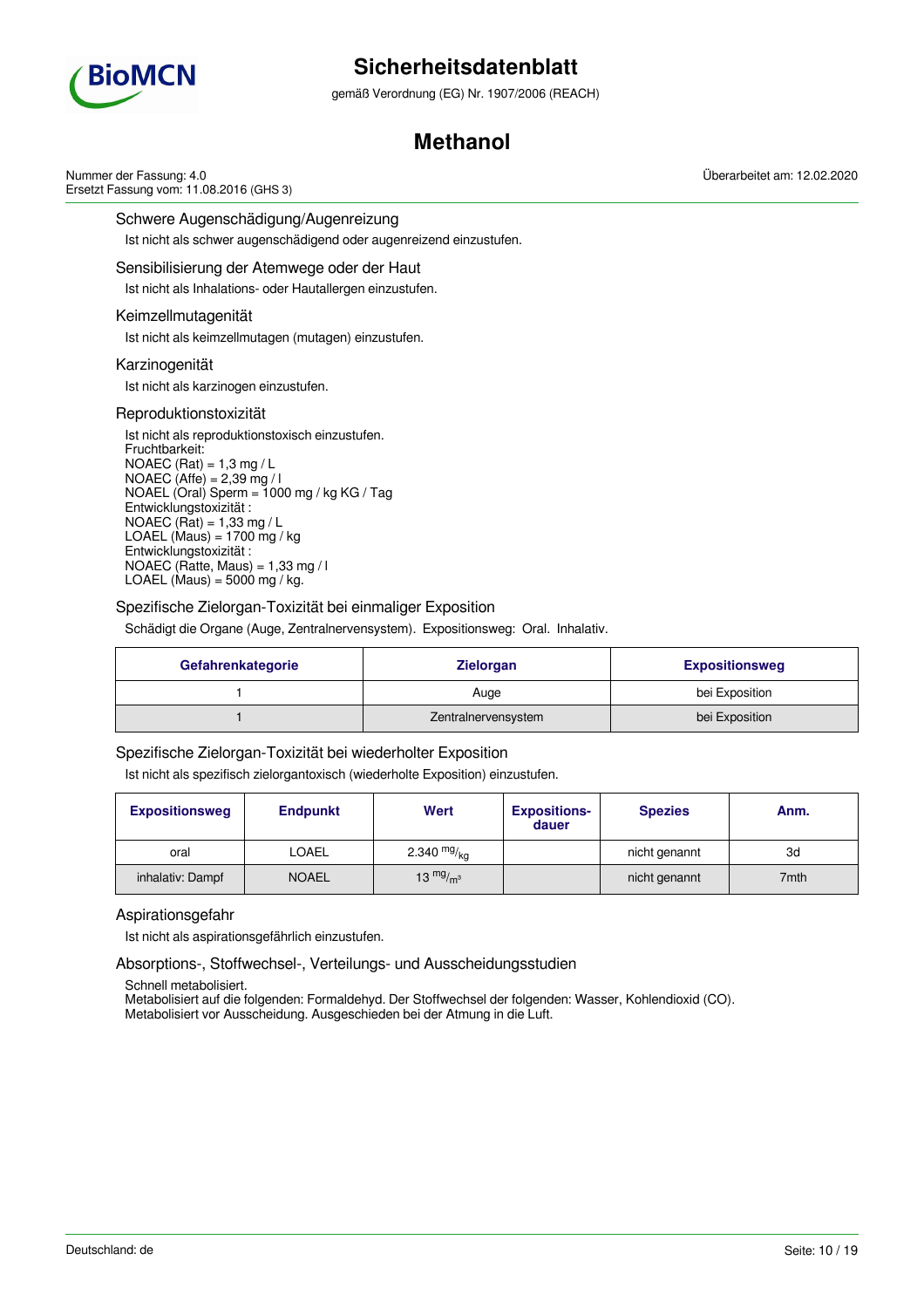

gemäß Verordnung (EG) Nr. 1907/2006 (REACH)

# **Methanol**

Nummer der Fassung: 4.0 Ersetzt Fassung vom: 11.08.2016 (GHS 3)

Schwere Augenschädigung/Augenreizung

Ist nicht als schwer augenschädigend oder augenreizend einzustufen.

### Sensibilisierung der Atemwege oder der Haut

Ist nicht als Inhalations- oder Hautallergen einzustufen.

## Keimzellmutagenität

Ist nicht als keimzellmutagen (mutagen) einzustufen.

### Karzinogenität

Ist nicht als karzinogen einzustufen.

### Reproduktionstoxizität

Ist nicht als reproduktionstoxisch einzustufen. Fruchtbarkeit:  $NOAEC (Rat) = 1,3 mg/L$ NOAEC (Affe) = 2,39 mg / l NOAEL (Oral) Sperm =  $1000$  mg / kg KG / Tag Entwicklungstoxizität : NOAEC (Rat) =  $1,33$  mg / L LOAEL (Maus) =  $1700$  mg / kg Entwicklungstoxizität : NOAEC (Ratte, Maus) =  $1,33$  mg / l LOAEL (Maus) =  $5000$  mg / kg.

## Spezifische Zielorgan-Toxizität bei einmaliger Exposition

Schädigt die Organe (Auge, Zentralnervensystem). Expositionsweg: Oral. Inhalativ.

| Gefahrenkategorie | <b>Zielorgan</b>    | <b>Expositionsweg</b> |
|-------------------|---------------------|-----------------------|
|                   | Auge                | bei Exposition        |
|                   | Zentralnervensystem | bei Exposition        |

## Spezifische Zielorgan-Toxizität bei wiederholter Exposition

Ist nicht als spezifisch zielorgantoxisch (wiederholte Exposition) einzustufen.

| <b>Expositionsweg</b> | <b>Endpunkt</b> | Wert          | <b>Expositions-</b><br>dauer | <b>Spezies</b> | Anm. |
|-----------------------|-----------------|---------------|------------------------------|----------------|------|
| oral                  | LOAEL           | 2.340 $mg/kq$ |                              | nicht genannt  | 3d   |
| inhalativ: Dampf      | <b>NOAEL</b>    | 13 $mg/m3$    |                              | nicht genannt  | 7mth |

## Aspirationsgefahr

Ist nicht als aspirationsgefährlich einzustufen.

Absorptions-, Stoffwechsel-, Verteilungs- und Ausscheidungsstudien

Schnell metabolisiert.

Metabolisiert auf die folgenden: Formaldehyd. Der Stoffwechsel der folgenden: Wasser, Kohlendioxid (CO). Metabolisiert vor Ausscheidung. Ausgeschieden bei der Atmung in die Luft.

Überarbeitet am: 12.02.2020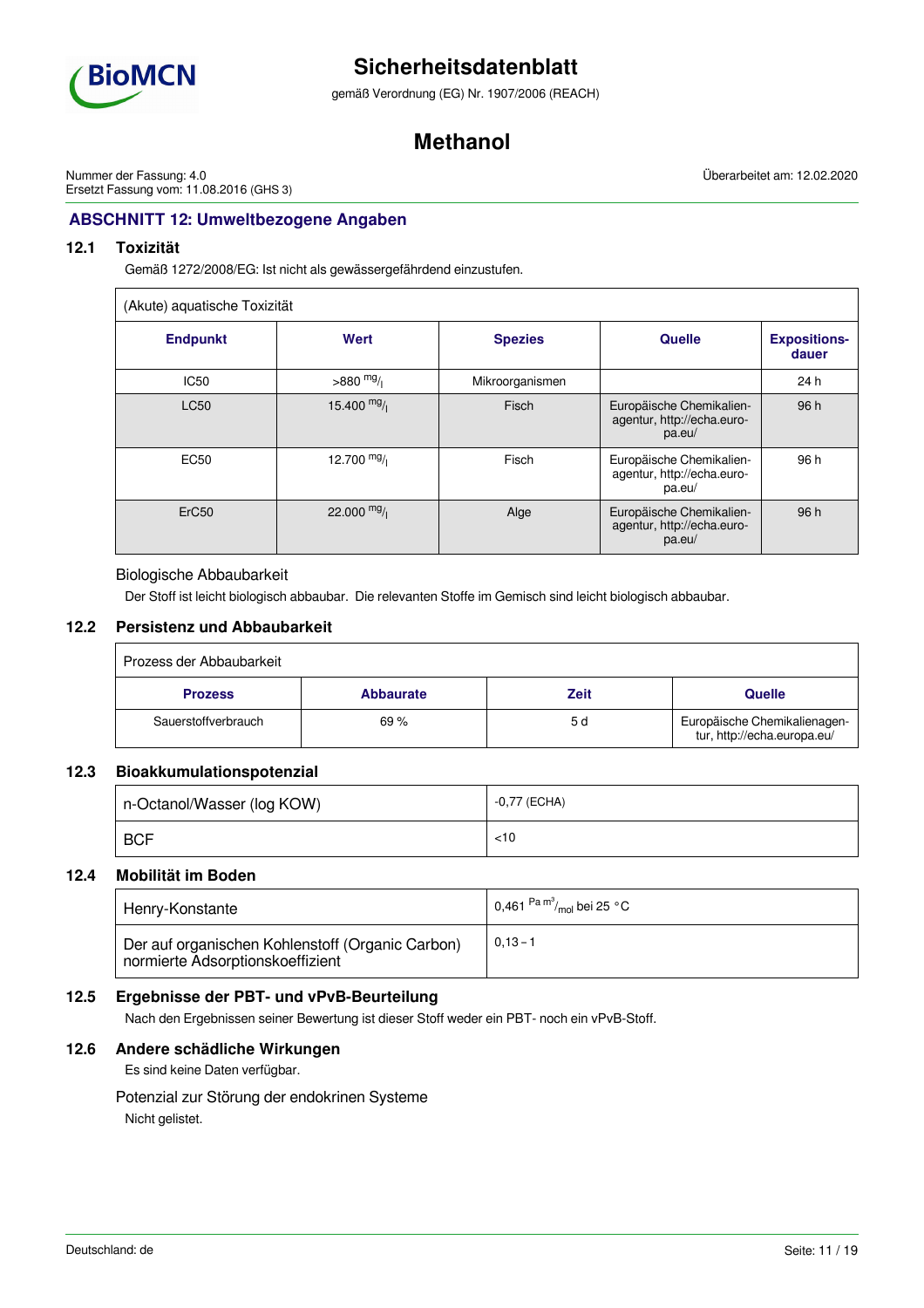

gemäß Verordnung (EG) Nr. 1907/2006 (REACH)

# **Methanol**

Nummer der Fassung: 4.0 Ersetzt Fassung vom: 11.08.2016 (GHS 3) Überarbeitet am: 12.02.2020

# **ABSCHNITT 12: Umweltbezogene Angaben**

# **12.1 Toxizität**

Gemäß 1272/2008/EG: Ist nicht als gewässergefährdend einzustufen.

| (Akute) aquatische Toxizität |              |                 |                                                                  |                              |
|------------------------------|--------------|-----------------|------------------------------------------------------------------|------------------------------|
| <b>Endpunkt</b>              | Wert         | <b>Spezies</b>  | <b>Quelle</b>                                                    | <b>Expositions-</b><br>dauer |
| <b>IC50</b>                  | $>880$ mg/   | Mikroorganismen |                                                                  | 24 h                         |
| <b>LC50</b>                  | 15.400 $mg/$ | Fisch           | Europäische Chemikalien-<br>agentur, http://echa.euro-<br>pa.eu/ | 96 h                         |
| <b>EC50</b>                  | 12.700 $mg/$ | Fisch           | Europäische Chemikalien-<br>agentur, http://echa.euro-<br>pa.eu/ | 96 h                         |
| ErC <sub>50</sub>            | 22.000 $mg/$ | Alge            | Europäische Chemikalien-<br>agentur, http://echa.euro-<br>pa.eu/ | 96 h                         |

## Biologische Abbaubarkeit

Der Stoff ist leicht biologisch abbaubar. Die relevanten Stoffe im Gemisch sind leicht biologisch abbaubar.

## **12.2 Persistenz und Abbaubarkeit**

| Prozess der Abbaubarkeit |                  |             |                                                             |
|--------------------------|------------------|-------------|-------------------------------------------------------------|
| <b>Prozess</b>           | <b>Abbaurate</b> | <b>Zeit</b> | <b>Quelle</b>                                               |
| Sauerstoffverbrauch      | 69%              | 5 d         | Europäische Chemikalienagen-<br>tur, http://echa.europa.eu/ |

# **12.3 Bioakkumulationspotenzial**

| n-Octanol/Wasser (log KOW) | -0,77 (ECHA) |
|----------------------------|--------------|
| <b>BCF</b>                 | <10          |

## **12.4 Mobilität im Boden**

| Henry-Konstante                                                                      | 0,461 $\mathrm{^{Pa}}\mathrm{^{m^3}\!}/_{\mathrm{mol}}$ bei 25 °C |
|--------------------------------------------------------------------------------------|-------------------------------------------------------------------|
| Der auf organischen Kohlenstoff (Organic Carbon)<br>normierte Adsorptionskoeffizient | $0,13 - 1$                                                        |

# **12.5 Ergebnisse der PBT- und vPvB-Beurteilung**

Nach den Ergebnissen seiner Bewertung ist dieser Stoff weder ein PBT- noch ein vPvB-Stoff.

## **12.6 Andere schädliche Wirkungen**

Es sind keine Daten verfügbar.

Potenzial zur Störung der endokrinen Systeme Nicht gelistet.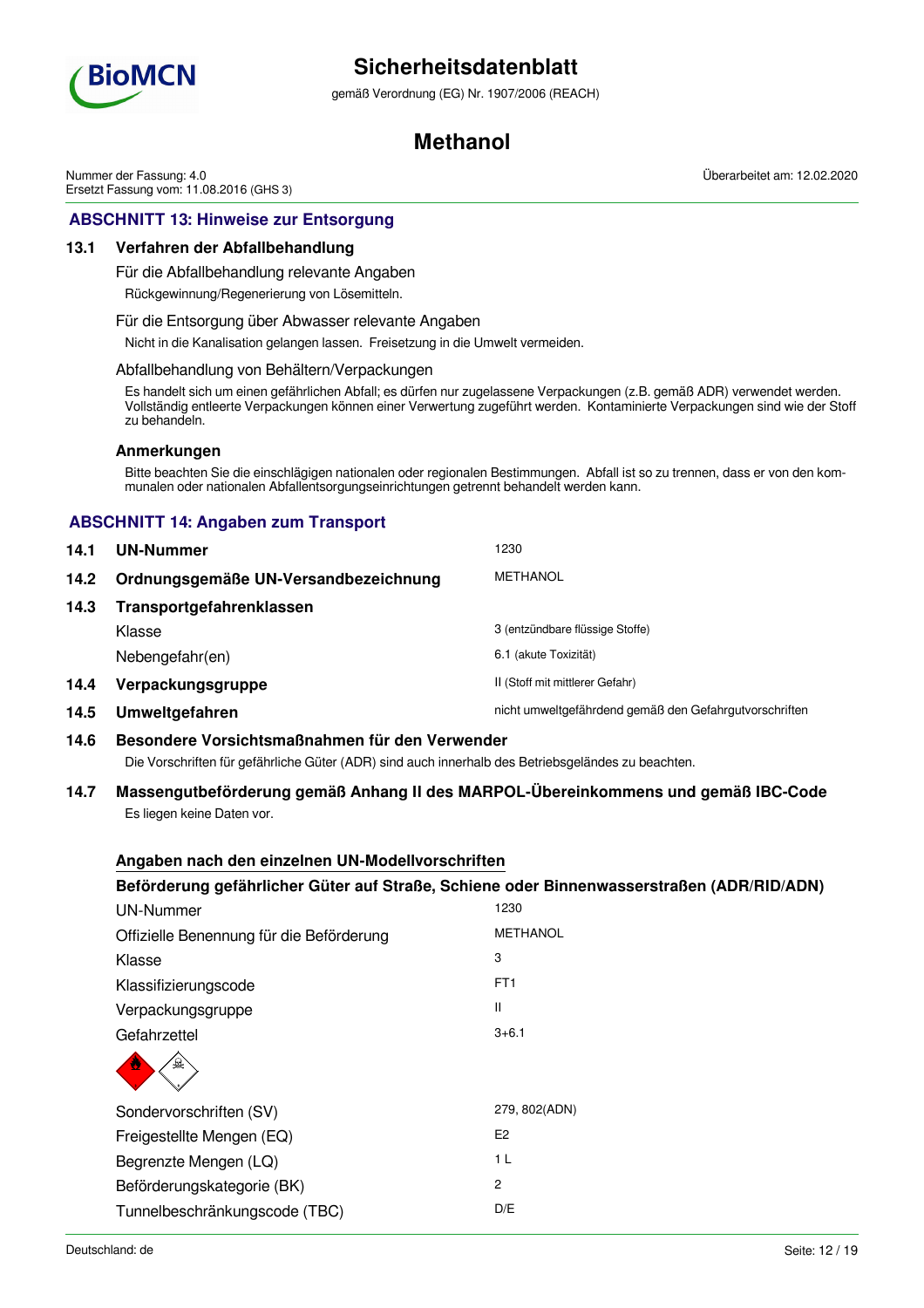

gemäß Verordnung (EG) Nr. 1907/2006 (REACH)

# **Methanol**

Nummer der Fassung: 4.0 Ersetzt Fassung vom: 11.08.2016 (GHS 3) Überarbeitet am: 12.02.2020

# **ABSCHNITT 13: Hinweise zur Entsorgung**

## **13.1 Verfahren der Abfallbehandlung**

Für die Abfallbehandlung relevante Angaben

Rückgewinnung/Regenerierung von Lösemitteln.

### Für die Entsorgung über Abwasser relevante Angaben

Nicht in die Kanalisation gelangen lassen. Freisetzung in die Umwelt vermeiden.

### Abfallbehandlung von Behältern/Verpackungen

Es handelt sich um einen gefährlichen Abfall; es dürfen nur zugelassene Verpackungen (z.B. gemäß ADR) verwendet werden. Vollständig entleerte Verpackungen können einer Verwertung zugeführt werden. Kontaminierte Verpackungen sind wie der Stoff zu behandeln.

### **Anmerkungen**

Bitte beachten Sie die einschlägigen nationalen oder regionalen Bestimmungen. Abfall ist so zu trennen, dass er von den kommunalen oder nationalen Abfallentsorgungseinrichtungen getrennt behandelt werden kann.

# **ABSCHNITT 14: Angaben zum Transport**

| 14.1 | UN-Nummer                            | 1230                                                   |
|------|--------------------------------------|--------------------------------------------------------|
| 14.2 | Ordnungsgemäße UN-Versandbezeichnung | <b>METHANOL</b>                                        |
| 14.3 | Transportgefahrenklassen             |                                                        |
|      | Klasse                               | 3 (entzündbare flüssige Stoffe)                        |
|      | Nebengefahr(en)                      | 6.1 (akute Toxizität)                                  |
| 14.4 | Verpackungsgruppe                    | II (Stoff mit mittlerer Gefahr)                        |
| 14.5 | Umweltgefahren                       | nicht umweltgefährdend gemäß den Gefahrgutvorschriften |

## **14.6 Besondere Vorsichtsmaßnahmen für den Verwender**

Die Vorschriften für gefährliche Güter (ADR) sind auch innerhalb des Betriebsgeländes zu beachten.

## **14.7 Massengutbeförderung gemäß Anhang II des MARPOL-Übereinkommens und gemäß IBC-Code** Es liegen keine Daten vor.

## **Angaben nach den einzelnen UN-Modellvorschriften**

## **Beförderung gefährlicher Güter auf Straße, Schiene oder Binnenwasserstraßen (ADR/RID/ADN)**

| <b>UN-Nummer</b>                         | 1230            |
|------------------------------------------|-----------------|
| Offizielle Benennung für die Beförderung | <b>METHANOL</b> |
| Klasse                                   | 3               |
| Klassifizierungscode                     | FT <sub>1</sub> |
| Verpackungsgruppe                        | Ш               |
| Gefahrzettel                             | $3 + 6.1$       |
| 요                                        |                 |
| Sondervorschriften (SV)                  | 279, 802(ADN)   |
| Freigestellte Mengen (EQ)                | E <sub>2</sub>  |
| Begrenzte Mengen (LQ)                    | 1 <sub>L</sub>  |
| Beförderungskategorie (BK)               | $\overline{2}$  |
| Tunnelbeschränkungscode (TBC)            | D/E             |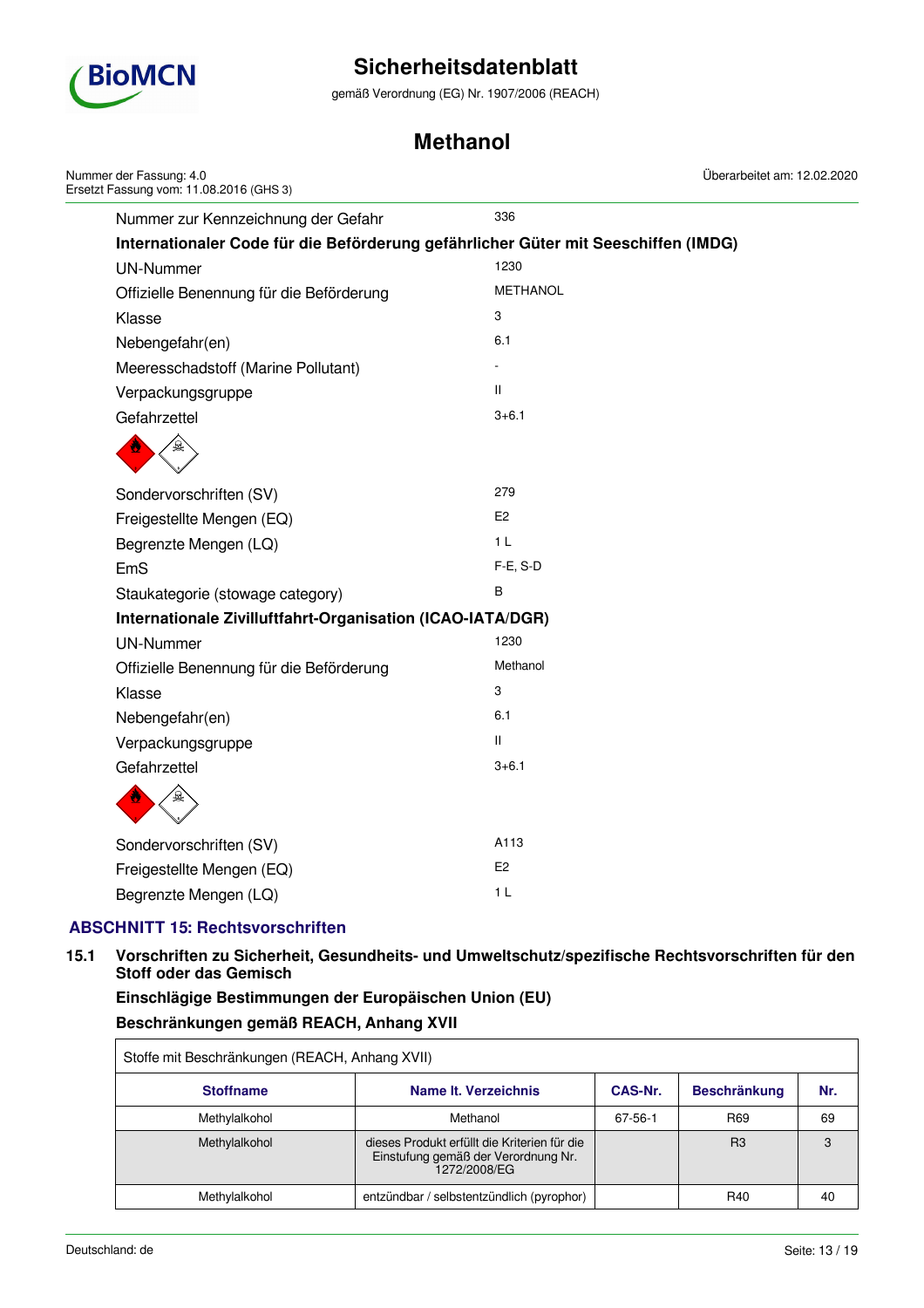

gemäß Verordnung (EG) Nr. 1907/2006 (REACH)

# **Methanol**

| Nummer der Fassung: 4.0<br>Ersetzt Fassung vom: 11.08.2016 (GHS 3)                 | Überarbeitet am: 12.02.2020 |  |
|------------------------------------------------------------------------------------|-----------------------------|--|
| Nummer zur Kennzeichnung der Gefahr                                                | 336                         |  |
| Internationaler Code für die Beförderung gefährlicher Güter mit Seeschiffen (IMDG) |                             |  |
| <b>UN-Nummer</b>                                                                   | 1230                        |  |
| Offizielle Benennung für die Beförderung                                           | <b>METHANOL</b>             |  |
| Klasse                                                                             | 3                           |  |
| Nebengefahr(en)                                                                    | 6.1                         |  |
| Meeresschadstoff (Marine Pollutant)                                                |                             |  |
| Verpackungsgruppe                                                                  | Ш                           |  |
| Gefahrzettel                                                                       | $3 + 6.1$                   |  |
|                                                                                    |                             |  |
| Sondervorschriften (SV)                                                            | 279                         |  |
| Freigestellte Mengen (EQ)                                                          | E <sub>2</sub>              |  |
| Begrenzte Mengen (LQ)                                                              | 1 <sub>L</sub>              |  |
| EmS                                                                                | F-E, S-D                    |  |
| Staukategorie (stowage category)                                                   | В                           |  |
| Internationale Zivilluftfahrt-Organisation (ICAO-IATA/DGR)                         |                             |  |
| <b>UN-Nummer</b>                                                                   | 1230                        |  |
| Offizielle Benennung für die Beförderung                                           | Methanol                    |  |
| Klasse                                                                             | 3                           |  |
| Nebengefahr(en)                                                                    | 6.1                         |  |
| Verpackungsgruppe                                                                  | $\mathbf{H}$                |  |
| Gefahrzettel                                                                       | $3 + 6.1$                   |  |
|                                                                                    |                             |  |
| Sondervorschriften (SV)                                                            | A113                        |  |
| Freigestellte Mengen (EQ)                                                          | E <sub>2</sub>              |  |
| Begrenzte Mengen (LQ)                                                              | 1 <sub>L</sub>              |  |

# **ABSCHNITT 15: Rechtsvorschriften**

**15.1 Vorschriften zu Sicherheit, Gesundheits- und Umweltschutz/spezifische Rechtsvorschriften für den Stoff oder das Gemisch**

**Einschlägige Bestimmungen der Europäischen Union (EU) Beschränkungen gemäß REACH, Anhang XVII**

| Stoffe mit Beschränkungen (REACH, Anhang XVII) |                                                                                                     |                |                     |     |
|------------------------------------------------|-----------------------------------------------------------------------------------------------------|----------------|---------------------|-----|
| <b>Stoffname</b>                               | Name It. Verzeichnis                                                                                | <b>CAS-Nr.</b> | <b>Beschränkung</b> | Nr. |
| Methylalkohol                                  | Methanol                                                                                            | 67-56-1        | R <sub>69</sub>     | 69  |
| Methylalkohol                                  | dieses Produkt erfüllt die Kriterien für die<br>Einstufung gemäß der Verordnung Nr.<br>1272/2008/EG |                | R <sub>3</sub>      | 3   |
| Methylalkohol                                  | entzündbar / selbstentzündlich (pyrophor)                                                           |                | R40                 | 40  |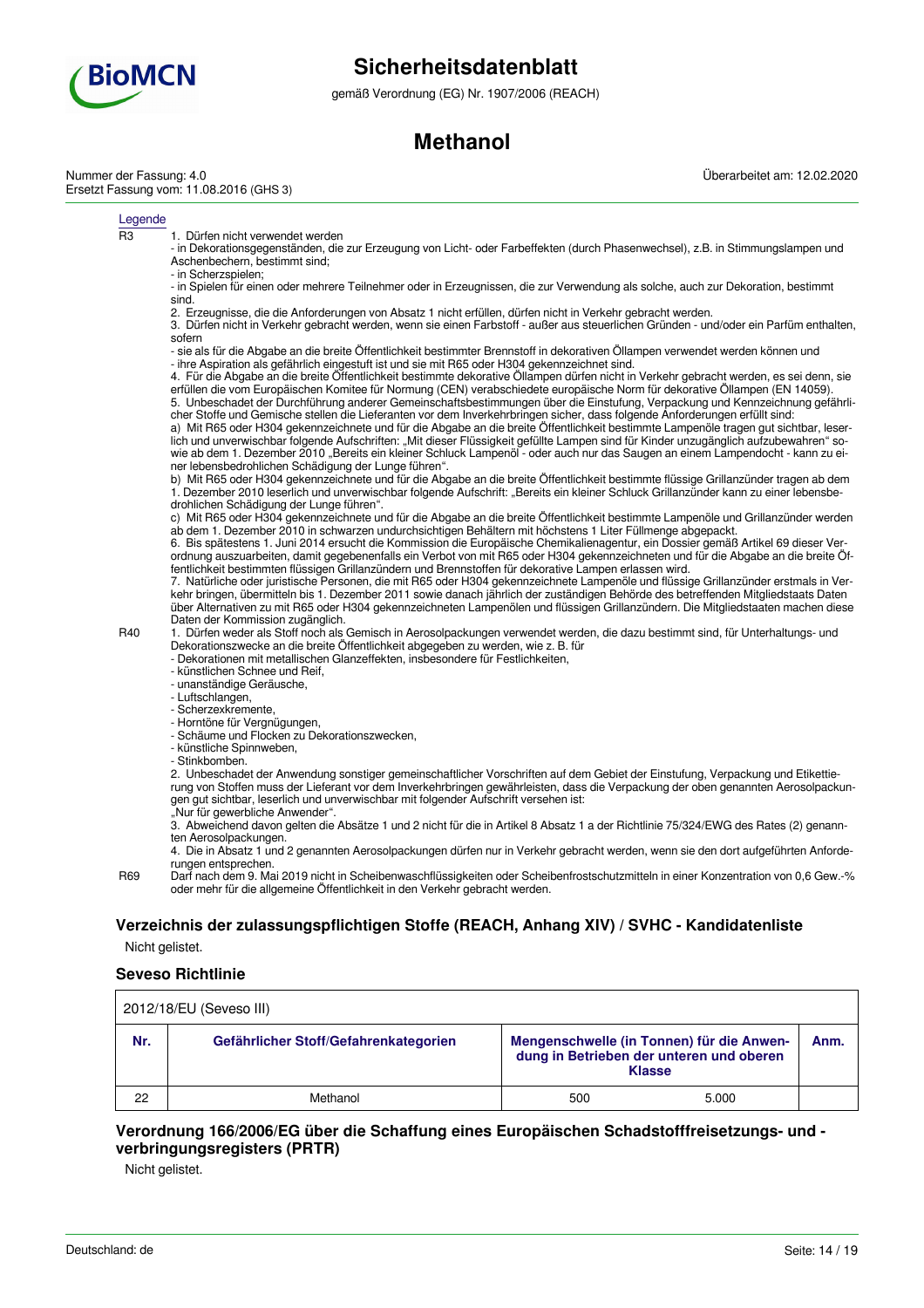

gemäß Verordnung (EG) Nr. 1907/2006 (REACH)

# **Methanol**

Nummer der Fassung: 4.0 Ersetzt Fassung vom: 11.08.2016 (GHS 3) Überarbeitet am: 12.02.2020

#### Legende

R3 1. Dürfen nicht verwendet werden

- in Dekorationsgegenständen, die zur Erzeugung von Licht- oder Farbeffekten (durch Phasenwechsel), z.B. in Stimmungslampen und Aschenbechern, bestimmt sind;

- in Scherzspielen;

- in Spielen für einen oder mehrere Teilnehmer oder in Erzeugnissen, die zur Verwendung als solche, auch zur Dekoration, bestimmt sind.

2. Erzeugnisse, die die Anforderungen von Absatz 1 nicht erfüllen, dürfen nicht in Verkehr gebracht werden.

3. Dürfen nicht in Verkehr gebracht werden, wenn sie einen Farbstoff - außer aus steuerlichen Gründen - und/oder ein Parfüm enthalten, sofern

- sie als für die Abgabe an die breite Öffentlichkeit bestimmter Brennstoff in dekorativen Öllampen verwendet werden können und - ihre Aspiration als gefährlich eingestuft ist und sie mit R65 oder H304 gekennzeichnet sind.

4. Für die Abgabe an die breite Öffentlichkeit bestimmte dekorative Öllampen dürfen nicht in Verkehr gebracht werden, es sei denn, sie erfüllen die vom Europäischen Komitee für Normung (CEN) verabschiedete europäische Norm für dekorative Öllampen (EN 14059). 5. Unbeschadet der Durchführung anderer Gemeinschaftsbestimmungen über die Einstufung, Verpackung und Kennzeichnung gefährli-

cher Stoffe und Gemische stellen die Lieferanten vor dem Inverkehrbringen sicher, dass folgende Anforderungen erfüllt sind: a) Mit R65 oder H304 gekennzeichnete und für die Abgabe an die breite Öffentlichkeit bestimmte Lampenöle tragen gut sichtbar, leserlich und unverwischbar folgende Aufschriften: "Mit dieser Flüssigkeit gefüllte Lampen sind für Kinder unzugänglich aufzubewahren" sowie ab dem 1. Dezember 2010 "Bereits ein kleiner Schluck Lampenöl - oder auch nur das Saugen an einem Lampendocht - kann zu einer lebensbedrohlichen Schädigung der Lunge führen".

b) Mit R65 oder H304 gekennzeichnete und für die Abgabe an die breite Öffentlichkeit bestimmte flüssige Grillanzünder tragen ab dem 1. Dezember 2010 leserlich und unverwischbar folgende Aufschrift: "Bereits ein kleiner Schluck Grillanzünder kann zu einer lebensbedrohlichen Schädigung der Lunge führen".

c) Mit R65 oder H304 gekennzeichnete und für die Abgabe an die breite Öffentlichkeit bestimmte Lampenöle und Grillanzünder werden ab dem 1. Dezember 2010 in schwarzen undurchsichtigen Behältern mit höchstens 1 Liter Füllmenge abgepackt.

6. Bis spätestens 1. Juni 2014 ersucht die Kommission die Europäische Chemikalienagentur, ein Dossier gemäß Artikel 69 dieser Verordnung auszuarbeiten, damit gegebenenfalls ein Verbot von mit R65 oder H304 gekennzeichneten und für die Abgabe an die breite Öffentlichkeit bestimmten flüssigen Grillanzündern und Brennstoffen für dekorative Lampen erlassen wird.

7. Natürliche oder juristische Personen, die mit R65 oder H304 gekennzeichnete Lampenöle und flüssige Grillanzünder erstmals in Verkehr bringen, übermitteln bis 1. Dezember 2011 sowie danach jährlich der zuständigen Behörde des betreffenden Mitgliedstaats Daten über Alternativen zu mit R65 oder H304 gekennzeichneten Lampenölen und flüssigen Grillanzündern. Die Mitgliedstaaten machen diese Daten der Kommission zugänglich.

R40 1. Dürfen weder als Stoff noch als Gemisch in Aerosolpackungen verwendet werden, die dazu bestimmt sind, für Unterhaltungs- und Dekorationszwecke an die breite Öffentlichkeit abgegeben zu werden, wie z. B. für

- Dekorationen mit metallischen Glanzeffekten, insbesondere für Festlichkeiten,

- künstlichen Schnee und Reif,
- unanständige Geräusche,
- Luftschlangen,
- Scherzexkremente,
- Horntöne für Vergnügungen,
- Schäume und Flocken zu Dekorationszwecken, - künstliche Spinnweben,
- Stinkbomben.

2. Unbeschadet der Anwendung sonstiger gemeinschaftlicher Vorschriften auf dem Gebiet der Einstufung, Verpackung und Etikettierung von Stoffen muss der Lieferant vor dem Inverkehrbringen gewährleisten, dass die Verpackung der oben genannten Aerosolpackungen gut sichtbar, leserlich und unverwischbar mit folgender Aufschrift versehen ist:

"Nur für gewerbliche Anwender".

3. Abweichend davon gelten die Absätze 1 und 2 nicht für die in Artikel 8 Absatz 1 a der Richtlinie 75/324/EWG des Rates (2) genannten Aerosolpackungen.

4. Die in Absatz 1 und 2 genannten Aerosolpackungen dürfen nur in Verkehr gebracht werden, wenn sie den dort aufgeführten Anforderungen entsprechen.

R69 Darf nach dem 9. Mai 2019 nicht in Scheibenwaschflüssigkeiten oder Scheibenfrostschutzmitteln in einer Konzentration von 0,6 Gew.-% oder mehr für die allgemeine Öffentlichkeit in den Verkehr gebracht werden.

# **Verzeichnis der zulassungspflichtigen Stoffe (REACH, Anhang XIV) / SVHC - Kandidatenliste**

Nicht gelistet.

#### **Seveso Richtlinie**

| 2012/18/EU (Seveso III) |                                       |                                                                                                                |       |  |  |
|-------------------------|---------------------------------------|----------------------------------------------------------------------------------------------------------------|-------|--|--|
| Nr.                     | Gefährlicher Stoff/Gefahrenkategorien | Mengenschwelle (in Tonnen) für die Anwen-<br>Anm.<br>dung in Betrieben der unteren und oberen<br><b>Klasse</b> |       |  |  |
| 22                      | Methanol                              | 500                                                                                                            | 5.000 |  |  |

# **Verordnung 166/2006/EG über die Schaffung eines Europäischen Schadstofffreisetzungs- und verbringungsregisters (PRTR)**

Nicht gelistet.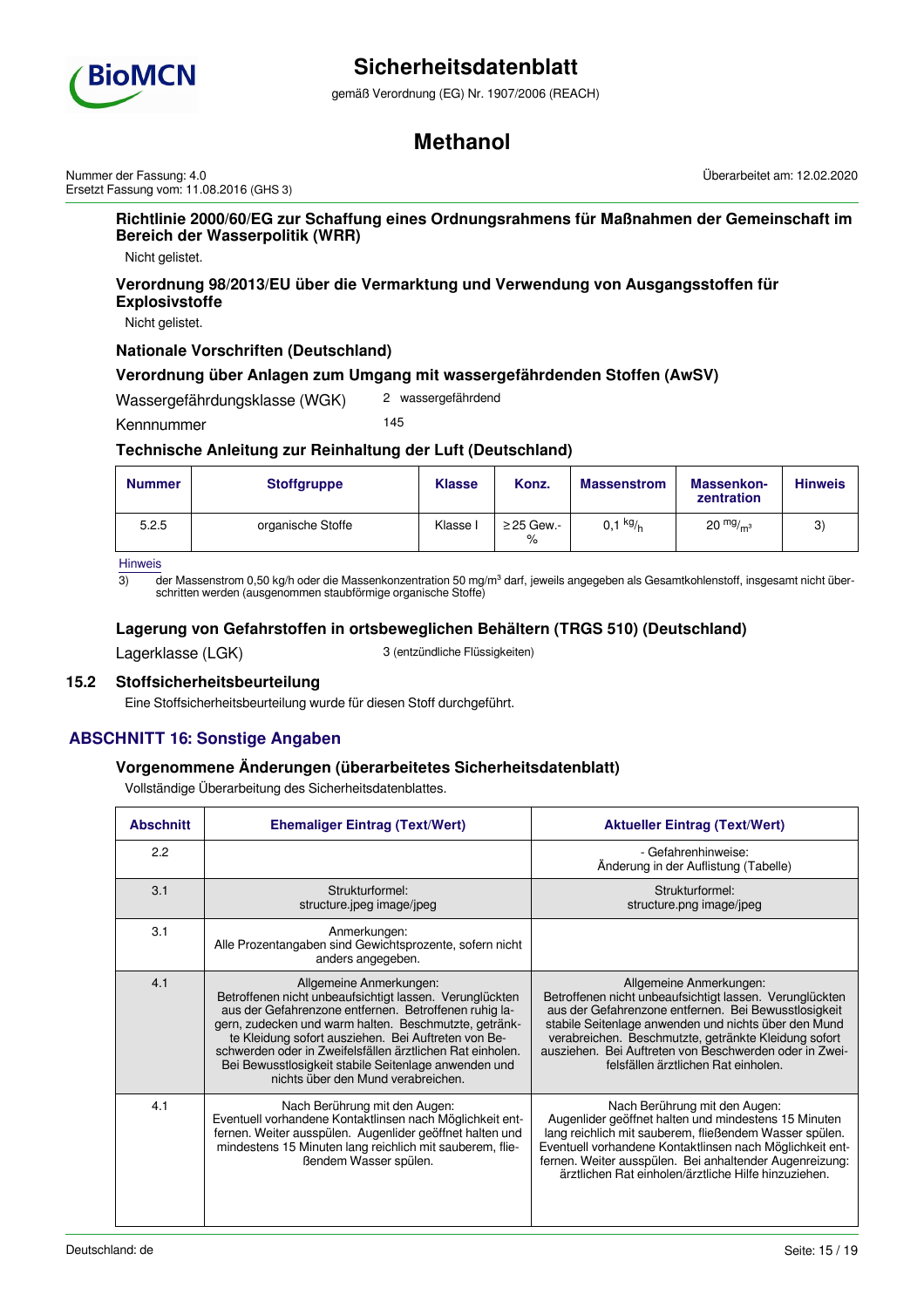

gemäß Verordnung (EG) Nr. 1907/2006 (REACH)

# **Methanol**

Nummer der Fassung: 4.0 Ersetzt Fassung vom: 11.08.2016 (GHS 3) Überarbeitet am: 12.02.2020

**Richtlinie 2000/60/EG zur Schaffung eines Ordnungsrahmens für Maßnahmen der Gemeinschaft im Bereich der Wasserpolitik (WRR)**

Nicht gelistet.

**Verordnung 98/2013/EU über die Vermarktung und Verwendung von Ausgangsstoffen für Explosivstoffe**

Nicht gelistet.

## **Nationale Vorschriften (Deutschland)**

## **Verordnung über Anlagen zum Umgang mit wassergefährdenden Stoffen (AwSV)**

Wassergefährdungsklasse (WGK) 2 wassergefährdend

Kennnummer 145

# **Technische Anleitung zur Reinhaltung der Luft (Deutschland)**

| <b>Nummer</b> | <b>Stoffgruppe</b> | <b>Klasse</b> | Konz.                   | <b>Massenstrom</b> | Massenkon-<br>zentration | <b>Hinweis</b> |
|---------------|--------------------|---------------|-------------------------|--------------------|--------------------------|----------------|
| 5.2.5         | organische Stoffe  | Klasse I      | $\geq$ 25 Gew.-<br>$\%$ | $0,1 \frac{kg}{h}$ | $20 \frac{mg}{m^3}$      | 3              |

Hinweis

 $\overline{3}$  der Massenstrom 0,50 kg/h oder die Massenkonzentration 50 mg/m<sup>3</sup> darf, jeweils angegeben als Gesamtkohlenstoff, insgesamt nicht überschritten werden (ausgenommen staubförmige organische Stoffe)

## **Lagerung von Gefahrstoffen in ortsbeweglichen Behältern (TRGS 510) (Deutschland)**

Lagerklasse (LGK) 3 (entzündliche Flüssigkeiten)

# **15.2 Stoffsicherheitsbeurteilung**

Eine Stoffsicherheitsbeurteilung wurde für diesen Stoff durchgeführt.

# **ABSCHNITT 16: Sonstige Angaben**

## **Vorgenommene Änderungen (überarbeitetes Sicherheitsdatenblatt)**

Vollständige Überarbeitung des Sicherheitsdatenblattes.

| <b>Abschnitt</b> | <b>Ehemaliger Eintrag (Text/Wert)</b>                                                                                                                                                                                                                                                                                                                                                                                  | <b>Aktueller Eintrag (Text/Wert)</b>                                                                                                                                                                                                                                                                                                                        |
|------------------|------------------------------------------------------------------------------------------------------------------------------------------------------------------------------------------------------------------------------------------------------------------------------------------------------------------------------------------------------------------------------------------------------------------------|-------------------------------------------------------------------------------------------------------------------------------------------------------------------------------------------------------------------------------------------------------------------------------------------------------------------------------------------------------------|
| 2.2              |                                                                                                                                                                                                                                                                                                                                                                                                                        | - Gefahrenhinweise:<br>Änderung in der Auflistung (Tabelle)                                                                                                                                                                                                                                                                                                 |
| 3.1              | Strukturformel:<br>structure.jpeg image/jpeg                                                                                                                                                                                                                                                                                                                                                                           | Strukturformel:<br>structure.png image/jpeg                                                                                                                                                                                                                                                                                                                 |
| 3.1              | Anmerkungen:<br>Alle Prozentangaben sind Gewichtsprozente, sofern nicht<br>anders angegeben.                                                                                                                                                                                                                                                                                                                           |                                                                                                                                                                                                                                                                                                                                                             |
| 4.1              | Allgemeine Anmerkungen:<br>Betroffenen nicht unbeaufsichtigt lassen. Verunglückten<br>aus der Gefahrenzone entfernen. Betroffenen ruhig la-<br>gern, zudecken und warm halten. Beschmutzte, getränk-<br>te Kleidung sofort ausziehen. Bei Auftreten von Be-<br>schwerden oder in Zweifelsfällen ärztlichen Rat einholen.<br>Bei Bewusstlosigkeit stabile Seitenlage anwenden und<br>nichts über den Mund verabreichen. | Allgemeine Anmerkungen:<br>Betroffenen nicht unbeaufsichtigt lassen. Verunglückten<br>aus der Gefahrenzone entfernen. Bei Bewusstlosigkeit<br>stabile Seitenlage anwenden und nichts über den Mund<br>verabreichen. Beschmutzte, getränkte Kleidung sofort<br>ausziehen. Bei Auftreten von Beschwerden oder in Zwei-<br>felsfällen ärztlichen Rat einholen. |
| 4.1              | Nach Berührung mit den Augen:<br>Eventuell vorhandene Kontaktlinsen nach Möglichkeit ent-<br>fernen. Weiter ausspülen. Augenlider geöffnet halten und<br>mindestens 15 Minuten lang reichlich mit sauberem, flie-<br>ßendem Wasser spülen.                                                                                                                                                                             | Nach Berührung mit den Augen:<br>Augenlider geöffnet halten und mindestens 15 Minuten<br>lang reichlich mit sauberem, fließendem Wasser spülen.<br>Eventuell vorhandene Kontaktlinsen nach Möglichkeit ent-<br>fernen. Weiter ausspülen. Bei anhaltender Augenreizung:<br>ärztlichen Rat einholen/ärztliche Hilfe hinzuziehen.                              |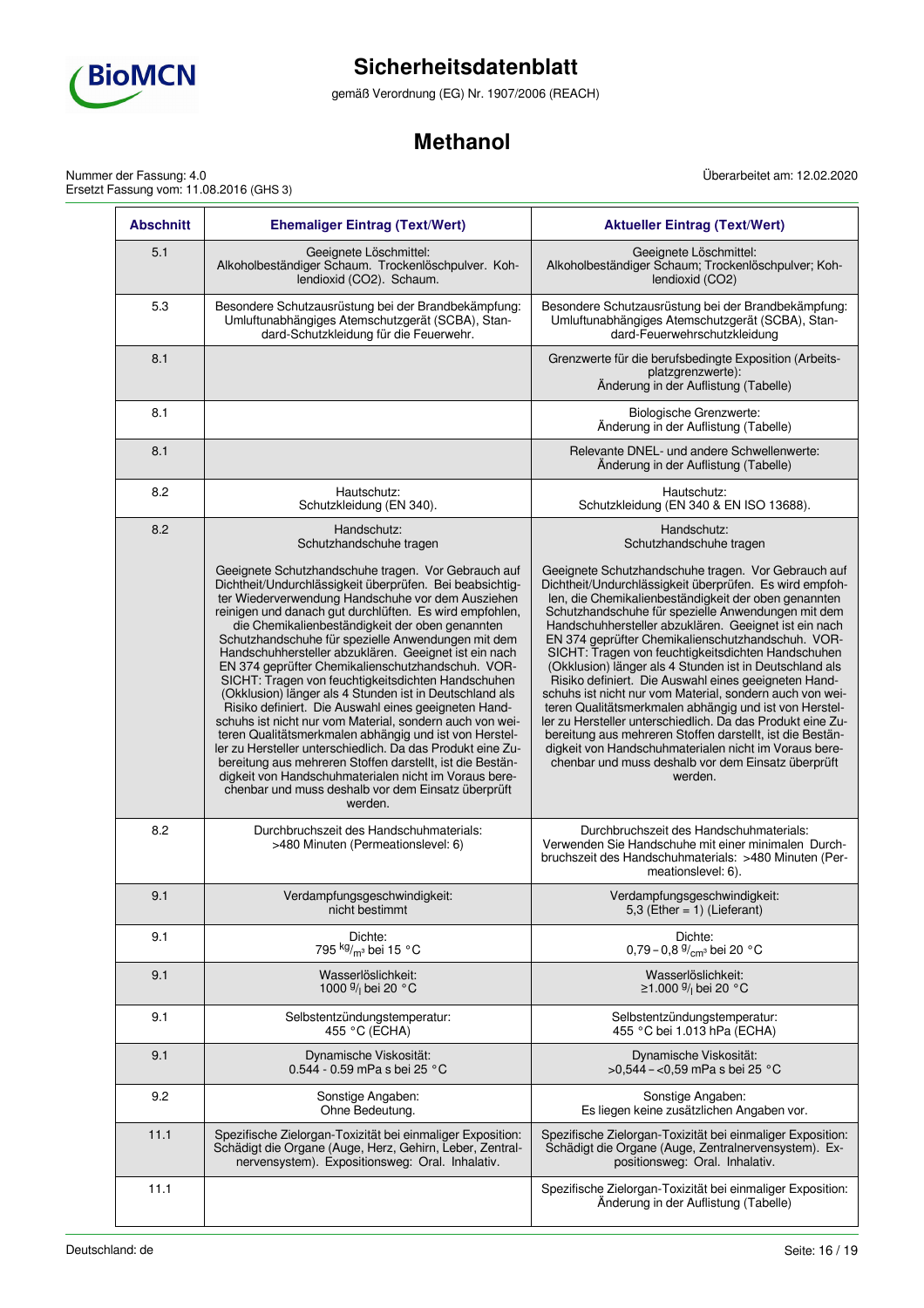

gemäß Verordnung (EG) Nr. 1907/2006 (REACH)

# **Methanol**

Nummer der Fassung: 4.0 Ersetzt Fassung vom: 11.08.2016 (GHS 3) Überarbeitet am: 12.02.2020

| <b>Abschnitt</b> | <b>Ehemaliger Eintrag (Text/Wert)</b>                                                                                                                                                                                                                                                                                                                                                                                                                                                                                                                                                                                                                                                                                                                                                                                                                                                                                                                                                                      | <b>Aktueller Eintrag (Text/Wert)</b>                                                                                                                                                                                                                                                                                                                                                                                                                                                                                                                                                                                                                                                                                                                                                                                                                                                           |
|------------------|------------------------------------------------------------------------------------------------------------------------------------------------------------------------------------------------------------------------------------------------------------------------------------------------------------------------------------------------------------------------------------------------------------------------------------------------------------------------------------------------------------------------------------------------------------------------------------------------------------------------------------------------------------------------------------------------------------------------------------------------------------------------------------------------------------------------------------------------------------------------------------------------------------------------------------------------------------------------------------------------------------|------------------------------------------------------------------------------------------------------------------------------------------------------------------------------------------------------------------------------------------------------------------------------------------------------------------------------------------------------------------------------------------------------------------------------------------------------------------------------------------------------------------------------------------------------------------------------------------------------------------------------------------------------------------------------------------------------------------------------------------------------------------------------------------------------------------------------------------------------------------------------------------------|
| 5.1              | Geeignete Löschmittel:<br>Alkoholbeständiger Schaum. Trockenlöschpulver. Koh-<br>lendioxid (CO2). Schaum.                                                                                                                                                                                                                                                                                                                                                                                                                                                                                                                                                                                                                                                                                                                                                                                                                                                                                                  | Geeignete Löschmittel:<br>Alkoholbeständiger Schaum; Trockenlöschpulver; Koh-<br>lendioxid (CO2)                                                                                                                                                                                                                                                                                                                                                                                                                                                                                                                                                                                                                                                                                                                                                                                               |
| 5.3              | Besondere Schutzausrüstung bei der Brandbekämpfung:<br>Umluftunabhängiges Atemschutzgerät (SCBA), Stan-<br>dard-Schutzkleidung für die Feuerwehr.                                                                                                                                                                                                                                                                                                                                                                                                                                                                                                                                                                                                                                                                                                                                                                                                                                                          | Besondere Schutzausrüstung bei der Brandbekämpfung:<br>Umluftunabhängiges Atemschutzgerät (SCBA), Stan-<br>dard-Feuerwehrschutzkleidung                                                                                                                                                                                                                                                                                                                                                                                                                                                                                                                                                                                                                                                                                                                                                        |
| 8.1              |                                                                                                                                                                                                                                                                                                                                                                                                                                                                                                                                                                                                                                                                                                                                                                                                                                                                                                                                                                                                            | Grenzwerte für die berufsbedingte Exposition (Arbeits-<br>platzgrenzwerte):<br>Änderung in der Auflistung (Tabelle)                                                                                                                                                                                                                                                                                                                                                                                                                                                                                                                                                                                                                                                                                                                                                                            |
| 8.1              |                                                                                                                                                                                                                                                                                                                                                                                                                                                                                                                                                                                                                                                                                                                                                                                                                                                                                                                                                                                                            | Biologische Grenzwerte:<br>Änderung in der Auflistung (Tabelle)                                                                                                                                                                                                                                                                                                                                                                                                                                                                                                                                                                                                                                                                                                                                                                                                                                |
| 8.1              |                                                                                                                                                                                                                                                                                                                                                                                                                                                                                                                                                                                                                                                                                                                                                                                                                                                                                                                                                                                                            | Relevante DNEL- und andere Schwellenwerte:<br>Änderung in der Auflistung (Tabelle)                                                                                                                                                                                                                                                                                                                                                                                                                                                                                                                                                                                                                                                                                                                                                                                                             |
| 8.2              | Hautschutz:<br>Schutzkleidung (EN 340).                                                                                                                                                                                                                                                                                                                                                                                                                                                                                                                                                                                                                                                                                                                                                                                                                                                                                                                                                                    | Hautschutz:<br>Schutzkleidung (EN 340 & EN ISO 13688).                                                                                                                                                                                                                                                                                                                                                                                                                                                                                                                                                                                                                                                                                                                                                                                                                                         |
| 8.2              | Handschutz:<br>Schutzhandschuhe tragen                                                                                                                                                                                                                                                                                                                                                                                                                                                                                                                                                                                                                                                                                                                                                                                                                                                                                                                                                                     | Handschutz:<br>Schutzhandschuhe tragen                                                                                                                                                                                                                                                                                                                                                                                                                                                                                                                                                                                                                                                                                                                                                                                                                                                         |
|                  | Geeignete Schutzhandschuhe tragen. Vor Gebrauch auf<br>Dichtheit/Undurchlässigkeit überprüfen. Bei beabsichtig-<br>ter Wiederverwendung Handschuhe vor dem Ausziehen<br>reinigen und danach gut durchlüften. Es wird empfohlen,<br>die Chemikalienbeständigkeit der oben genannten<br>Schutzhandschuhe für spezielle Anwendungen mit dem<br>Handschuhhersteller abzuklären. Geeignet ist ein nach<br>EN 374 geprüfter Chemikalienschutzhandschuh. VOR-<br>SICHT: Tragen von feuchtigkeitsdichten Handschuhen<br>(Okklusion) länger als 4 Stunden ist in Deutschland als<br>Risiko definiert. Die Auswahl eines geeigneten Hand-<br>schuhs ist nicht nur vom Material, sondern auch von wei-<br>teren Qualitätsmerkmalen abhängig und ist von Herstel-<br>ler zu Hersteller unterschiedlich. Da das Produkt eine Zu-<br>bereitung aus mehreren Stoffen darstellt, ist die Bestän-<br>digkeit von Handschuhmaterialen nicht im Voraus bere-<br>chenbar und muss deshalb vor dem Einsatz überprüft<br>werden. | Geeignete Schutzhandschuhe tragen. Vor Gebrauch auf<br>Dichtheit/Undurchlässigkeit überprüfen. Es wird empfoh-<br>len, die Chemikalienbeständigkeit der oben genannten<br>Schutzhandschuhe für spezielle Anwendungen mit dem<br>Handschuhhersteller abzuklären. Geeignet ist ein nach<br>EN 374 geprüfter Chemikalienschutzhandschuh. VOR-<br>SICHT: Tragen von feuchtigkeitsdichten Handschuhen<br>(Okklusion) länger als 4 Stunden ist in Deutschland als<br>Risiko definiert. Die Auswahl eines geeigneten Hand-<br>schuhs ist nicht nur vom Material, sondern auch von wei-<br>teren Qualitätsmerkmalen abhängig und ist von Herstel-<br>ler zu Hersteller unterschiedlich. Da das Produkt eine Zu-<br>bereitung aus mehreren Stoffen darstellt, ist die Bestän-<br>digkeit von Handschuhmaterialen nicht im Voraus bere-<br>chenbar und muss deshalb vor dem Einsatz überprüft<br>werden. |
| 8.2              | Durchbruchszeit des Handschuhmaterials:<br>>480 Minuten (Permeationslevel: 6)                                                                                                                                                                                                                                                                                                                                                                                                                                                                                                                                                                                                                                                                                                                                                                                                                                                                                                                              | Durchbruchszeit des Handschuhmaterials:<br>Verwenden Sie Handschuhe mit einer minimalen Durch-<br>bruchszeit des Handschuhmaterials: >480 Minuten (Per-<br>meationslevel: 6).                                                                                                                                                                                                                                                                                                                                                                                                                                                                                                                                                                                                                                                                                                                  |
| 9.1              | Verdampfungsgeschwindigkeit:<br>nicht bestimmt                                                                                                                                                                                                                                                                                                                                                                                                                                                                                                                                                                                                                                                                                                                                                                                                                                                                                                                                                             | Verdampfungsgeschwindigkeit:<br>5,3 (Ether = $1$ ) (Lieferant)                                                                                                                                                                                                                                                                                                                                                                                                                                                                                                                                                                                                                                                                                                                                                                                                                                 |
| 9.1              | Dichte:<br>795 kg/ <sub>m3</sub> bei 15 °C                                                                                                                                                                                                                                                                                                                                                                                                                                                                                                                                                                                                                                                                                                                                                                                                                                                                                                                                                                 | Dichte:<br>0,79 - 0,8 $\frac{9}{cm}$ bei 20 °C                                                                                                                                                                                                                                                                                                                                                                                                                                                                                                                                                                                                                                                                                                                                                                                                                                                 |
| 9.1              | Wasserlöslichkeit:<br>1000 <sup>g</sup> / <sub>l</sub> bei 20 °C                                                                                                                                                                                                                                                                                                                                                                                                                                                                                                                                                                                                                                                                                                                                                                                                                                                                                                                                           | Wasserlöslichkeit:<br>≥1.000 $\frac{9}{1}$ bei 20 °C                                                                                                                                                                                                                                                                                                                                                                                                                                                                                                                                                                                                                                                                                                                                                                                                                                           |
| 9.1              | Selbstentzündungstemperatur:<br>455 °C (ECHA)                                                                                                                                                                                                                                                                                                                                                                                                                                                                                                                                                                                                                                                                                                                                                                                                                                                                                                                                                              | Selbstentzündungstemperatur:<br>455 °C bei 1.013 hPa (ECHA)                                                                                                                                                                                                                                                                                                                                                                                                                                                                                                                                                                                                                                                                                                                                                                                                                                    |
| 9.1              | Dynamische Viskosität:<br>0.544 - 0.59 mPa s bei 25 °C                                                                                                                                                                                                                                                                                                                                                                                                                                                                                                                                                                                                                                                                                                                                                                                                                                                                                                                                                     | Dynamische Viskosität:<br>>0,544 - <0,59 mPa s bei 25 °C                                                                                                                                                                                                                                                                                                                                                                                                                                                                                                                                                                                                                                                                                                                                                                                                                                       |
| 9.2              | Sonstige Angaben:<br>Ohne Bedeutung.                                                                                                                                                                                                                                                                                                                                                                                                                                                                                                                                                                                                                                                                                                                                                                                                                                                                                                                                                                       | Sonstige Angaben:<br>Es liegen keine zusätzlichen Angaben vor.                                                                                                                                                                                                                                                                                                                                                                                                                                                                                                                                                                                                                                                                                                                                                                                                                                 |
| 11.1             | Spezifische Zielorgan-Toxizität bei einmaliger Exposition:<br>Schädigt die Organe (Auge, Herz, Gehirn, Leber, Zentral-<br>nervensystem). Expositionsweg: Oral. Inhalativ.                                                                                                                                                                                                                                                                                                                                                                                                                                                                                                                                                                                                                                                                                                                                                                                                                                  | Spezifische Zielorgan-Toxizität bei einmaliger Exposition:<br>Schädigt die Organe (Auge, Zentralnervensystem). Ex-<br>positionsweg: Oral. Inhalativ.                                                                                                                                                                                                                                                                                                                                                                                                                                                                                                                                                                                                                                                                                                                                           |
| 11.1             |                                                                                                                                                                                                                                                                                                                                                                                                                                                                                                                                                                                                                                                                                                                                                                                                                                                                                                                                                                                                            | Spezifische Zielorgan-Toxizität bei einmaliger Exposition:<br>Änderung in der Auflistung (Tabelle)                                                                                                                                                                                                                                                                                                                                                                                                                                                                                                                                                                                                                                                                                                                                                                                             |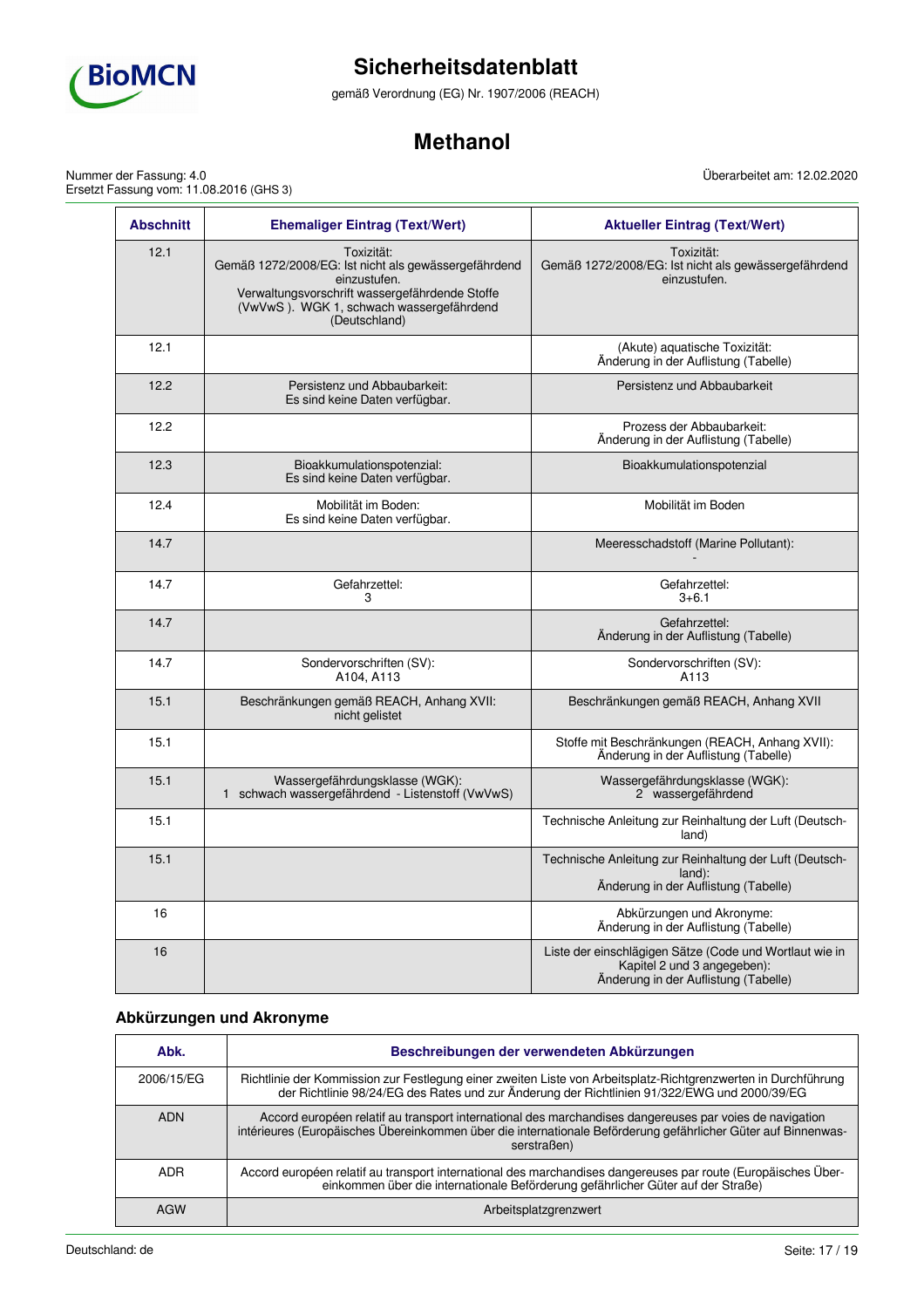

gemäß Verordnung (EG) Nr. 1907/2006 (REACH)

# **Methanol**

Nummer der Fassung: 4.0 Ersetzt Fassung vom: 11.08.2016 (GHS 3)

12.1 Toxizität:

einzustufen.

**Abschnitt Ehemaliger Eintrag (Text/Wert) Aktueller Eintrag (Text/Wert)** Gemäß 1272/2008/EG: Ist nicht als gewässergefährdend Verwaltungsvorschrift wassergefährdende Stoffe Toxizität: Gemäß 1272/2008/EG: Ist nicht als gewässergefährdend einzustufen.

Überarbeitet am: 12.02.2020

|      | (VwVwS). WGK 1, schwach wassergefährdend<br>(Deutschland)                          |                                                                                                                                |
|------|------------------------------------------------------------------------------------|--------------------------------------------------------------------------------------------------------------------------------|
| 12.1 |                                                                                    | (Akute) aquatische Toxizität:<br>Änderung in der Auflistung (Tabelle)                                                          |
| 12.2 | Persistenz und Abbaubarkeit:<br>Es sind keine Daten verfügbar.                     | Persistenz und Abbaubarkeit                                                                                                    |
| 12.2 |                                                                                    | Prozess der Abbaubarkeit:<br>Änderung in der Auflistung (Tabelle)                                                              |
| 12.3 | Bioakkumulationspotenzial:<br>Es sind keine Daten verfügbar.                       | Bioakkumulationspotenzial                                                                                                      |
| 12.4 | Mobilität im Boden:<br>Es sind keine Daten verfügbar.                              | Mobilität im Boden                                                                                                             |
| 14.7 |                                                                                    | Meeresschadstoff (Marine Pollutant):                                                                                           |
| 14.7 | Gefahrzettel:<br>3                                                                 | Gefahrzettel:<br>$3 + 6.1$                                                                                                     |
| 14.7 |                                                                                    | Gefahrzettel:<br>Änderung in der Auflistung (Tabelle)                                                                          |
| 14.7 | Sondervorschriften (SV):<br>A104, A113                                             | Sondervorschriften (SV):<br>A113                                                                                               |
| 15.1 | Beschränkungen gemäß REACH, Anhang XVII:<br>nicht gelistet                         | Beschränkungen gemäß REACH, Anhang XVII                                                                                        |
| 15.1 |                                                                                    | Stoffe mit Beschränkungen (REACH, Anhang XVII):<br>Änderung in der Auflistung (Tabelle)                                        |
| 15.1 | Wassergefährdungsklasse (WGK):<br>1 schwach wassergefährdend - Listenstoff (VwVwS) | Wassergefährdungsklasse (WGK):<br>2 wassergefährdend                                                                           |
| 15.1 |                                                                                    | Technische Anleitung zur Reinhaltung der Luft (Deutsch-<br>land)                                                               |
| 15.1 |                                                                                    | Technische Anleitung zur Reinhaltung der Luft (Deutsch-<br>land):<br>Änderung in der Auflistung (Tabelle)                      |
| 16   |                                                                                    | Abkürzungen und Akronyme:<br>Änderung in der Auflistung (Tabelle)                                                              |
| 16   |                                                                                    | Liste der einschlägigen Sätze (Code und Wortlaut wie in<br>Kapitel 2 und 3 angegeben):<br>Änderung in der Auflistung (Tabelle) |

# **Abkürzungen und Akronyme**

| Abk.       | Beschreibungen der verwendeten Abkürzungen                                                                                                                                                                                              |
|------------|-----------------------------------------------------------------------------------------------------------------------------------------------------------------------------------------------------------------------------------------|
| 2006/15/EG | Richtlinie der Kommission zur Festlegung einer zweiten Liste von Arbeitsplatz-Richtgrenzwerten in Durchführung<br>der Richtlinie 98/24/EG des Rates und zur Änderung der Richtlinien 91/322/EWG und 2000/39/EG                          |
| <b>ADN</b> | Accord européen relatif au transport international des marchandises dangereuses par voies de navigation<br>intérieures (Europäisches Übereinkommen über die internationale Beförderung gefährlicher Güter auf Binnenwas-<br>serstraßen) |
| <b>ADR</b> | Accord européen relatif au transport international des marchandises dangereuses par route (Europäisches Über-<br>einkommen über die internationale Beförderung gefährlicher Güter auf der Straße)                                       |
| <b>AGW</b> | Arbeitsplatzgrenzwert                                                                                                                                                                                                                   |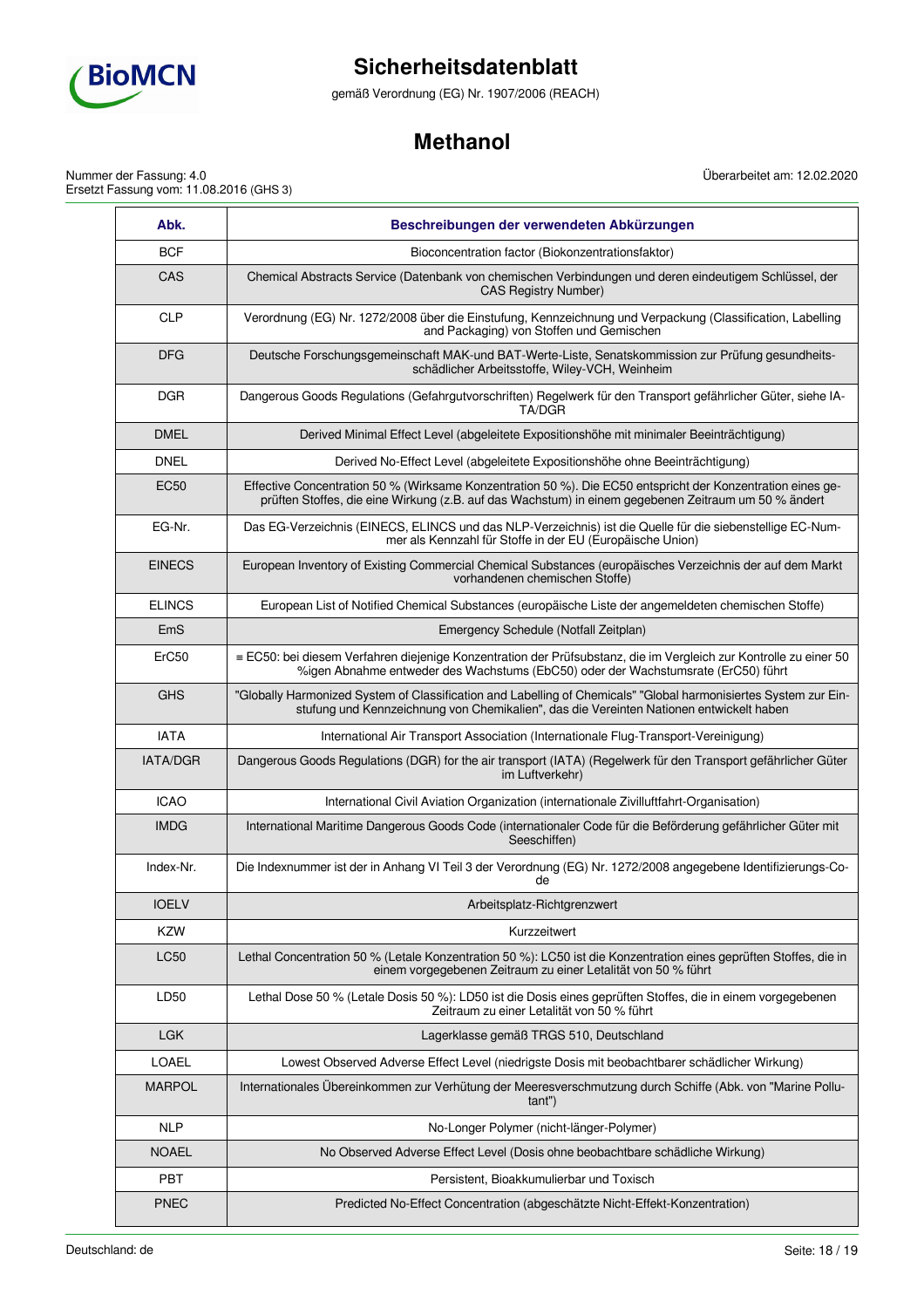

gemäß Verordnung (EG) Nr. 1907/2006 (REACH)

# **Methanol**

Nummer der Fassung: 4.0 Ersetzt Fassung vom: 11.08.2016 (GHS 3) Überarbeitet am: 12.02.2020

| Abk.            | Beschreibungen der verwendeten Abkürzungen                                                                                                                                                                          |
|-----------------|---------------------------------------------------------------------------------------------------------------------------------------------------------------------------------------------------------------------|
| <b>BCF</b>      | Bioconcentration factor (Biokonzentrationsfaktor)                                                                                                                                                                   |
| CAS             | Chemical Abstracts Service (Datenbank von chemischen Verbindungen und deren eindeutigem Schlüssel, der<br><b>CAS Registry Number)</b>                                                                               |
| <b>CLP</b>      | Verordnung (EG) Nr. 1272/2008 über die Einstufung, Kennzeichnung und Verpackung (Classification, Labelling<br>and Packaging) von Stoffen und Gemischen                                                              |
| <b>DFG</b>      | Deutsche Forschungsgemeinschaft MAK-und BAT-Werte-Liste, Senatskommission zur Prüfung gesundheits-<br>schädlicher Arbeitsstoffe, Wiley-VCH, Weinheim                                                                |
| <b>DGR</b>      | Dangerous Goods Regulations (Gefahrgutvorschriften) Regelwerk für den Transport gefährlicher Güter, siehe IA-<br>TA/DGR                                                                                             |
| <b>DMEL</b>     | Derived Minimal Effect Level (abgeleitete Expositionshöhe mit minimaler Beeinträchtigung)                                                                                                                           |
| <b>DNEL</b>     | Derived No-Effect Level (abgeleitete Expositionshöhe ohne Beeinträchtigung)                                                                                                                                         |
| <b>EC50</b>     | Effective Concentration 50 % (Wirksame Konzentration 50 %). Die EC50 entspricht der Konzentration eines ge-<br>prüften Stoffes, die eine Wirkung (z.B. auf das Wachstum) in einem gegebenen Zeitraum um 50 % ändert |
| EG-Nr.          | Das EG-Verzeichnis (EINECS, ELINCS und das NLP-Verzeichnis) ist die Quelle für die siebenstellige EC-Num-<br>mer als Kennzahl für Stoffe in der EU (Europäische Union)                                              |
| <b>EINECS</b>   | European Inventory of Existing Commercial Chemical Substances (europäisches Verzeichnis der auf dem Markt<br>vorhandenen chemischen Stoffe)                                                                         |
| <b>ELINCS</b>   | European List of Notified Chemical Substances (europäische Liste der angemeldeten chemischen Stoffe)                                                                                                                |
| EmS             | Emergency Schedule (Notfall Zeitplan)                                                                                                                                                                               |
| ErC50           | ≡ EC50: bei diesem Verfahren diejenige Konzentration der Prüfsubstanz, die im Vergleich zur Kontrolle zu einer 50<br>%igen Abnahme entweder des Wachstums (EbC50) oder der Wachstumsrate (ErC50) führt              |
| <b>GHS</b>      | "Globally Harmonized System of Classification and Labelling of Chemicals" "Global harmonisiertes System zur Ein-<br>stufung und Kennzeichnung von Chemikalien", das die Vereinten Nationen entwickelt haben         |
| <b>IATA</b>     | International Air Transport Association (Internationale Flug-Transport-Vereinigung)                                                                                                                                 |
| <b>IATA/DGR</b> | Dangerous Goods Regulations (DGR) for the air transport (IATA) (Regelwerk für den Transport gefährlicher Güter<br>im Luftverkehr)                                                                                   |
| <b>ICAO</b>     | International Civil Aviation Organization (internationale Zivilluftfahrt-Organisation)                                                                                                                              |
| <b>IMDG</b>     | International Maritime Dangerous Goods Code (internationaler Code für die Beförderung gefährlicher Güter mit<br>Seeschiffen)                                                                                        |
| Index-Nr.       | Die Indexnummer ist der in Anhang VI Teil 3 der Verordnung (EG) Nr. 1272/2008 angegebene Identifizierungs-Co-<br>de                                                                                                 |
| <b>IOELV</b>    | Arbeitsplatz-Richtgrenzwert                                                                                                                                                                                         |
| <b>KZW</b>      | Kurzzeitwert                                                                                                                                                                                                        |
| <b>LC50</b>     | Lethal Concentration 50 % (Letale Konzentration 50 %): LC50 ist die Konzentration eines geprüften Stoffes, die in<br>einem vorgegebenen Zeitraum zu einer Letalität von 50 % führt                                  |
| LD50            | Lethal Dose 50 % (Letale Dosis 50 %): LD50 ist die Dosis eines geprüften Stoffes, die in einem vorgegebenen<br>Zeitraum zu einer Letalität von 50 % führt                                                           |
| LGK             | Lagerklasse gemäß TRGS 510, Deutschland                                                                                                                                                                             |
| <b>LOAEL</b>    | Lowest Observed Adverse Effect Level (niedrigste Dosis mit beobachtbarer schädlicher Wirkung)                                                                                                                       |
| <b>MARPOL</b>   | Internationales Übereinkommen zur Verhütung der Meeresverschmutzung durch Schiffe (Abk. von "Marine Pollu-<br>tant")                                                                                                |
| <b>NLP</b>      | No-Longer Polymer (nicht-länger-Polymer)                                                                                                                                                                            |
| <b>NOAEL</b>    | No Observed Adverse Effect Level (Dosis ohne beobachtbare schädliche Wirkung)                                                                                                                                       |
| <b>PBT</b>      | Persistent, Bioakkumulierbar und Toxisch                                                                                                                                                                            |
| <b>PNEC</b>     | Predicted No-Effect Concentration (abgeschätzte Nicht-Effekt-Konzentration)                                                                                                                                         |